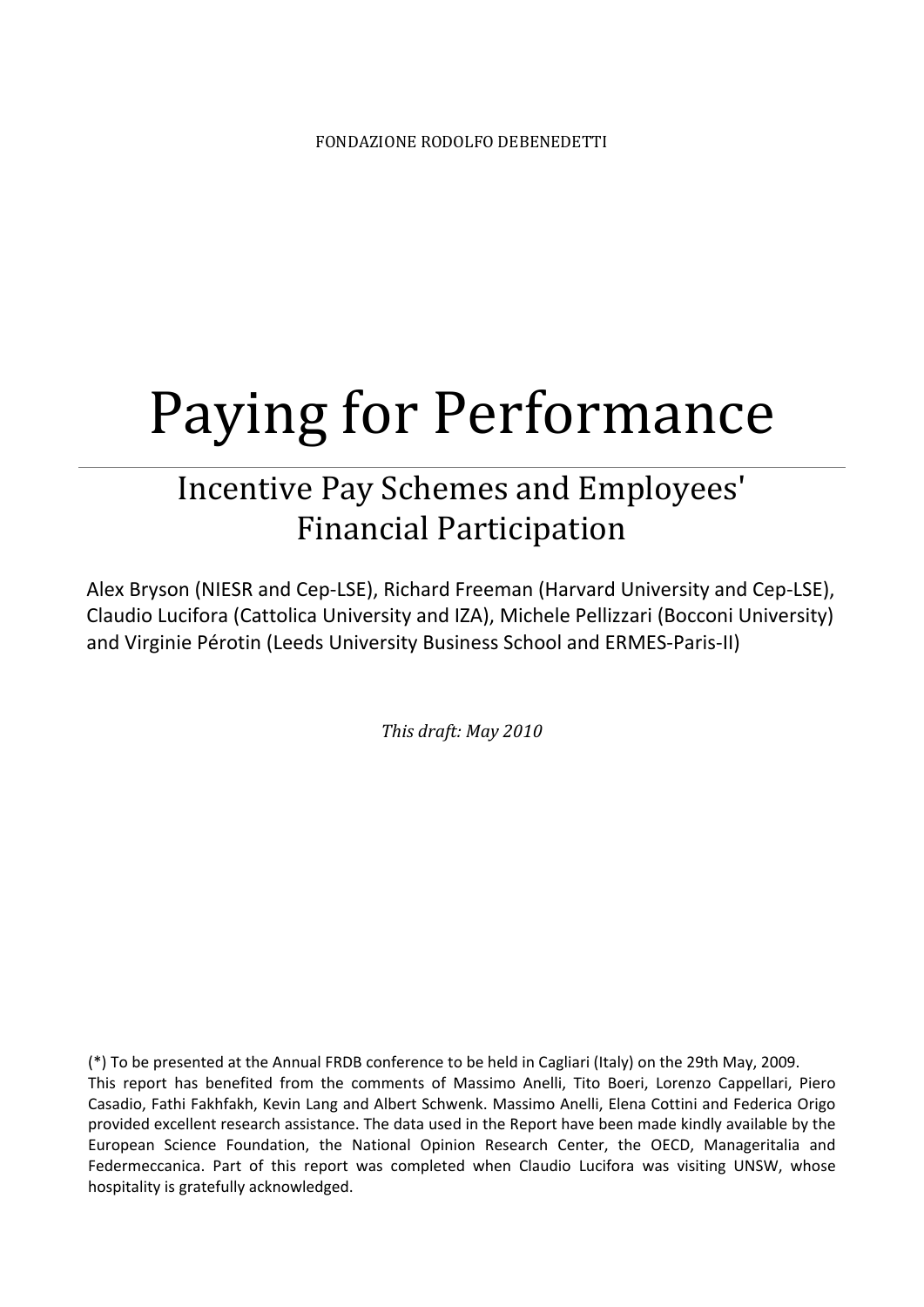# Incentive Pay Schemes and Employees' Financial Participation

Alex Bryson (NIESR and Cep‐LSE), Richard Freeman (Harvard University and Cep‐LSE), Claudio Lucifora (Cattolica University and IZA), Michele Pellizzari (Bocconi University) and Virginie Pérotin (Leeds University Business School and ERMES‐Paris‐II)

*This draft: May 2010*

(\*) To be presented at the Annual FRDB conference to be held in Cagliari (Italy) on the 29th May, 2009. This report has benefited from the comments of Massimo Anelli, Tito Boeri, Lorenzo Cappellari, Piero Casadio, Fathi Fakhfakh, Kevin Lang and Albert Schwenk. Massimo Anelli, Elena Cottini and Federica Origo provided excellent research assistance. The data used in the Report have been made kindly available by the European Science Foundation, the National Opinion Research Center, the OECD, Manageritalia and Federmeccanica. Part of this report was completed when Claudio Lucifora was visiting UNSW, whose hospitality is gratefully acknowledged.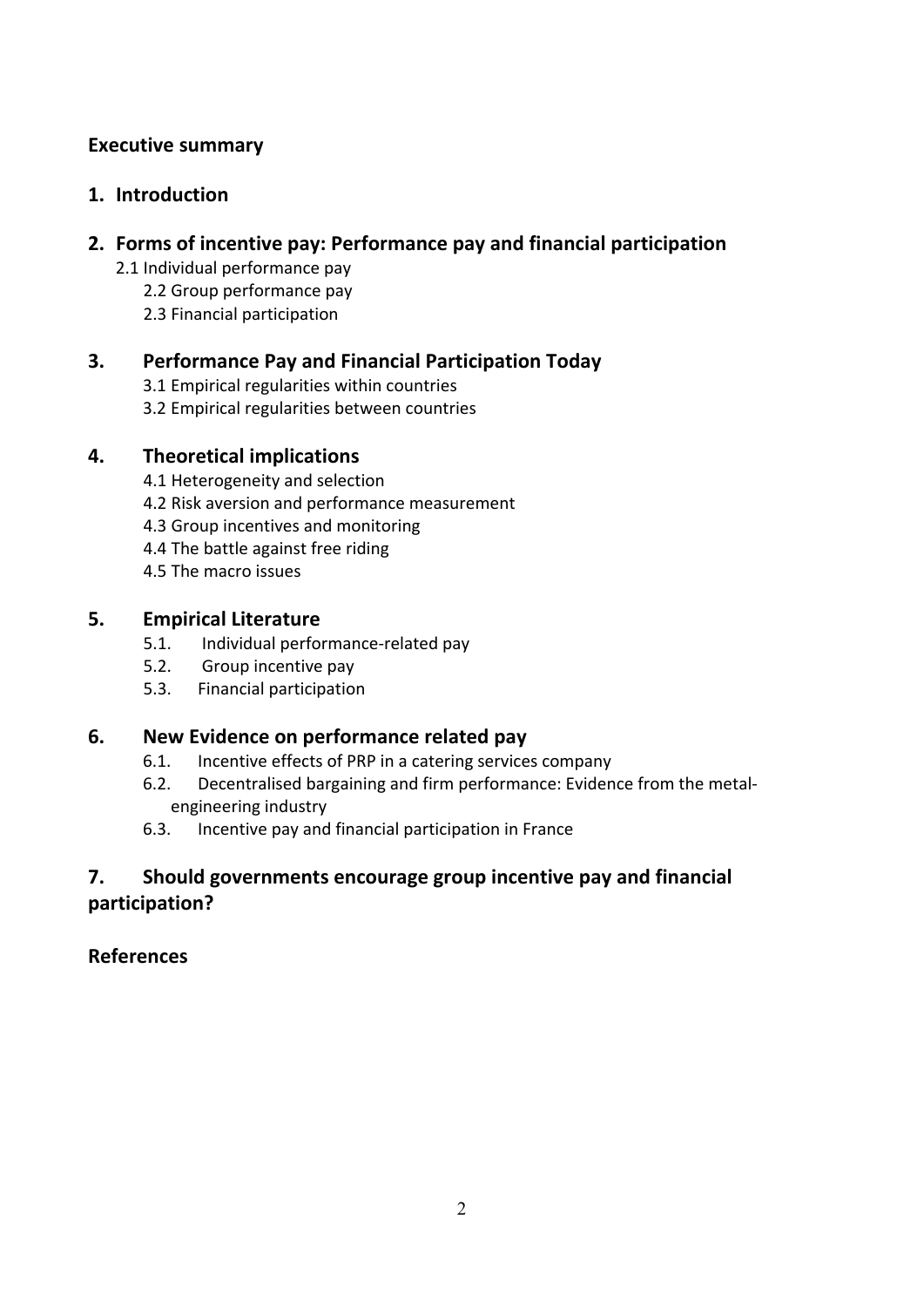# **Executive summary**

# **1. Introduction**

# **2. Forms of incentive pay: Performance pay and financial participation**

- 2.1 Individual performance pay
	- 2.2 Group performance pay
	- 2.3 Financial participation

# **3. Performance Pay and Financial Participation Today**

- 3.1 Empirical regularities within countries
- 3.2 Empirical regularities between countries

# **4. Theoretical implications**

- 4.1 Heterogeneity and selection
- 4.2 Risk aversion and performance measurement
- 4.3 Group incentives and monitoring
- 4.4 The battle against free riding
- 4.5 The macro issues

# **5. Empirical Literature**

- 5.1. Individual performance‐related pay
- 5.2. Group incentive pay
- 5.3. Financial participation

# **6. New Evidence on performance related pay**

- 6.1. Incentive effects of PRP in a catering services company
- 6.2. Decentralised bargaining and firm performance: Evidence from the metal‐ engineering industry
- 6.3. Incentive pay and financial participation in France

# **7. Should governments encourage group incentive pay and financial participation?**

# **References**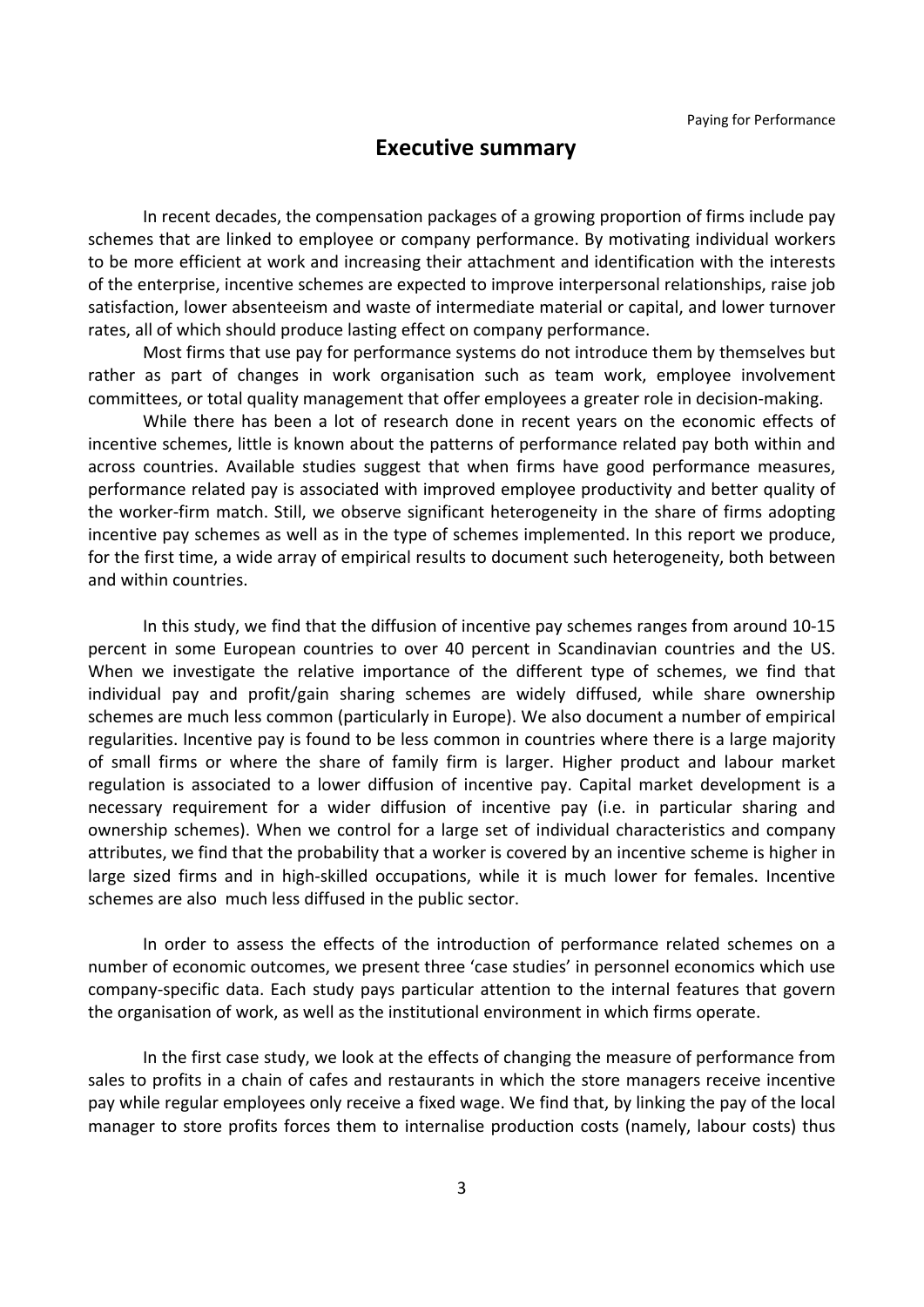# **Executive summary**

In recent decades, the compensation packages of a growing proportion of firms include pay schemes that are linked to employee or company performance. By motivating individual workers to be more efficient at work and increasing their attachment and identification with the interests of the enterprise, incentive schemes are expected to improve interpersonal relationships, raise job satisfaction, lower absenteeism and waste of intermediate material or capital, and lower turnover rates, all of which should produce lasting effect on company performance.

Most firms that use pay for performance systems do not introduce them by themselves but rather as part of changes in work organisation such as team work, employee involvement committees, or total quality management that offer employees a greater role in decision‐making.

While there has been a lot of research done in recent years on the economic effects of incentive schemes, little is known about the patterns of performance related pay both within and across countries. Available studies suggest that when firms have good performance measures, performance related pay is associated with improved employee productivity and better quality of the worker‐firm match. Still, we observe significant heterogeneity in the share of firms adopting incentive pay schemes as well as in the type of schemes implemented. In this report we produce, for the first time, a wide array of empirical results to document such heterogeneity, both between and within countries.

In this study, we find that the diffusion of incentive pay schemes ranges from around 10‐15 percent in some European countries to over 40 percent in Scandinavian countries and the US. When we investigate the relative importance of the different type of schemes, we find that individual pay and profit/gain sharing schemes are widely diffused, while share ownership schemes are much less common (particularly in Europe). We also document a number of empirical regularities. Incentive pay is found to be less common in countries where there is a large majority of small firms or where the share of family firm is larger. Higher product and labour market regulation is associated to a lower diffusion of incentive pay. Capital market development is a necessary requirement for a wider diffusion of incentive pay (i.e. in particular sharing and ownership schemes). When we control for a large set of individual characteristics and company attributes, we find that the probability that a worker is covered by an incentive scheme is higher in large sized firms and in high-skilled occupations, while it is much lower for females. Incentive schemes are also much less diffused in the public sector.

In order to assess the effects of the introduction of performance related schemes on a number of economic outcomes, we present three 'case studies' in personnel economics which use company‐specific data. Each study pays particular attention to the internal features that govern the organisation of work, as well as the institutional environment in which firms operate.

In the first case study, we look at the effects of changing the measure of performance from sales to profits in a chain of cafes and restaurants in which the store managers receive incentive pay while regular employees only receive a fixed wage. We find that, by linking the pay of the local manager to store profits forces them to internalise production costs (namely, labour costs) thus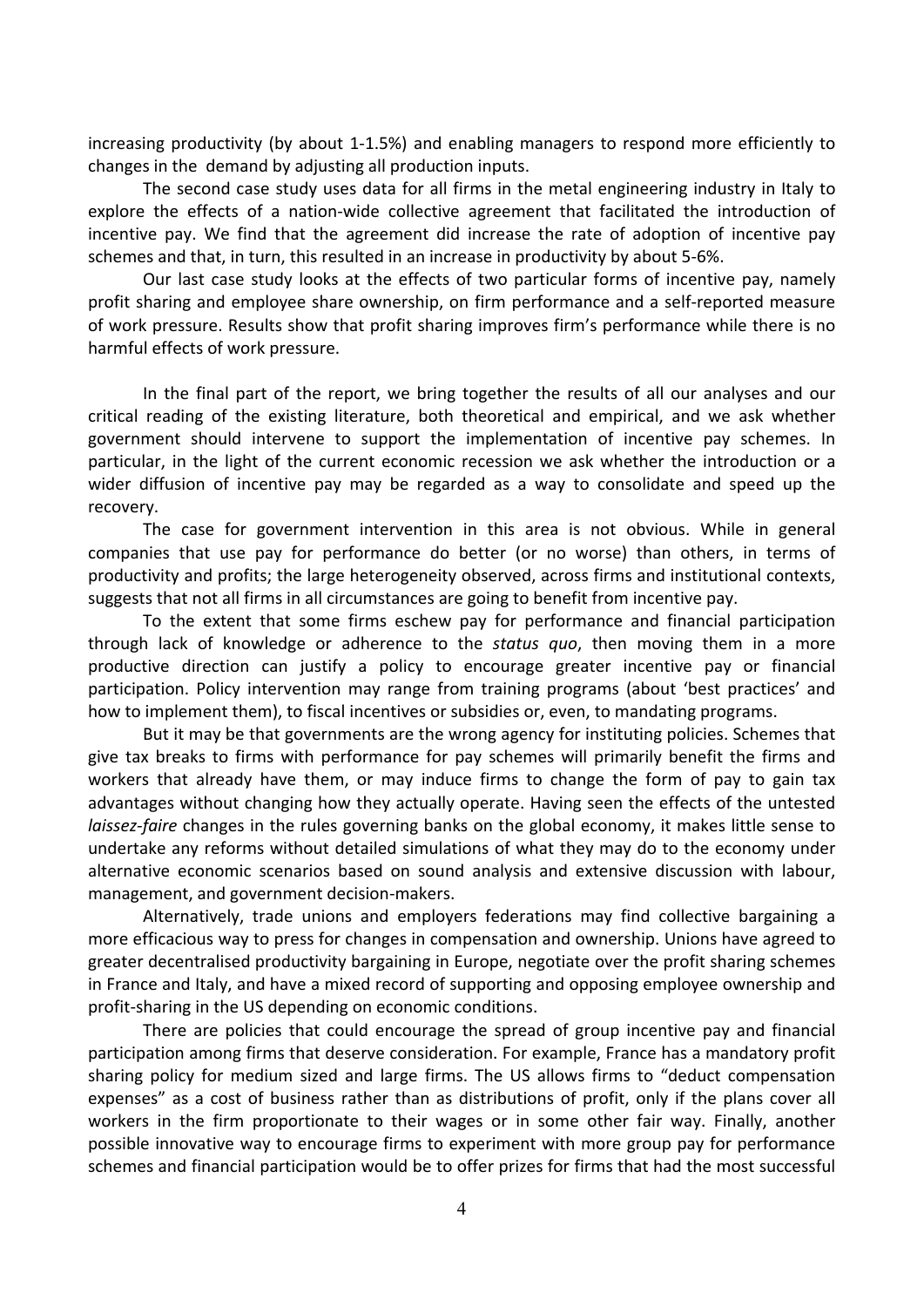increasing productivity (by about 1‐1.5%) and enabling managers to respond more efficiently to changes in the demand by adjusting all production inputs.

The second case study uses data for all firms in the metal engineering industry in Italy to explore the effects of a nation-wide collective agreement that facilitated the introduction of incentive pay. We find that the agreement did increase the rate of adoption of incentive pay schemes and that, in turn, this resulted in an increase in productivity by about 5‐6%.

Our last case study looks at the effects of two particular forms of incentive pay, namely profit sharing and employee share ownership, on firm performance and a self‐reported measure of work pressure. Results show that profit sharing improves firm's performance while there is no harmful effects of work pressure.

In the final part of the report, we bring together the results of all our analyses and our critical reading of the existing literature, both theoretical and empirical, and we ask whether government should intervene to support the implementation of incentive pay schemes. In particular, in the light of the current economic recession we ask whether the introduction or a wider diffusion of incentive pay may be regarded as a way to consolidate and speed up the recovery.

The case for government intervention in this area is not obvious. While in general companies that use pay for performance do better (or no worse) than others, in terms of productivity and profits; the large heterogeneity observed, across firms and institutional contexts, suggests that not all firms in all circumstances are going to benefit from incentive pay.

To the extent that some firms eschew pay for performance and financial participation through lack of knowledge or adherence to the *status quo*, then moving them in a more productive direction can justify a policy to encourage greater incentive pay or financial participation. Policy intervention may range from training programs (about 'best practices' and how to implement them), to fiscal incentives or subsidies or, even, to mandating programs.

But it may be that governments are the wrong agency for instituting policies. Schemes that give tax breaks to firms with performance for pay schemes will primarily benefit the firms and workers that already have them, or may induce firms to change the form of pay to gain tax advantages without changing how they actually operate. Having seen the effects of the untested *laissez-faire* changes in the rules governing banks on the global economy, it makes little sense to undertake any reforms without detailed simulations of what they may do to the economy under alternative economic scenarios based on sound analysis and extensive discussion with labour, management, and government decision‐makers.

Alternatively, trade unions and employers federations may find collective bargaining a more efficacious way to press for changes in compensation and ownership. Unions have agreed to greater decentralised productivity bargaining in Europe, negotiate over the profit sharing schemes in France and Italy, and have a mixed record of supporting and opposing employee ownership and profit‐sharing in the US depending on economic conditions.

There are policies that could encourage the spread of group incentive pay and financial participation among firms that deserve consideration. For example, France has a mandatory profit sharing policy for medium sized and large firms. The US allows firms to "deduct compensation expenses" as a cost of business rather than as distributions of profit, only if the plans cover all workers in the firm proportionate to their wages or in some other fair way. Finally, another possible innovative way to encourage firms to experiment with more group pay for performance schemes and financial participation would be to offer prizes for firms that had the most successful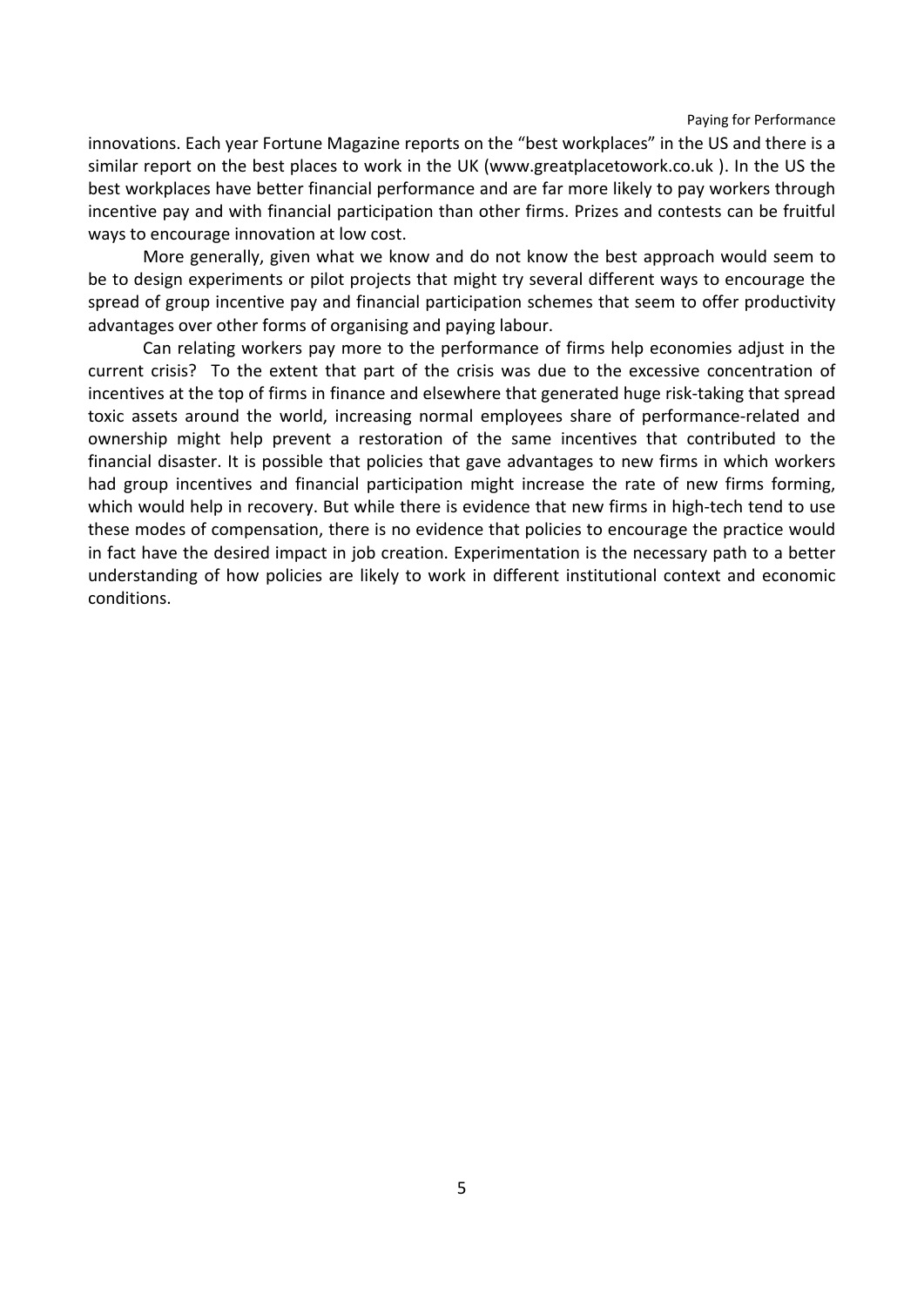innovations. Each year Fortune Magazine reports on the "best workplaces" in the US and there is a similar report on the best places to work in the UK (www.greatplacetowork.co.uk ). In the US the best workplaces have better financial performance and are far more likely to pay workers through incentive pay and with financial participation than other firms. Prizes and contests can be fruitful ways to encourage innovation at low cost.

More generally, given what we know and do not know the best approach would seem to be to design experiments or pilot projects that might try several different ways to encourage the spread of group incentive pay and financial participation schemes that seem to offer productivity advantages over other forms of organising and paying labour.

Can relating workers pay more to the performance of firms help economies adjust in the current crisis? To the extent that part of the crisis was due to the excessive concentration of incentives at the top of firms in finance and elsewhere that generated huge risk‐taking that spread toxic assets around the world, increasing normal employees share of performance‐related and ownership might help prevent a restoration of the same incentives that contributed to the financial disaster. It is possible that policies that gave advantages to new firms in which workers had group incentives and financial participation might increase the rate of new firms forming, which would help in recovery. But while there is evidence that new firms in high-tech tend to use these modes of compensation, there is no evidence that policies to encourage the practice would in fact have the desired impact in job creation. Experimentation is the necessary path to a better understanding of how policies are likely to work in different institutional context and economic conditions.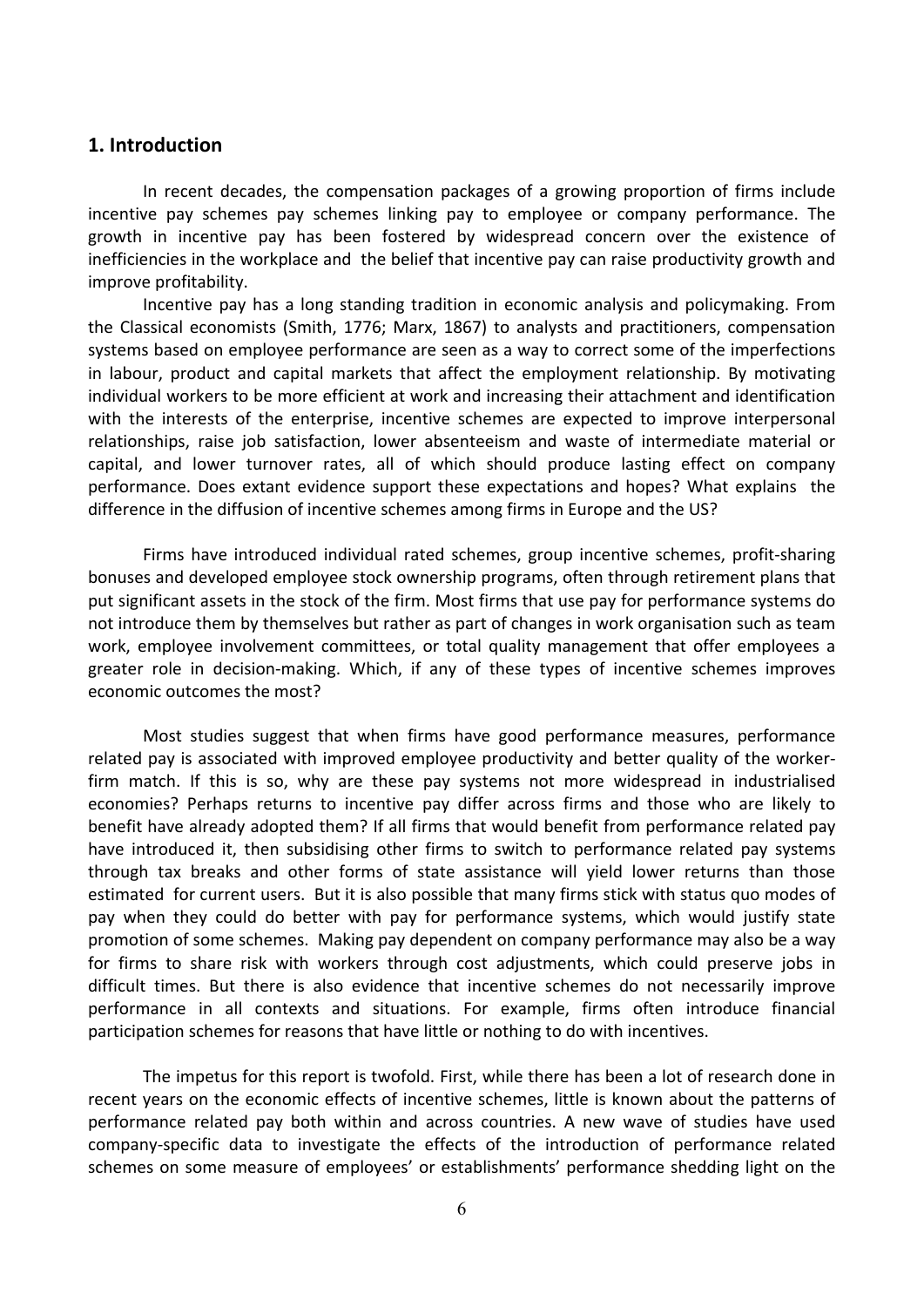# **1. Introduction**

In recent decades, the compensation packages of a growing proportion of firms include incentive pay schemes pay schemes linking pay to employee or company performance. The growth in incentive pay has been fostered by widespread concern over the existence of inefficiencies in the workplace and the belief that incentive pay can raise productivity growth and improve profitability.

Incentive pay has a long standing tradition in economic analysis and policymaking. From the Classical economists (Smith, 1776; Marx, 1867) to analysts and practitioners, compensation systems based on employee performance are seen as a way to correct some of the imperfections in labour, product and capital markets that affect the employment relationship. By motivating individual workers to be more efficient at work and increasing their attachment and identification with the interests of the enterprise, incentive schemes are expected to improve interpersonal relationships, raise job satisfaction, lower absenteeism and waste of intermediate material or capital, and lower turnover rates, all of which should produce lasting effect on company performance. Does extant evidence support these expectations and hopes? What explains the difference in the diffusion of incentive schemes among firms in Europe and the US?

Firms have introduced individual rated schemes, group incentive schemes, profit‐sharing bonuses and developed employee stock ownership programs, often through retirement plans that put significant assets in the stock of the firm. Most firms that use pay for performance systems do not introduce them by themselves but rather as part of changes in work organisation such as team work, employee involvement committees, or total quality management that offer employees a greater role in decision‐making. Which, if any of these types of incentive schemes improves economic outcomes the most?

Most studies suggest that when firms have good performance measures, performance related pay is associated with improved employee productivity and better quality of the worker‐ firm match. If this is so, why are these pay systems not more widespread in industrialised economies? Perhaps returns to incentive pay differ across firms and those who are likely to benefit have already adopted them? If all firms that would benefit from performance related pay have introduced it, then subsidising other firms to switch to performance related pay systems through tax breaks and other forms of state assistance will yield lower returns than those estimated for current users. But it is also possible that many firms stick with status quo modes of pay when they could do better with pay for performance systems, which would justify state promotion of some schemes. Making pay dependent on company performance may also be a way for firms to share risk with workers through cost adjustments, which could preserve jobs in difficult times. But there is also evidence that incentive schemes do not necessarily improve performance in all contexts and situations. For example, firms often introduce financial participation schemes for reasons that have little or nothing to do with incentives.

The impetus for this report is twofold. First, while there has been a lot of research done in recent years on the economic effects of incentive schemes, little is known about the patterns of performance related pay both within and across countries. A new wave of studies have used company‐specific data to investigate the effects of the introduction of performance related schemes on some measure of employees' or establishments' performance shedding light on the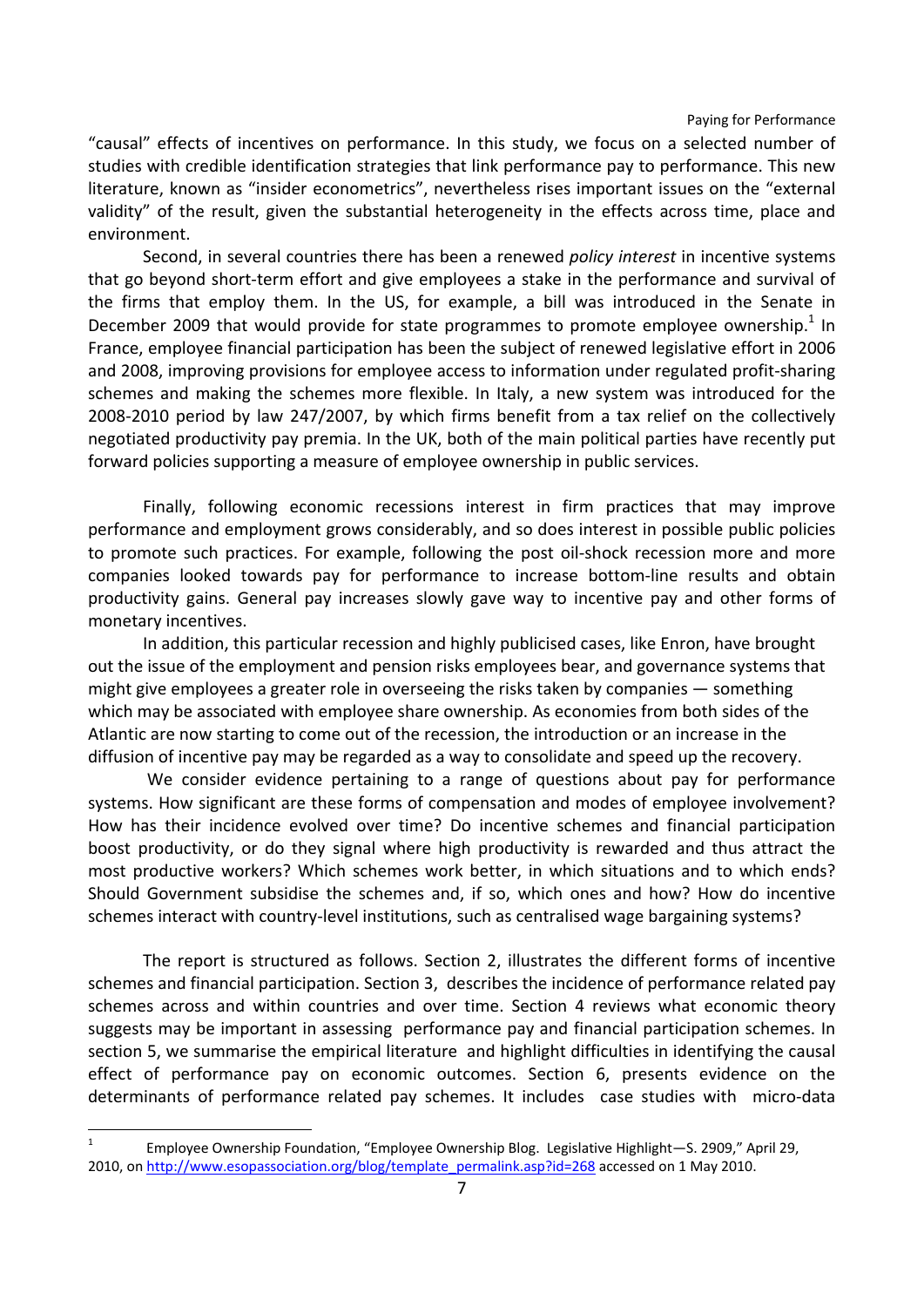"causal" effects of incentives on performance. In this study, we focus on a selected number of studies with credible identification strategies that link performance pay to performance. This new literature, known as "insider econometrics", nevertheless rises important issues on the "external validity" of the result, given the substantial heterogeneity in the effects across time, place and environment.

Second, in several countries there has been a renewed *policy interest* in incentive systems that go beyond short‐term effort and give employees a stake in the performance and survival of the firms that employ them. In the US, for example, a bill was introduced in the Senate in December 2009 that would provide for state programmes to promote employee ownership.<sup>1</sup> In France, employee financial participation has been the subject of renewed legislative effort in 2006 and 2008, improving provisions for employee access to information under regulated profit‐sharing schemes and making the schemes more flexible. In Italy, a new system was introduced for the 2008‐2010 period by law 247/2007, by which firms benefit from a tax relief on the collectively negotiated productivity pay premia. In the UK, both of the main political parties have recently put forward policies supporting a measure of employee ownership in public services.

Finally, following economic recessions interest in firm practices that may improve performance and employment grows considerably, and so does interest in possible public policies to promote such practices. For example, following the post oil‐shock recession more and more companies looked towards pay for performance to increase bottom‐line results and obtain productivity gains. General pay increases slowly gave way to incentive pay and other forms of monetary incentives.

In addition, this particular recession and highly publicised cases, like Enron, have brought out the issue of the employment and pension risks employees bear, and governance systems that might give employees a greater role in overseeing the risks taken by companies — something which may be associated with employee share ownership. As economies from both sides of the Atlantic are now starting to come out of the recession, the introduction or an increase in the diffusion of incentive pay may be regarded as a way to consolidate and speed up the recovery.

We consider evidence pertaining to a range of questions about pay for performance systems. How significant are these forms of compensation and modes of employee involvement? How has their incidence evolved over time? Do incentive schemes and financial participation boost productivity, or do they signal where high productivity is rewarded and thus attract the most productive workers? Which schemes work better, in which situations and to which ends? Should Government subsidise the schemes and, if so, which ones and how? How do incentive schemes interact with country‐level institutions, such as centralised wage bargaining systems?

The report is structured as follows. Section 2, illustrates the different forms of incentive schemes and financial participation. Section 3, describes the incidence of performance related pay schemes across and within countries and over time. Section 4 reviews what economic theory suggests may be important in assessing performance pay and financial participation schemes. In section 5, we summarise the empirical literature and highlight difficulties in identifying the causal effect of performance pay on economic outcomes. Section 6, presents evidence on the determinants of performance related pay schemes. It includes case studies with micro-data

 $\overline{a}$ 

<sup>1</sup> Employee Ownership Foundation, "Employee Ownership Blog. Legislative Highlight—S. 2909," April 29, 2010, on http://www.esopassociation.org/blog/template\_permalink.asp?id=268 accessed on 1 May 2010.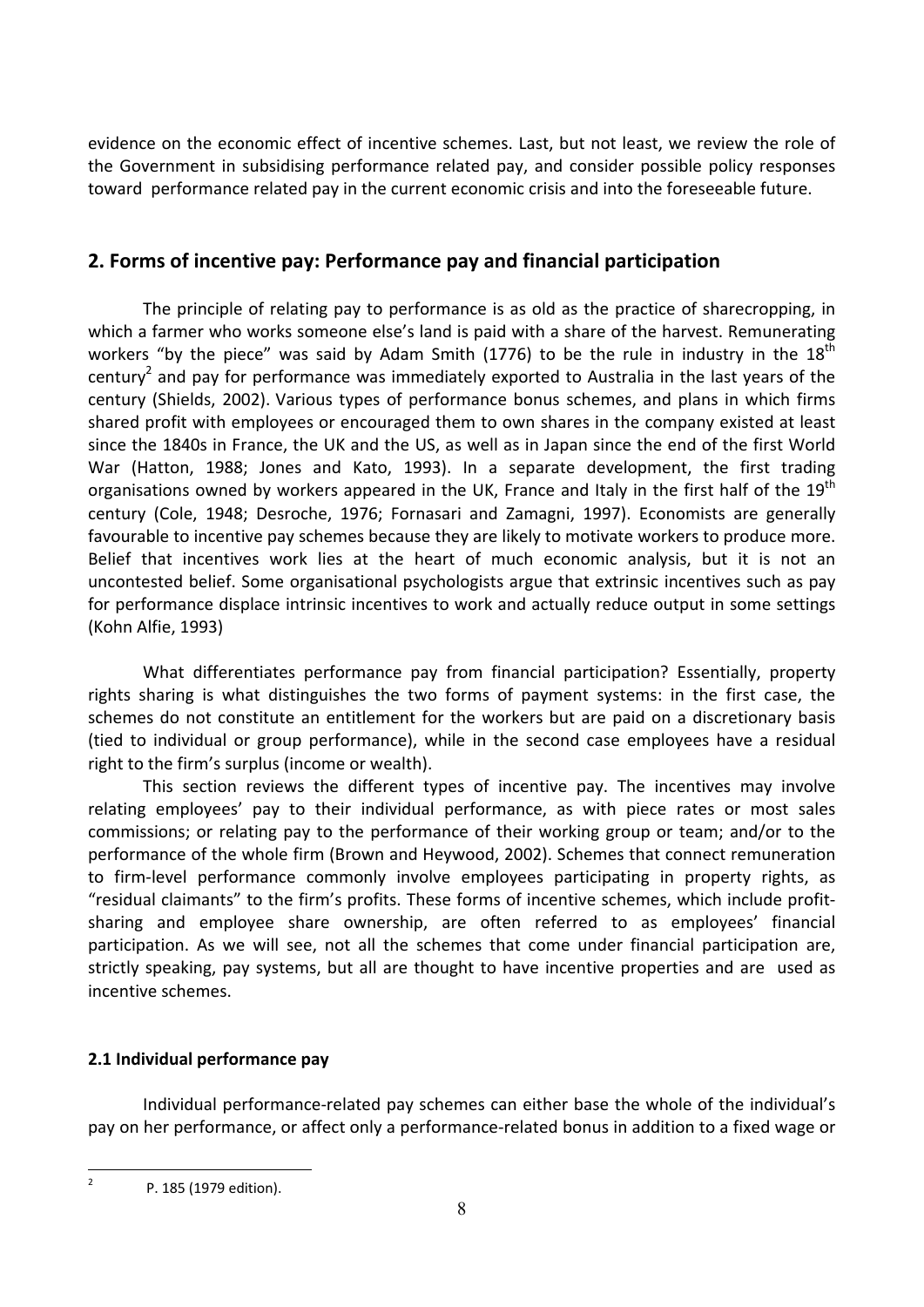evidence on the economic effect of incentive schemes. Last, but not least, we review the role of the Government in subsidising performance related pay, and consider possible policy responses toward performance related pay in the current economic crisis and into the foreseeable future.

# **2. Forms of incentive pay: Performance pay and financial participation**

The principle of relating pay to performance is as old as the practice of sharecropping, in which a farmer who works someone else's land is paid with a share of the harvest. Remunerating workers "by the piece" was said by Adam Smith (1776) to be the rule in industry in the  $18<sup>th</sup>$ century<sup>2</sup> and pay for performance was immediately exported to Australia in the last years of the century (Shields, 2002). Various types of performance bonus schemes, and plans in which firms shared profit with employees or encouraged them to own shares in the company existed at least since the 1840s in France, the UK and the US, as well as in Japan since the end of the first World War (Hatton, 1988; Jones and Kato, 1993). In a separate development, the first trading organisations owned by workers appeared in the UK, France and Italy in the first half of the 19<sup>th</sup> century (Cole, 1948; Desroche, 1976; Fornasari and Zamagni, 1997). Economists are generally favourable to incentive pay schemes because they are likely to motivate workers to produce more. Belief that incentives work lies at the heart of much economic analysis, but it is not an uncontested belief. Some organisational psychologists argue that extrinsic incentives such as pay for performance displace intrinsic incentives to work and actually reduce output in some settings (Kohn Alfie, 1993)

What differentiates performance pay from financial participation? Essentially, property rights sharing is what distinguishes the two forms of payment systems: in the first case, the schemes do not constitute an entitlement for the workers but are paid on a discretionary basis (tied to individual or group performance), while in the second case employees have a residual right to the firm's surplus (income or wealth).

This section reviews the different types of incentive pay. The incentives may involve relating employees' pay to their individual performance, as with piece rates or most sales commissions; or relating pay to the performance of their working group or team; and/or to the performance of the whole firm (Brown and Heywood, 2002). Schemes that connect remuneration to firm‐level performance commonly involve employees participating in property rights, as "residual claimants" to the firm's profits. These forms of incentive schemes, which include profit‐ sharing and employee share ownership, are often referred to as employees' financial participation. As we will see, not all the schemes that come under financial participation are, strictly speaking, pay systems, but all are thought to have incentive properties and are used as incentive schemes.

# **2.1 Individual performance pay**

Individual performance-related pay schemes can either base the whole of the individual's pay on her performance, or affect only a performance-related bonus in addition to a fixed wage or

 $\overline{2}$ 

P. 185 (1979 edition).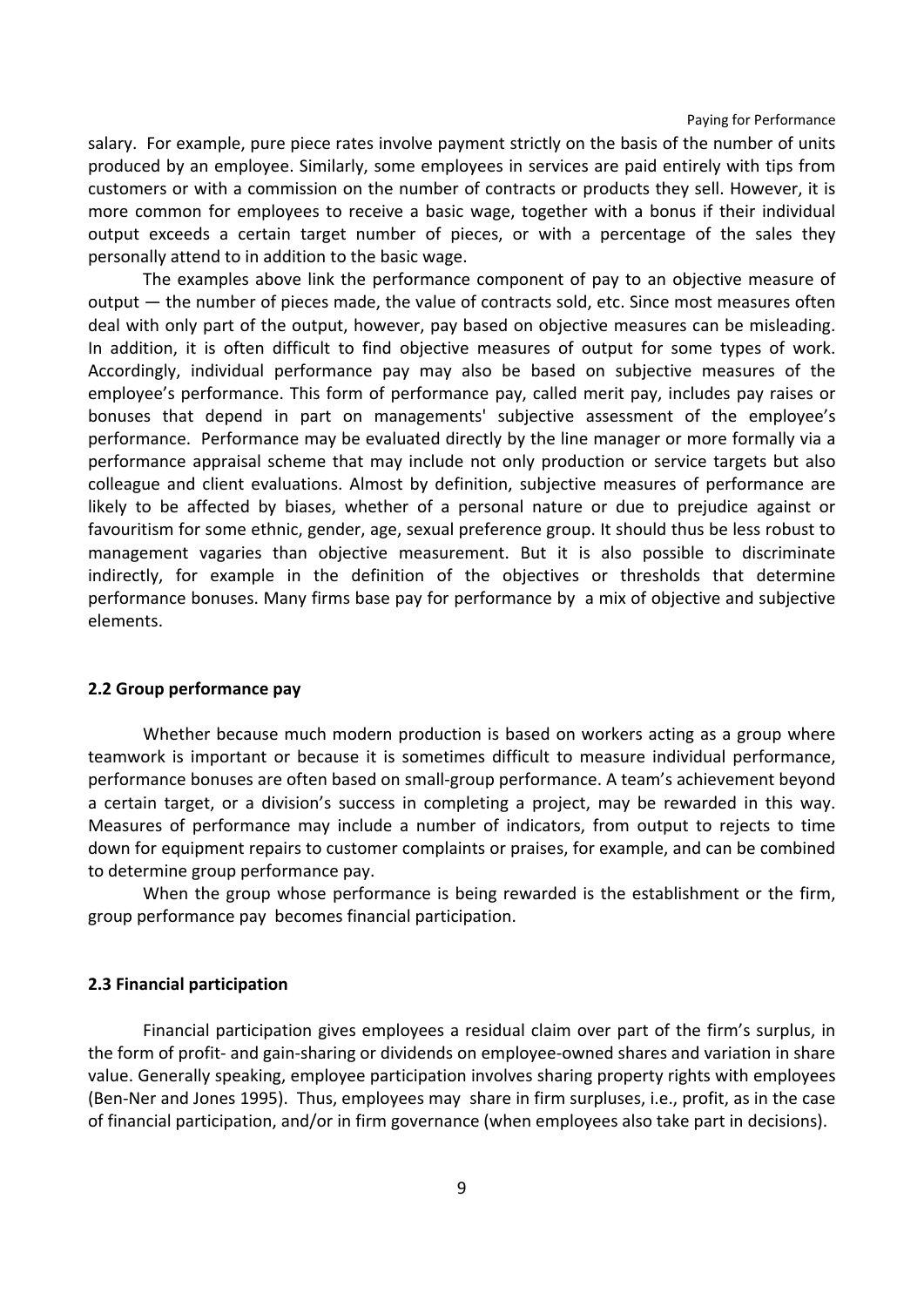salary. For example, pure piece rates involve payment strictly on the basis of the number of units produced by an employee. Similarly, some employees in services are paid entirely with tips from customers or with a commission on the number of contracts or products they sell. However, it is more common for employees to receive a basic wage, together with a bonus if their individual output exceeds a certain target number of pieces, or with a percentage of the sales they personally attend to in addition to the basic wage.

The examples above link the performance component of pay to an objective measure of output — the number of pieces made, the value of contracts sold, etc. Since most measures often deal with only part of the output, however, pay based on objective measures can be misleading. In addition, it is often difficult to find objective measures of output for some types of work. Accordingly, individual performance pay may also be based on subjective measures of the employee's performance. This form of performance pay, called merit pay, includes pay raises or bonuses that depend in part on managements' subjective assessment of the employee's performance. Performance may be evaluated directly by the line manager or more formally via a performance appraisal scheme that may include not only production or service targets but also colleague and client evaluations. Almost by definition, subjective measures of performance are likely to be affected by biases, whether of a personal nature or due to prejudice against or favouritism for some ethnic, gender, age, sexual preference group. It should thus be less robust to management vagaries than objective measurement. But it is also possible to discriminate indirectly, for example in the definition of the objectives or thresholds that determine performance bonuses. Many firms base pay for performance by a mix of objective and subjective elements.

#### **2.2 Group performance pay**

Whether because much modern production is based on workers acting as a group where teamwork is important or because it is sometimes difficult to measure individual performance, performance bonuses are often based on small‐group performance. A team's achievement beyond a certain target, or a division's success in completing a project, may be rewarded in this way. Measures of performance may include a number of indicators, from output to rejects to time down for equipment repairs to customer complaints or praises, for example, and can be combined to determine group performance pay.

When the group whose performance is being rewarded is the establishment or the firm, group performance pay becomes financial participation.

#### **2.3 Financial participation**

Financial participation gives employees a residual claim over part of the firm's surplus, in the form of profit‐ and gain‐sharing or dividends on employee‐owned shares and variation in share value. Generally speaking, employee participation involves sharing property rights with employees (Ben‐Ner and Jones 1995). Thus, employees may share in firm surpluses, i.e., profit, as in the case of financial participation, and/or in firm governance (when employees also take part in decisions).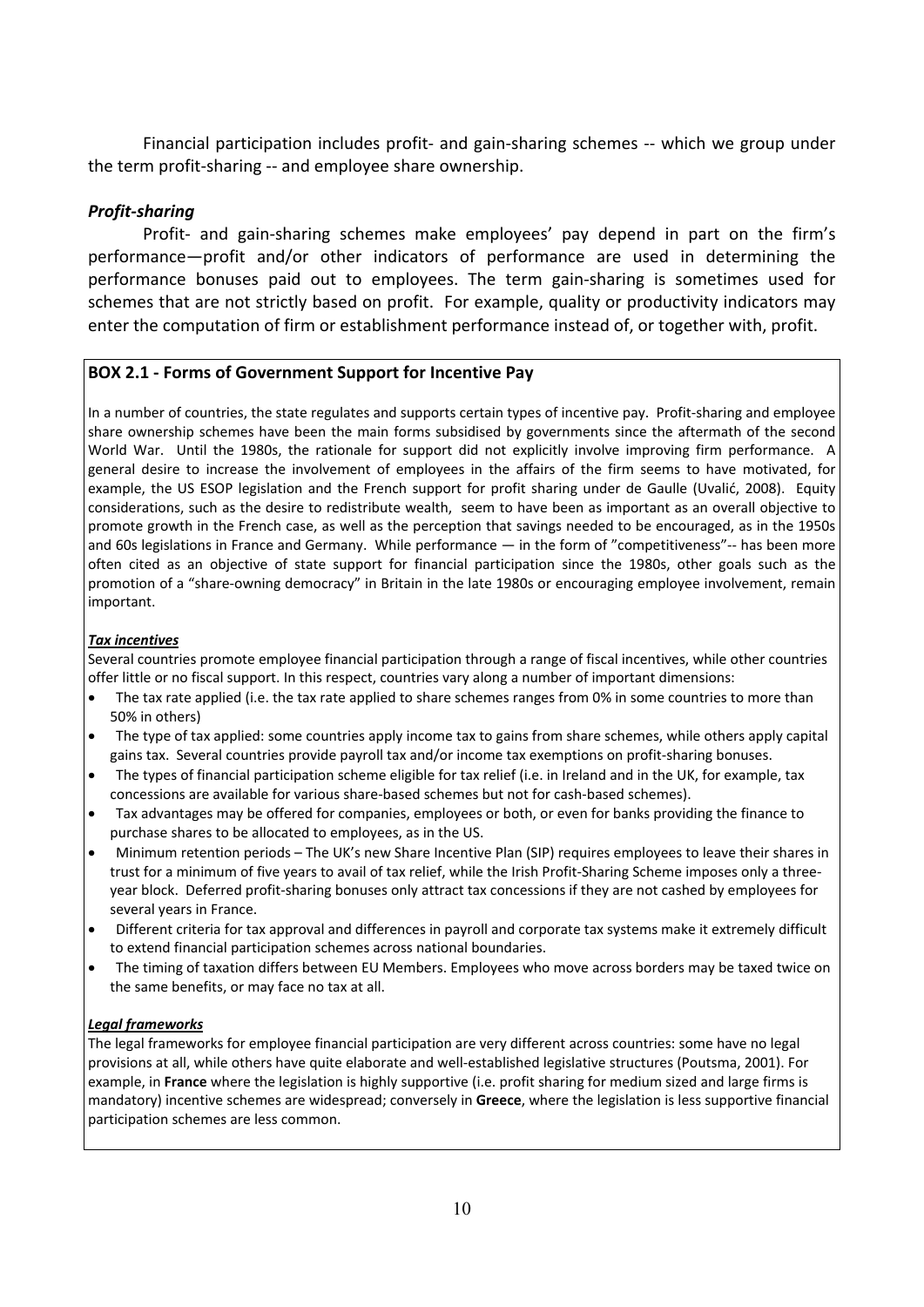Financial participation includes profit‐ and gain‐sharing schemes ‐‐ which we group under the term profit‐sharing ‐‐ and employee share ownership.

#### *Profit‐sharing*

Profit- and gain-sharing schemes make employees' pay depend in part on the firm's performance—profit and/or other indicators of performance are used in determining the performance bonuses paid out to employees. The term gain‐sharing is sometimes used for schemes that are not strictly based on profit. For example, quality or productivity indicators may enter the computation of firm or establishment performance instead of, or together with, profit.

#### **BOX 2.1 ‐ Forms of Government Support for Incentive Pay**

In a number of countries, the state regulates and supports certain types of incentive pay. Profit-sharing and employee share ownership schemes have been the main forms subsidised by governments since the aftermath of the second World War. Until the 1980s, the rationale for support did not explicitly involve improving firm performance. A general desire to increase the involvement of employees in the affairs of the firm seems to have motivated, for example, the US ESOP legislation and the French support for profit sharing under de Gaulle (Uvalić, 2008). Equity considerations, such as the desire to redistribute wealth, seem to have been as important as an overall objective to promote growth in the French case, as well as the perception that savings needed to be encouraged, as in the 1950s and 60s legislations in France and Germany. While performance — in the form of "competitiveness"-- has been more often cited as an objective of state support for financial participation since the 1980s, other goals such as the promotion of a "share‐owning democracy" in Britain in the late 1980s or encouraging employee involvement, remain important.

#### *Tax incentives*

Several countries promote employee financial participation through a range of fiscal incentives, while other countries offer little or no fiscal support. In this respect, countries vary along a number of important dimensions:

- The tax rate applied (i.e. the tax rate applied to share schemes ranges from 0% in some countries to more than 50% in others)
- The type of tax applied: some countries apply income tax to gains from share schemes, while others apply capital gains tax. Several countries provide payroll tax and/or income tax exemptions on profit-sharing bonuses.
- The types of financial participation scheme eligible for tax relief (i.e. in Ireland and in the UK, for example, tax concessions are available for various share‐based schemes but not for cash‐based schemes).
- Tax advantages may be offered for companies, employees or both, or even for banks providing the finance to purchase shares to be allocated to employees, as in the US.
- Minimum retention periods The UK's new Share Incentive Plan (SIP) requires employees to leave their shares in trust for a minimum of five years to avail of tax relief, while the Irish Profit‐Sharing Scheme imposes only a three‐ year block. Deferred profit‐sharing bonuses only attract tax concessions if they are not cashed by employees for several years in France.
- Different criteria for tax approval and differences in payroll and corporate tax systems make it extremely difficult to extend financial participation schemes across national boundaries.
- The timing of taxation differs between EU Members. Employees who move across borders may be taxed twice on the same benefits, or may face no tax at all.

#### *Legal frameworks*

The legal frameworks for employee financial participation are very different across countries: some have no legal provisions at all, while others have quite elaborate and well‐established legislative structures (Poutsma, 2001). For example, in **France** where the legislation is highly supportive (i.e. profit sharing for medium sized and large firms is mandatory) incentive schemes are widespread; conversely in **Greece**, where the legislation is less supportive financial participation schemes are less common.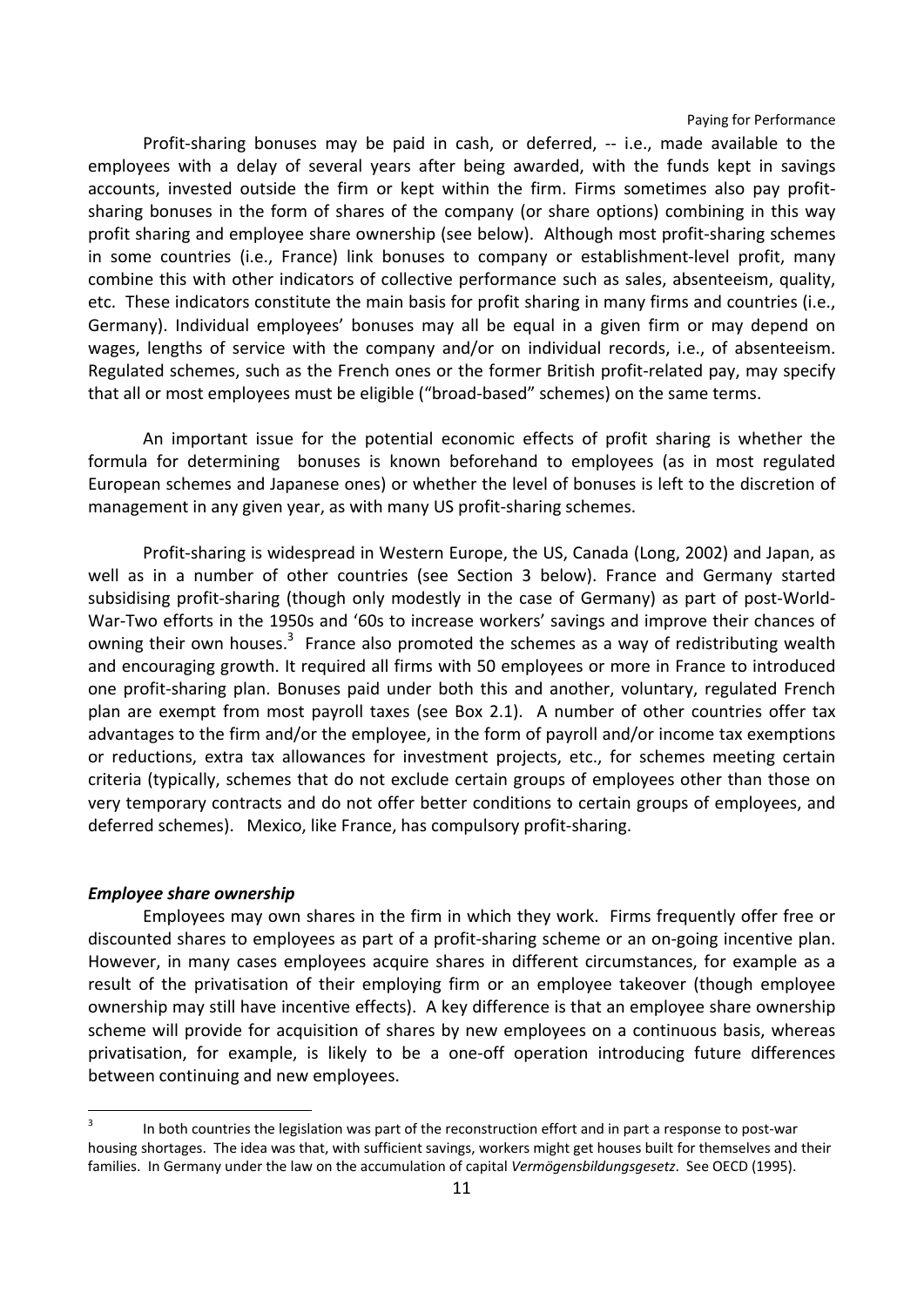Profit-sharing bonuses may be paid in cash, or deferred, -- i.e., made available to the employees with a delay of several years after being awarded, with the funds kept in savings accounts, invested outside the firm or kept within the firm. Firms sometimes also pay profit‐ sharing bonuses in the form of shares of the company (or share options) combining in this way profit sharing and employee share ownership (see below). Although most profit‐sharing schemes in some countries (i.e., France) link bonuses to company or establishment‐level profit, many combine this with other indicators of collective performance such as sales, absenteeism, quality, etc. These indicators constitute the main basis for profit sharing in many firms and countries (i.e., Germany). Individual employees' bonuses may all be equal in a given firm or may depend on wages, lengths of service with the company and/or on individual records, i.e., of absenteeism. Regulated schemes, such as the French ones or the former British profit‐related pay, may specify that all or most employees must be eligible ("broad‐based" schemes) on the same terms.

An important issue for the potential economic effects of profit sharing is whether the formula for determining bonuses is known beforehand to employees (as in most regulated European schemes and Japanese ones) or whether the level of bonuses is left to the discretion of management in any given year, as with many US profit‐sharing schemes.

Profit‐sharing is widespread in Western Europe, the US, Canada (Long, 2002) and Japan, as well as in a number of other countries (see Section 3 below). France and Germany started subsidising profit-sharing (though only modestly in the case of Germany) as part of post-World-War-Two efforts in the 1950s and '60s to increase workers' savings and improve their chances of owning their own houses.<sup>3</sup> France also promoted the schemes as a way of redistributing wealth and encouraging growth. It required all firms with 50 employees or more in France to introduced one profit-sharing plan. Bonuses paid under both this and another, voluntary, regulated French plan are exempt from most payroll taxes (see Box 2.1). A number of other countries offer tax advantages to the firm and/or the employee, in the form of payroll and/or income tax exemptions or reductions, extra tax allowances for investment projects, etc., for schemes meeting certain criteria (typically, schemes that do not exclude certain groups of employees other than those on very temporary contracts and do not offer better conditions to certain groups of employees, and deferred schemes). Mexico, like France, has compulsory profit‐sharing.

#### *Employee share ownership*

Employees may own shares in the firm in which they work. Firms frequently offer free or discounted shares to employees as part of a profit‐sharing scheme or an on‐going incentive plan. However, in many cases employees acquire shares in different circumstances, for example as a result of the privatisation of their employing firm or an employee takeover (though employee ownership may still have incentive effects). A key difference is that an employee share ownership scheme will provide for acquisition of shares by new employees on a continuous basis, whereas privatisation, for example, is likely to be a one‐off operation introducing future differences between continuing and new employees.

 $\overline{3}$ In both countries the legislation was part of the reconstruction effort and in part a response to post-war housing shortages. The idea was that, with sufficient savings, workers might get houses built for themselves and their families. In Germany under the law on the accumulation of capital *Vermögensbildungsgesetz*. See OECD (1995).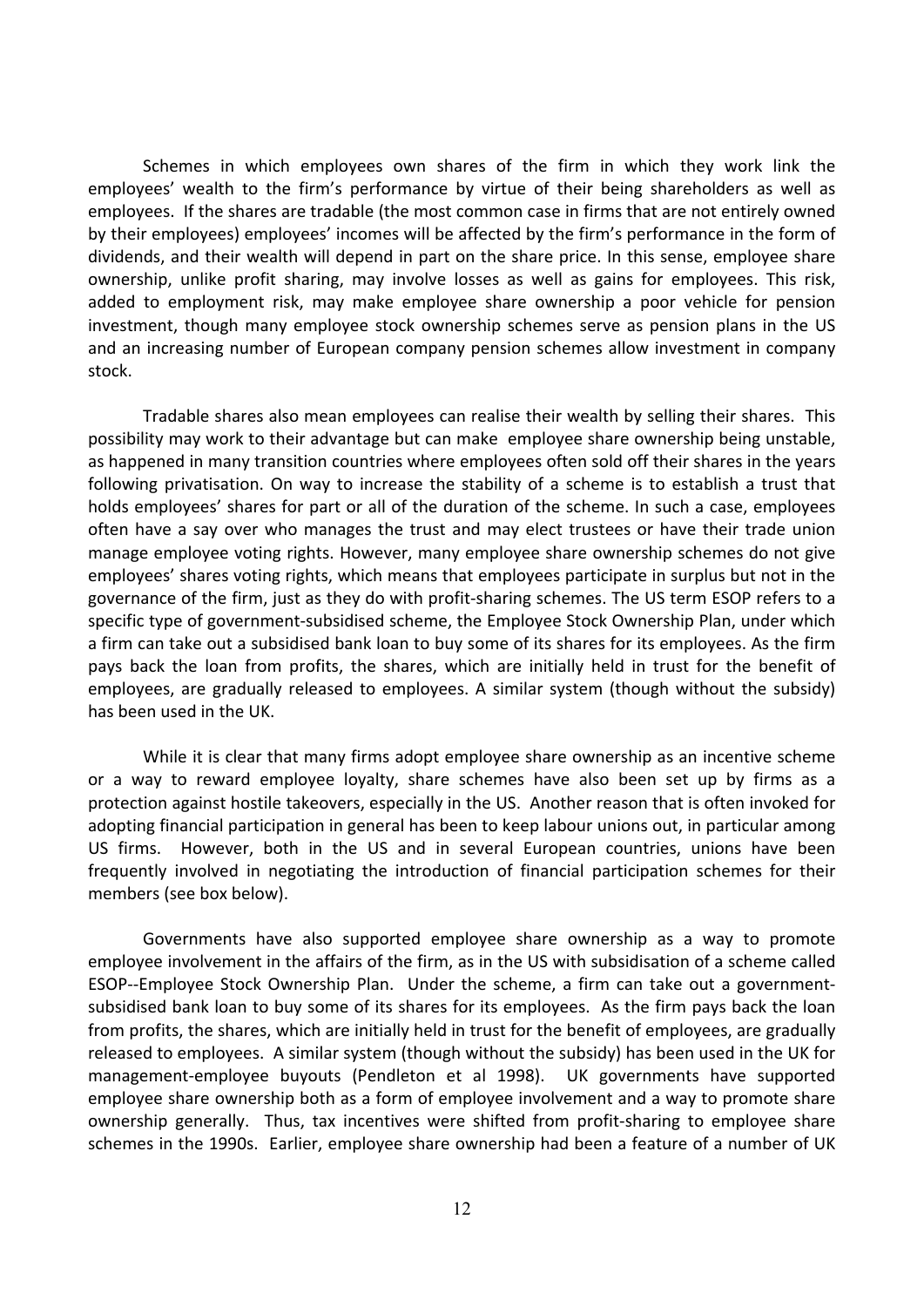Schemes in which employees own shares of the firm in which they work link the employees' wealth to the firm's performance by virtue of their being shareholders as well as employees. If the shares are tradable (the most common case in firms that are not entirely owned by their employees) employees' incomes will be affected by the firm's performance in the form of dividends, and their wealth will depend in part on the share price. In this sense, employee share ownership, unlike profit sharing, may involve losses as well as gains for employees. This risk, added to employment risk, may make employee share ownership a poor vehicle for pension investment, though many employee stock ownership schemes serve as pension plans in the US and an increasing number of European company pension schemes allow investment in company stock.

Tradable shares also mean employees can realise their wealth by selling their shares. This possibility may work to their advantage but can make employee share ownership being unstable, as happened in many transition countries where employees often sold off their shares in the years following privatisation. On way to increase the stability of a scheme is to establish a trust that holds employees' shares for part or all of the duration of the scheme. In such a case, employees often have a say over who manages the trust and may elect trustees or have their trade union manage employee voting rights. However, many employee share ownership schemes do not give employees' shares voting rights, which means that employees participate in surplus but not in the governance of the firm, just as they do with profit‐sharing schemes. The US term ESOP refers to a specific type of government-subsidised scheme, the Employee Stock Ownership Plan, under which a firm can take out a subsidised bank loan to buy some of its shares for its employees. As the firm pays back the loan from profits, the shares, which are initially held in trust for the benefit of employees, are gradually released to employees. A similar system (though without the subsidy) has been used in the UK.

While it is clear that many firms adopt employee share ownership as an incentive scheme or a way to reward employee loyalty, share schemes have also been set up by firms as a protection against hostile takeovers, especially in the US. Another reason that is often invoked for adopting financial participation in general has been to keep labour unions out, in particular among US firms. However, both in the US and in several European countries, unions have been frequently involved in negotiating the introduction of financial participation schemes for their members (see box below).

Governments have also supported employee share ownership as a way to promote employee involvement in the affairs of the firm, as in the US with subsidisation of a scheme called ESOP‐‐Employee Stock Ownership Plan. Under the scheme, a firm can take out a government‐ subsidised bank loan to buy some of its shares for its employees. As the firm pays back the loan from profits, the shares, which are initially held in trust for the benefit of employees, are gradually released to employees. A similar system (though without the subsidy) has been used in the UK for management‐employee buyouts (Pendleton et al 1998). UK governments have supported employee share ownership both as a form of employee involvement and a way to promote share ownership generally. Thus, tax incentives were shifted from profit-sharing to employee share schemes in the 1990s. Earlier, employee share ownership had been a feature of a number of UK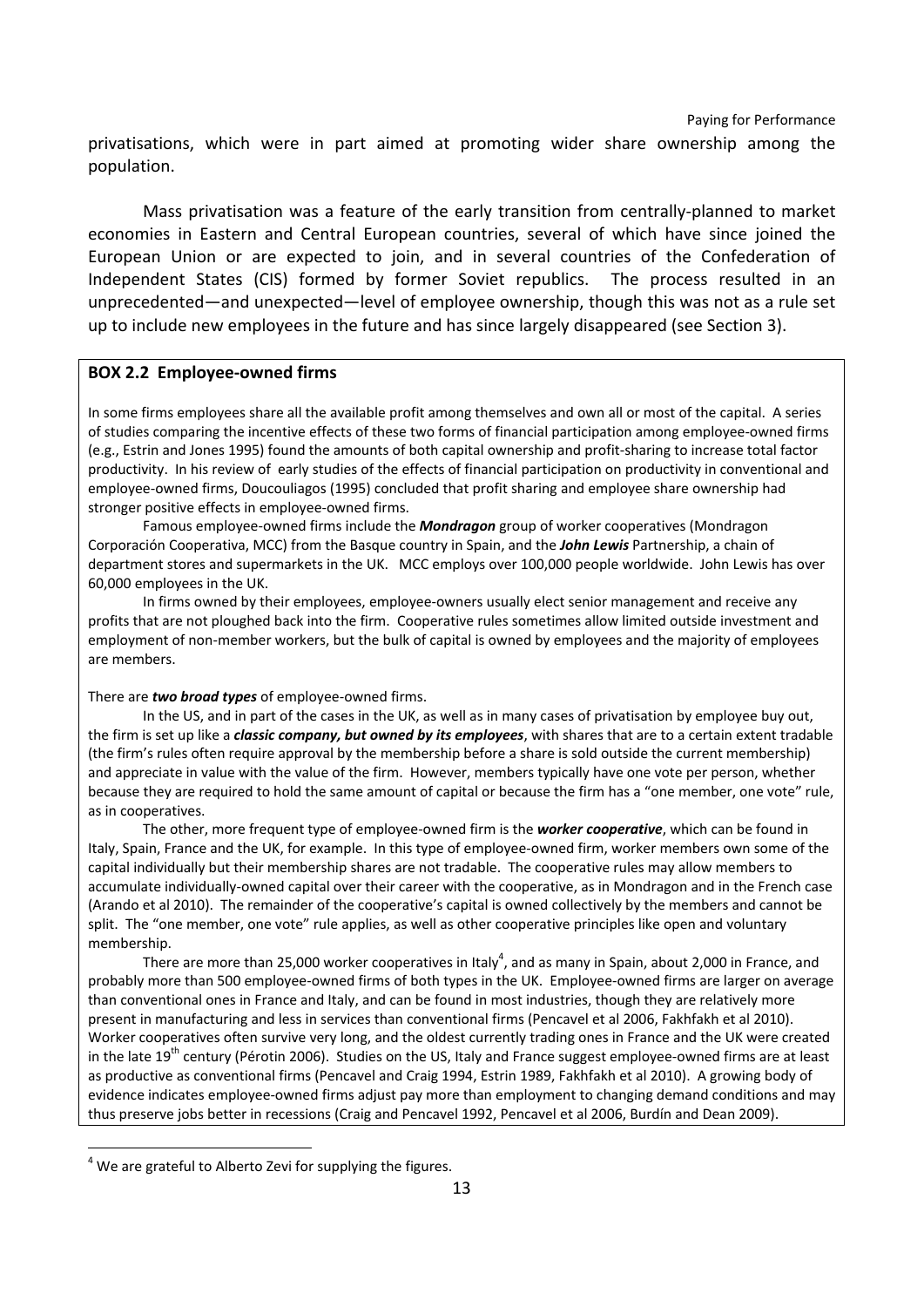privatisations, which were in part aimed at promoting wider share ownership among the population.

Mass privatisation was a feature of the early transition from centrally‐planned to market economies in Eastern and Central European countries, several of which have since joined the European Union or are expected to join, and in several countries of the Confederation of Independent States (CIS) formed by former Soviet republics. The process resulted in an unprecedented—and unexpected—level of employee ownership, though this was not as a rule set up to include new employees in the future and has since largely disappeared (see Section 3).

#### **BOX 2.2 Employee‐owned firms**

In some firms employees share all the available profit among themselves and own all or most of the capital. A series of studies comparing the incentive effects of these two forms of financial participation among employee‐owned firms (e.g., Estrin and Jones 1995) found the amounts of both capital ownership and profit‐sharing to increase total factor productivity. In his review of early studies of the effects of financial participation on productivity in conventional and employee‐owned firms, Doucouliagos (1995) concluded that profit sharing and employee share ownership had stronger positive effects in employee‐owned firms.

Famous employee‐owned firms include the *Mondragon* group of worker cooperatives (Mondragon Corporación Cooperativa, MCC) from the Basque country in Spain, and the *John Lewis* Partnership, a chain of department stores and supermarkets in the UK. MCC employs over 100,000 people worldwide. John Lewis has over 60,000 employees in the UK.

In firms owned by their employees, employee‐owners usually elect senior management and receive any profits that are not ploughed back into the firm. Cooperative rules sometimes allow limited outside investment and employment of non-member workers, but the bulk of capital is owned by employees and the majority of employees are members.

#### There are *two broad types* of employee‐owned firms.

In the US, and in part of the cases in the UK, as well as in many cases of privatisation by employee buy out, the firm is set up like a *classic company, but owned by its employees*, with shares that are to a certain extent tradable (the firm's rules often require approval by the membership before a share is sold outside the current membership) and appreciate in value with the value of the firm. However, members typically have one vote per person, whether because they are required to hold the same amount of capital or because the firm has a "one member, one vote" rule, as in cooperatives.

The other, more frequent type of employee‐owned firm is the *worker cooperative*, which can be found in Italy, Spain, France and the UK, for example. In this type of employee-owned firm, worker members own some of the capital individually but their membership shares are not tradable. The cooperative rules may allow members to accumulate individually‐owned capital over their career with the cooperative, as in Mondragon and in the French case (Arando et al 2010). The remainder of the cooperative's capital is owned collectively by the members and cannot be split. The "one member, one vote" rule applies, as well as other cooperative principles like open and voluntary membership.

There are more than 25,000 worker cooperatives in Italy<sup>4</sup>, and as many in Spain, about 2,000 in France, and probably more than 500 employee‐owned firms of both types in the UK. Employee‐owned firms are larger on average than conventional ones in France and Italy, and can be found in most industries, though they are relatively more present in manufacturing and less in services than conventional firms (Pencavel et al 2006, Fakhfakh et al 2010). Worker cooperatives often survive very long, and the oldest currently trading ones in France and the UK were created in the late 19<sup>th</sup> century (Pérotin 2006). Studies on the US, Italy and France suggest employee-owned firms are at least as productive as conventional firms (Pencavel and Craig 1994, Estrin 1989, Fakhfakh et al 2010). A growing body of evidence indicates employee‐owned firms adjust pay more than employment to changing demand conditions and may thus preserve jobs better in recessions (Craig and Pencavel 1992, Pencavel et al 2006, Burdín and Dean 2009).

 $\overline{a}$ 

 $4$  We are grateful to Alberto Zevi for supplying the figures.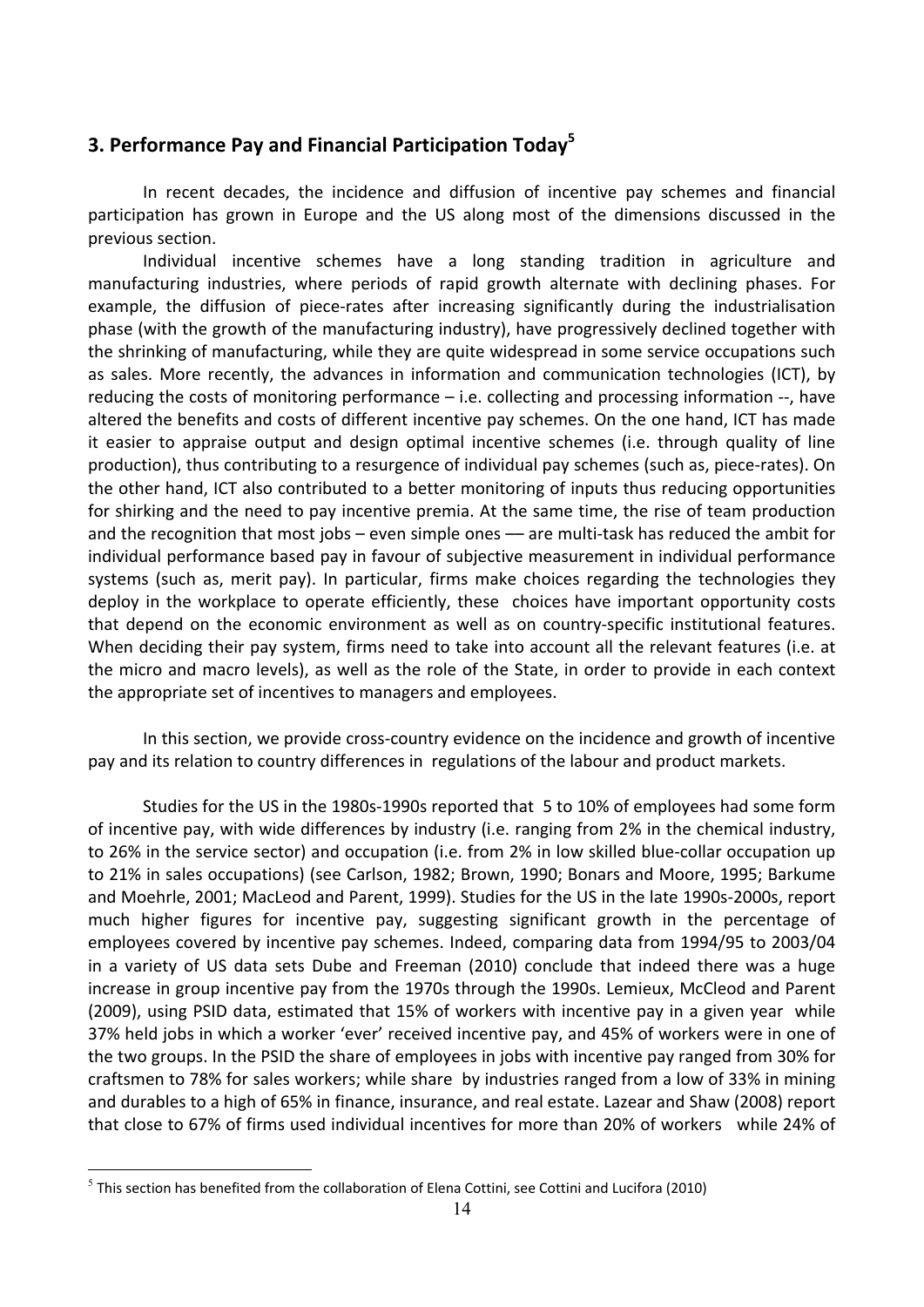# **3. Performance Pay and Financial Participation Today<sup>5</sup>**

In recent decades, the incidence and diffusion of incentive pay schemes and financial participation has grown in Europe and the US along most of the dimensions discussed in the previous section.

Individual incentive schemes have a long standing tradition in agriculture and manufacturing industries, where periods of rapid growth alternate with declining phases. For example, the diffusion of piece-rates after increasing significantly during the industrialisation phase (with the growth of the manufacturing industry), have progressively declined together with the shrinking of manufacturing, while they are quite widespread in some service occupations such as sales. More recently, the advances in information and communication technologies (ICT), by reducing the costs of monitoring performance – i.e. collecting and processing information ‐‐, have altered the benefits and costs of different incentive pay schemes. On the one hand, ICT has made it easier to appraise output and design optimal incentive schemes (i.e. through quality of line production), thus contributing to a resurgence of individual pay schemes (such as, piece-rates). On the other hand, ICT also contributed to a better monitoring of inputs thus reducing opportunities for shirking and the need to pay incentive premia. At the same time, the rise of team production and the recognition that most jobs – even simple ones –– are multi-task has reduced the ambit for individual performance based pay in favour of subjective measurement in individual performance systems (such as, merit pay). In particular, firms make choices regarding the technologies they deploy in the workplace to operate efficiently, these choices have important opportunity costs that depend on the economic environment as well as on country‐specific institutional features. When deciding their pay system, firms need to take into account all the relevant features (i.e. at the micro and macro levels), as well as the role of the State, in order to provide in each context the appropriate set of incentives to managers and employees.

In this section, we provide cross-country evidence on the incidence and growth of incentive pay and its relation to country differences in regulations of the labour and product markets.

Studies for the US in the 1980s‐1990s reported that 5 to 10% of employees had some form of incentive pay, with wide differences by industry (i.e. ranging from 2% in the chemical industry, to 26% in the service sector) and occupation (i.e. from 2% in low skilled blue‐collar occupation up to 21% in sales occupations) (see Carlson, 1982; Brown, 1990; Bonars and Moore, 1995; Barkume and Moehrle, 2001; MacLeod and Parent, 1999). Studies for the US in the late 1990s-2000s, report much higher figures for incentive pay, suggesting significant growth in the percentage of employees covered by incentive pay schemes. Indeed, comparing data from 1994/95 to 2003/04 in a variety of US data sets Dube and Freeman (2010) conclude that indeed there was a huge increase in group incentive pay from the 1970s through the 1990s. Lemieux, McCleod and Parent (2009), using PSID data, estimated that 15% of workers with incentive pay in a given year while 37% held jobs in which a worker 'ever' received incentive pay, and 45% of workers were in one of the two groups. In the PSID the share of employees in jobs with incentive pay ranged from 30% for craftsmen to 78% for sales workers; while share by industries ranged from a low of 33% in mining and durables to a high of 65% in finance, insurance, and real estate. Lazear and Shaw (2008) report that close to 67% of firms used individual incentives for more than 20% of workers while 24% of

 $\overline{a}$ 

 $<sup>5</sup>$  This section has benefited from the collaboration of Elena Cottini, see Cottini and Lucifora (2010)</sup>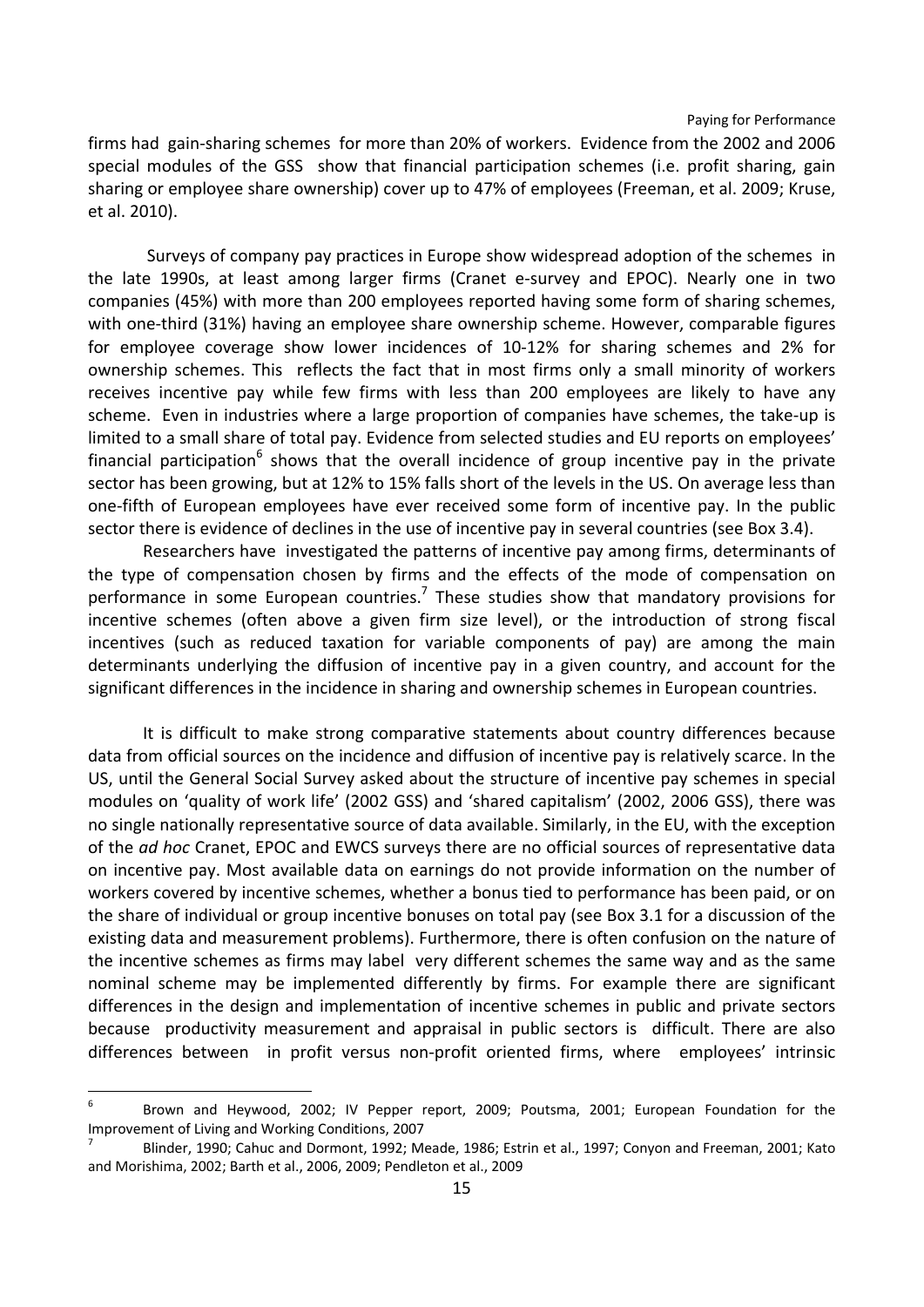firms had gain‐sharing schemes for more than 20% of workers. Evidence from the 2002 and 2006 special modules of the GSS show that financial participation schemes (i.e. profit sharing, gain sharing or employee share ownership) cover up to 47% of employees (Freeman, et al. 2009; Kruse, et al. 2010).

Surveys of company pay practices in Europe show widespread adoption of the schemes in the late 1990s, at least among larger firms (Cranet e‐survey and EPOC). Nearly one in two companies (45%) with more than 200 employees reported having some form of sharing schemes, with one-third (31%) having an employee share ownership scheme. However, comparable figures for employee coverage show lower incidences of 10‐12% for sharing schemes and 2% for ownership schemes. This reflects the fact that in most firms only a small minority of workers receives incentive pay while few firms with less than 200 employees are likely to have any scheme. Even in industries where a large proportion of companies have schemes, the take-up is limited to a small share of total pay. Evidence from selected studies and EU reports on employees' financial participation<sup>6</sup> shows that the overall incidence of group incentive pay in the private sector has been growing, but at 12% to 15% falls short of the levels in the US. On average less than one‐fifth of European employees have ever received some form of incentive pay. In the public sector there is evidence of declines in the use of incentive pay in several countries (see Box 3.4).

Researchers have investigated the patterns of incentive pay among firms, determinants of the type of compensation chosen by firms and the effects of the mode of compensation on performance in some European countries.<sup>7</sup> These studies show that mandatory provisions for incentive schemes (often above a given firm size level), or the introduction of strong fiscal incentives (such as reduced taxation for variable components of pay) are among the main determinants underlying the diffusion of incentive pay in a given country, and account for the significant differences in the incidence in sharing and ownership schemes in European countries.

It is difficult to make strong comparative statements about country differences because data from official sources on the incidence and diffusion of incentive pay is relatively scarce. In the US, until the General Social Survey asked about the structure of incentive pay schemes in special modules on 'quality of work life' (2002 GSS) and 'shared capitalism' (2002, 2006 GSS), there was no single nationally representative source of data available. Similarly, in the EU, with the exception of the *ad hoc* Cranet, EPOC and EWCS surveys there are no official sources of representative data on incentive pay. Most available data on earnings do not provide information on the number of workers covered by incentive schemes, whether a bonus tied to performance has been paid, or on the share of individual or group incentive bonuses on total pay (see Box 3.1 for a discussion of the existing data and measurement problems). Furthermore, there is often confusion on the nature of the incentive schemes as firms may label very different schemes the same way and as the same nominal scheme may be implemented differently by firms. For example there are significant differences in the design and implementation of incentive schemes in public and private sectors because productivity measurement and appraisal in public sectors is difficult. There are also differences between in profit versus non-profit oriented firms, where employees' intrinsic

 $6\overline{6}$ <sup>6</sup> Brown and Heywood, 2002; IV Pepper report, 2009; Poutsma, 2001; European Foundation for the Improvement of Living and Working Conditions, 2007<br><sup>7</sup> Blinder, 1990; Cahuc and Dormont, 1992; Meade, 1986; Estrin et al., 1997; Conyon and Freeman, 2001; Kato

and Morishima, 2002; Barth et al., 2006, 2009; Pendleton et al., 2009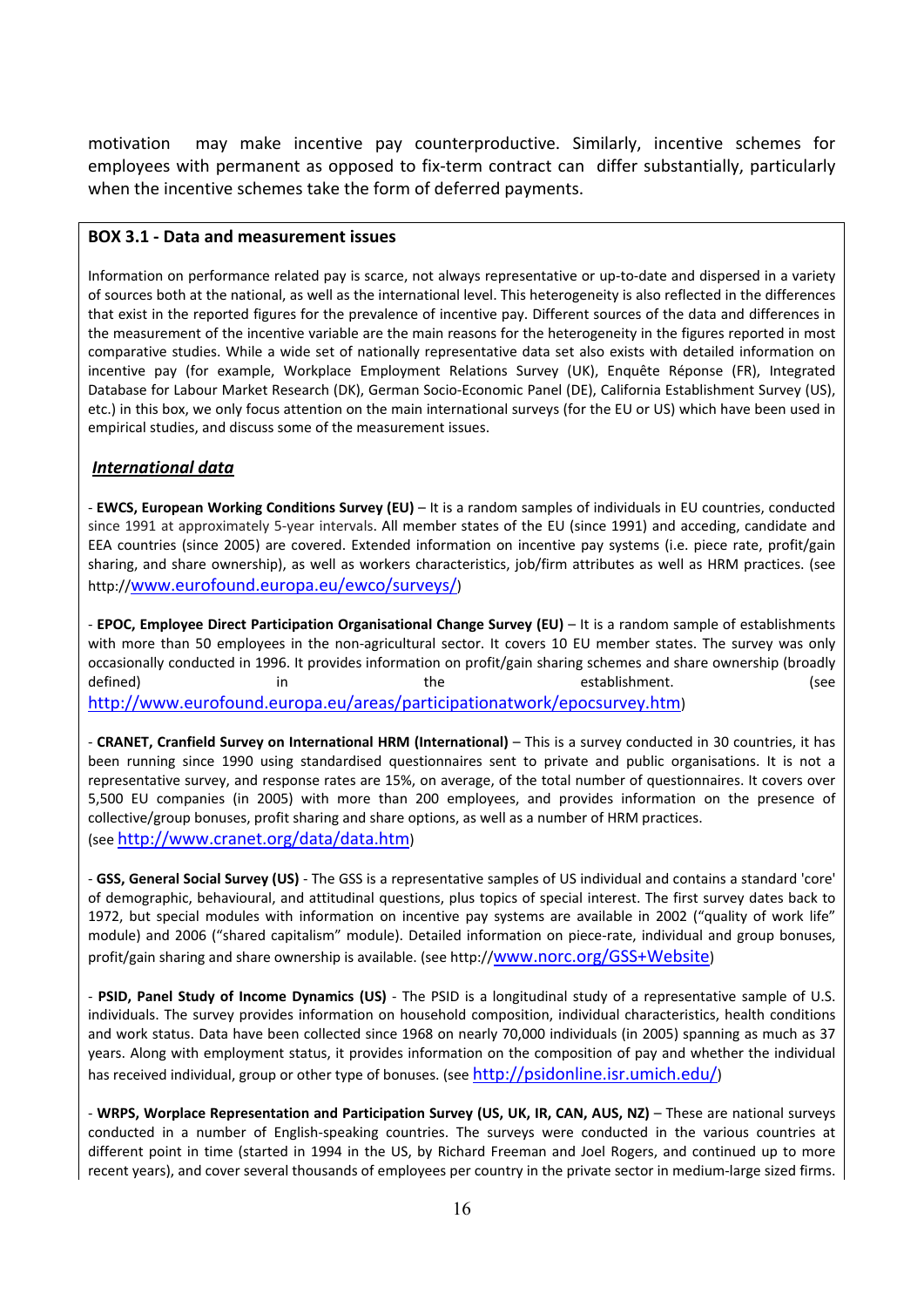motivation may make incentive pay counterproductive. Similarly, incentive schemes for employees with permanent as opposed to fix-term contract can differ substantially, particularly when the incentive schemes take the form of deferred payments.

#### **BOX 3.1 ‐ Data and measurement issues**

Information on performance related pay is scarce, not always representative or up-to-date and dispersed in a variety of sources both at the national, as well as the international level. This heterogeneity is also reflected in the differences that exist in the reported figures for the prevalence of incentive pay. Different sources of the data and differences in the measurement of the incentive variable are the main reasons for the heterogeneity in the figures reported in most comparative studies. While a wide set of nationally representative data set also exists with detailed information on incentive pay (for example, Workplace Employment Relations Survey (UK), Enquête Réponse (FR), Integrated Database for Labour Market Research (DK), German Socio‐Economic Panel (DE), California Establishment Survey (US), etc.) in this box, we only focus attention on the main international surveys (for the EU or US) which have been used in empirical studies, and discuss some of the measurement issues.

#### *International data*

‐ **EWCS, European Working Conditions Survey (EU)** – It is a random samples of individuals in EU countries, conducted since 1991 at approximately 5‐year intervals. All member states of the EU (since 1991) and acceding, candidate and EEA countries (since 2005) are covered. Extended information on incentive pay systems (i.e. piece rate, profit/gain sharing, and share ownership), as well as workers characteristics, job/firm attributes as well as HRM practices. (see http://www.eurofound.europa.eu/ewco/surveys/)

‐ **EPOC, Employee Direct Participation Organisational Change Survey (EU)** – It is a random sample of establishments with more than 50 employees in the non-agricultural sector. It covers 10 EU member states. The survey was only occasionally conducted in 1996. It provides information on profit/gain sharing schemes and share ownership (broadly defined) in the establishment. (see

http://www.eurofound.europa.eu/areas/participationatwork/epocsurvey.htm)

‐ **CRANET, Cranfield Survey on International HRM (International)** – This is a survey conducted in 30 countries, it has been running since 1990 using standardised questionnaires sent to private and public organisations. It is not a representative survey, and response rates are 15%, on average, of the total number of questionnaires. It covers over 5,500 EU companies (in 2005) with more than 200 employees, and provides information on the presence of collective/group bonuses, profit sharing and share options, as well as a number of HRM practices. (see http://www.cranet.org/data/data.htm)

‐ **GSS, General Social Survey (US)** ‐ The GSS is a representative samples of US individual and contains a standard 'core' of demographic, behavioural, and attitudinal questions, plus topics of special interest. The first survey dates back to 1972, but special modules with information on incentive pay systems are available in 2002 ("quality of work life" module) and 2006 ("shared capitalism" module). Detailed information on piece-rate, individual and group bonuses, profit/gain sharing and share ownership is available. (see http://www.norc.org/GSS+Website)

‐ **PSID, Panel Study of Income Dynamics (US)** ‐ The PSID is a longitudinal study of a representative sample of U.S. individuals. The survey provides information on household composition, individual characteristics, health conditions and work status. Data have been collected since 1968 on nearly 70,000 individuals (in 2005) spanning as much as 37 years. Along with employment status, it provides information on the composition of pay and whether the individual has received individual, group or other type of bonuses. (see http://psidonline.isr.umich.edu/)

‐ **WRPS, Worplace Representation and Participation Survey (US, UK, IR, CAN, AUS, NZ)** – These are national surveys conducted in a number of English‐speaking countries. The surveys were conducted in the various countries at different point in time (started in 1994 in the US, by Richard Freeman and Joel Rogers, and continued up to more recent years), and cover several thousands of employees per country in the private sector in medium‐large sized firms.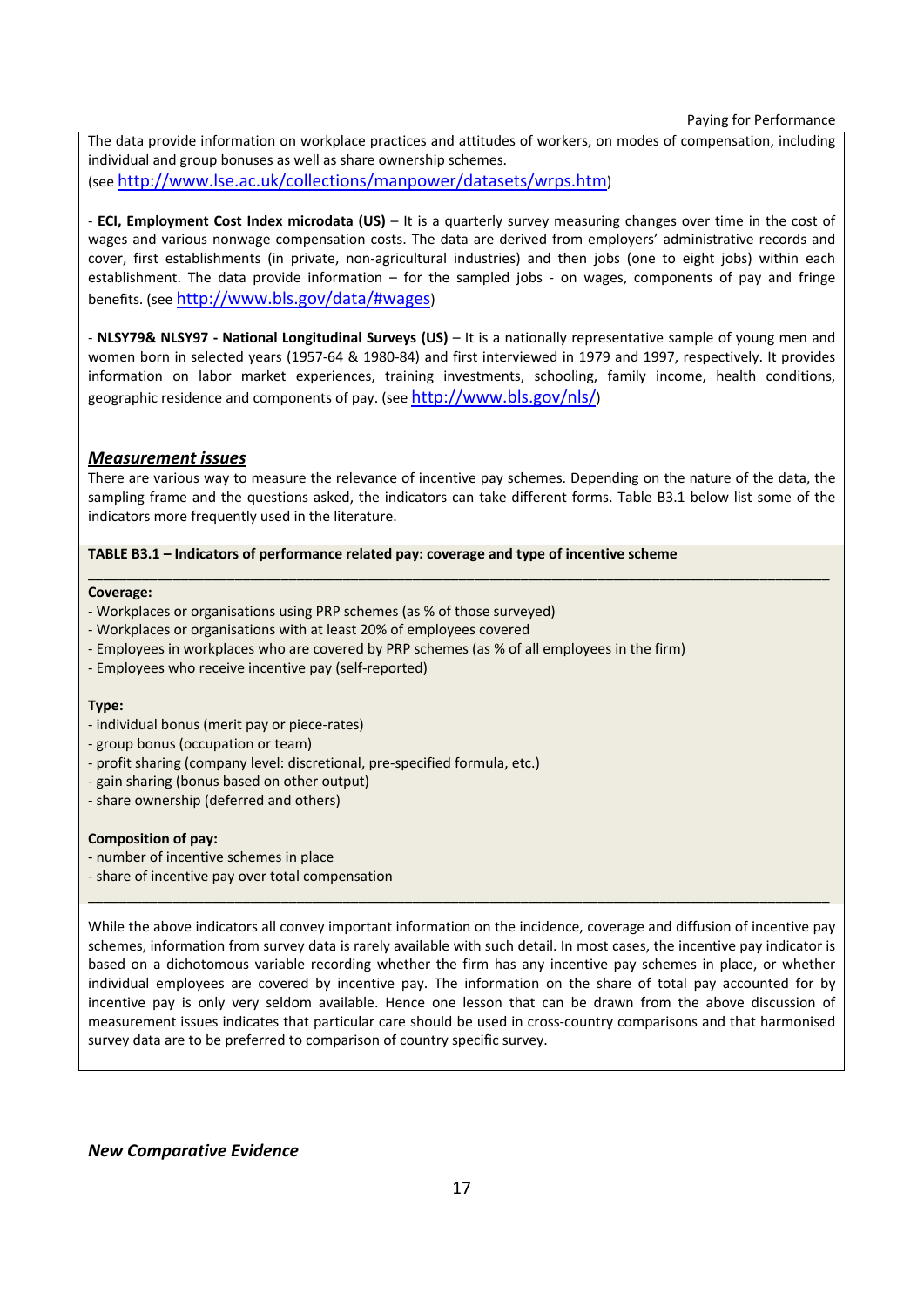The data provide information on workplace practices and attitudes of workers, on modes of compensation, including individual and group bonuses as well as share ownership schemes.

(see http://www.lse.ac.uk/collections/manpower/datasets/wrps.htm)

‐ **ECI, Employment Cost Index microdata (US)** – It is a quarterly survey measuring changes over time in the cost of wages and various nonwage compensation costs. The data are derived from employers' administrative records and cover, first establishments (in private, non‐agricultural industries) and then jobs (one to eight jobs) within each establishment. The data provide information - for the sampled jobs - on wages, components of pay and fringe benefits. (see http://www.bls.gov/data/#wages)

‐ **NLSY79& NLSY97 ‐ National Longitudinal Surveys (US)** – It is a nationally representative sample of young men and women born in selected years (1957-64 & 1980-84) and first interviewed in 1979 and 1997, respectively. It provides information on labor market experiences, training investments, schooling, family income, health conditions, geographic residence and components of pay. (see http://www.bls.gov/nls/)

#### *Measurement issues*

There are various way to measure the relevance of incentive pay schemes. Depending on the nature of the data, the sampling frame and the questions asked, the indicators can take different forms. Table B3.1 below list some of the indicators more frequently used in the literature.

\_\_\_\_\_\_\_\_\_\_\_\_\_\_\_\_\_\_\_\_\_\_\_\_\_\_\_\_\_\_\_\_\_\_\_\_\_\_\_\_\_\_\_\_\_\_\_\_\_\_\_\_\_\_\_\_\_\_\_\_\_\_\_\_\_\_\_\_\_\_\_\_\_\_\_\_\_\_\_\_\_\_\_\_\_\_\_\_\_\_\_\_\_\_\_\_

#### **TABLE B3.1 – Indicators of performance related pay: coverage and type of incentive scheme**

#### **Coverage:**

- ‐ Workplaces or organisations using PRP schemes (as % of those surveyed)
- ‐ Workplaces or organisations with at least 20% of employees covered
- ‐ Employees in workplaces who are covered by PRP schemes (as % of all employees in the firm)
- ‐ Employees who receive incentive pay (self‐reported)

#### **Type:**

- ‐ individual bonus (merit pay or piece‐rates)
- ‐ group bonus (occupation or team)
- ‐ profit sharing (company level: discretional, pre‐specified formula, etc.)
- ‐ gain sharing (bonus based on other output)
- ‐ share ownership (deferred and others)

#### **Composition of pay:**

- ‐ number of incentive schemes in place
- ‐ share of incentive pay over total compensation

While the above indicators all convey important information on the incidence, coverage and diffusion of incentive pay schemes, information from survey data is rarely available with such detail. In most cases, the incentive pay indicator is based on a dichotomous variable recording whether the firm has any incentive pay schemes in place, or whether individual employees are covered by incentive pay. The information on the share of total pay accounted for by incentive pay is only very seldom available. Hence one lesson that can be drawn from the above discussion of measurement issues indicates that particular care should be used in cross‐country comparisons and that harmonised survey data are to be preferred to comparison of country specific survey.

\_\_\_\_\_\_\_\_\_\_\_\_\_\_\_\_\_\_\_\_\_\_\_\_\_\_\_\_\_\_\_\_\_\_\_\_\_\_\_\_\_\_\_\_\_\_\_\_\_\_\_\_\_\_\_\_\_\_\_\_\_\_\_\_\_\_\_\_\_\_\_\_\_\_\_\_\_\_\_\_\_\_\_\_\_\_\_\_\_\_\_\_\_\_\_\_

#### *New Comparative Evidence*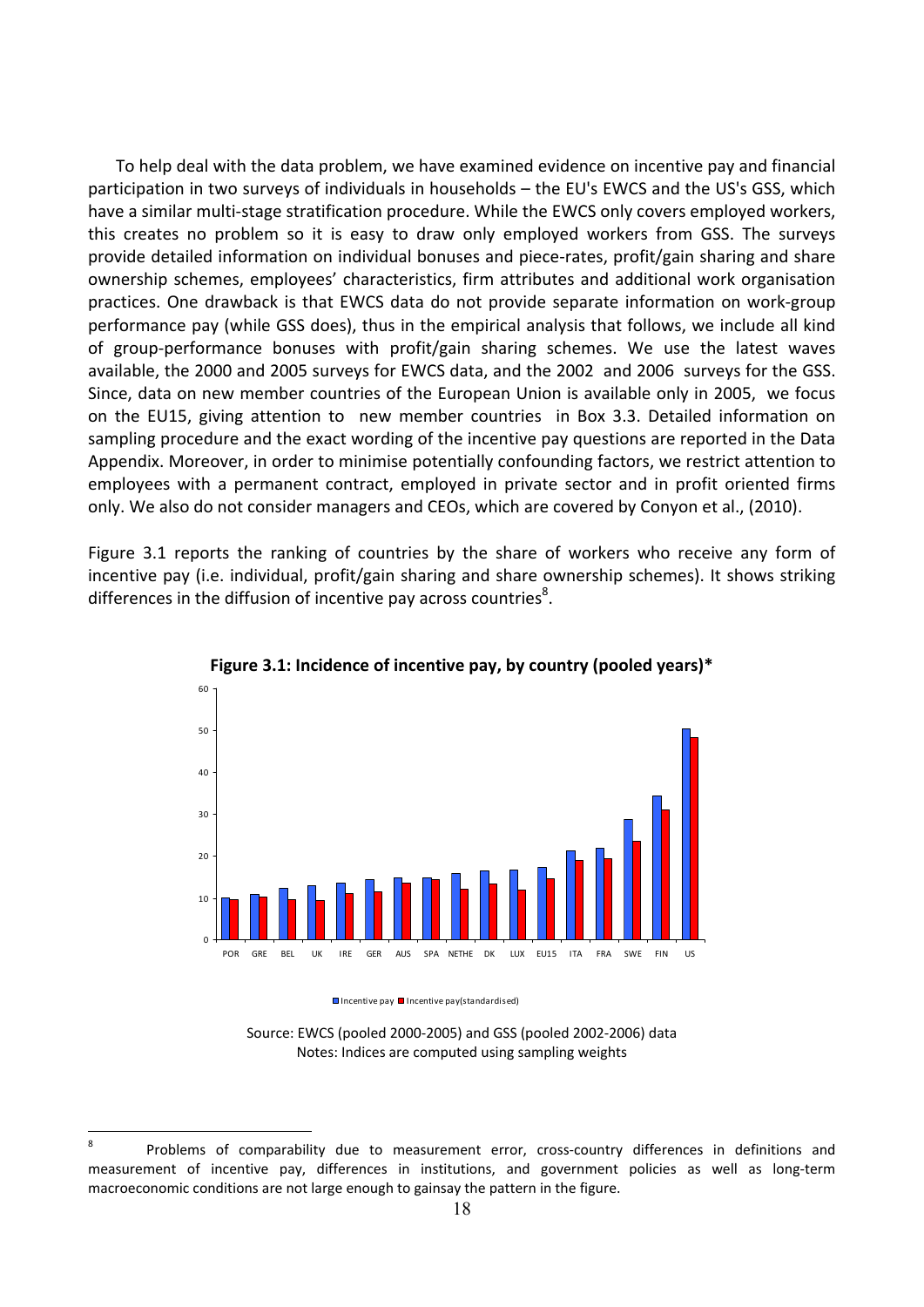To help deal with the data problem, we have examined evidence on incentive pay and financial participation in two surveys of individuals in households – the EU's EWCS and the US's GSS, which have a similar multi-stage stratification procedure. While the EWCS only covers employed workers, this creates no problem so it is easy to draw only employed workers from GSS. The surveys provide detailed information on individual bonuses and piece‐rates, profit/gain sharing and share ownership schemes, employees' characteristics, firm attributes and additional work organisation practices. One drawback is that EWCS data do not provide separate information on work‐group performance pay (while GSS does), thus in the empirical analysis that follows, we include all kind of group‐performance bonuses with profit/gain sharing schemes. We use the latest waves available, the 2000 and 2005 surveys for EWCS data, and the 2002 and 2006 surveys for the GSS. Since, data on new member countries of the European Union is available only in 2005, we focus on the EU15, giving attention to new member countries in Box 3.3. Detailed information on sampling procedure and the exact wording of the incentive pay questions are reported in the Data Appendix. Moreover, in order to minimise potentially confounding factors, we restrict attention to employees with a permanent contract, employed in private sector and in profit oriented firms only. We also do not consider managers and CEOs, which are covered by Conyon et al., (2010).

Figure 3.1 reports the ranking of countries by the share of workers who receive any form of incentive pay (i.e. individual, profit/gain sharing and share ownership schemes). It shows striking differences in the diffusion of incentive pay across countries ${}^{8}$ .



**Figure 3.1: Incidence of incentive pay, by country (pooled years)\***

**□** Incentive pay ■ Incentive pay(standardised)

Source: EWCS (pooled 2000‐2005) and GSS (pooled 2002‐2006) data Notes: Indices are computed using sampling weights

<sup>-&</sup>lt;br>8 Problems of comparability due to measurement error, cross-country differences in definitions and measurement of incentive pay, differences in institutions, and government policies as well as long‐term macroeconomic conditions are not large enough to gainsay the pattern in the figure.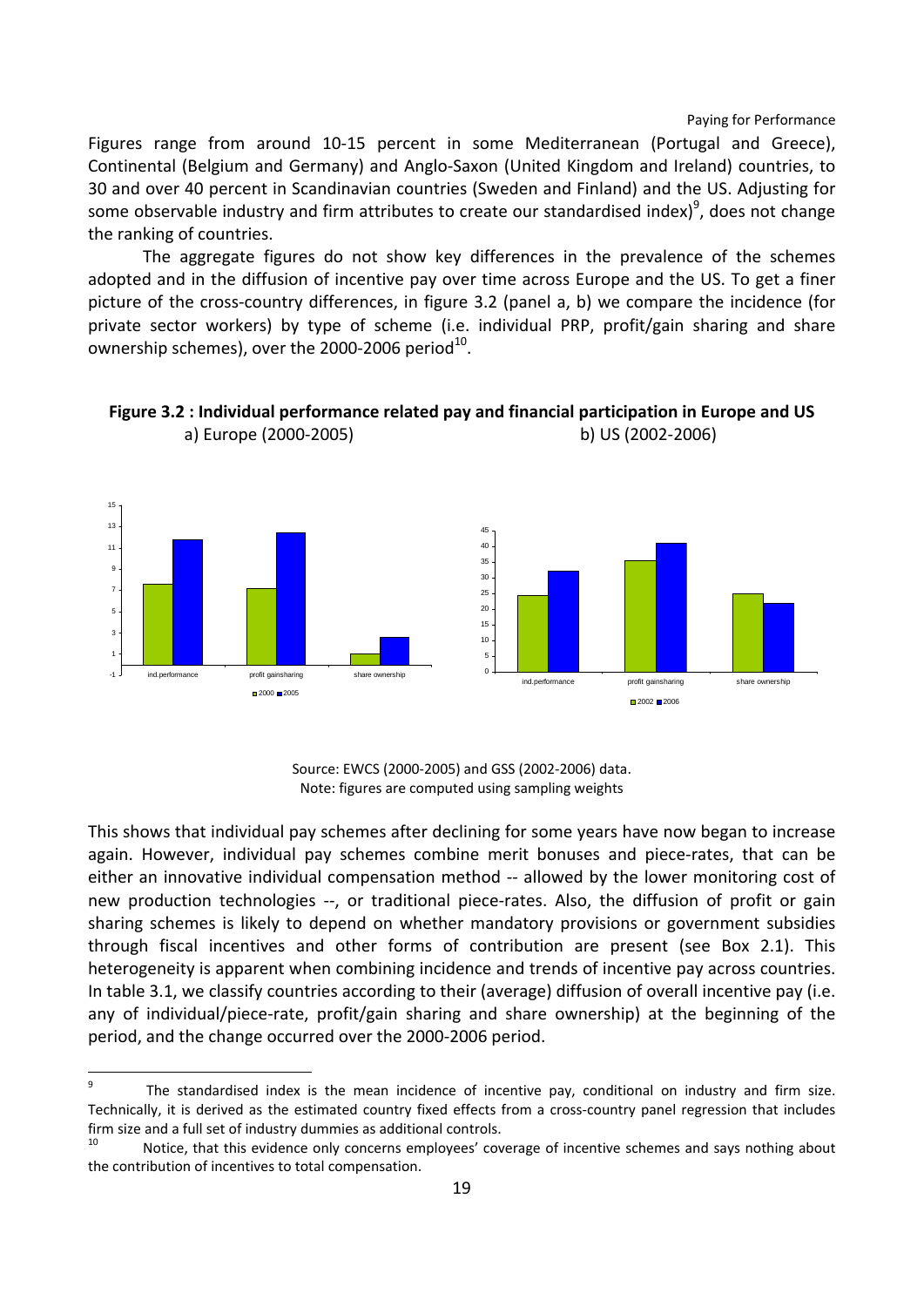Figures range from around 10‐15 percent in some Mediterranean (Portugal and Greece), Continental (Belgium and Germany) and Anglo‐Saxon (United Kingdom and Ireland) countries, to 30 and over 40 percent in Scandinavian countries (Sweden and Finland) and the US. Adjusting for some observable industry and firm attributes to create our standardised index)<sup>9</sup>, does not change the ranking of countries.

The aggregate figures do not show key differences in the prevalence of the schemes adopted and in the diffusion of incentive pay over time across Europe and the US. To get a finer picture of the cross-country differences, in figure 3.2 (panel a, b) we compare the incidence (for private sector workers) by type of scheme (i.e. individual PRP, profit/gain sharing and share ownership schemes), over the 2000-2006 period $^{10}$ .



#### **Figure 3.2 : Individual performance related pay and financial participation in Europe and US**  a) Europe (2000‐2005) b) US (2002‐2006)

Source: EWCS (2000‐2005) and GSS (2002‐2006) data. Note: figures are computed using sampling weights

This shows that individual pay schemes after declining for some years have now began to increase again. However, individual pay schemes combine merit bonuses and piece‐rates, that can be either an innovative individual compensation method -- allowed by the lower monitoring cost of new production technologies --, or traditional piece-rates. Also, the diffusion of profit or gain sharing schemes is likely to depend on whether mandatory provisions or government subsidies through fiscal incentives and other forms of contribution are present (see Box 2.1). This heterogeneity is apparent when combining incidence and trends of incentive pay across countries. In table 3.1, we classify countries according to their (average) diffusion of overall incentive pay (i.e. any of individual/piece-rate, profit/gain sharing and share ownership) at the beginning of the period, and the change occurred over the 2000‐2006 period.

<sup>-&</sup>lt;br>9 The standardised index is the mean incidence of incentive pay, conditional on industry and firm size. Technically, it is derived as the estimated country fixed effects from a cross-country panel regression that includes firm size and a full set of industry dummies as additional controls.<br><sup>10</sup> Notice, that this evidence only concerns employees' coverage of incentive schemes and says nothing about

the contribution of incentives to total compensation.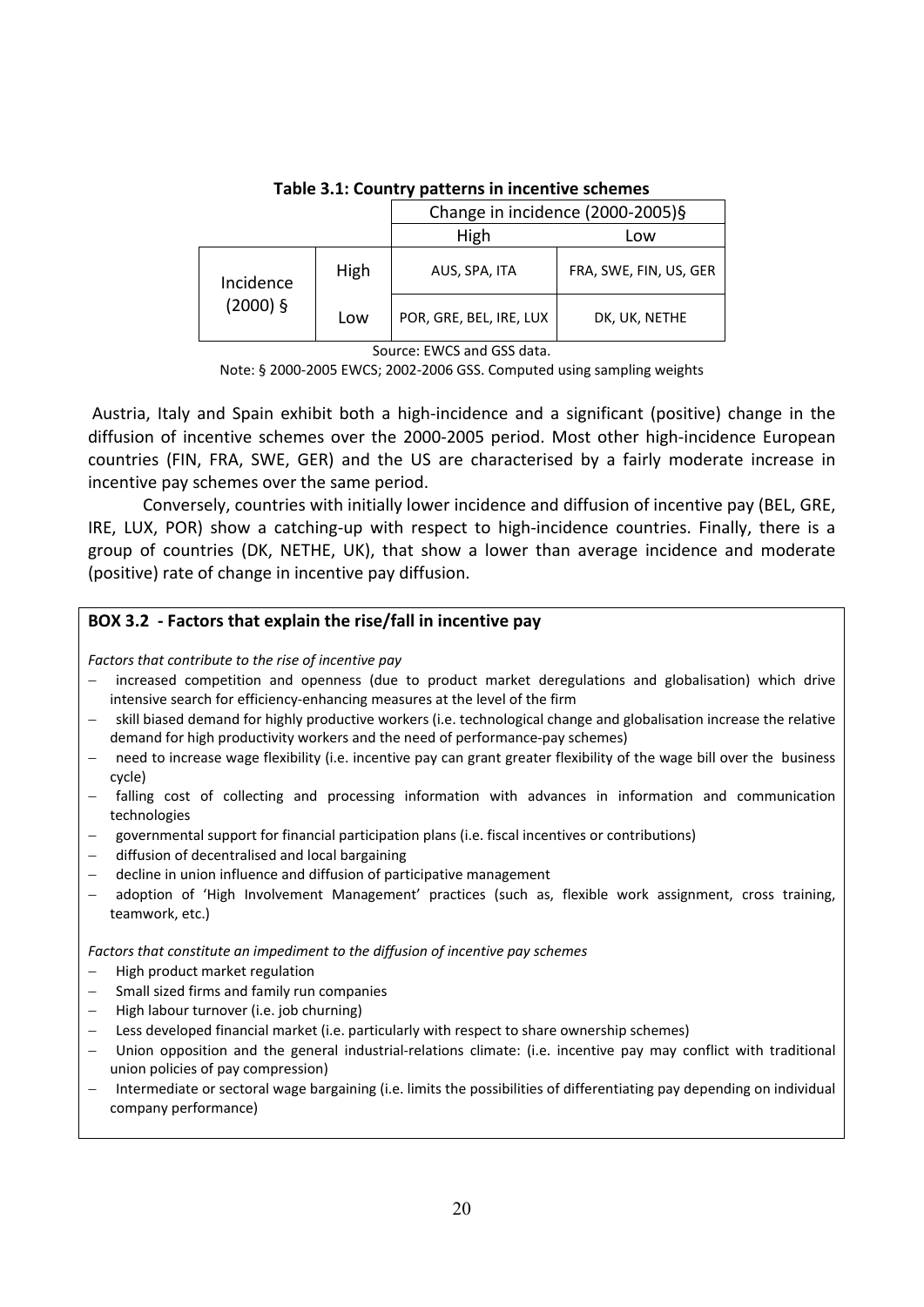|            |      |                         | Change in incidence (2000-2005)§ |
|------------|------|-------------------------|----------------------------------|
|            |      | High                    | Low                              |
| Incidence  | High | AUS, SPA, ITA           | FRA, SWE, FIN, US, GER           |
| $(2000)$ § | Low  | POR, GRE, BEL, IRE, LUX | DK, UK, NETHE                    |

**Table 3.1: Country patterns in incentive schemes** 

Source: EWCS and GSS data.

Note: § 2000‐2005 EWCS; 2002‐2006 GSS. Computed using sampling weights

Austria, Italy and Spain exhibit both a high‐incidence and a significant (positive) change in the diffusion of incentive schemes over the 2000‐2005 period. Most other high‐incidence European countries (FIN, FRA, SWE, GER) and the US are characterised by a fairly moderate increase in incentive pay schemes over the same period.

Conversely, countries with initially lower incidence and diffusion of incentive pay (BEL, GRE, IRE, LUX, POR) show a catching‐up with respect to high‐incidence countries. Finally, there is a group of countries (DK, NETHE, UK), that show a lower than average incidence and moderate (positive) rate of change in incentive pay diffusion.

# **BOX 3.2 ‐ Factors that explain the rise/fall in incentive pay**

*Factors that contribute to the rise of incentive pay*

- increased competition and openness (due to product market deregulations and globalisation) which drive intensive search for efficiency-enhancing measures at the level of the firm
- skill biased demand for highly productive workers (i.e. technological change and globalisation increase the relative demand for high productivity workers and the need of performance-pay schemes)
- need to increase wage flexibility (i.e. incentive pay can grant greater flexibility of the wage bill over the business cycle)
- falling cost of collecting and processing information with advances in information and communication technologies
- governmental support for financial participation plans (i.e. fiscal incentives or contributions)
- diffusion of decentralised and local bargaining
- decline in union influence and diffusion of participative management
- adoption of 'High Involvement Management' practices (such as, flexible work assignment, cross training, teamwork, etc.)

*Factors that constitute an impediment to the diffusion of incentive pay schemes*

- $-$  High product market regulation
- Small sized firms and family run companies
- High labour turnover (i.e. job churning)
- Less developed financial market (i.e. particularly with respect to share ownership schemes)
- Union opposition and the general industrial‐relations climate: (i.e. incentive pay may conflict with traditional union policies of pay compression)
- Intermediate or sectoral wage bargaining (i.e. limits the possibilities of differentiating pay depending on individual company performance)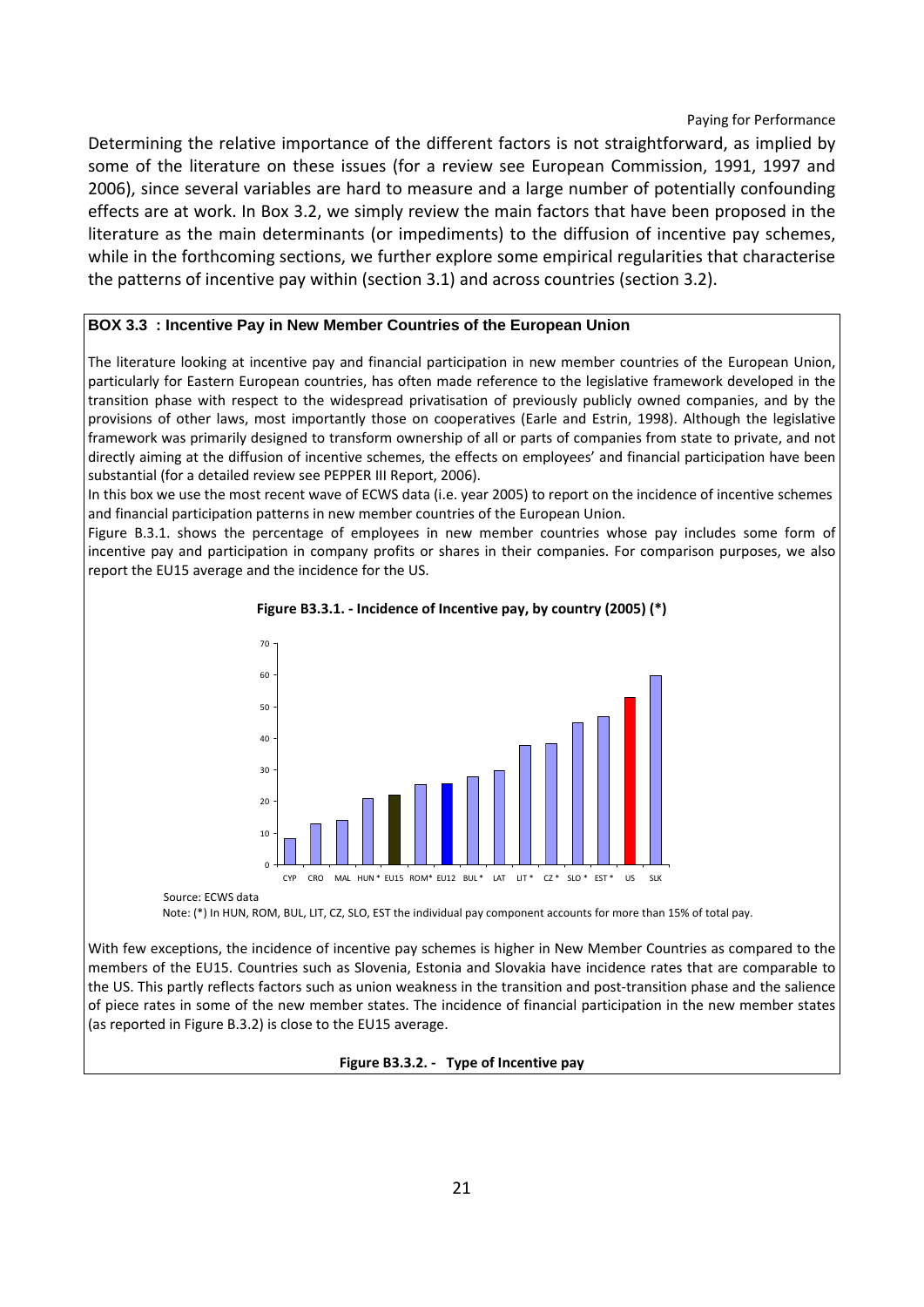Determining the relative importance of the different factors is not straightforward, as implied by some of the literature on these issues (for a review see European Commission, 1991, 1997 and 2006), since several variables are hard to measure and a large number of potentially confounding effects are at work. In Box 3.2, we simply review the main factors that have been proposed in the literature as the main determinants (or impediments) to the diffusion of incentive pay schemes, while in the forthcoming sections, we further explore some empirical regularities that characterise the patterns of incentive pay within (section 3.1) and across countries (section 3.2).

#### **BOX 3.3 : Incentive Pay in New Member Countries of the European Union**

The literature looking at incentive pay and financial participation in new member countries of the European Union, particularly for Eastern European countries, has often made reference to the legislative framework developed in the transition phase with respect to the widespread privatisation of previously publicly owned companies, and by the provisions of other laws, most importantly those on cooperatives (Earle and Estrin, 1998). Although the legislative framework was primarily designed to transform ownership of all or parts of companies from state to private, and not directly aiming at the diffusion of incentive schemes, the effects on employees' and financial participation have been substantial (for a detailed review see PEPPER III Report, 2006).

In this box we use the most recent wave of ECWS data (i.e. year 2005) to report on the incidence of incentive schemes and financial participation patterns in new member countries of the European Union.

Figure B.3.1. shows the percentage of employees in new member countries whose pay includes some form of incentive pay and participation in company profits or shares in their companies. For comparison purposes, we also report the EU15 average and the incidence for the US.





Note: (\*) In HUN, ROM, BUL, LIT, CZ, SLO, EST the individual pay component accounts for more than 15% of total pay.

With few exceptions, the incidence of incentive pay schemes is higher in New Member Countries as compared to the members of the EU15. Countries such as Slovenia, Estonia and Slovakia have incidence rates that are comparable to the US. This partly reflects factors such as union weakness in the transition and post-transition phase and the salience of piece rates in some of the new member states. The incidence of financial participation in the new member states (as reported in Figure B.3.2) is close to the EU15 average.



Source: ECWS data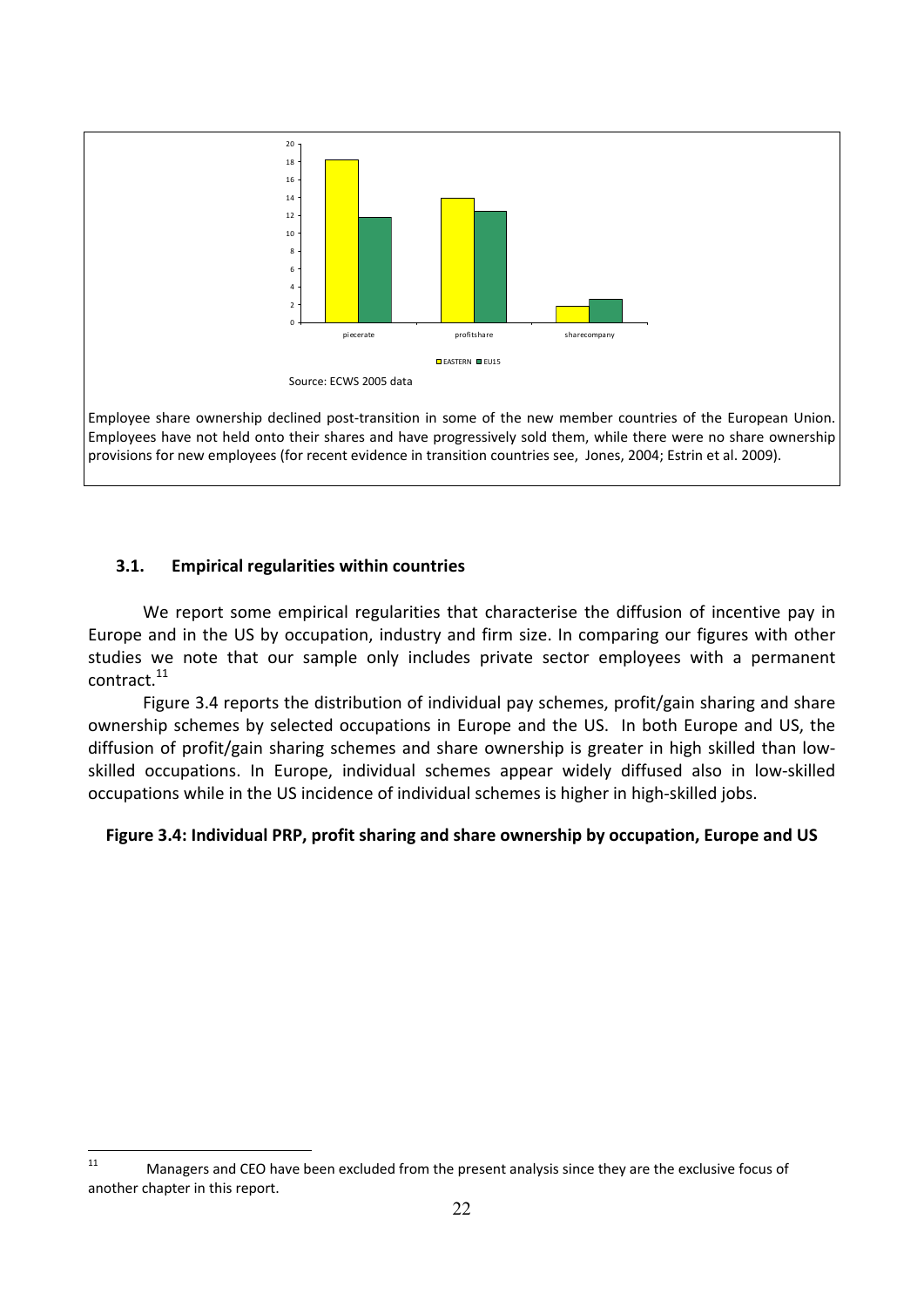

#### **3.1. Empirical regularities within countries**

We report some empirical regularities that characterise the diffusion of incentive pay in Europe and in the US by occupation, industry and firm size. In comparing our figures with other studies we note that our sample only includes private sector employees with a permanent contract.11

Figure 3.4 reports the distribution of individual pay schemes, profit/gain sharing and share ownership schemes by selected occupations in Europe and the US. In both Europe and US, the diffusion of profit/gain sharing schemes and share ownership is greater in high skilled than low‐ skilled occupations. In Europe, individual schemes appear widely diffused also in low‐skilled occupations while in the US incidence of individual schemes is higher in high‐skilled jobs.

#### **Figure 3.4: Individual PRP, profit sharing and share ownership by occupation, Europe and US**

 $11\,$ Managers and CEO have been excluded from the present analysis since they are the exclusive focus of another chapter in this report.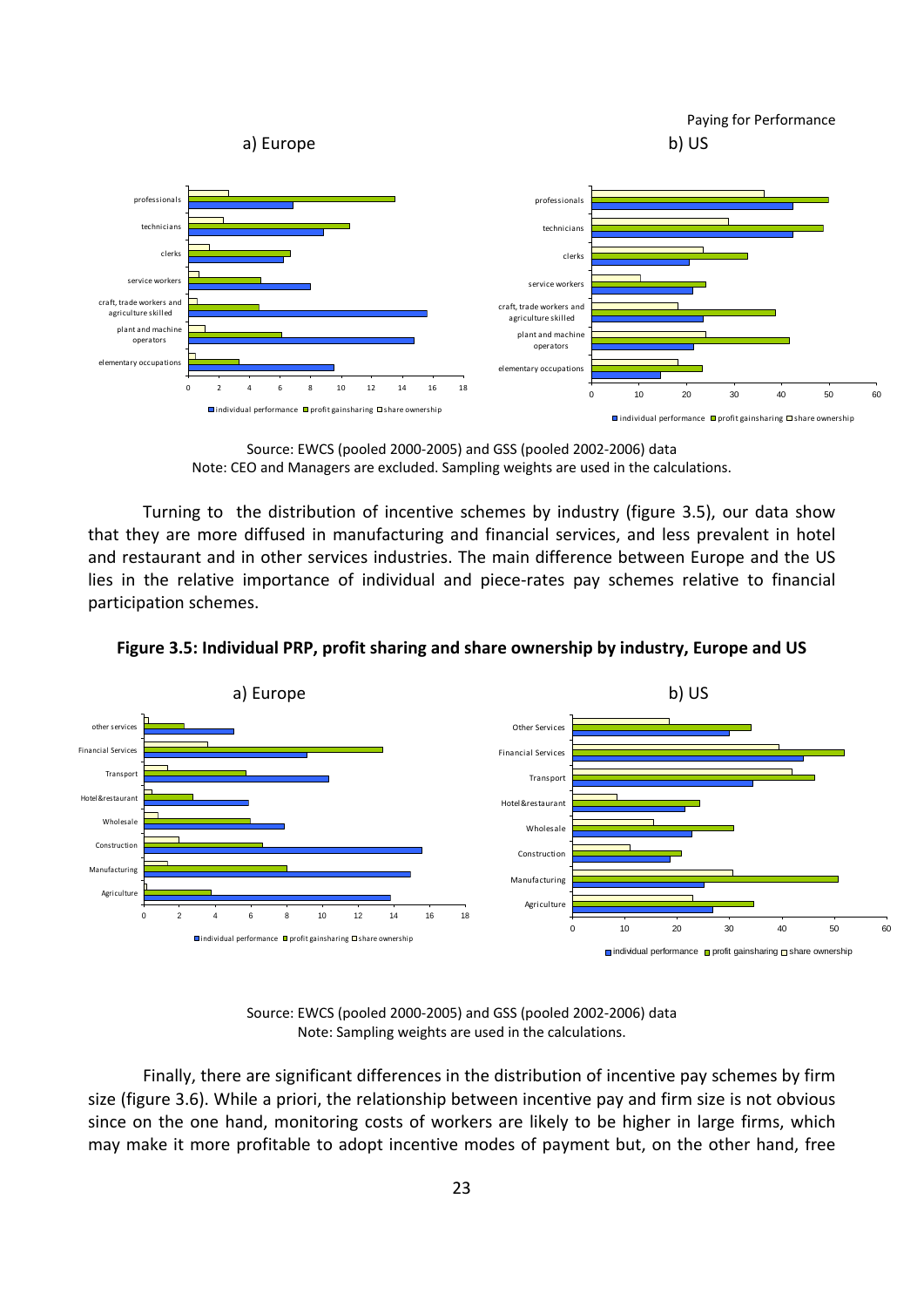

Source: EWCS (pooled 2000‐2005) and GSS (pooled 2002‐2006) data Note: CEO and Managers are excluded. Sampling weights are used in the calculations.

Turning to the distribution of incentive schemes by industry (figure 3.5), our data show that they are more diffused in manufacturing and financial services, and less prevalent in hotel and restaurant and in other services industries. The main difference between Europe and the US lies in the relative importance of individual and piece‐rates pay schemes relative to financial participation schemes.



**Figure 3.5: Individual PRP, profit sharing and share ownership by industry, Europe and US**

Source: EWCS (pooled 2000‐2005) and GSS (pooled 2002‐2006) data Note: Sampling weights are used in the calculations.

Finally, there are significant differences in the distribution of incentive pay schemes by firm size (figure 3.6). While a priori, the relationship between incentive pay and firm size is not obvious since on the one hand, monitoring costs of workers are likely to be higher in large firms, which may make it more profitable to adopt incentive modes of payment but, on the other hand, free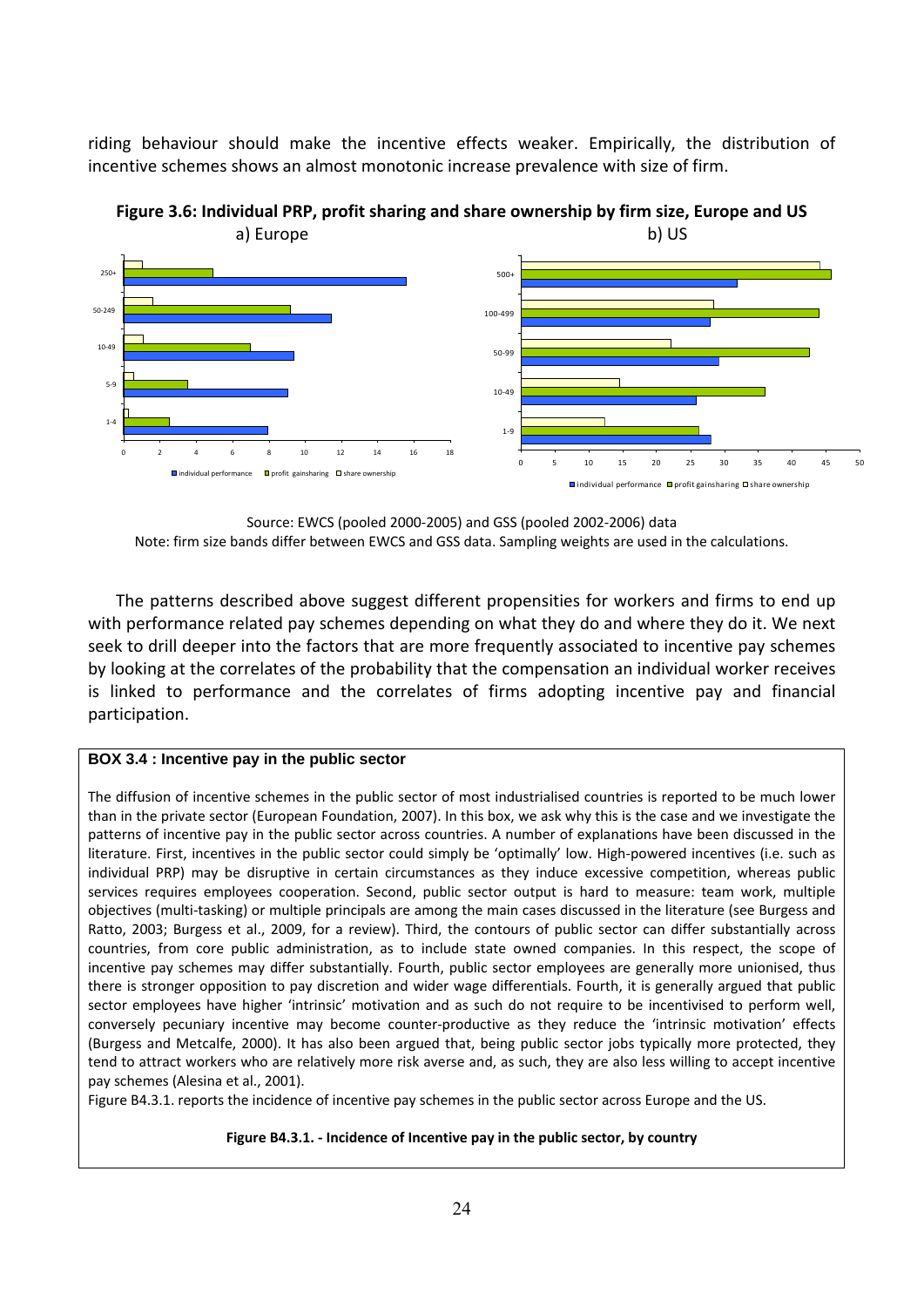riding behaviour should make the incentive effects weaker. Empirically, the distribution of incentive schemes shows an almost monotonic increase prevalence with size of firm.



**Figure 3.6: Individual PRP, profit sharing and share ownership by firm size, Europe and US**

Source: EWCS (pooled 2000‐2005) and GSS (pooled 2002‐2006) data Note: firm size bands differ between EWCS and GSS data. Sampling weights are used in the calculations.

The patterns described above suggest different propensities for workers and firms to end up with performance related pay schemes depending on what they do and where they do it. We next seek to drill deeper into the factors that are more frequently associated to incentive pay schemes by looking at the correlates of the probability that the compensation an individual worker receives is linked to performance and the correlates of firms adopting incentive pay and financial participation.

#### **BOX 3.4 : Incentive pay in the public sector**

The diffusion of incentive schemes in the public sector of most industrialised countries is reported to be much lower than in the private sector (European Foundation, 2007). In this box, we ask why this is the case and we investigate the patterns of incentive pay in the public sector across countries. A number of explanations have been discussed in the literature. First, incentives in the public sector could simply be 'optimally' low. High‐powered incentives (i.e. such as individual PRP) may be disruptive in certain circumstances as they induce excessive competition, whereas public services requires employees cooperation. Second, public sector output is hard to measure: team work, multiple objectives (multi‐tasking) or multiple principals are among the main cases discussed in the literature (see Burgess and Ratto, 2003; Burgess et al., 2009, for a review). Third, the contours of public sector can differ substantially across countries, from core public administration, as to include state owned companies. In this respect, the scope of incentive pay schemes may differ substantially. Fourth, public sector employees are generally more unionised, thus there is stronger opposition to pay discretion and wider wage differentials. Fourth, it is generally argued that public sector employees have higher 'intrinsic' motivation and as such do not require to be incentivised to perform well, conversely pecuniary incentive may become counter‐productive as they reduce the 'intrinsic motivation' effects (Burgess and Metcalfe, 2000). It has also been argued that, being public sector jobs typically more protected, they tend to attract workers who are relatively more risk averse and, as such, they are also less willing to accept incentive pay schemes (Alesina et al., 2001).

Figure B4.3.1. reports the incidence of incentive pay schemes in the public sector across Europe and the US.

#### **Figure B4.3.1. ‐ Incidence of Incentive pay in the public sector, by country**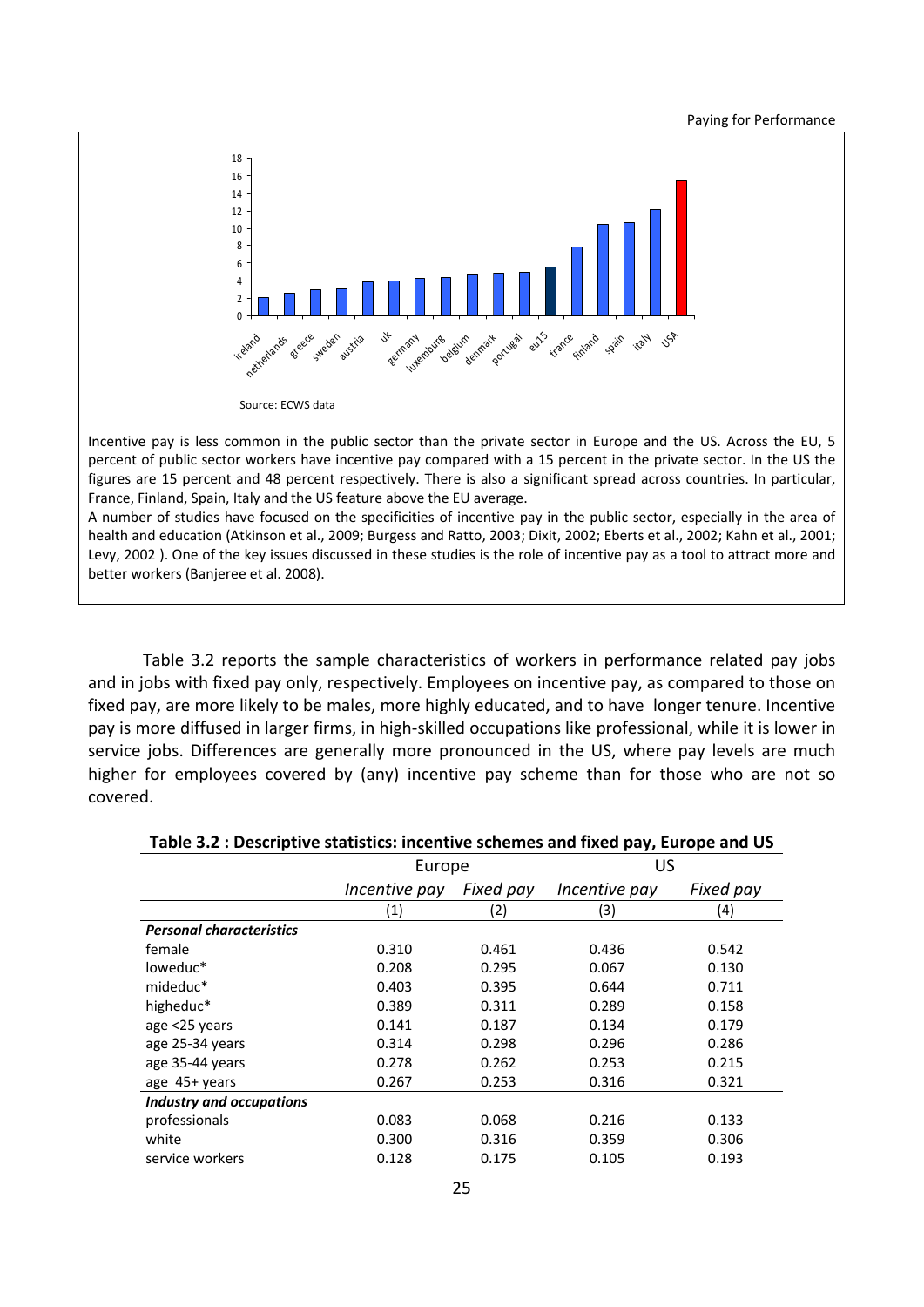Paying for Performance



better workers (Banjeree et al. 2008).

Table 3.2 reports the sample characteristics of workers in performance related pay jobs and in jobs with fixed pay only, respectively. Employees on incentive pay, as compared to those on fixed pay, are more likely to be males, more highly educated, and to have longer tenure. Incentive pay is more diffused in larger firms, in high‐skilled occupations like professional, while it is lower in service jobs. Differences are generally more pronounced in the US, where pay levels are much higher for employees covered by (any) incentive pay scheme than for those who are not so covered.

|                                 | Europe        |           | US            |           |
|---------------------------------|---------------|-----------|---------------|-----------|
|                                 | Incentive pay | Fixed pay | Incentive pay | Fixed pay |
|                                 | (1)           | (2)       | (3)           | (4)       |
| <b>Personal characteristics</b> |               |           |               |           |
| female                          | 0.310         | 0.461     | 0.436         | 0.542     |
| loweduc*                        | 0.208         | 0.295     | 0.067         | 0.130     |
| mideduc*                        | 0.403         | 0.395     | 0.644         | 0.711     |
| higheduc*                       | 0.389         | 0.311     | 0.289         | 0.158     |
| age <25 years                   | 0.141         | 0.187     | 0.134         | 0.179     |
| age 25-34 years                 | 0.314         | 0.298     | 0.296         | 0.286     |
| age 35-44 years                 | 0.278         | 0.262     | 0.253         | 0.215     |
| age 45+ years                   | 0.267         | 0.253     | 0.316         | 0.321     |
| Industry and occupations        |               |           |               |           |
| professionals                   | 0.083         | 0.068     | 0.216         | 0.133     |
| white                           | 0.300         | 0.316     | 0.359         | 0.306     |
| service workers                 | 0.128         | 0.175     | 0.105         | 0.193     |

#### **Table 3.2 : Descriptive statistics: incentive schemes and fixed pay, Europe and US**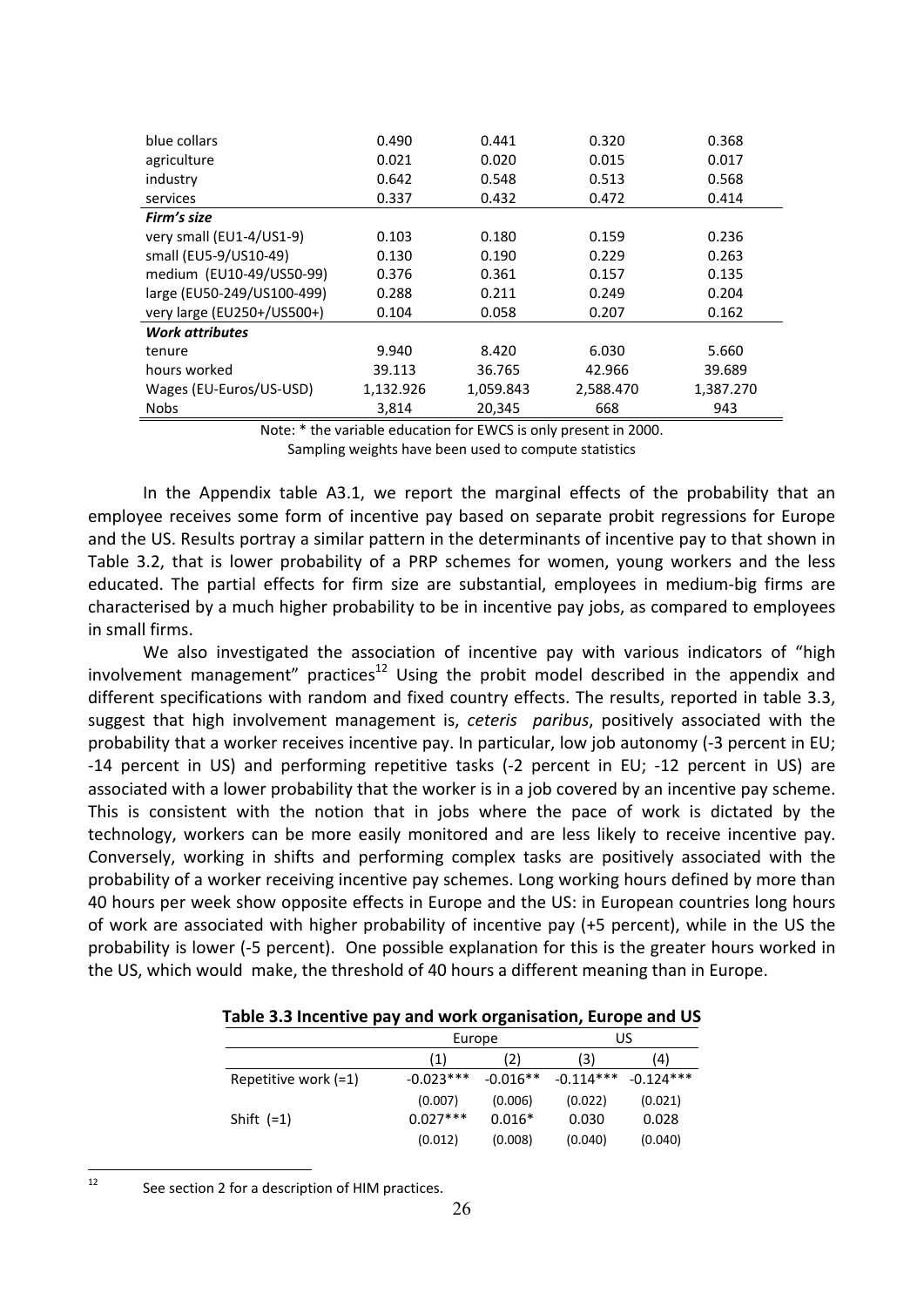| blue collars               | 0.490     | 0.441     | 0.320     | 0.368     |
|----------------------------|-----------|-----------|-----------|-----------|
| agriculture                | 0.021     | 0.020     | 0.015     | 0.017     |
| industry                   | 0.642     | 0.548     | 0.513     | 0.568     |
| services                   | 0.337     | 0.432     | 0.472     | 0.414     |
| Firm's size                |           |           |           |           |
| very small (EU1-4/US1-9)   | 0.103     | 0.180     | 0.159     | 0.236     |
| small (EU5-9/US10-49)      | 0.130     | 0.190     | 0.229     | 0.263     |
| medium (EU10-49/US50-99)   | 0.376     | 0.361     | 0.157     | 0.135     |
| large (EU50-249/US100-499) | 0.288     | 0.211     | 0.249     | 0.204     |
| very large (EU250+/US500+) | 0.104     | 0.058     | 0.207     | 0.162     |
| <b>Work attributes</b>     |           |           |           |           |
| tenure                     | 9.940     | 8.420     | 6.030     | 5.660     |
| hours worked               | 39.113    | 36.765    | 42.966    | 39.689    |
| Wages (EU-Euros/US-USD)    | 1,132.926 | 1,059.843 | 2,588.470 | 1,387.270 |
| <b>Nobs</b>                | 3,814     | 20,345    | 668       | 943       |

Note: \* the variable education for EWCS is only present in 2000. Sampling weights have been used to compute statistics

In the Appendix table A3.1, we report the marginal effects of the probability that an employee receives some form of incentive pay based on separate probit regressions for Europe and the US. Results portray a similar pattern in the determinants of incentive pay to that shown in Table 3.2, that is lower probability of a PRP schemes for women, young workers and the less educated. The partial effects for firm size are substantial, employees in medium‐big firms are characterised by a much higher probability to be in incentive pay jobs, as compared to employees in small firms.

We also investigated the association of incentive pay with various indicators of "high involvement management" practices<sup>12</sup> Using the probit model described in the appendix and different specifications with random and fixed country effects. The results, reported in table 3.3, suggest that high involvement management is, *ceteris paribus*, positively associated with the probability that a worker receives incentive pay. In particular, low job autonomy (‐3 percent in EU; ‐14 percent in US) and performing repetitive tasks (‐2 percent in EU; ‐12 percent in US) are associated with a lower probability that the worker is in a job covered by an incentive pay scheme. This is consistent with the notion that in jobs where the pace of work is dictated by the technology, workers can be more easily monitored and are less likely to receive incentive pay. Conversely, working in shifts and performing complex tasks are positively associated with the probability of a worker receiving incentive pay schemes. Long working hours defined by more than 40 hours per week show opposite effects in Europe and the US: in European countries long hours of work are associated with higher probability of incentive pay (+5 percent), while in the US the probability is lower (‐5 percent). One possible explanation for this is the greater hours worked in the US, which would make, the threshold of 40 hours a different meaning than in Europe.

|                      |             | Europe     |         | US                      |
|----------------------|-------------|------------|---------|-------------------------|
|                      | (1)         | 2)         | 3)      | (4)                     |
| Repetitive work (=1) | $-0.023***$ | $-0.016**$ |         | $-0.114***$ $-0.124***$ |
|                      | (0.007)     | (0.006)    | (0.022) | (0.021)                 |
| Shift $(=1)$         | $0.027***$  | $0.016*$   | 0.030   | 0.028                   |
|                      | (0.012)     | (0.008)    | (0.040) | (0.040)                 |

 $12$ 

See section 2 for a description of HIM practices.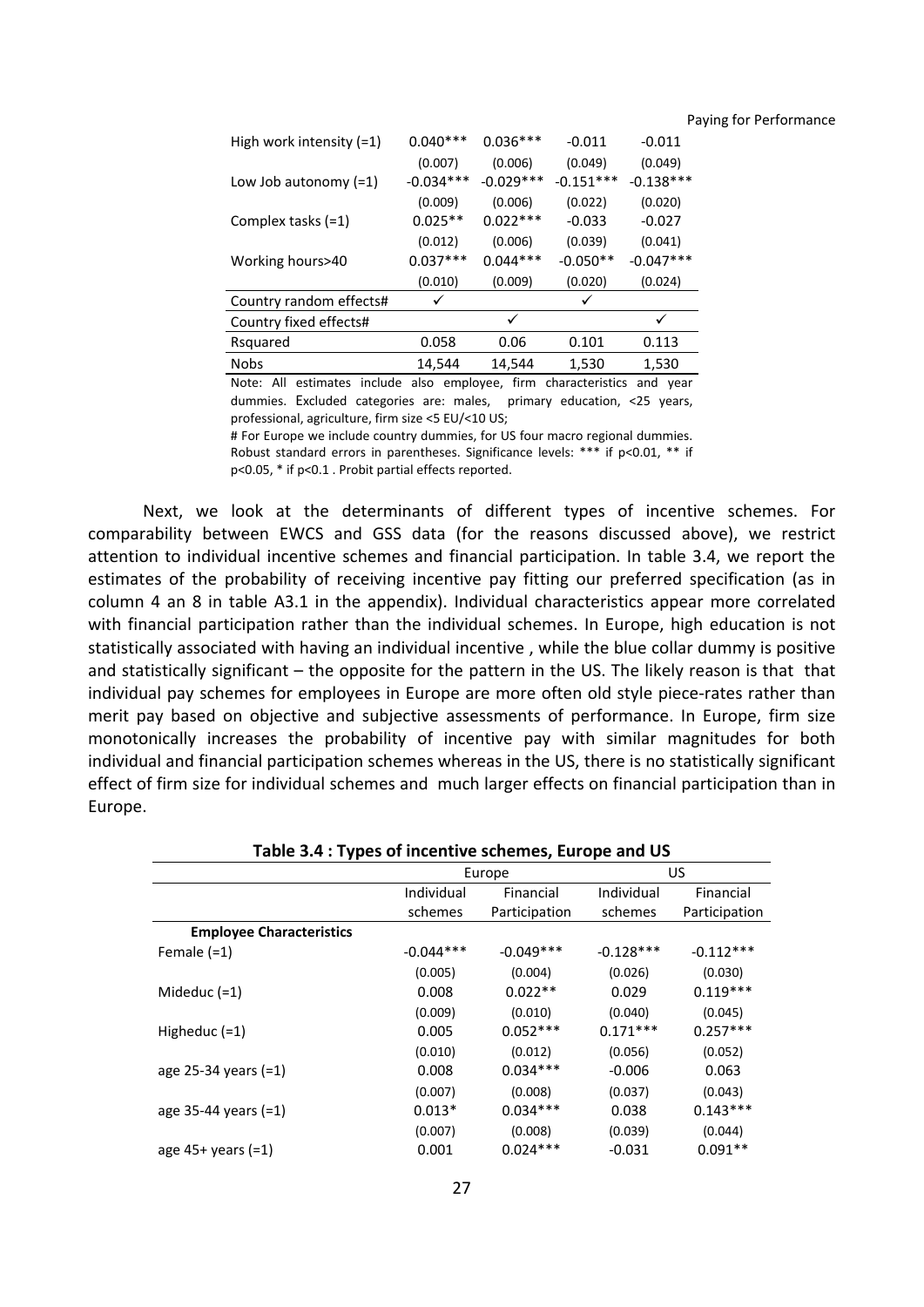| High work intensity $(=1)$ | $0.040***$  | $0.036***$  | $-0.011$    | $-0.011$    |
|----------------------------|-------------|-------------|-------------|-------------|
|                            | (0.007)     | (0.006)     | (0.049)     | (0.049)     |
| Low Job autonomy $(=1)$    | $-0.034***$ | $-0.029***$ | $-0.151***$ | $-0.138***$ |
|                            | (0.009)     | (0.006)     | (0.022)     | (0.020)     |
| Complex tasks $(=1)$       | $0.025**$   | $0.022***$  | $-0.033$    | $-0.027$    |
|                            | (0.012)     | (0.006)     | (0.039)     | (0.041)     |
| Working hours>40           | $0.037***$  | $0.044***$  | $-0.050**$  | $-0.047***$ |
|                            | (0.010)     | (0.009)     | (0.020)     | (0.024)     |
| Country random effects#    | ✓           |             | ✓           |             |
| Country fixed effects#     |             | ✓           |             | ✓           |
| Rsquared                   | 0.058       | 0.06        | 0.101       | 0.113       |
| <b>Nobs</b>                | 14,544      | 14,544      | 1,530       | 1,530       |

Note: All estimates include also employee, firm characteristics and year dummies. Excluded categories are: males, primary education, <25 years, professional, agriculture, firm size <5 EU/<10 US;

# For Europe we include country dummies, for US four macro regional dummies. Robust standard errors in parentheses. Significance levels: \*\*\* if p<0.01, \*\* if p<0.05, \* if p<0.1 . Probit partial effects reported.

Next, we look at the determinants of different types of incentive schemes. For comparability between EWCS and GSS data (for the reasons discussed above), we restrict attention to individual incentive schemes and financial participation. In table 3.4, we report the estimates of the probability of receiving incentive pay fitting our preferred specification (as in column 4 an 8 in table A3.1 in the appendix). Individual characteristics appear more correlated with financial participation rather than the individual schemes. In Europe, high education is not statistically associated with having an individual incentive , while the blue collar dummy is positive and statistically significant – the opposite for the pattern in the US. The likely reason is that that individual pay schemes for employees in Europe are more often old style piece-rates rather than merit pay based on objective and subjective assessments of performance. In Europe, firm size monotonically increases the probability of incentive pay with similar magnitudes for both individual and financial participation schemes whereas in the US, there is no statistically significant effect of firm size for individual schemes and much larger effects on financial participation than in Europe.

| Table 5.4 . Types of incentive scribilies, Europe and OS |             |               |             |               |
|----------------------------------------------------------|-------------|---------------|-------------|---------------|
|                                                          |             | Europe        |             | US.           |
|                                                          | Individual  | Financial     | Individual  | Financial     |
|                                                          | schemes     | Participation | schemes     | Participation |
| <b>Employee Characteristics</b>                          |             |               |             |               |
| Female $(=1)$                                            | $-0.044***$ | $-0.049***$   | $-0.128***$ | $-0.112***$   |
|                                                          | (0.005)     | (0.004)       | (0.026)     | (0.030)       |
| Mideduc $(=1)$                                           | 0.008       | $0.022**$     | 0.029       | $0.119***$    |
|                                                          | (0.009)     | (0.010)       | (0.040)     | (0.045)       |
| Higheduc $(=1)$                                          | 0.005       | $0.052***$    | $0.171***$  | $0.257***$    |
|                                                          | (0.010)     | (0.012)       | (0.056)     | (0.052)       |
| age 25-34 years $(=1)$                                   | 0.008       | $0.034***$    | $-0.006$    | 0.063         |
|                                                          | (0.007)     | (0.008)       | (0.037)     | (0.043)       |
| age 35-44 years (=1)                                     | $0.013*$    | $0.034***$    | 0.038       | $0.143***$    |
|                                                          | (0.007)     | (0.008)       | (0.039)     | (0.044)       |
| age $45+$ years $(=1)$                                   | 0.001       | $0.024***$    | $-0.031$    | $0.091**$     |

**Table 3.4 : Types of incentive schemes, Europe and US**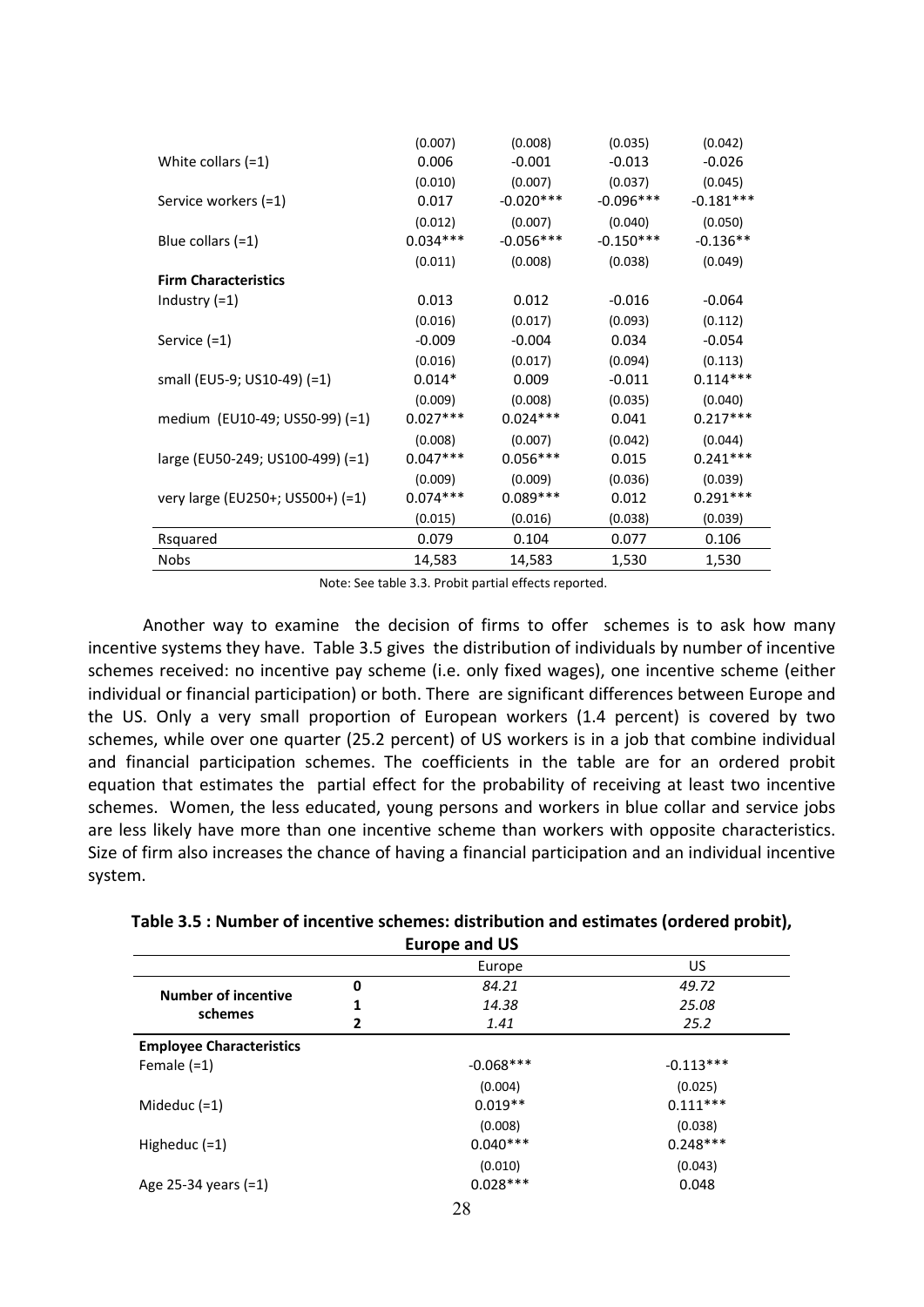|                                  | (0.007)    | (0.008)     | (0.035)     | (0.042)     |
|----------------------------------|------------|-------------|-------------|-------------|
| White collars $(=1)$             | 0.006      | $-0.001$    | $-0.013$    | $-0.026$    |
|                                  | (0.010)    | (0.007)     | (0.037)     | (0.045)     |
| Service workers (=1)             | 0.017      | $-0.020***$ | $-0.096***$ | $-0.181***$ |
|                                  | (0.012)    | (0.007)     | (0.040)     | (0.050)     |
| Blue collars $(=1)$              | $0.034***$ | $-0.056***$ | $-0.150***$ | $-0.136**$  |
|                                  | (0.011)    | (0.008)     | (0.038)     | (0.049)     |
| <b>Firm Characteristics</b>      |            |             |             |             |
| Industry $(=1)$                  | 0.013      | 0.012       | $-0.016$    | $-0.064$    |
|                                  | (0.016)    | (0.017)     | (0.093)     | (0.112)     |
| Service $(=1)$                   | $-0.009$   | $-0.004$    | 0.034       | $-0.054$    |
|                                  | (0.016)    | (0.017)     | (0.094)     | (0.113)     |
| small (EU5-9; US10-49) (=1)      | $0.014*$   | 0.009       | $-0.011$    | $0.114***$  |
|                                  | (0.009)    | (0.008)     | (0.035)     | (0.040)     |
| medium (EU10-49; US50-99) (=1)   | $0.027***$ | $0.024***$  | 0.041       | $0.217***$  |
|                                  | (0.008)    | (0.007)     | (0.042)     | (0.044)     |
| large (EU50-249; US100-499) (=1) | $0.047***$ | $0.056***$  | 0.015       | $0.241***$  |
|                                  | (0.009)    | (0.009)     | (0.036)     | (0.039)     |
| very large (EU250+; US500+) (=1) | $0.074***$ | $0.089***$  | 0.012       | $0.291***$  |
|                                  | (0.015)    | (0.016)     | (0.038)     | (0.039)     |
| Rsquared                         | 0.079      | 0.104       | 0.077       | 0.106       |
| <b>Nobs</b>                      | 14,583     | 14,583      | 1,530       | 1,530       |

Note: See table 3.3. Probit partial effects reported.

Another way to examine the decision of firms to offer schemes is to ask how many incentive systems they have. Table 3.5 gives the distribution of individuals by number of incentive schemes received: no incentive pay scheme (i.e. only fixed wages), one incentive scheme (either individual or financial participation) or both. There are significant differences between Europe and the US. Only a very small proportion of European workers (1.4 percent) is covered by two schemes, while over one quarter (25.2 percent) of US workers is in a job that combine individual and financial participation schemes. The coefficients in the table are for an ordered probit equation that estimates the partial effect for the probability of receiving at least two incentive schemes. Women, the less educated, young persons and workers in blue collar and service jobs are less likely have more than one incentive scheme than workers with opposite characteristics. Size of firm also increases the chance of having a financial participation and an individual incentive system.

|   | Europe      | US                   |
|---|-------------|----------------------|
| 0 | 84.21       | 49.72                |
| 1 | 14.38       | 25.08                |
| 2 | 1.41        | 25.2                 |
|   |             |                      |
|   | $-0.068***$ | $-0.113***$          |
|   | (0.004)     | (0.025)              |
|   | $0.019**$   | $0.111***$           |
|   | (0.008)     | (0.038)              |
|   | $0.040***$  | $0.248***$           |
|   | (0.010)     | (0.043)              |
|   | $0.028***$  | 0.048                |
|   |             | <b>Europe and US</b> |

**Table 3.5 : Number of incentive schemes: distribution and estimates (ordered probit), Europe and US**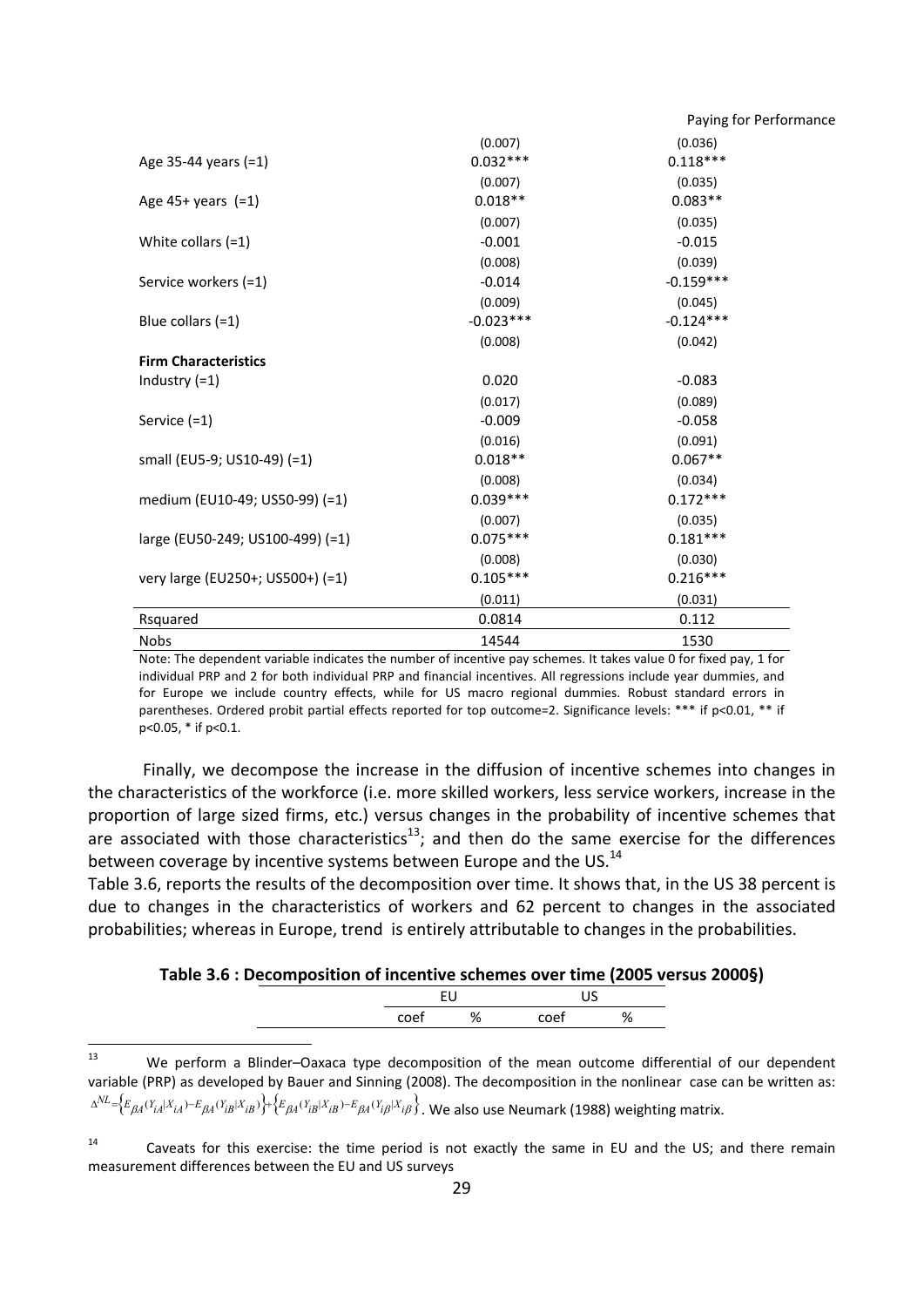|                                  |             | Paying for Performance |
|----------------------------------|-------------|------------------------|
|                                  | (0.007)     | (0.036)                |
| Age 35-44 years (=1)             | $0.032***$  | $0.118***$             |
|                                  | (0.007)     | (0.035)                |
| Age $45+$ years $(=1)$           | $0.018**$   | $0.083**$              |
|                                  | (0.007)     | (0.035)                |
| White collars $(=1)$             | $-0.001$    | $-0.015$               |
|                                  | (0.008)     | (0.039)                |
| Service workers (=1)             | $-0.014$    | $-0.159***$            |
|                                  | (0.009)     | (0.045)                |
| Blue collars $(=1)$              | $-0.023***$ | $-0.124***$            |
|                                  | (0.008)     | (0.042)                |
| <b>Firm Characteristics</b>      |             |                        |
| Industry $(=1)$                  | 0.020       | $-0.083$               |
|                                  | (0.017)     | (0.089)                |
| Service $(=1)$                   | $-0.009$    | $-0.058$               |
|                                  | (0.016)     | (0.091)                |
| small (EU5-9; US10-49) (=1)      | $0.018**$   | $0.067**$              |
|                                  | (0.008)     | (0.034)                |
| medium (EU10-49; US50-99) (=1)   | $0.039***$  | $0.172***$             |
|                                  | (0.007)     | (0.035)                |
| large (EU50-249; US100-499) (=1) | $0.075***$  | $0.181***$             |
|                                  | (0.008)     | (0.030)                |
| very large (EU250+; US500+) (=1) | $0.105***$  | $0.216***$             |
|                                  | (0.011)     | (0.031)                |
| Rsquared                         | 0.0814      | 0.112                  |
| <b>Nobs</b>                      | 14544       | 1530                   |

Note: The dependent variable indicates the number of incentive pay schemes. It takes value 0 for fixed pay, 1 for individual PRP and 2 for both individual PRP and financial incentives. All regressions include year dummies, and for Europe we include country effects, while for US macro regional dummies. Robust standard errors in parentheses. Ordered probit partial effects reported for top outcome=2. Significance levels: \*\*\* if p<0.01, \*\* if p<0.05, \* if p<0.1.

Finally, we decompose the increase in the diffusion of incentive schemes into changes in the characteristics of the workforce (i.e. more skilled workers, less service workers, increase in the proportion of large sized firms, etc.) versus changes in the probability of incentive schemes that are associated with those characteristics<sup>13</sup>; and then do the same exercise for the differences between coverage by incentive systems between Europe and the US.<sup>14</sup>

Table 3.6, reports the results of the decomposition over time. It shows that, in the US 38 percent is due to changes in the characteristics of workers and 62 percent to changes in the associated probabilities; whereas in Europe, trend is entirely attributable to changes in the probabilities.

| Table 3.6 : Decomposition of incentive schemes over time (2005 versus 2000§) |  |  |
|------------------------------------------------------------------------------|--|--|
|------------------------------------------------------------------------------|--|--|

 $13$ We perform a Blinder–Oaxaca type decomposition of the mean outcome differential of our dependent variable (PRP) as developed by Bauer and Sinning (2008). The decomposition in the nonlinear case can be written as:  $\Delta^{NL}=\{E_{\beta A}(Y_{iA}|X_{iA})-E_{\beta A}(Y_{iB}|X_{iB})\}+\{E_{\beta A}(Y_{iB}|X_{iB})-E_{\beta A}(Y_{i\beta}|X_{i\beta}\}$  . We also use Neumark (1988) weighting matrix.

 $14$  Caveats for this exercise: the time period is not exactly the same in EU and the US; and there remain measurement differences between the EU and US surveys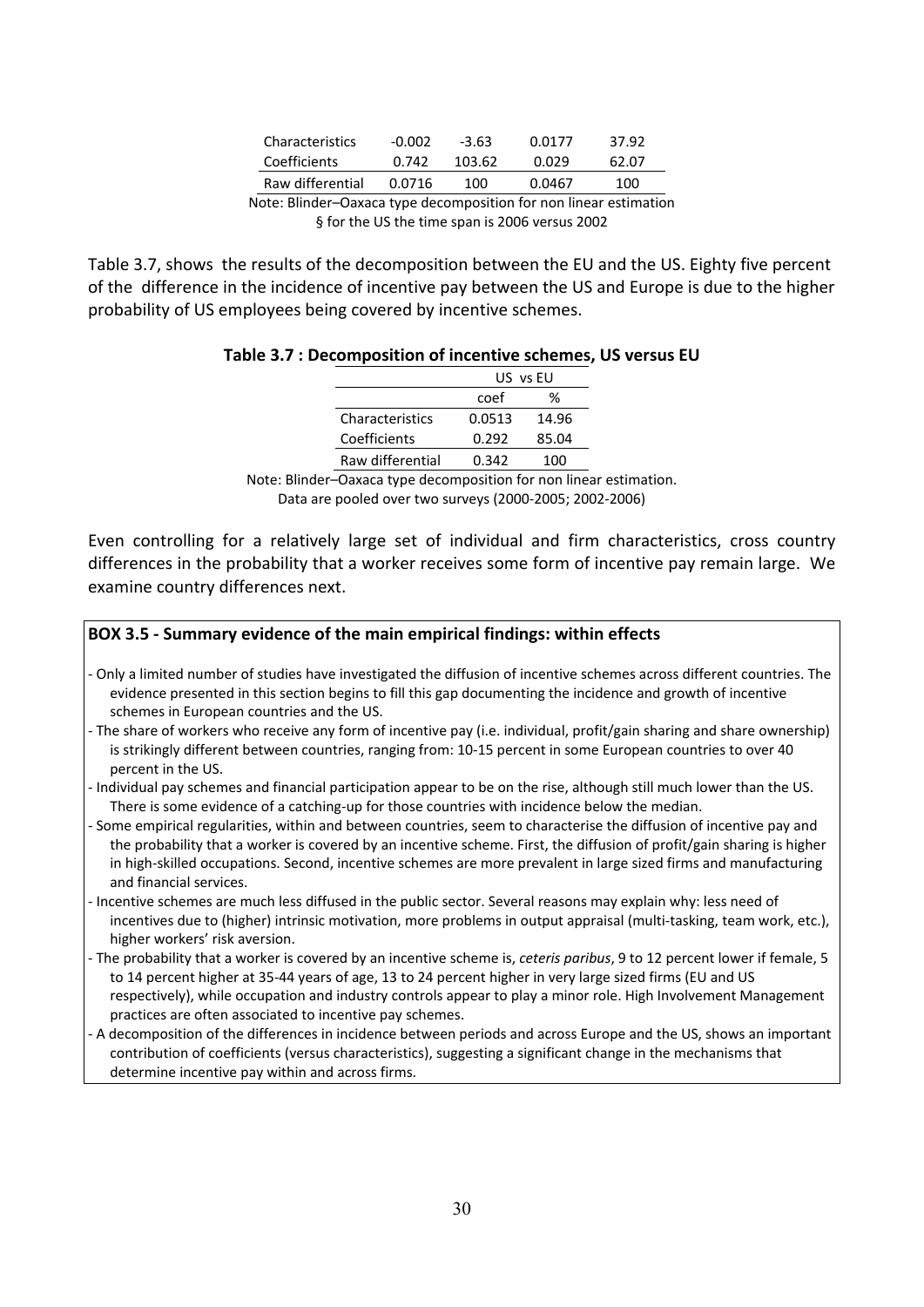| Characteristics  | -0.002 | $-3.63$ | 0.0177 | 37.92 |
|------------------|--------|---------|--------|-------|
| Coefficients     | 0.742  | 103.62  | 0.029  | 62.07 |
| Raw differential | 0.0716 | 100.    | 0.0467 | 100   |

Note: Blinder–Oaxaca type decomposition for non linear estimation § for the US the time span is 2006 versus 2002

Table 3.7, shows the results of the decomposition between the EU and the US. Eighty five percent of the difference in the incidence of incentive pay between the US and Europe is due to the higher probability of US employees being covered by incentive schemes.

#### **Table 3.7 : Decomposition of incentive schemes, US versus EU**

|                  | US vs EU |       |  |  |
|------------------|----------|-------|--|--|
|                  | coef     | %     |  |  |
| Characteristics  | 0.0513   | 14.96 |  |  |
| Coefficients     | 0.292    | 85.04 |  |  |
| Raw differential | በ 342    | 1 በበ  |  |  |

Note: Blinder–Oaxaca type decomposition for non linear estimation. Data are pooled over two surveys (2000‐2005; 2002‐2006)

Even controlling for a relatively large set of individual and firm characteristics, cross country differences in the probability that a worker receives some form of incentive pay remain large. We examine country differences next.

#### **BOX 3.5 ‐ Summary evidence of the main empirical findings: within effects**

- ‐ Only a limited number of studies have investigated the diffusion of incentive schemes across different countries. The evidence presented in this section begins to fill this gap documenting the incidence and growth of incentive schemes in European countries and the US.
- ‐ The share of workers who receive any form of incentive pay (i.e. individual, profit/gain sharing and share ownership) is strikingly different between countries, ranging from: 10‐15 percent in some European countries to over 40 percent in the US.
- ‐ Individual pay schemes and financial participation appear to be on the rise, although still much lower than the US. There is some evidence of a catching-up for those countries with incidence below the median.
- ‐ Some empirical regularities, within and between countries, seem to characterise the diffusion of incentive pay and the probability that a worker is covered by an incentive scheme. First, the diffusion of profit/gain sharing is higher in high‐skilled occupations. Second, incentive schemes are more prevalent in large sized firms and manufacturing and financial services.
- ‐ Incentive schemes are much less diffused in the public sector. Several reasons may explain why: less need of incentives due to (higher) intrinsic motivation, more problems in output appraisal (multi-tasking, team work, etc.), higher workers' risk aversion.
- ‐ The probability that a worker is covered by an incentive scheme is, *ceteris paribus*, 9 to 12 percent lower if female, 5 to 14 percent higher at 35-44 years of age, 13 to 24 percent higher in very large sized firms (EU and US respectively), while occupation and industry controls appear to play a minor role. High Involvement Management practices are often associated to incentive pay schemes.
- ‐ A decomposition of the differences in incidence between periods and across Europe and the US, shows an important contribution of coefficients (versus characteristics), suggesting a significant change in the mechanisms that determine incentive pay within and across firms.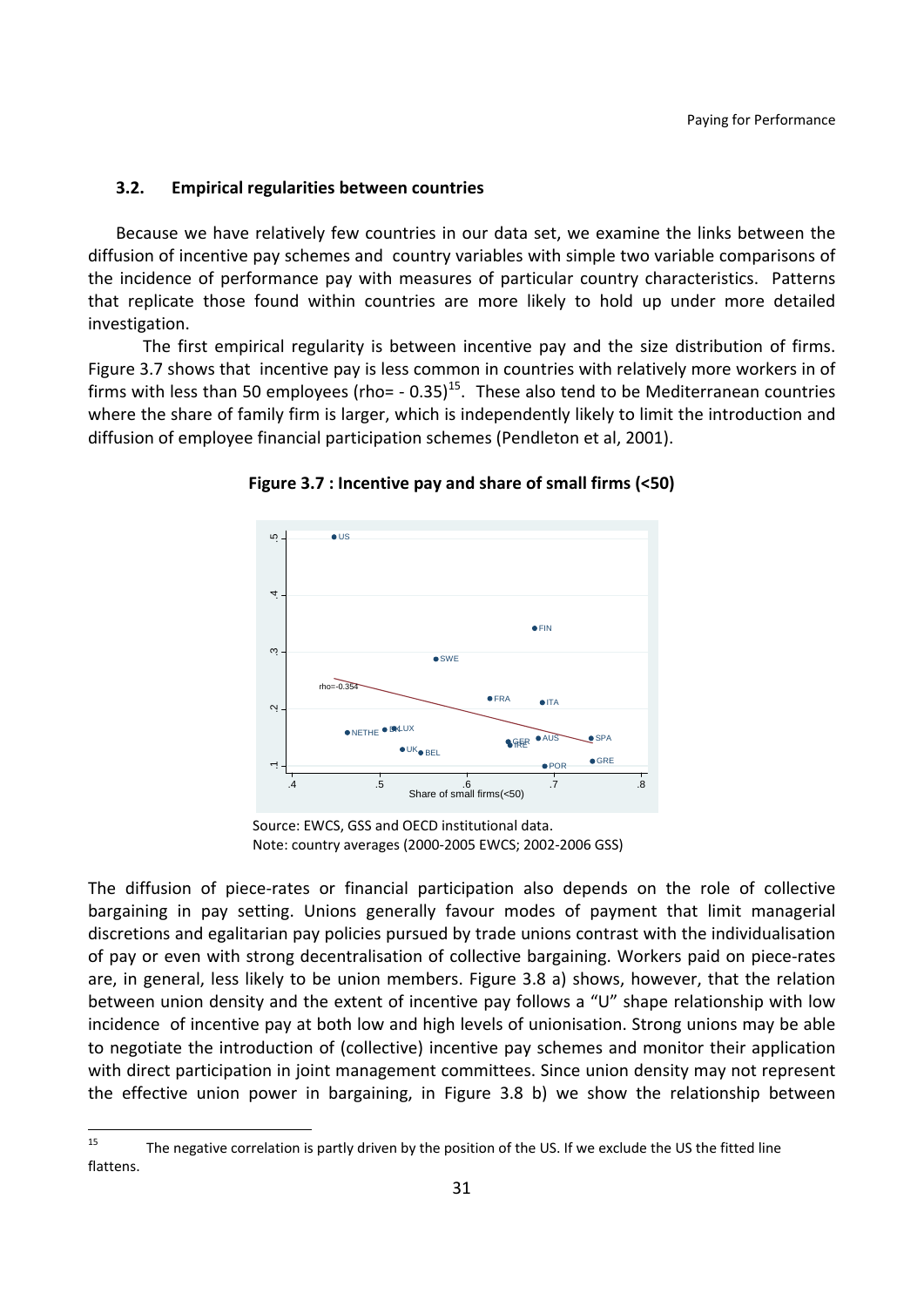#### **3.2. Empirical regularities between countries**

Because we have relatively few countries in our data set, we examine the links between the diffusion of incentive pay schemes and country variables with simple two variable comparisons of the incidence of performance pay with measures of particular country characteristics. Patterns that replicate those found within countries are more likely to hold up under more detailed investigation.

The first empirical regularity is between incentive pay and the size distribution of firms. Figure 3.7 shows that incentive pay is less common in countries with relatively more workers in of firms with less than 50 employees (rho=  $-0.35$ )<sup>15</sup>. These also tend to be Mediterranean countries where the share of family firm is larger, which is independently likely to limit the introduction and diffusion of employee financial participation schemes (Pendleton et al, 2001).



**Figure 3.7 : Incentive pay and share of small firms (<50)**

Source: EWCS, GSS and OECD institutional data. Note: country averages (2000‐2005 EWCS; 2002‐2006 GSS)

The diffusion of piece-rates or financial participation also depends on the role of collective bargaining in pay setting. Unions generally favour modes of payment that limit managerial discretions and egalitarian pay policies pursued by trade unions contrast with the individualisation of pay or even with strong decentralisation of collective bargaining. Workers paid on piece-rates are, in general, less likely to be union members. Figure 3.8 a) shows, however, that the relation between union density and the extent of incentive pay follows a "U" shape relationship with low incidence of incentive pay at both low and high levels of unionisation. Strong unions may be able to negotiate the introduction of (collective) incentive pay schemes and monitor their application with direct participation in joint management committees. Since union density may not represent the effective union power in bargaining, in Figure 3.8 b) we show the relationship between

<sup>15</sup> The negative correlation is partly driven by the position of the US. If we exclude the US the fitted line flattens.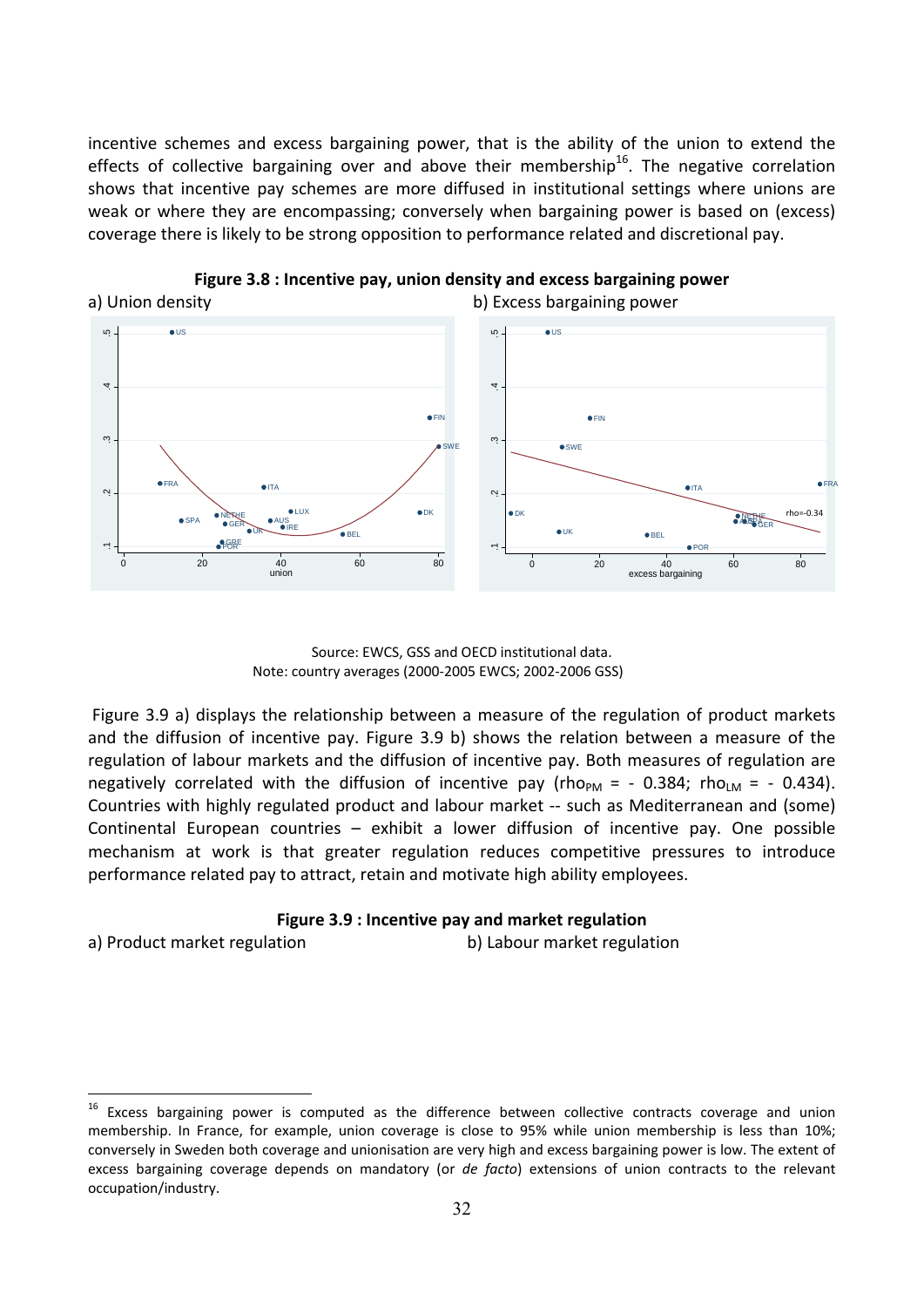incentive schemes and excess bargaining power, that is the ability of the union to extend the effects of collective bargaining over and above their membership<sup>16</sup>. The negative correlation shows that incentive pay schemes are more diffused in institutional settings where unions are weak or where they are encompassing; conversely when bargaining power is based on (excess) coverage there is likely to be strong opposition to performance related and discretional pay.





Source: EWCS, GSS and OECD institutional data. Note: country averages (2000‐2005 EWCS; 2002‐2006 GSS)

Figure 3.9 a) displays the relationship between a measure of the regulation of product markets and the diffusion of incentive pay. Figure 3.9 b) shows the relation between a measure of the regulation of labour markets and the diffusion of incentive pay. Both measures of regulation are negatively correlated with the diffusion of incentive pay (rho<sub>PM</sub> =  $-$  0.384; rho<sub>LM</sub> =  $-$  0.434). Countries with highly regulated product and labour market ‐‐ such as Mediterranean and (some) Continental European countries – exhibit a lower diffusion of incentive pay. One possible mechanism at work is that greater regulation reduces competitive pressures to introduce performance related pay to attract, retain and motivate high ability employees.

#### **Figure 3.9 : Incentive pay and market regulation**

 $\overline{a}$ 

a) Product market regulation b) Labour market regulation

Excess bargaining power is computed as the difference between collective contracts coverage and union membership. In France, for example, union coverage is close to 95% while union membership is less than 10%; conversely in Sweden both coverage and unionisation are very high and excess bargaining power is low. The extent of excess bargaining coverage depends on mandatory (or *de facto*) extensions of union contracts to the relevant occupation/industry.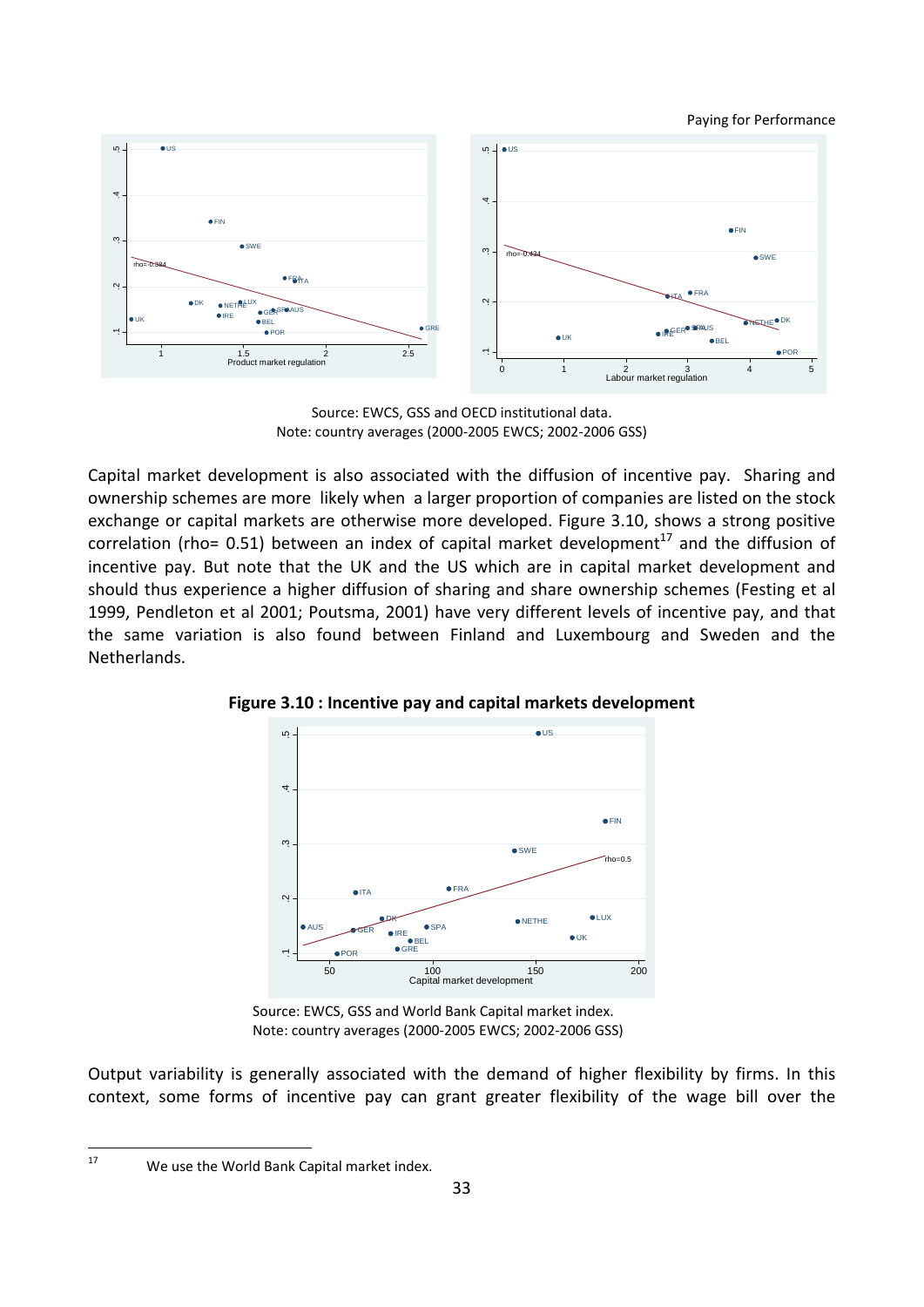



Source: EWCS, GSS and OECD institutional data. Note: country averages (2000‐2005 EWCS; 2002‐2006 GSS)

Capital market development is also associated with the diffusion of incentive pay. Sharing and ownership schemes are more likely when a larger proportion of companies are listed on the stock exchange or capital markets are otherwise more developed. Figure 3.10, shows a strong positive correlation (rho= 0.51) between an index of capital market development<sup>17</sup> and the diffusion of incentive pay. But note that the UK and the US which are in capital market development and should thus experience a higher diffusion of sharing and share ownership schemes (Festing et al 1999, Pendleton et al 2001; Poutsma, 2001) have very different levels of incentive pay, and that the same variation is also found between Finland and Luxembourg and Sweden and the Netherlands.



**Figure 3.10 : Incentive pay and capital markets development**

Source: EWCS, GSS and World Bank Capital market index. Note: country averages (2000‐2005 EWCS; 2002‐2006 GSS)

Output variability is generally associated with the demand of higher flexibility by firms. In this context, some forms of incentive pay can grant greater flexibility of the wage bill over the

 $17$ 

We use the World Bank Capital market index.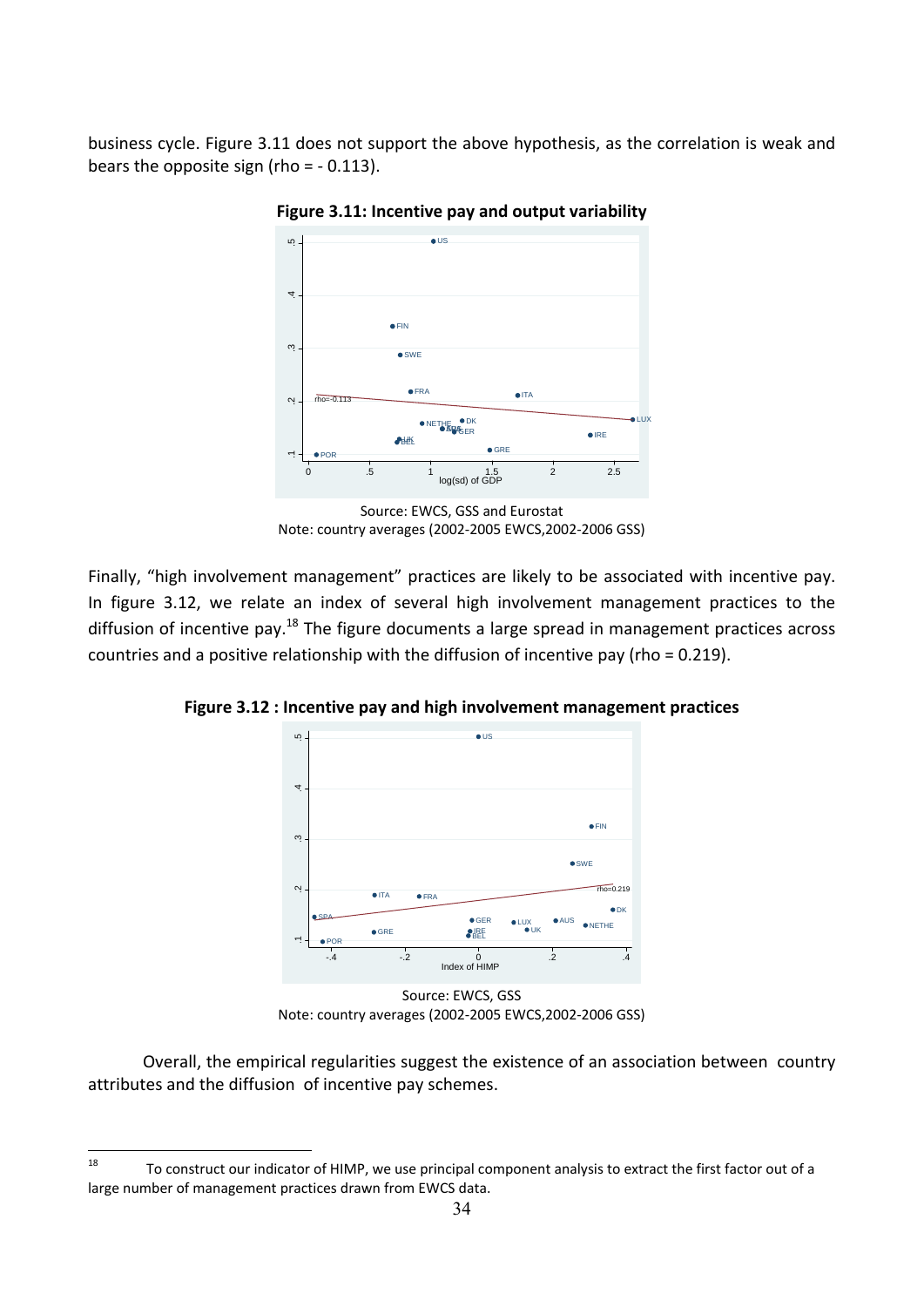business cycle. Figure 3.11 does not support the above hypothesis, as the correlation is weak and bears the opposite sign (rho =  $-0.113$ ).



**Figure 3.11: Incentive pay and output variability**

Source: EWCS, GSS and Eurostat Note: country averages (2002‐2005 EWCS,2002‐2006 GSS)

Finally, "high involvement management" practices are likely to be associated with incentive pay. In figure 3.12, we relate an index of several high involvement management practices to the diffusion of incentive pay.<sup>18</sup> The figure documents a large spread in management practices across countries and a positive relationship with the diffusion of incentive pay (rho = 0.219).

**Figure 3.12 : Incentive pay and high involvement management practices**



Source: EWCS, GSS Note: country averages (2002‐2005 EWCS,2002‐2006 GSS)

Overall, the empirical regularities suggest the existence of an association between country attributes and the diffusion of incentive pay schemes.

<sup>18</sup> To construct our indicator of HIMP, we use principal component analysis to extract the first factor out of a large number of management practices drawn from EWCS data.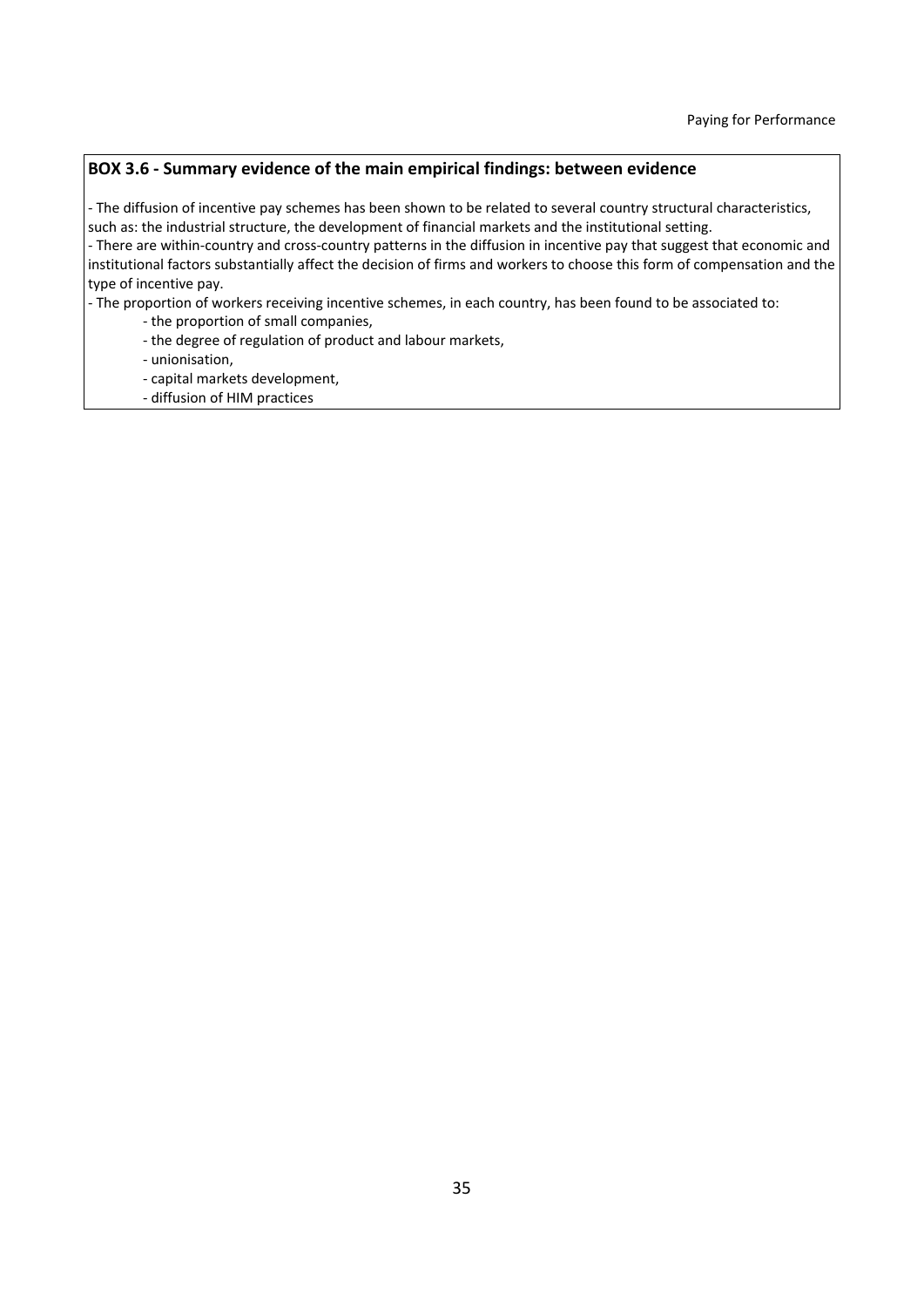#### **BOX 3.6 ‐ Summary evidence of the main empirical findings: between evidence**

‐ The diffusion of incentive pay schemes has been shown to be related to several country structural characteristics, such as: the industrial structure, the development of financial markets and the institutional setting.

‐ There are within‐country and cross‐country patterns in the diffusion in incentive pay that suggest that economic and institutional factors substantially affect the decision of firms and workers to choose this form of compensation and the type of incentive pay.

‐ The proportion of workers receiving incentive schemes, in each country, has been found to be associated to:

- ‐ the proportion of small companies,
- ‐ the degree of regulation of product and labour markets,
- ‐ unionisation,
- ‐ capital markets development,
- ‐ diffusion of HIM practices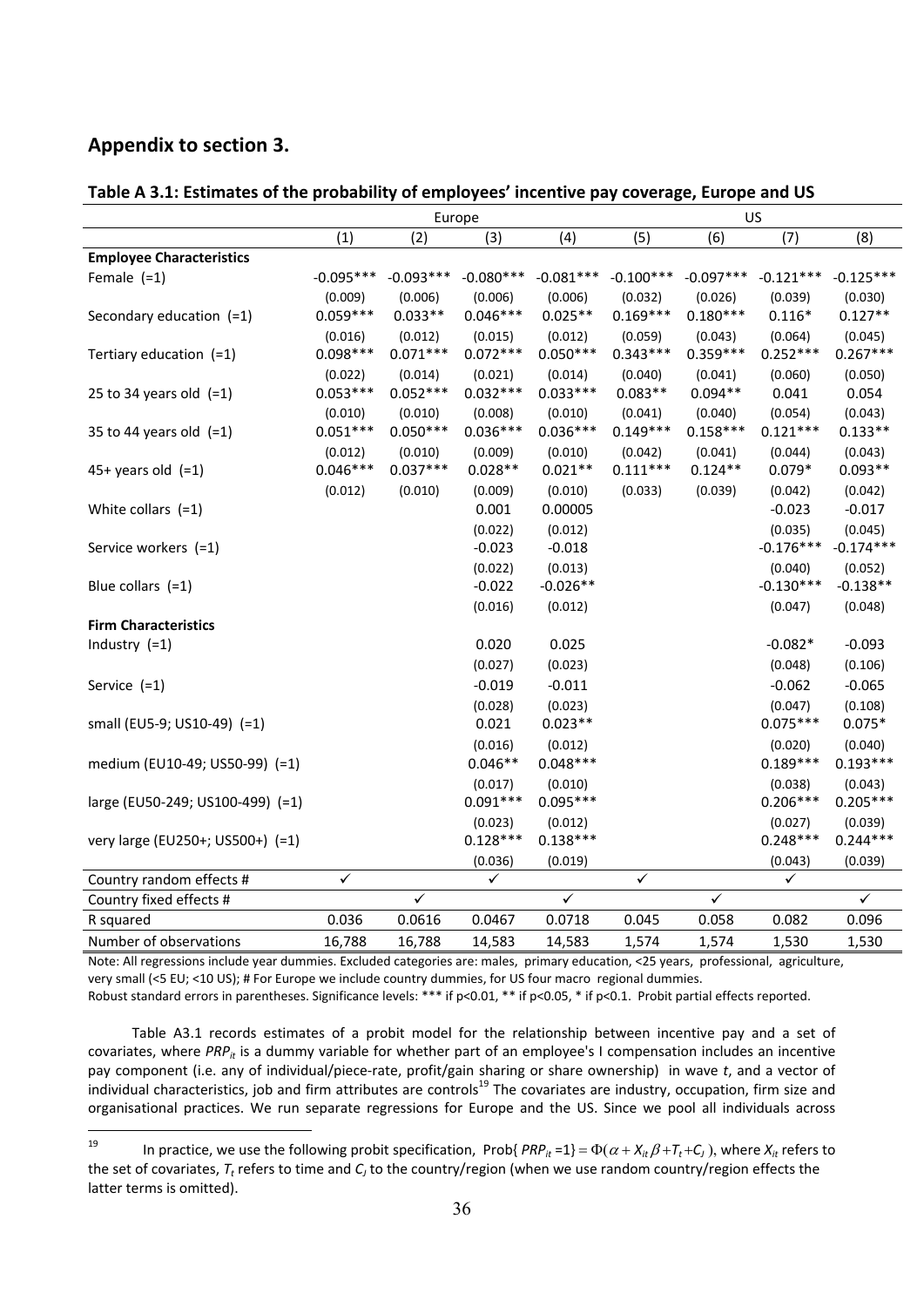# **Appendix to section 3.**

|                                  | Europe       |             |              | US          |              |             |              |             |
|----------------------------------|--------------|-------------|--------------|-------------|--------------|-------------|--------------|-------------|
|                                  | (1)          | (2)         | (3)          | (4)         | (5)          | (6)         | (7)          | (8)         |
| <b>Employee Characteristics</b>  |              |             |              |             |              |             |              |             |
| Female $(=1)$                    | $-0.095***$  | $-0.093***$ | $-0.080***$  | $-0.081***$ | $-0.100***$  | $-0.097***$ | $-0.121***$  | $-0.125***$ |
|                                  | (0.009)      | (0.006)     | (0.006)      | (0.006)     | (0.032)      | (0.026)     | (0.039)      | (0.030)     |
| Secondary education $(=1)$       | $0.059***$   | $0.033**$   | $0.046***$   | $0.025**$   | $0.169***$   | $0.180***$  | $0.116*$     | $0.127**$   |
|                                  | (0.016)      | (0.012)     | (0.015)      | (0.012)     | (0.059)      | (0.043)     | (0.064)      | (0.045)     |
| Tertiary education $(=1)$        | $0.098***$   | $0.071***$  | $0.072***$   | $0.050***$  | $0.343***$   | $0.359***$  | $0.252***$   | $0.267***$  |
|                                  | (0.022)      | (0.014)     | (0.021)      | (0.014)     | (0.040)      | (0.041)     | (0.060)      | (0.050)     |
| 25 to 34 years old $(=1)$        | $0.053***$   | $0.052***$  | $0.032***$   | $0.033***$  | $0.083**$    | $0.094**$   | 0.041        | 0.054       |
|                                  | (0.010)      | (0.010)     | (0.008)      | (0.010)     | (0.041)      | (0.040)     | (0.054)      | (0.043)     |
| 35 to 44 years old $(=1)$        | $0.051***$   | $0.050***$  | $0.036***$   | $0.036***$  | $0.149***$   | $0.158***$  | $0.121***$   | $0.133**$   |
|                                  | (0.012)      | (0.010)     | (0.009)      | (0.010)     | (0.042)      | (0.041)     | (0.044)      | (0.043)     |
| 45+ years old $(=1)$             | $0.046***$   | $0.037***$  | $0.028**$    | $0.021**$   | $0.111***$   | $0.124**$   | $0.079*$     | $0.093**$   |
|                                  | (0.012)      | (0.010)     | (0.009)      | (0.010)     | (0.033)      | (0.039)     | (0.042)      | (0.042)     |
| White collars $(=1)$             |              |             | 0.001        | 0.00005     |              |             | $-0.023$     | $-0.017$    |
|                                  |              |             | (0.022)      | (0.012)     |              |             | (0.035)      | (0.045)     |
| Service workers (=1)             |              |             | $-0.023$     | $-0.018$    |              |             | $-0.176***$  | $-0.174***$ |
|                                  |              |             | (0.022)      | (0.013)     |              |             | (0.040)      | (0.052)     |
| Blue collars $(=1)$              |              |             | $-0.022$     | $-0.026**$  |              |             | $-0.130***$  | $-0.138**$  |
|                                  |              |             | (0.016)      | (0.012)     |              |             | (0.047)      | (0.048)     |
| <b>Firm Characteristics</b>      |              |             |              |             |              |             |              |             |
| Industry $(=1)$                  |              |             | 0.020        | 0.025       |              |             | $-0.082*$    | $-0.093$    |
|                                  |              |             | (0.027)      | (0.023)     |              |             | (0.048)      | (0.106)     |
| Service $(=1)$                   |              |             | $-0.019$     | $-0.011$    |              |             | $-0.062$     | $-0.065$    |
|                                  |              |             | (0.028)      | (0.023)     |              |             | (0.047)      | (0.108)     |
| small (EU5-9; US10-49) (=1)      |              |             | 0.021        | $0.023**$   |              |             | $0.075***$   | $0.075*$    |
|                                  |              |             | (0.016)      | (0.012)     |              |             | (0.020)      | (0.040)     |
| medium (EU10-49; US50-99) (=1)   |              |             | $0.046**$    | $0.048***$  |              |             | $0.189***$   | $0.193***$  |
|                                  |              |             | (0.017)      | (0.010)     |              |             | (0.038)      | (0.043)     |
| large (EU50-249; US100-499) (=1) |              |             | $0.091***$   | $0.095***$  |              |             | $0.206***$   | $0.205***$  |
|                                  |              |             | (0.023)      | (0.012)     |              |             | (0.027)      | (0.039)     |
| very large (EU250+; US500+) (=1) |              |             | $0.128***$   | $0.138***$  |              |             | $0.248***$   | $0.244***$  |
|                                  |              |             | (0.036)      | (0.019)     |              |             | (0.043)      | (0.039)     |
| Country random effects #         | $\checkmark$ |             | $\checkmark$ |             | $\checkmark$ |             | $\checkmark$ |             |
| Country fixed effects #          |              | ✓           |              | ✓           |              | ✓           |              | ✓           |
| R squared                        | 0.036        | 0.0616      | 0.0467       | 0.0718      | 0.045        | 0.058       | 0.082        | 0.096       |
| Number of observations           | 16,788       | 16,788      | 14,583       | 14,583      | 1,574        | 1,574       | 1,530        | 1,530       |

Note: All regressions include year dummies. Excluded categories are: males, primary education, <25 years, professional, agriculture, very small (<5 EU; <10 US); # For Europe we include country dummies, for US four macro regional dummies. Robust standard errors in parentheses. Significance levels: \*\*\* if p<0.01, \*\* if p<0.05, \* if p<0.1. Probit partial effects reported.

Table A3.1 records estimates of a probit model for the relationship between incentive pay and a set of covariates, where PRP<sub>it</sub> is a dummy variable for whether part of an employee's I compensation includes an incentive pay component (i.e. any of individual/piece‐rate, profit/gain sharing or share ownership) in wave *t*, and a vector of individual characteristics, job and firm attributes are controls<sup>19</sup> The covariates are industry, occupation, firm size and individual characteristics, job and firm attributes are controls<sup>19</sup> The covariates are industry, organisational practices. We run separate regressions for Europe and the US. Since we pool all individuals across

<sup>19</sup> In practice, we use the following probit specification,  $Prob\{PRP_{it} = 1\} = \Phi(\alpha + X_{it}\beta + T_t + C_J)$ , where  $X_{it}$  refers to the set of covariates,  $T_t$  refers to time and  $C_t$  to the country/region (when we use random country/region effects the latter terms is omitted).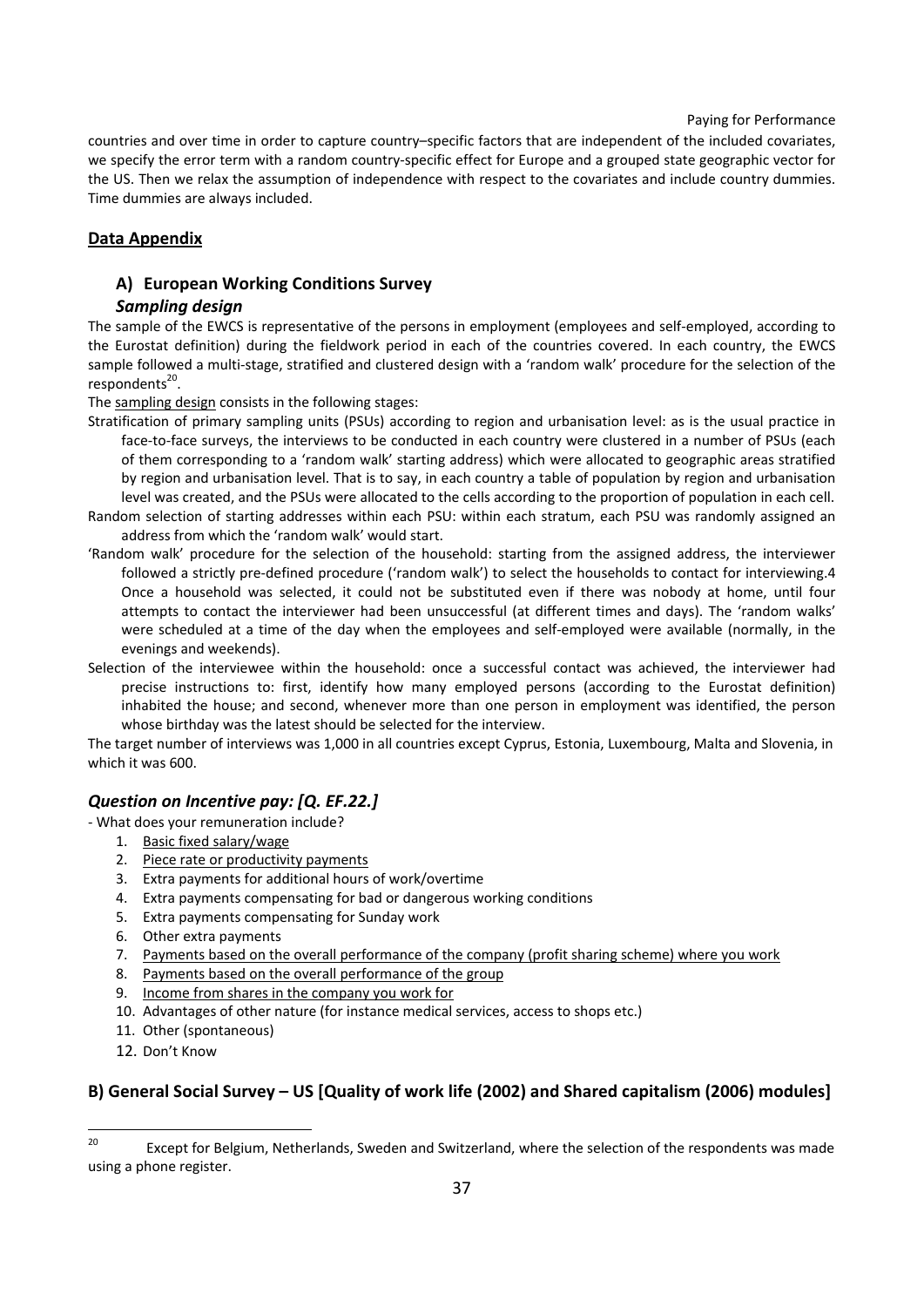Paying for Performance

countries and over time in order to capture country–specific factors that are independent of the included covariates, we specify the error term with a random country‐specific effect for Europe and a grouped state geographic vector for the US. Then we relax the assumption of independence with respect to the covariates and include country dummies. Time dummies are always included.

## **Data Appendix**

# **A) European Working Conditions Survey**

## *Sampling design*

The sample of the EWCS is representative of the persons in employment (employees and self-employed, according to the Eurostat definition) during the fieldwork period in each of the countries covered. In each country, the EWCS sample followed a multi-stage, stratified and clustered design with a 'random walk' procedure for the selection of the respondents<sup>20</sup>.

The sampling design consists in the following stages:

- Stratification of primary sampling units (PSUs) according to region and urbanisation level: as is the usual practice in face-to-face surveys, the interviews to be conducted in each country were clustered in a number of PSUs (each of them corresponding to a 'random walk' starting address) which were allocated to geographic areas stratified by region and urbanisation level. That is to say, in each country a table of population by region and urbanisation level was created, and the PSUs were allocated to the cells according to the proportion of population in each cell.
- Random selection of starting addresses within each PSU: within each stratum, each PSU was randomly assigned an address from which the 'random walk' would start.
- 'Random walk' procedure for the selection of the household: starting from the assigned address, the interviewer followed a strictly pre-defined procedure ('random walk') to select the households to contact for interviewing.4 Once a household was selected, it could not be substituted even if there was nobody at home, until four attempts to contact the interviewer had been unsuccessful (at different times and days). The 'random walks' were scheduled at a time of the day when the employees and self-employed were available (normally, in the evenings and weekends).
- Selection of the interviewee within the household: once a successful contact was achieved, the interviewer had precise instructions to: first, identify how many employed persons (according to the Eurostat definition) inhabited the house; and second, whenever more than one person in employment was identified, the person whose birthday was the latest should be selected for the interview.

The target number of interviews was 1,000 in all countries except Cyprus, Estonia, Luxembourg, Malta and Slovenia, in which it was 600.

# *Question on Incentive pay: [Q. EF.22.]*

‐ What does your remuneration include?

- 1. Basic fixed salary/wage
- 2. Piece rate or productivity payments
- 3. Extra payments for additional hours of work/overtime
- 4. Extra payments compensating for bad or dangerous working conditions
- 5. Extra payments compensating for Sunday work
- 6. Other extra payments
- 7. Payments based on the overall performance of the company (profit sharing scheme) where you work
- 8. Payments based on the overall performance of the group
- 9. Income from shares in the company you work for
- 10. Advantages of other nature (for instance medical services, access to shops etc.)
- 11. Other (spontaneous)
- 12. Don't Know

# **B) General Social Survey – US [Quality of work life (2002) and Shared capitalism (2006) modules]**

 $20$ Except for Belgium, Netherlands, Sweden and Switzerland, where the selection of the respondents was made using a phone register.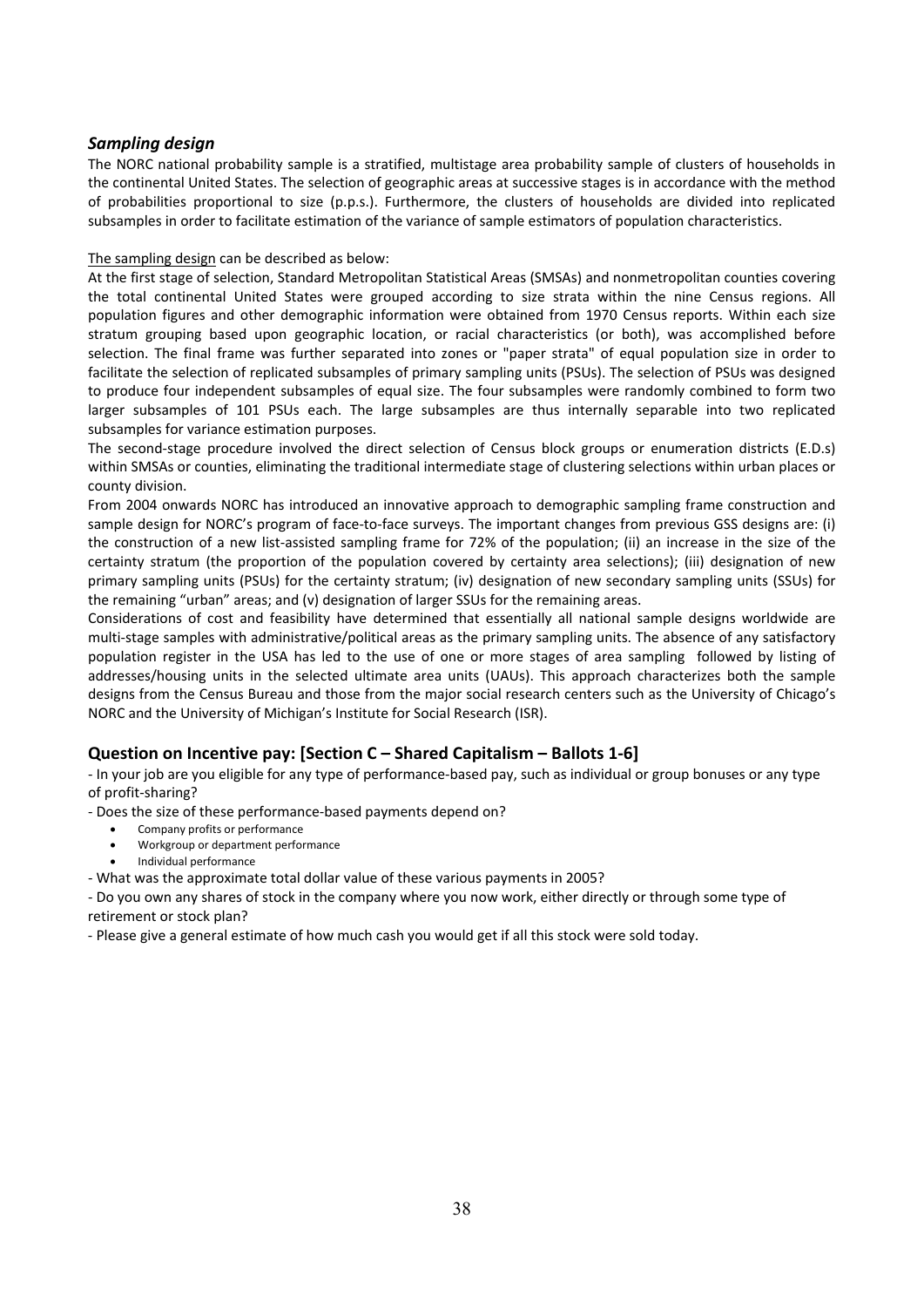## *Sampling design*

The NORC national probability sample is a stratified, multistage area probability sample of clusters of households in the continental United States. The selection of geographic areas at successive stages is in accordance with the method of probabilities proportional to size (p.p.s.). Furthermore, the clusters of households are divided into replicated subsamples in order to facilitate estimation of the variance of sample estimators of population characteristics.

#### The sampling design can be described as below:

At the first stage of selection, Standard Metropolitan Statistical Areas (SMSAs) and nonmetropolitan counties covering the total continental United States were grouped according to size strata within the nine Census regions. All population figures and other demographic information were obtained from 1970 Census reports. Within each size stratum grouping based upon geographic location, or racial characteristics (or both), was accomplished before selection. The final frame was further separated into zones or "paper strata" of equal population size in order to facilitate the selection of replicated subsamples of primary sampling units (PSUs). The selection of PSUs was designed to produce four independent subsamples of equal size. The four subsamples were randomly combined to form two larger subsamples of 101 PSUs each. The large subsamples are thus internally separable into two replicated subsamples for variance estimation purposes.

The second-stage procedure involved the direct selection of Census block groups or enumeration districts (E.D.s) within SMSAs or counties, eliminating the traditional intermediate stage of clustering selections within urban places or county division.

From 2004 onwards NORC has introduced an innovative approach to demographic sampling frame construction and sample design for NORC's program of face-to-face surveys. The important changes from previous GSS designs are: (i) the construction of a new list‐assisted sampling frame for 72% of the population; (ii) an increase in the size of the certainty stratum (the proportion of the population covered by certainty area selections); (iii) designation of new primary sampling units (PSUs) for the certainty stratum; (iv) designation of new secondary sampling units (SSUs) for the remaining "urban" areas; and (v) designation of larger SSUs for the remaining areas.

Considerations of cost and feasibility have determined that essentially all national sample designs worldwide are multi-stage samples with administrative/political areas as the primary sampling units. The absence of any satisfactory population register in the USA has led to the use of one or more stages of area sampling followed by listing of addresses/housing units in the selected ultimate area units (UAUs). This approach characterizes both the sample designs from the Census Bureau and those from the major social research centers such as the University of Chicago's NORC and the University of Michigan's Institute for Social Research (ISR).

## **Question on Incentive pay: [Section C – Shared Capitalism – Ballots 1‐6]**

‐ In your job are you eligible for any type of performance‐based pay, such as individual or group bonuses or any type of profit‐sharing?

- ‐ Does the size of these performance‐based payments depend on?
	- Company profits or performance
	- Workgroup or department performance
	- Individual performance
- ‐ What was the approximate total dollar value of these various payments in 2005?

‐ Do you own any shares of stock in the company where you now work, either directly or through some type of retirement or stock plan?

‐ Please give a general estimate of how much cash you would get if all this stock were sold today.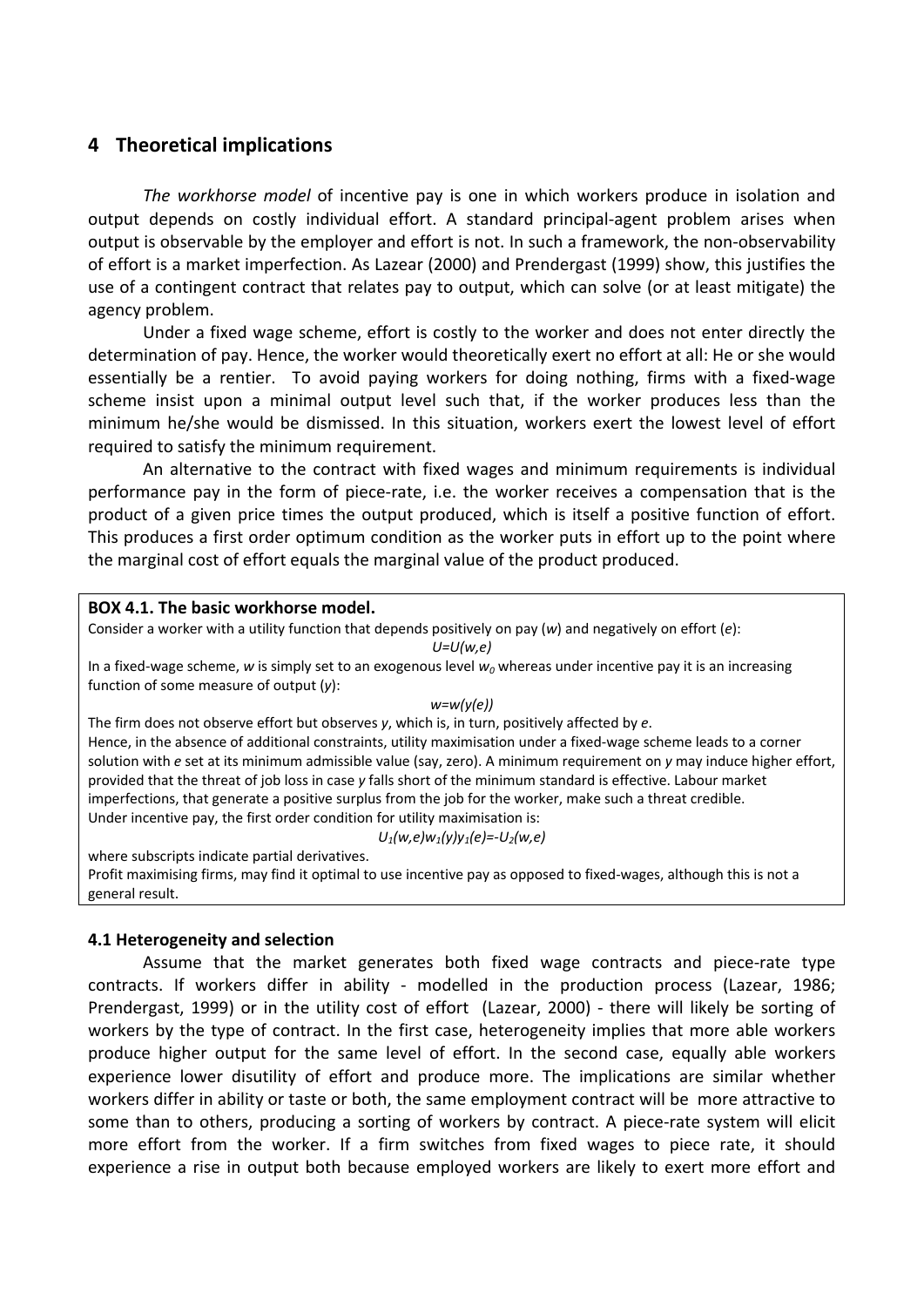# **4 Theoretical implications**

*The workhorse model* of incentive pay is one in which workers produce in isolation and output depends on costly individual effort. A standard principal-agent problem arises when output is observable by the employer and effort is not. In such a framework, the non‐observability of effort is a market imperfection. As Lazear (2000) and Prendergast (1999) show, this justifies the use of a contingent contract that relates pay to output, which can solve (or at least mitigate) the agency problem.

Under a fixed wage scheme, effort is costly to the worker and does not enter directly the determination of pay. Hence, the worker would theoretically exert no effort at all: He or she would essentially be a rentier. To avoid paying workers for doing nothing, firms with a fixed-wage scheme insist upon a minimal output level such that, if the worker produces less than the minimum he/she would be dismissed. In this situation, workers exert the lowest level of effort required to satisfy the minimum requirement.

An alternative to the contract with fixed wages and minimum requirements is individual performance pay in the form of piece‐rate, i.e. the worker receives a compensation that is the product of a given price times the output produced, which is itself a positive function of effort. This produces a first order optimum condition as the worker puts in effort up to the point where the marginal cost of effort equals the marginal value of the product produced.

## **BOX 4.1. The basic workhorse model.**

Consider a worker with a utility function that depends positively on pay (*w*) and negatively on effort (*e*):

*U=U(w,e)* In a fixed-wage scheme, *w* is simply set to an exogenous level  $w_0$  whereas under incentive pay it is an increasing function of some measure of output (*y*):

*w=w(y(e))*

The firm does not observe effort but observes *y*, which is, in turn, positively affected by *e*. Hence, in the absence of additional constraints, utility maximisation under a fixed-wage scheme leads to a corner solution with *e* set at its minimum admissible value (say, zero). A minimum requirement on *y* may induce higher effort, provided that the threat of job loss in case *y* falls short of the minimum standard is effective. Labour market imperfections, that generate a positive surplus from the job for the worker, make such a threat credible. Under incentive pay, the first order condition for utility maximisation is:

*U1(w,e)w1(y)y1(e)=‐U2(w,e)*

where subscripts indicate partial derivatives.

Profit maximising firms, may find it optimal to use incentive pay as opposed to fixed-wages, although this is not a general result.

## **4.1 Heterogeneity and selection**

Assume that the market generates both fixed wage contracts and piece‐rate type contracts. If workers differ in ability - modelled in the production process (Lazear, 1986; Prendergast, 1999) or in the utility cost of effort (Lazear, 2000) - there will likely be sorting of workers by the type of contract. In the first case, heterogeneity implies that more able workers produce higher output for the same level of effort. In the second case, equally able workers experience lower disutility of effort and produce more. The implications are similar whether workers differ in ability or taste or both, the same employment contract will be more attractive to some than to others, producing a sorting of workers by contract. A piece-rate system will elicit more effort from the worker. If a firm switches from fixed wages to piece rate, it should experience a rise in output both because employed workers are likely to exert more effort and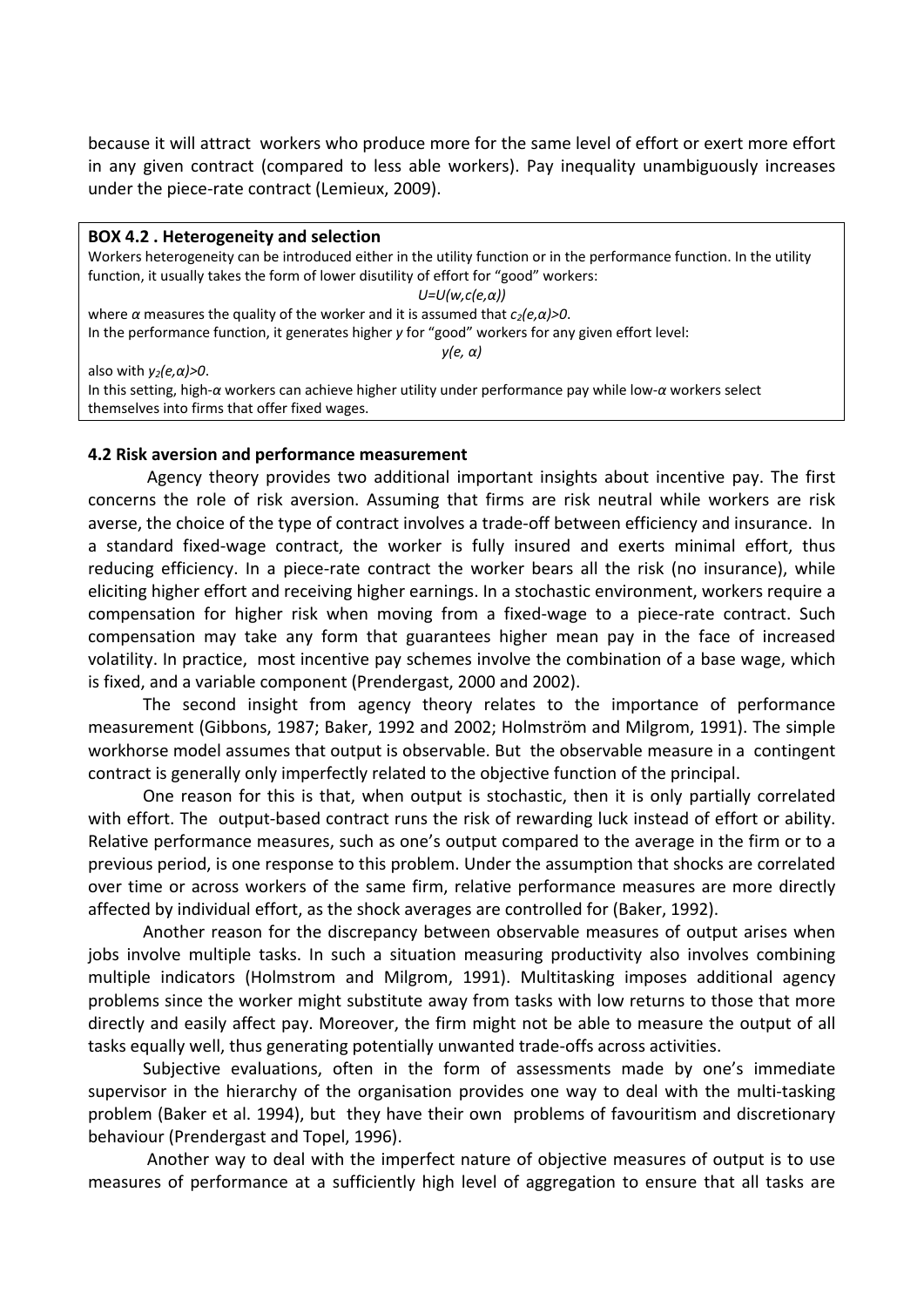because it will attract workers who produce more for the same level of effort or exert more effort in any given contract (compared to less able workers). Pay inequality unambiguously increases under the piece‐rate contract (Lemieux, 2009).

#### **BOX 4.2 . Heterogeneity and selection**

Workers heterogeneity can be introduced either in the utility function or in the performance function. In the utility function, it usually takes the form of lower disutility of effort for "good" workers: *U=U(w,c(e,α))* where  $\alpha$  measures the quality of the worker and it is assumed that  $c_2(e,\alpha)$ >0. In the performance function, it generates higher *y* for "good" workers for any given effort level:

also with *y2(e,α)>0*.

*y(e, α)*

In this setting, high‐*α* workers can achieve higher utility under performance pay while low‐*α* workers select themselves into firms that offer fixed wages.

## **4.2 Risk aversion and performance measurement**

Agency theory provides two additional important insights about incentive pay. The first concerns the role of risk aversion. Assuming that firms are risk neutral while workers are risk averse, the choice of the type of contract involves a trade-off between efficiency and insurance. In a standard fixed‐wage contract, the worker is fully insured and exerts minimal effort, thus reducing efficiency. In a piece-rate contract the worker bears all the risk (no insurance), while eliciting higher effort and receiving higher earnings. In a stochastic environment, workers require a compensation for higher risk when moving from a fixed-wage to a piece-rate contract. Such compensation may take any form that guarantees higher mean pay in the face of increased volatility. In practice, most incentive pay schemes involve the combination of a base wage, which is fixed, and a variable component (Prendergast, 2000 and 2002).

The second insight from agency theory relates to the importance of performance measurement (Gibbons, 1987; Baker, 1992 and 2002; Holmström and Milgrom, 1991). The simple workhorse model assumes that output is observable. But the observable measure in a contingent contract is generally only imperfectly related to the objective function of the principal.

One reason for this is that, when output is stochastic, then it is only partially correlated with effort. The output-based contract runs the risk of rewarding luck instead of effort or ability. Relative performance measures, such as one's output compared to the average in the firm or to a previous period, is one response to this problem. Under the assumption that shocks are correlated over time or across workers of the same firm, relative performance measures are more directly affected by individual effort, as the shock averages are controlled for (Baker, 1992).

Another reason for the discrepancy between observable measures of output arises when jobs involve multiple tasks. In such a situation measuring productivity also involves combining multiple indicators (Holmstrom and Milgrom, 1991). Multitasking imposes additional agency problems since the worker might substitute away from tasks with low returns to those that more directly and easily affect pay. Moreover, the firm might not be able to measure the output of all tasks equally well, thus generating potentially unwanted trade‐offs across activities.

Subjective evaluations, often in the form of assessments made by one's immediate supervisor in the hierarchy of the organisation provides one way to deal with the multi-tasking problem (Baker et al. 1994), but they have their own problems of favouritism and discretionary behaviour (Prendergast and Topel, 1996).

Another way to deal with the imperfect nature of objective measures of output is to use measures of performance at a sufficiently high level of aggregation to ensure that all tasks are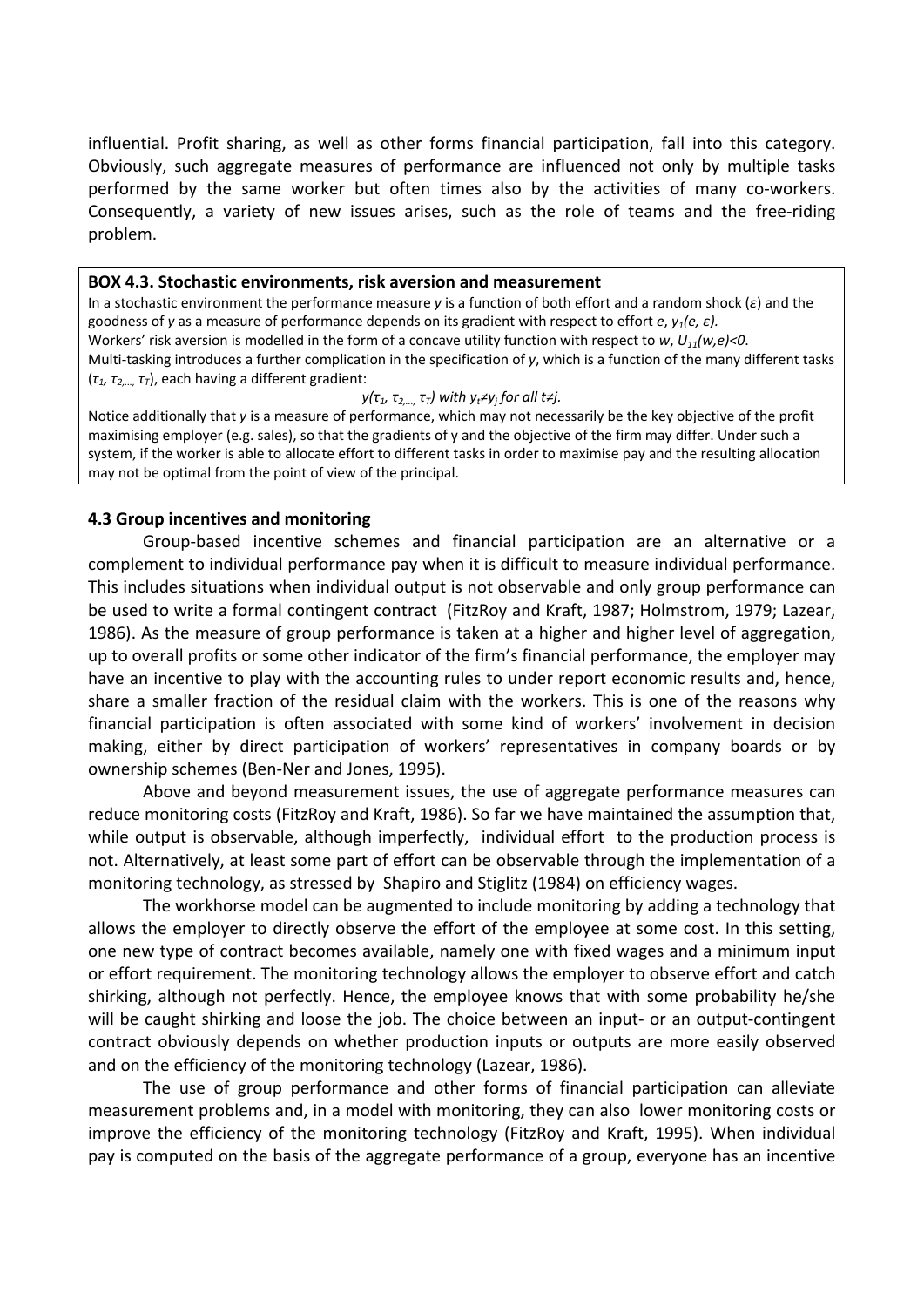influential. Profit sharing, as well as other forms financial participation, fall into this category. Obviously, such aggregate measures of performance are influenced not only by multiple tasks performed by the same worker but often times also by the activities of many co-workers. Consequently, a variety of new issues arises, such as the role of teams and the free‐riding problem.

#### **BOX 4.3. Stochastic environments, risk aversion and measurement**

In a stochastic environment the performance measure *y* is a function of both effort and a random shock (*ε*) and the goodness of *y* as a measure of performance depends on its gradient with respect to effort *e*, *y1(e, ε).* Workers' risk aversion is modelled in the form of a concave utility function with respect to *w*,  $U_{11}(w,e) < 0$ . Multi-tasking introduces a further complication in the specification of y, which is a function of the many different tasks (*τ1, τ2,..., τT*), each having a different gradient:

#### *y*( $\tau_1$ ,  $\tau_2$ ,  $\tau_7$ ) *with*  $y_t \neq y_j$  *for all t* $\neq j$ .

Notice additionally that *y* is a measure of performance, which may not necessarily be the key objective of the profit maximising employer (e.g. sales), so that the gradients of y and the objective of the firm may differ. Under such a system, if the worker is able to allocate effort to different tasks in order to maximise pay and the resulting allocation may not be optimal from the point of view of the principal.

## **4.3 Group incentives and monitoring**

Group‐based incentive schemes and financial participation are an alternative or a complement to individual performance pay when it is difficult to measure individual performance. This includes situations when individual output is not observable and only group performance can be used to write a formal contingent contract (FitzRoy and Kraft, 1987; Holmstrom, 1979; Lazear, 1986). As the measure of group performance is taken at a higher and higher level of aggregation, up to overall profits or some other indicator of the firm's financial performance, the employer may have an incentive to play with the accounting rules to under report economic results and, hence, share a smaller fraction of the residual claim with the workers. This is one of the reasons why financial participation is often associated with some kind of workers' involvement in decision making, either by direct participation of workers' representatives in company boards or by ownership schemes (Ben‐Ner and Jones, 1995).

Above and beyond measurement issues, the use of aggregate performance measures can reduce monitoring costs (FitzRoy and Kraft, 1986). So far we have maintained the assumption that, while output is observable, although imperfectly, individual effort to the production process is not. Alternatively, at least some part of effort can be observable through the implementation of a monitoring technology, as stressed by Shapiro and Stiglitz (1984) on efficiency wages.

The workhorse model can be augmented to include monitoring by adding a technology that allows the employer to directly observe the effort of the employee at some cost. In this setting, one new type of contract becomes available, namely one with fixed wages and a minimum input or effort requirement. The monitoring technology allows the employer to observe effort and catch shirking, although not perfectly. Hence, the employee knows that with some probability he/she will be caught shirking and loose the job. The choice between an input- or an output-contingent contract obviously depends on whether production inputs or outputs are more easily observed and on the efficiency of the monitoring technology (Lazear, 1986).

The use of group performance and other forms of financial participation can alleviate measurement problems and, in a model with monitoring, they can also lower monitoring costs or improve the efficiency of the monitoring technology (FitzRoy and Kraft, 1995). When individual pay is computed on the basis of the aggregate performance of a group, everyone has an incentive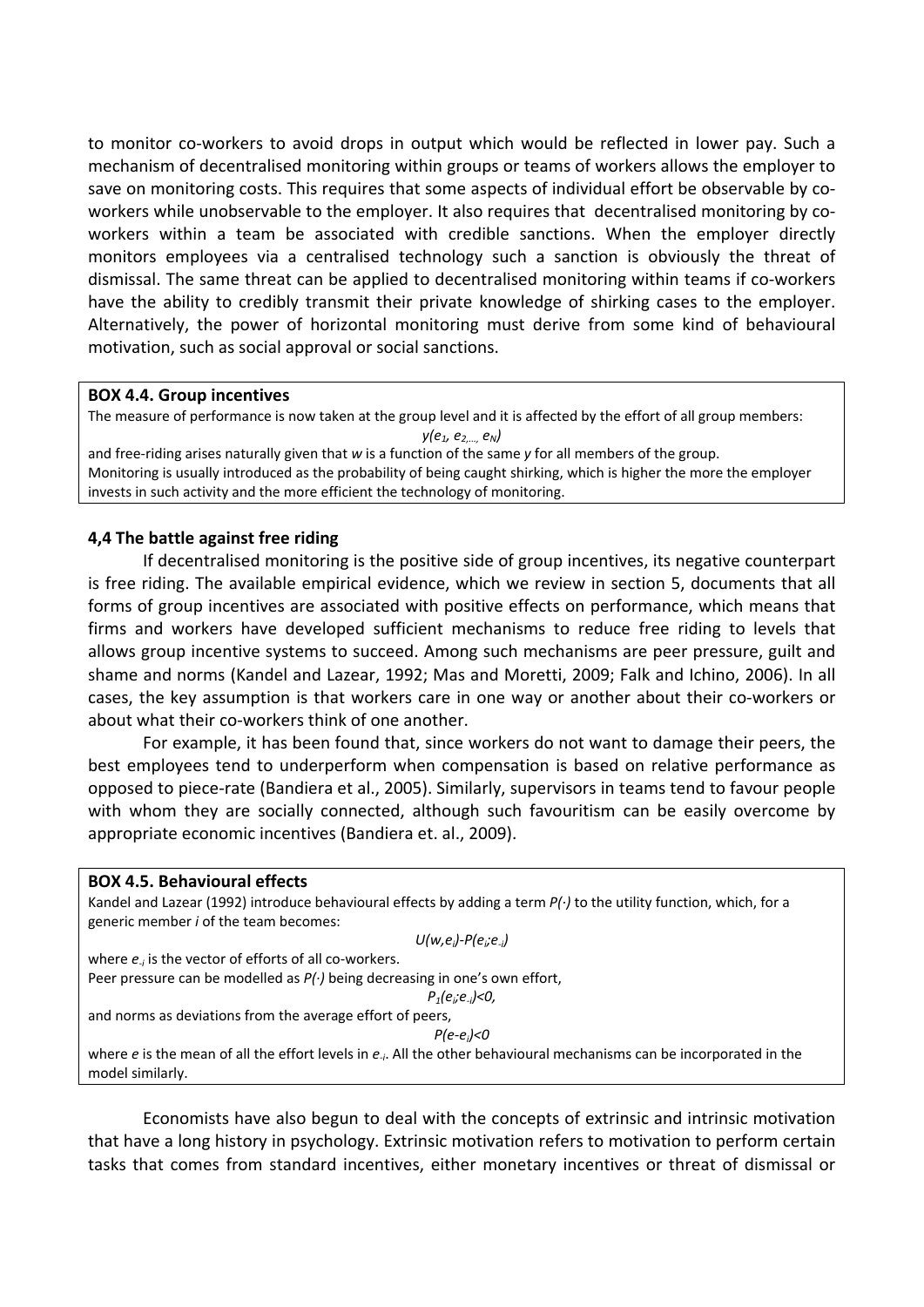to monitor co‐workers to avoid drops in output which would be reflected in lower pay. Such a mechanism of decentralised monitoring within groups or teams of workers allows the employer to save on monitoring costs. This requires that some aspects of individual effort be observable by coworkers while unobservable to the employer. It also requires that decentralised monitoring by coworkers within a team be associated with credible sanctions. When the employer directly monitors employees via a centralised technology such a sanction is obviously the threat of dismissal. The same threat can be applied to decentralised monitoring within teams if co-workers have the ability to credibly transmit their private knowledge of shirking cases to the employer. Alternatively, the power of horizontal monitoring must derive from some kind of behavioural motivation, such as social approval or social sanctions.

## **BOX 4.4. Group incentives**

The measure of performance is now taken at the group level and it is affected by the effort of all group members:  $y(e_1, e_2, e_N)$ 

and free‐riding arises naturally given that *w* is a function of the same *y* for all members of the group. Monitoring is usually introduced as the probability of being caught shirking, which is higher the more the employer invests in such activity and the more efficient the technology of monitoring.

## **4,4 The battle against free riding**

If decentralised monitoring is the positive side of group incentives, its negative counterpart is free riding. The available empirical evidence, which we review in section 5, documents that all forms of group incentives are associated with positive effects on performance, which means that firms and workers have developed sufficient mechanisms to reduce free riding to levels that allows group incentive systems to succeed. Among such mechanisms are peer pressure, guilt and shame and norms (Kandel and Lazear, 1992; Mas and Moretti, 2009; Falk and Ichino, 2006). In all cases, the key assumption is that workers care in one way or another about their co‐workers or about what their co-workers think of one another.

For example, it has been found that, since workers do not want to damage their peers, the best employees tend to underperform when compensation is based on relative performance as opposed to piece‐rate (Bandiera et al., 2005). Similarly, supervisors in teams tend to favour people with whom they are socially connected, although such favouritism can be easily overcome by appropriate economic incentives (Bandiera et. al., 2009).

#### **BOX 4.5. Behavioural effects**

Kandel and Lazear (1992) introduce behavioural effects by adding a term *P(∙)* to the utility function, which, for a generic member *i* of the team becomes: *U(w,ei )‐P(ei;e‐<sup>i</sup> )* where  $e_i$  is the vector of efforts of all co-workers. Peer pressure can be modelled as *P(∙)* being decreasing in one's own effort, *P1(ei;e‐<sup>i</sup> )<0,* and norms as deviations from the average effort of peers, *P(e‐ei )<0*

where *e* is the mean of all the effort levels in  $e_i$ . All the other behavioural mechanisms can be incorporated in the model similarly.

Economists have also begun to deal with the concepts of extrinsic and intrinsic motivation that have a long history in psychology. Extrinsic motivation refers to motivation to perform certain tasks that comes from standard incentives, either monetary incentives or threat of dismissal or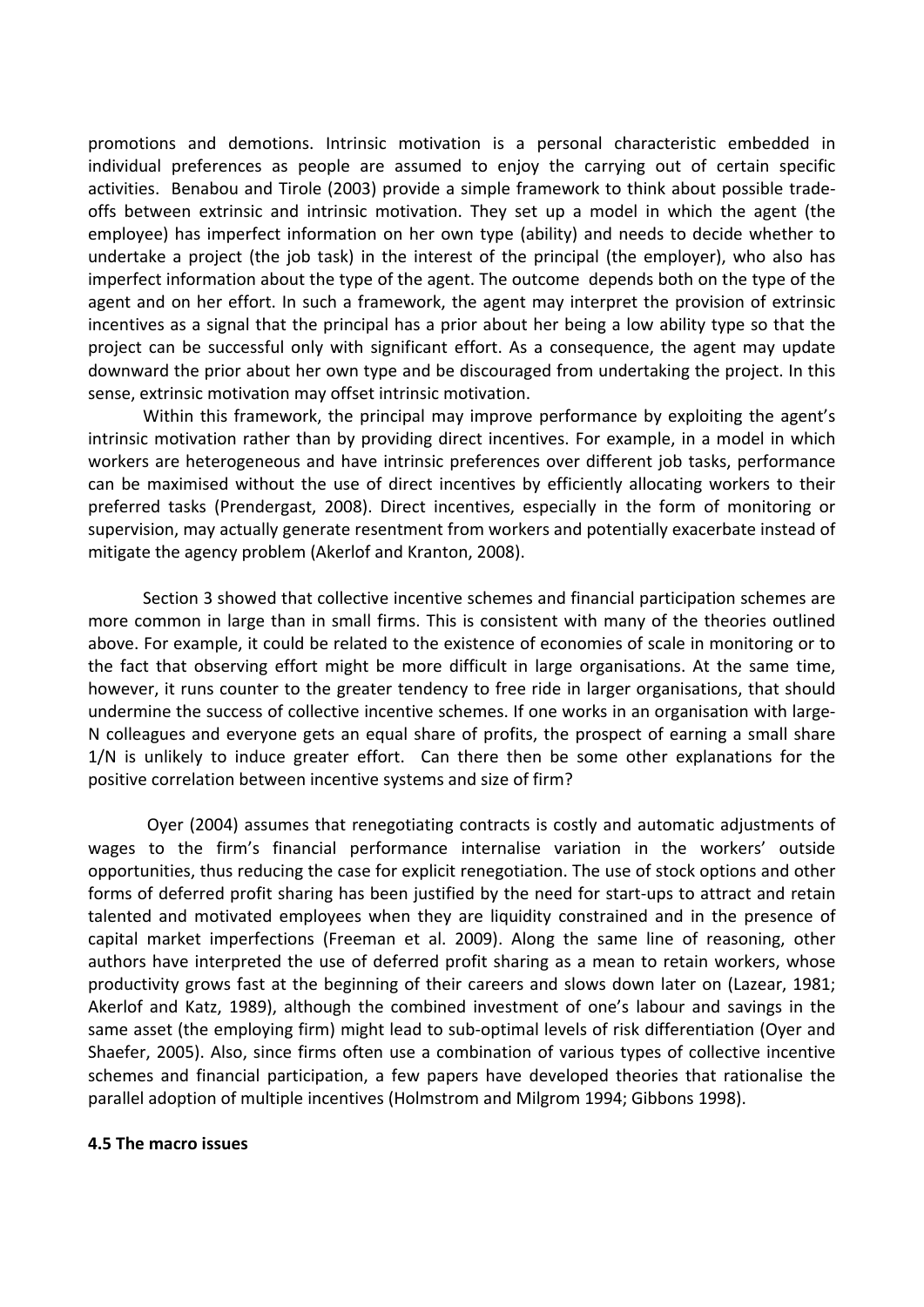promotions and demotions. Intrinsic motivation is a personal characteristic embedded in individual preferences as people are assumed to enjoy the carrying out of certain specific activities. Benabou and Tirole (2003) provide a simple framework to think about possible trade‐ offs between extrinsic and intrinsic motivation. They set up a model in which the agent (the employee) has imperfect information on her own type (ability) and needs to decide whether to undertake a project (the job task) in the interest of the principal (the employer), who also has imperfect information about the type of the agent. The outcome depends both on the type of the agent and on her effort. In such a framework, the agent may interpret the provision of extrinsic incentives as a signal that the principal has a prior about her being a low ability type so that the project can be successful only with significant effort. As a consequence, the agent may update downward the prior about her own type and be discouraged from undertaking the project. In this sense, extrinsic motivation may offset intrinsic motivation.

Within this framework, the principal may improve performance by exploiting the agent's intrinsic motivation rather than by providing direct incentives. For example, in a model in which workers are heterogeneous and have intrinsic preferences over different job tasks, performance can be maximised without the use of direct incentives by efficiently allocating workers to their preferred tasks (Prendergast, 2008). Direct incentives, especially in the form of monitoring or supervision, may actually generate resentment from workers and potentially exacerbate instead of mitigate the agency problem (Akerlof and Kranton, 2008).

Section 3 showed that collective incentive schemes and financial participation schemes are more common in large than in small firms. This is consistent with many of the theories outlined above. For example, it could be related to the existence of economies of scale in monitoring or to the fact that observing effort might be more difficult in large organisations. At the same time, however, it runs counter to the greater tendency to free ride in larger organisations, that should undermine the success of collective incentive schemes. If one works in an organisation with large-N colleagues and everyone gets an equal share of profits, the prospect of earning a small share 1/N is unlikely to induce greater effort. Can there then be some other explanations for the positive correlation between incentive systems and size of firm?

Oyer (2004) assumes that renegotiating contracts is costly and automatic adjustments of wages to the firm's financial performance internalise variation in the workers' outside opportunities, thus reducing the case for explicit renegotiation. The use of stock options and other forms of deferred profit sharing has been justified by the need for start-ups to attract and retain talented and motivated employees when they are liquidity constrained and in the presence of capital market imperfections (Freeman et al. 2009). Along the same line of reasoning, other authors have interpreted the use of deferred profit sharing as a mean to retain workers, whose productivity grows fast at the beginning of their careers and slows down later on (Lazear, 1981; Akerlof and Katz, 1989), although the combined investment of one's labour and savings in the same asset (the employing firm) might lead to sub-optimal levels of risk differentiation (Oyer and Shaefer, 2005). Also, since firms often use a combination of various types of collective incentive schemes and financial participation, a few papers have developed theories that rationalise the parallel adoption of multiple incentives (Holmstrom and Milgrom 1994; Gibbons 1998).

## **4.5 The macro issues**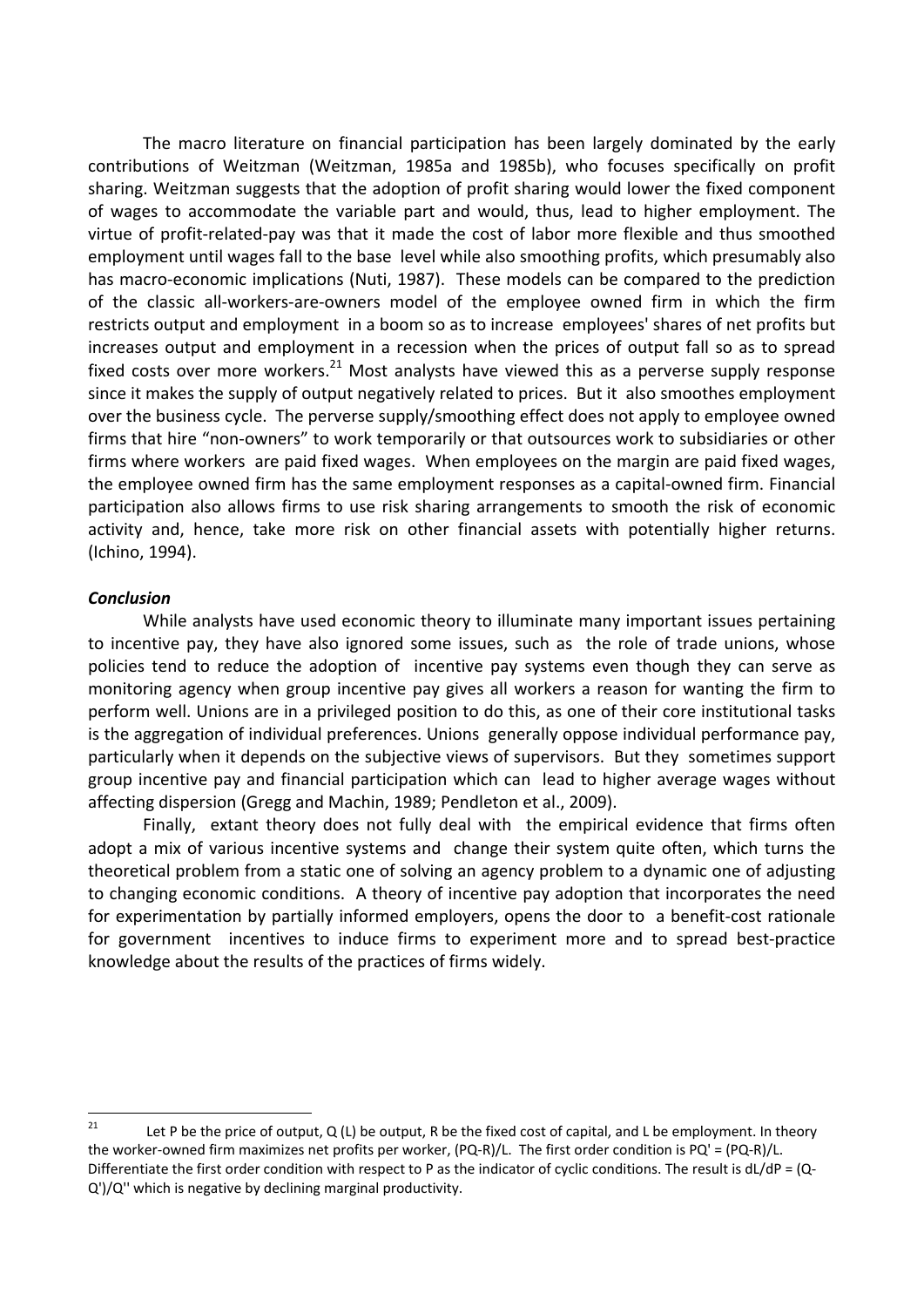The macro literature on financial participation has been largely dominated by the early contributions of Weitzman (Weitzman, 1985a and 1985b), who focuses specifically on profit sharing. Weitzman suggests that the adoption of profit sharing would lower the fixed component of wages to accommodate the variable part and would, thus, lead to higher employment. The virtue of profit‐related‐pay was that it made the cost of labor more flexible and thus smoothed employment until wages fall to the base level while also smoothing profits, which presumably also has macro-economic implications (Nuti, 1987). These models can be compared to the prediction of the classic all‐workers‐are‐owners model of the employee owned firm in which the firm restricts output and employment in a boom so as to increase employees' shares of net profits but increases output and employment in a recession when the prices of output fall so as to spread fixed costs over more workers.<sup>21</sup> Most analysts have viewed this as a perverse supply response since it makes the supply of output negatively related to prices. But it also smoothes employment over the business cycle. The perverse supply/smoothing effect does not apply to employee owned firms that hire "non‐owners" to work temporarily or that outsources work to subsidiaries or other firms where workers are paid fixed wages. When employees on the margin are paid fixed wages, the employee owned firm has the same employment responses as a capital‐owned firm. Financial participation also allows firms to use risk sharing arrangements to smooth the risk of economic activity and, hence, take more risk on other financial assets with potentially higher returns. (Ichino, 1994).

# *Conclusion*

While analysts have used economic theory to illuminate many important issues pertaining to incentive pay, they have also ignored some issues, such as the role of trade unions, whose policies tend to reduce the adoption of incentive pay systems even though they can serve as monitoring agency when group incentive pay gives all workers a reason for wanting the firm to perform well. Unions are in a privileged position to do this, as one of their core institutional tasks is the aggregation of individual preferences. Unions generally oppose individual performance pay, particularly when it depends on the subjective views of supervisors. But they sometimes support group incentive pay and financial participation which can lead to higher average wages without affecting dispersion (Gregg and Machin, 1989; Pendleton et al., 2009).

Finally, extant theory does not fully deal with the empirical evidence that firms often adopt a mix of various incentive systems and change their system quite often, which turns the theoretical problem from a static one of solving an agency problem to a dynamic one of adjusting to changing economic conditions. A theory of incentive pay adoption that incorporates the need for experimentation by partially informed employers, opens the door to a benefit-cost rationale for government incentives to induce firms to experiment more and to spread best-practice knowledge about the results of the practices of firms widely.

 $21$ Let P be the price of output, Q (L) be output, R be the fixed cost of capital, and L be employment. In theory the worker‐owned firm maximizes net profits per worker, (PQ‐R)/L. The first order condition is PQ' = (PQ‐R)/L. Differentiate the first order condition with respect to P as the indicator of cyclic conditions. The result is  $dL/dP = (Q - R)$ Q')/Q'' which is negative by declining marginal productivity.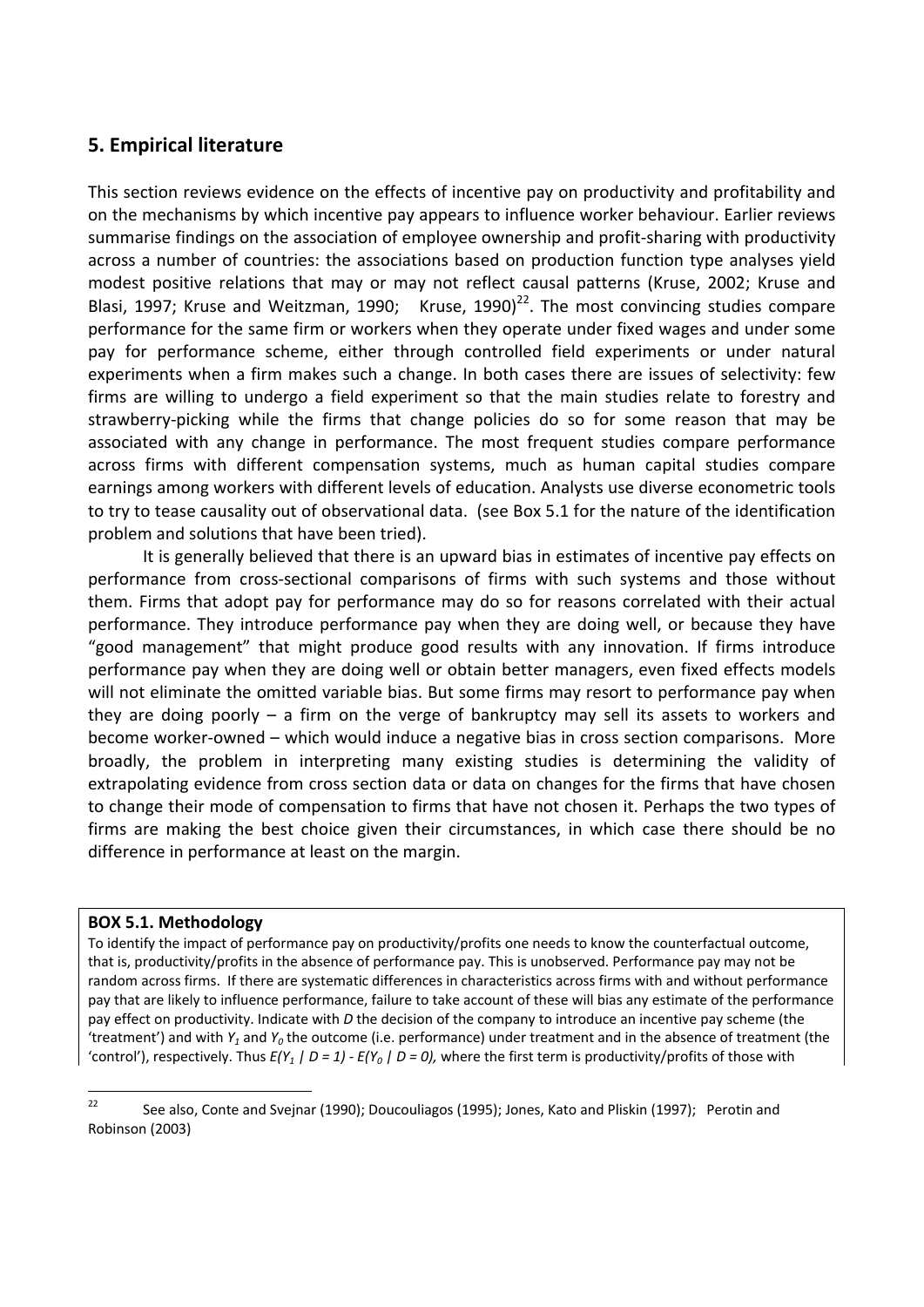# **5. Empirical literature**

This section reviews evidence on the effects of incentive pay on productivity and profitability and on the mechanisms by which incentive pay appears to influence worker behaviour. Earlier reviews summarise findings on the association of employee ownership and profit‐sharing with productivity across a number of countries: the associations based on production function type analyses yield modest positive relations that may or may not reflect causal patterns (Kruse, 2002; Kruse and Blasi, 1997; Kruse and Weitzman, 1990; Kruse, 1990)<sup>22</sup>. The most convincing studies compare performance for the same firm or workers when they operate under fixed wages and under some pay for performance scheme, either through controlled field experiments or under natural experiments when a firm makes such a change. In both cases there are issues of selectivity: few firms are willing to undergo a field experiment so that the main studies relate to forestry and strawberry‐picking while the firms that change policies do so for some reason that may be associated with any change in performance. The most frequent studies compare performance across firms with different compensation systems, much as human capital studies compare earnings among workers with different levels of education. Analysts use diverse econometric tools to try to tease causality out of observational data. (see Box 5.1 for the nature of the identification problem and solutions that have been tried).

It is generally believed that there is an upward bias in estimates of incentive pay effects on performance from cross‐sectional comparisons of firms with such systems and those without them. Firms that adopt pay for performance may do so for reasons correlated with their actual performance. They introduce performance pay when they are doing well, or because they have "good management" that might produce good results with any innovation. If firms introduce performance pay when they are doing well or obtain better managers, even fixed effects models will not eliminate the omitted variable bias. But some firms may resort to performance pay when they are doing poorly – a firm on the verge of bankruptcy may sell its assets to workers and become worker-owned – which would induce a negative bias in cross section comparisons. More broadly, the problem in interpreting many existing studies is determining the validity of extrapolating evidence from cross section data or data on changes for the firms that have chosen to change their mode of compensation to firms that have not chosen it. Perhaps the two types of firms are making the best choice given their circumstances, in which case there should be no difference in performance at least on the margin.

## **BOX 5.1. Methodology**

To identify the impact of performance pay on productivity/profits one needs to know the counterfactual outcome, that is, productivity/profits in the absence of performance pay. This is unobserved. Performance pay may not be random across firms. If there are systematic differences in characteristics across firms with and without performance pay that are likely to influence performance, failure to take account of these will bias any estimate of the performance pay effect on productivity. Indicate with *D* the decision of the company to introduce an incentive pay scheme (the 'treatment') and with  $Y_1$  and  $Y_0$  the outcome (i.e. performance) under treatment and in the absence of treatment (the 'control'), respectively. Thus  $E(Y_1 | D = 1) - E(Y_0 | D = 0)$ , where the first term is productivity/profits of those with

 $22$ See also, Conte and Svejnar (1990); Doucouliagos (1995); Jones, Kato and Pliskin (1997); Perotin and Robinson (2003)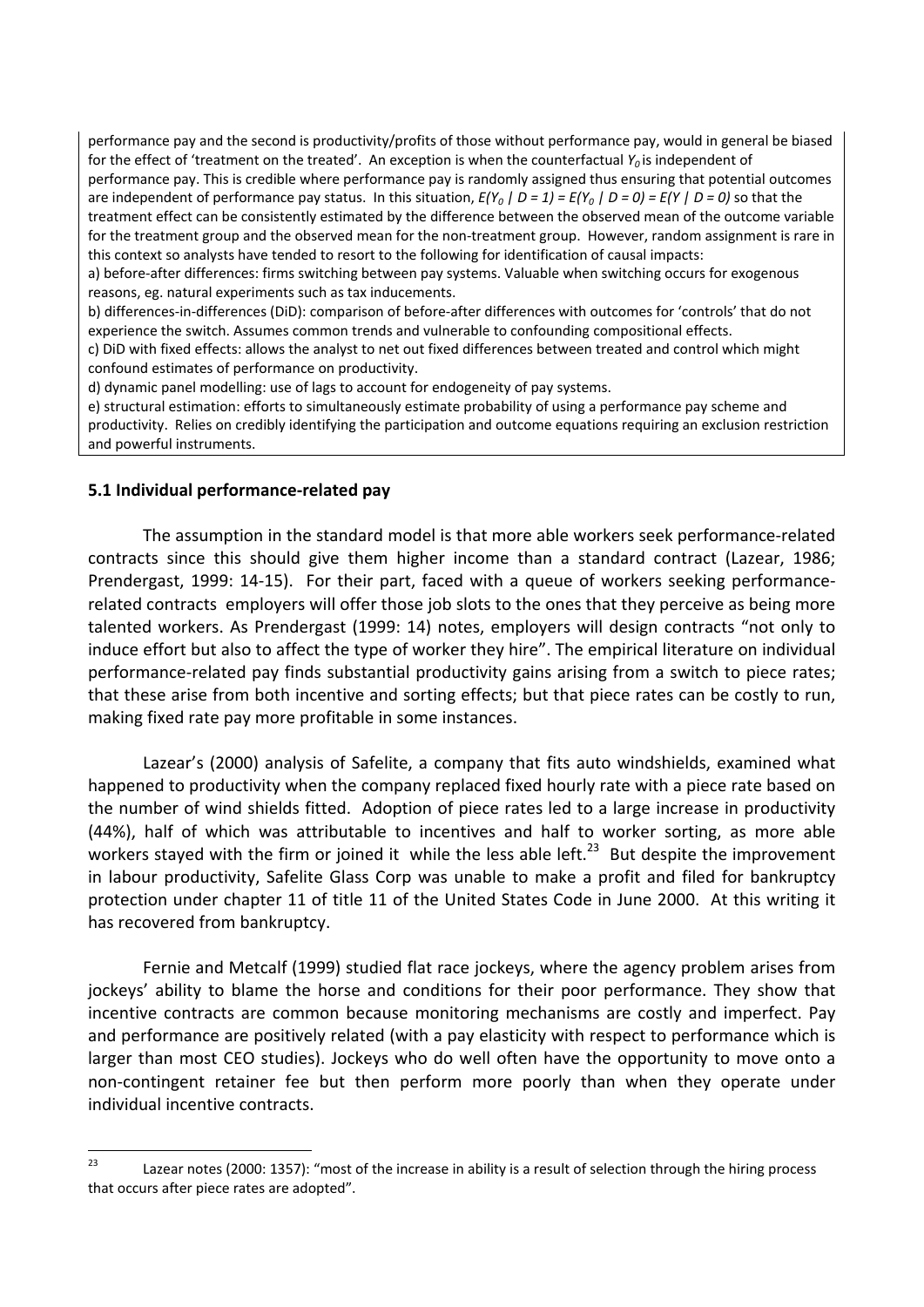performance pay and the second is productivity/profits of those without performance pay, would in general be biased for the effect of 'treatment on the treated'. An exception is when the counterfactual  $Y_0$  is independent of performance pay. This is credible where performance pay is randomly assigned thus ensuring that potential outcomes are independent of performance pay status. In this situation,  $E(Y_0 | D = 1) = E(Y_0 | D = 0) = E(Y | D = 0)$  so that the treatment effect can be consistently estimated by the difference between the observed mean of the outcome variable for the treatment group and the observed mean for the non-treatment group. However, random assignment is rare in this context so analysts have tended to resort to the following for identification of causal impacts:

a) before‐after differences: firms switching between pay systems. Valuable when switching occurs for exogenous reasons, eg. natural experiments such as tax inducements.

b) differences‐in‐differences (DiD): comparison of before‐after differences with outcomes for 'controls' that do not experience the switch. Assumes common trends and vulnerable to confounding compositional effects.

c) DiD with fixed effects: allows the analyst to net out fixed differences between treated and control which might confound estimates of performance on productivity.

d) dynamic panel modelling: use of lags to account for endogeneity of pay systems.

e) structural estimation: efforts to simultaneously estimate probability of using a performance pay scheme and productivity. Relies on credibly identifying the participation and outcome equations requiring an exclusion restriction and powerful instruments.

## **5.1 Individual performance‐related pay**

The assumption in the standard model is that more able workers seek performance‐related contracts since this should give them higher income than a standard contract (Lazear, 1986; Prendergast, 1999: 14‐15). For their part, faced with a queue of workers seeking performance‐ related contracts employers will offer those job slots to the ones that they perceive as being more talented workers. As Prendergast (1999: 14) notes, employers will design contracts "not only to induce effort but also to affect the type of worker they hire". The empirical literature on individual performance-related pay finds substantial productivity gains arising from a switch to piece rates; that these arise from both incentive and sorting effects; but that piece rates can be costly to run, making fixed rate pay more profitable in some instances.

Lazear's (2000) analysis of Safelite, a company that fits auto windshields, examined what happened to productivity when the company replaced fixed hourly rate with a piece rate based on the number of wind shields fitted. Adoption of piece rates led to a large increase in productivity (44%), half of which was attributable to incentives and half to worker sorting, as more able workers stayed with the firm or joined it while the less able left.<sup>23</sup> But despite the improvement in labour productivity, Safelite Glass Corp was unable to make a profit and filed for bankruptcy protection under chapter 11 of title 11 of the United States Code in June 2000. At this writing it has recovered from bankruptcy.

Fernie and Metcalf (1999) studied flat race jockeys, where the agency problem arises from jockeys' ability to blame the horse and conditions for their poor performance. They show that incentive contracts are common because monitoring mechanisms are costly and imperfect. Pay and performance are positively related (with a pay elasticity with respect to performance which is larger than most CEO studies). Jockeys who do well often have the opportunity to move onto a non‐contingent retainer fee but then perform more poorly than when they operate under individual incentive contracts.

 $23$ Lazear notes (2000: 1357): "most of the increase in ability is a result of selection through the hiring process that occurs after piece rates are adopted".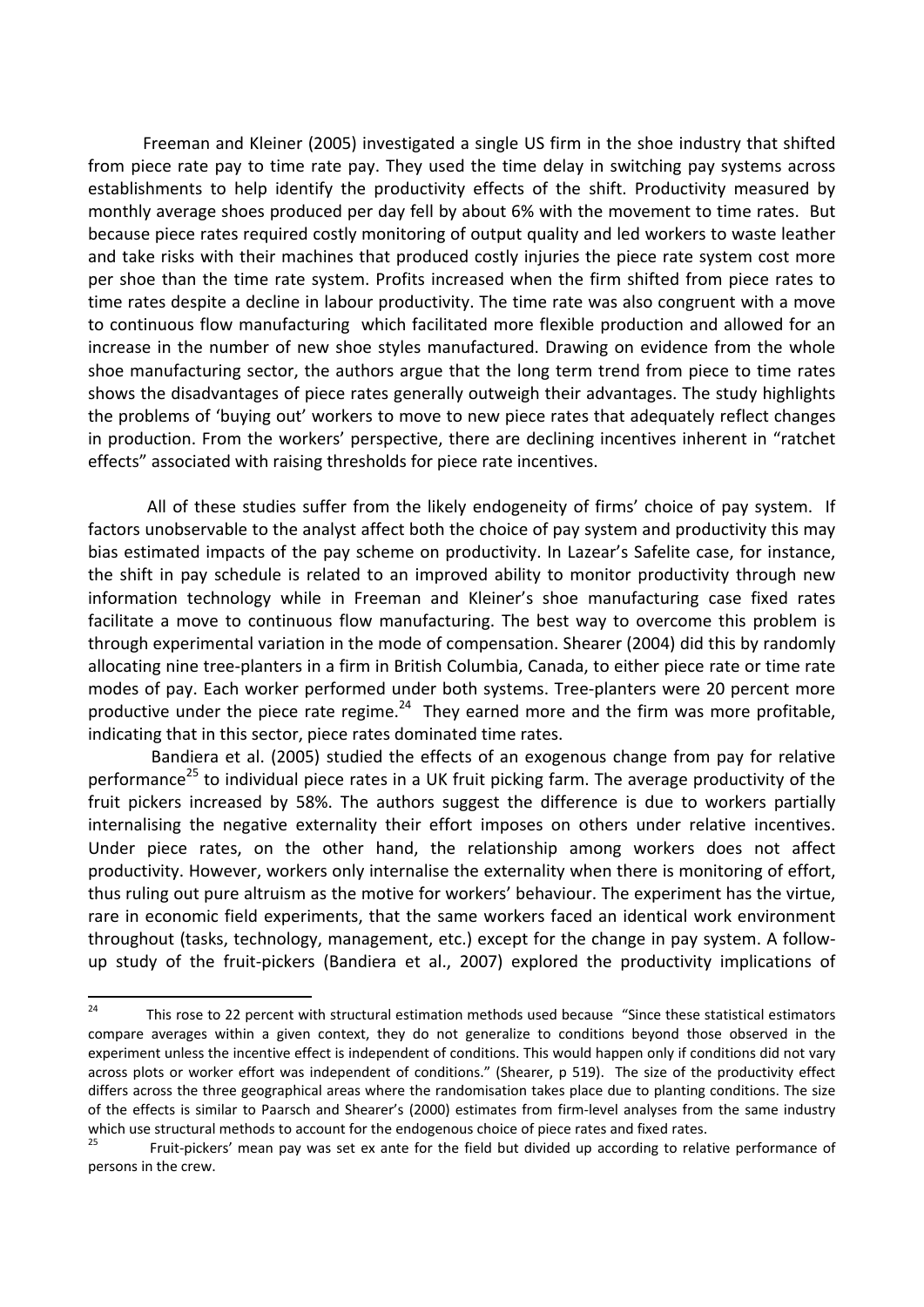Freeman and Kleiner (2005) investigated a single US firm in the shoe industry that shifted from piece rate pay to time rate pay. They used the time delay in switching pay systems across establishments to help identify the productivity effects of the shift. Productivity measured by monthly average shoes produced per day fell by about 6% with the movement to time rates. But because piece rates required costly monitoring of output quality and led workers to waste leather and take risks with their machines that produced costly injuries the piece rate system cost more per shoe than the time rate system. Profits increased when the firm shifted from piece rates to time rates despite a decline in labour productivity. The time rate was also congruent with a move to continuous flow manufacturing which facilitated more flexible production and allowed for an increase in the number of new shoe styles manufactured. Drawing on evidence from the whole shoe manufacturing sector, the authors argue that the long term trend from piece to time rates shows the disadvantages of piece rates generally outweigh their advantages. The study highlights the problems of 'buying out' workers to move to new piece rates that adequately reflect changes in production. From the workers' perspective, there are declining incentives inherent in "ratchet effects" associated with raising thresholds for piece rate incentives.

All of these studies suffer from the likely endogeneity of firms' choice of pay system. If factors unobservable to the analyst affect both the choice of pay system and productivity this may bias estimated impacts of the pay scheme on productivity. In Lazear's Safelite case, for instance, the shift in pay schedule is related to an improved ability to monitor productivity through new information technology while in Freeman and Kleiner's shoe manufacturing case fixed rates facilitate a move to continuous flow manufacturing. The best way to overcome this problem is through experimental variation in the mode of compensation. Shearer (2004) did this by randomly allocating nine tree‐planters in a firm in British Columbia, Canada, to either piece rate or time rate modes of pay. Each worker performed under both systems. Tree‐planters were 20 percent more productive under the piece rate regime. $^{24}$  They earned more and the firm was more profitable, indicating that in this sector, piece rates dominated time rates.

 Bandiera et al. (2005) studied the effects of an exogenous change from pay for relative performance<sup>25</sup> to individual piece rates in a UK fruit picking farm. The average productivity of the fruit pickers increased by 58%. The authors suggest the difference is due to workers partially internalising the negative externality their effort imposes on others under relative incentives. Under piece rates, on the other hand, the relationship among workers does not affect productivity. However, workers only internalise the externality when there is monitoring of effort, thus ruling out pure altruism as the motive for workers' behaviour. The experiment has the virtue, rare in economic field experiments, that the same workers faced an identical work environment throughout (tasks, technology, management, etc.) except for the change in pay system. A follow‐ up study of the fruit‐pickers (Bandiera et al., 2007) explored the productivity implications of

 $\mathbf{24}$ This rose to 22 percent with structural estimation methods used because "Since these statistical estimators compare averages within a given context, they do not generalize to conditions beyond those observed in the experiment unless the incentive effect is independent of conditions. This would happen only if conditions did not vary across plots or worker effort was independent of conditions." (Shearer, p 519). The size of the productivity effect differs across the three geographical areas where the randomisation takes place due to planting conditions. The size of the effects is similar to Paarsch and Shearer's (2000) estimates from firm‐level analyses from the same industry which use structural methods to account for the endogenous choice of piece rates and fixed rates.<br><sup>25</sup> Eruit-pickers' mean pay was set ex ante for the field but divided up according to relative performance of

persons in the crew.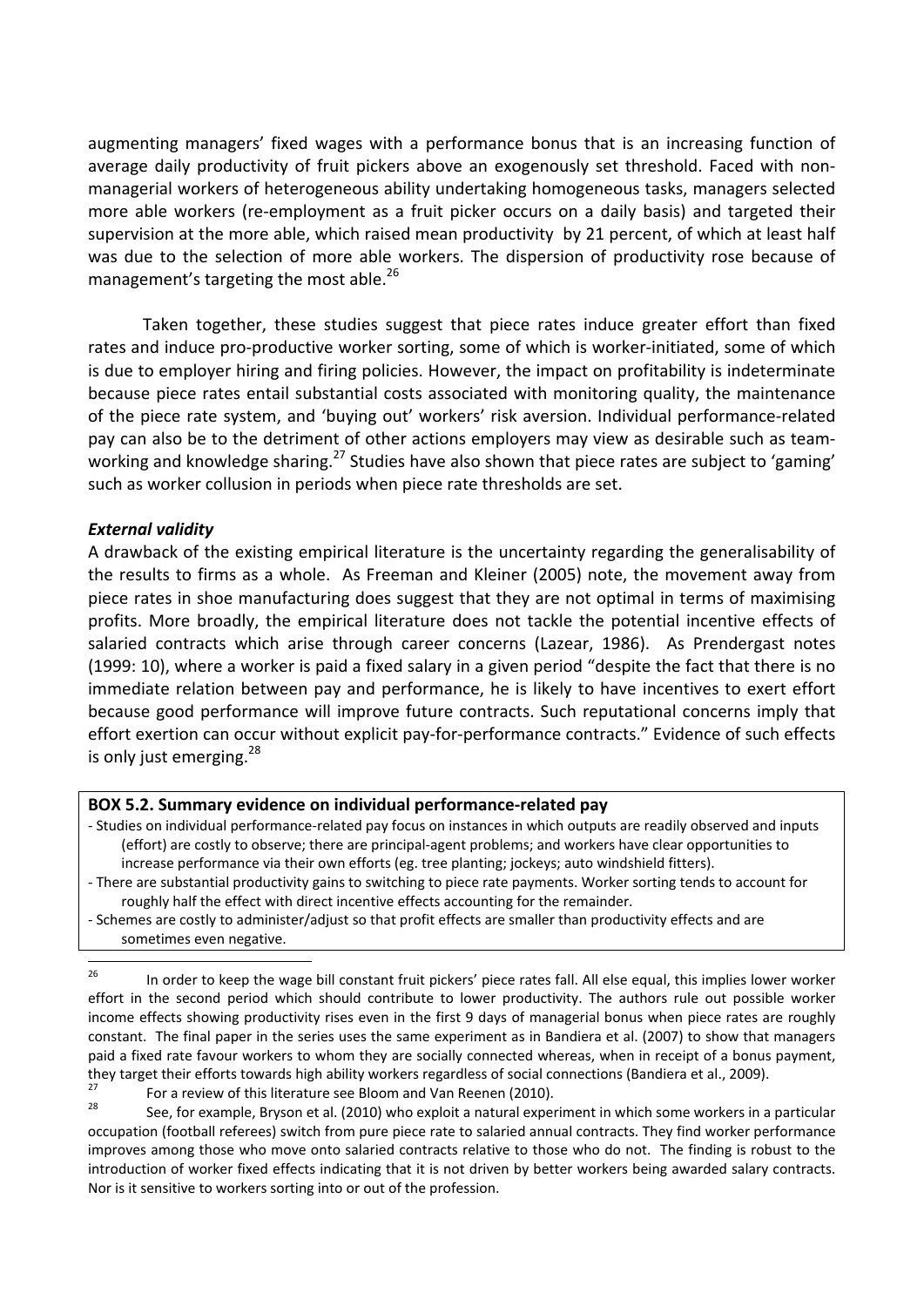augmenting managers' fixed wages with a performance bonus that is an increasing function of average daily productivity of fruit pickers above an exogenously set threshold. Faced with non‐ managerial workers of heterogeneous ability undertaking homogeneous tasks, managers selected more able workers (re-employment as a fruit picker occurs on a daily basis) and targeted their supervision at the more able, which raised mean productivity by 21 percent, of which at least half was due to the selection of more able workers. The dispersion of productivity rose because of management's targeting the most able.<sup>26</sup>

Taken together, these studies suggest that piece rates induce greater effort than fixed rates and induce pro-productive worker sorting, some of which is worker-initiated, some of which is due to employer hiring and firing policies. However, the impact on profitability is indeterminate because piece rates entail substantial costs associated with monitoring quality, the maintenance of the piece rate system, and 'buying out' workers' risk aversion. Individual performance‐related pay can also be to the detriment of other actions employers may view as desirable such as team‐ working and knowledge sharing.<sup>27</sup> Studies have also shown that piece rates are subject to 'gaming' such as worker collusion in periods when piece rate thresholds are set.

# *External validity*

A drawback of the existing empirical literature is the uncertainty regarding the generalisability of the results to firms as a whole. As Freeman and Kleiner (2005) note, the movement away from piece rates in shoe manufacturing does suggest that they are not optimal in terms of maximising profits. More broadly, the empirical literature does not tackle the potential incentive effects of salaried contracts which arise through career concerns (Lazear, 1986). As Prendergast notes (1999: 10), where a worker is paid a fixed salary in a given period "despite the fact that there is no immediate relation between pay and performance, he is likely to have incentives to exert effort because good performance will improve future contracts. Such reputational concerns imply that effort exertion can occur without explicit pay‐for‐performance contracts." Evidence of such effects is only just emerging.<sup>28</sup>

## **BOX 5.2. Summary evidence on individual performance‐related pay**

- ‐ Studies on individual performance‐related pay focus on instances in which outputs are readily observed and inputs (effort) are costly to observe; there are principal‐agent problems; and workers have clear opportunities to increase performance via their own efforts (eg. tree planting; jockeys; auto windshield fitters).
- ‐ There are substantial productivity gains to switching to piece rate payments. Worker sorting tends to account for roughly half the effect with direct incentive effects accounting for the remainder.
- ‐ Schemes are costly to administer/adjust so that profit effects are smaller than productivity effects and are sometimes even negative.

occupation (football referees) switch from pure piece rate to salaried annual contracts. They find worker performance improves among those who move onto salaried contracts relative to those who do not. The finding is robust to the introduction of worker fixed effects indicating that it is not driven by better workers being awarded salary contracts. Nor is it sensitive to workers sorting into or out of the profession.

 $26$ In order to keep the wage bill constant fruit pickers' piece rates fall. All else equal, this implies lower worker effort in the second period which should contribute to lower productivity. The authors rule out possible worker income effects showing productivity rises even in the first 9 days of managerial bonus when piece rates are roughly constant. The final paper in the series uses the same experiment as in Bandiera et al. (2007) to show that managers paid a fixed rate favour workers to whom they are socially connected whereas, when in receipt of a bonus payment, they target their efforts towards high ability workers regardless of social connections (Bandiera et al., 2009).<br><sup>27</sup> For a review of this literature see Bloom and Van Reenen (2010).<br><sup>28</sup> See, for example, Bryson et al. (2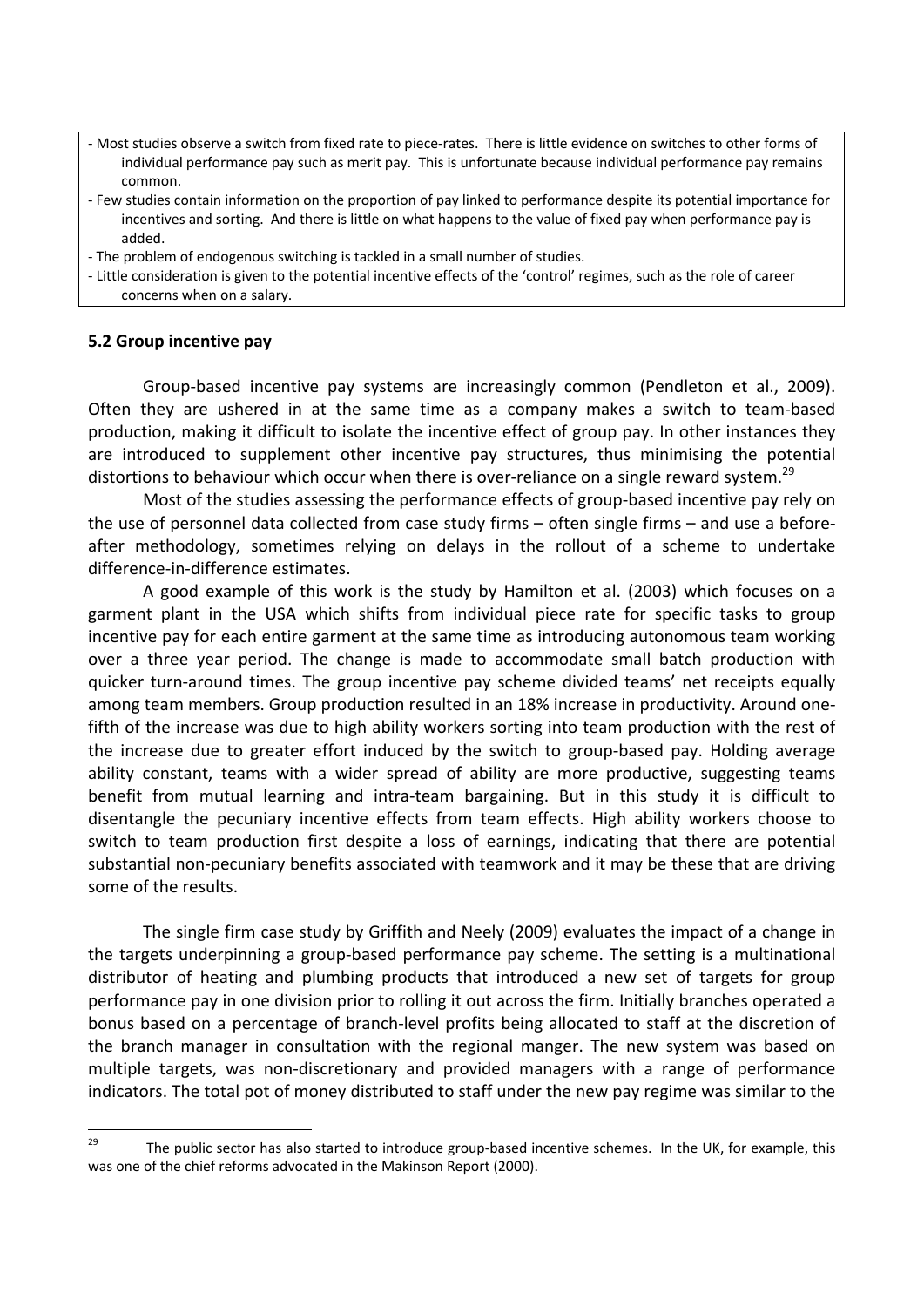- ‐ Most studies observe a switch from fixed rate to piece‐rates. There is little evidence on switches to other forms of individual performance pay such as merit pay. This is unfortunate because individual performance pay remains common.
- ‐ Few studies contain information on the proportion of pay linked to performance despite its potential importance for incentives and sorting. And there is little on what happens to the value of fixed pay when performance pay is added.
- ‐ The problem of endogenous switching is tackled in a small number of studies.
- ‐ Little consideration is given to the potential incentive effects of the 'control' regimes, such as the role of career concerns when on a salary.

## **5.2 Group incentive pay**

Group‐based incentive pay systems are increasingly common (Pendleton et al., 2009). Often they are ushered in at the same time as a company makes a switch to team‐based production, making it difficult to isolate the incentive effect of group pay. In other instances they are introduced to supplement other incentive pay structures, thus minimising the potential distortions to behaviour which occur when there is over-reliance on a single reward system.<sup>29</sup>

Most of the studies assessing the performance effects of group-based incentive pay rely on the use of personnel data collected from case study firms – often single firms – and use a before‐ after methodology, sometimes relying on delays in the rollout of a scheme to undertake difference‐in‐difference estimates.

A good example of this work is the study by Hamilton et al. (2003) which focuses on a garment plant in the USA which shifts from individual piece rate for specific tasks to group incentive pay for each entire garment at the same time as introducing autonomous team working over a three year period. The change is made to accommodate small batch production with quicker turn‐around times. The group incentive pay scheme divided teams' net receipts equally among team members. Group production resulted in an 18% increase in productivity. Around one‐ fifth of the increase was due to high ability workers sorting into team production with the rest of the increase due to greater effort induced by the switch to group‐based pay. Holding average ability constant, teams with a wider spread of ability are more productive, suggesting teams benefit from mutual learning and intra‐team bargaining. But in this study it is difficult to disentangle the pecuniary incentive effects from team effects. High ability workers choose to switch to team production first despite a loss of earnings, indicating that there are potential substantial non‐pecuniary benefits associated with teamwork and it may be these that are driving some of the results.

The single firm case study by Griffith and Neely (2009) evaluates the impact of a change in the targets underpinning a group‐based performance pay scheme. The setting is a multinational distributor of heating and plumbing products that introduced a new set of targets for group performance pay in one division prior to rolling it out across the firm. Initially branches operated a bonus based on a percentage of branch‐level profits being allocated to staff at the discretion of the branch manager in consultation with the regional manger. The new system was based on multiple targets, was non‐discretionary and provided managers with a range of performance indicators. The total pot of money distributed to staff under the new pay regime was similar to the

<sup>29</sup> The public sector has also started to introduce group-based incentive schemes. In the UK, for example, this was one of the chief reforms advocated in the Makinson Report (2000).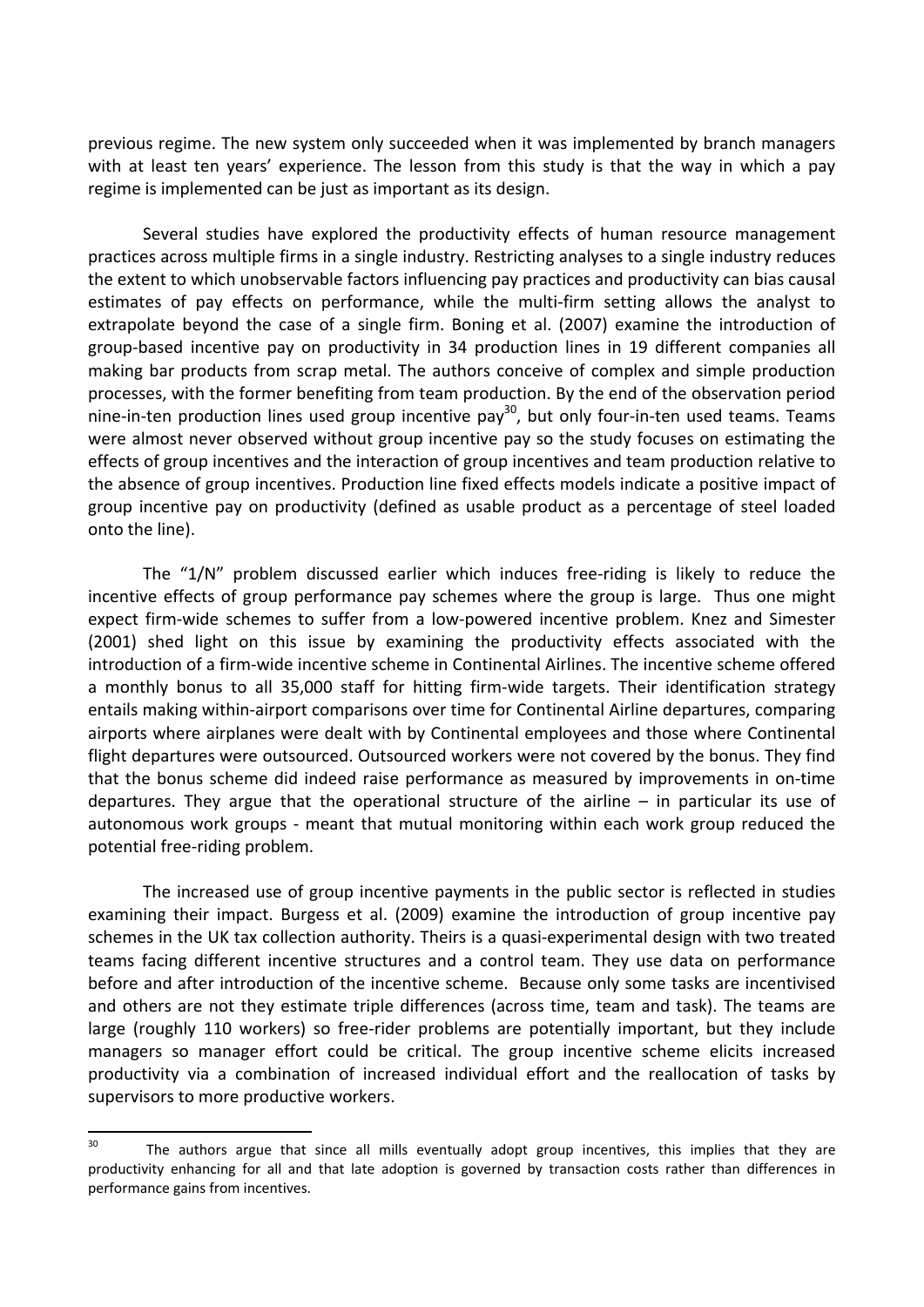previous regime. The new system only succeeded when it was implemented by branch managers with at least ten years' experience. The lesson from this study is that the way in which a pay regime is implemented can be just as important as its design.

Several studies have explored the productivity effects of human resource management practices across multiple firms in a single industry. Restricting analyses to a single industry reduces the extent to which unobservable factors influencing pay practices and productivity can bias causal estimates of pay effects on performance, while the multi-firm setting allows the analyst to extrapolate beyond the case of a single firm. Boning et al. (2007) examine the introduction of group‐based incentive pay on productivity in 34 production lines in 19 different companies all making bar products from scrap metal. The authors conceive of complex and simple production processes, with the former benefiting from team production. By the end of the observation period nine-in-ten production lines used group incentive pay<sup>30</sup>, but only four-in-ten used teams. Teams were almost never observed without group incentive pay so the study focuses on estimating the effects of group incentives and the interaction of group incentives and team production relative to the absence of group incentives. Production line fixed effects models indicate a positive impact of group incentive pay on productivity (defined as usable product as a percentage of steel loaded onto the line).

The "1/N" problem discussed earlier which induces free-riding is likely to reduce the incentive effects of group performance pay schemes where the group is large. Thus one might expect firm-wide schemes to suffer from a low-powered incentive problem. Knez and Simester (2001) shed light on this issue by examining the productivity effects associated with the introduction of a firm‐wide incentive scheme in Continental Airlines. The incentive scheme offered a monthly bonus to all 35,000 staff for hitting firm‐wide targets. Their identification strategy entails making within‐airport comparisons over time for Continental Airline departures, comparing airports where airplanes were dealt with by Continental employees and those where Continental flight departures were outsourced. Outsourced workers were not covered by the bonus. They find that the bonus scheme did indeed raise performance as measured by improvements in on‐time departures. They argue that the operational structure of the airline – in particular its use of autonomous work groups - meant that mutual monitoring within each work group reduced the potential free‐riding problem.

The increased use of group incentive payments in the public sector is reflected in studies examining their impact. Burgess et al. (2009) examine the introduction of group incentive pay schemes in the UK tax collection authority. Theirs is a quasi‐experimental design with two treated teams facing different incentive structures and a control team. They use data on performance before and after introduction of the incentive scheme. Because only some tasks are incentivised and others are not they estimate triple differences (across time, team and task). The teams are large (roughly 110 workers) so free‐rider problems are potentially important, but they include managers so manager effort could be critical. The group incentive scheme elicits increased productivity via a combination of increased individual effort and the reallocation of tasks by supervisors to more productive workers.

 $30$ The authors argue that since all mills eventually adopt group incentives, this implies that they are productivity enhancing for all and that late adoption is governed by transaction costs rather than differences in performance gains from incentives.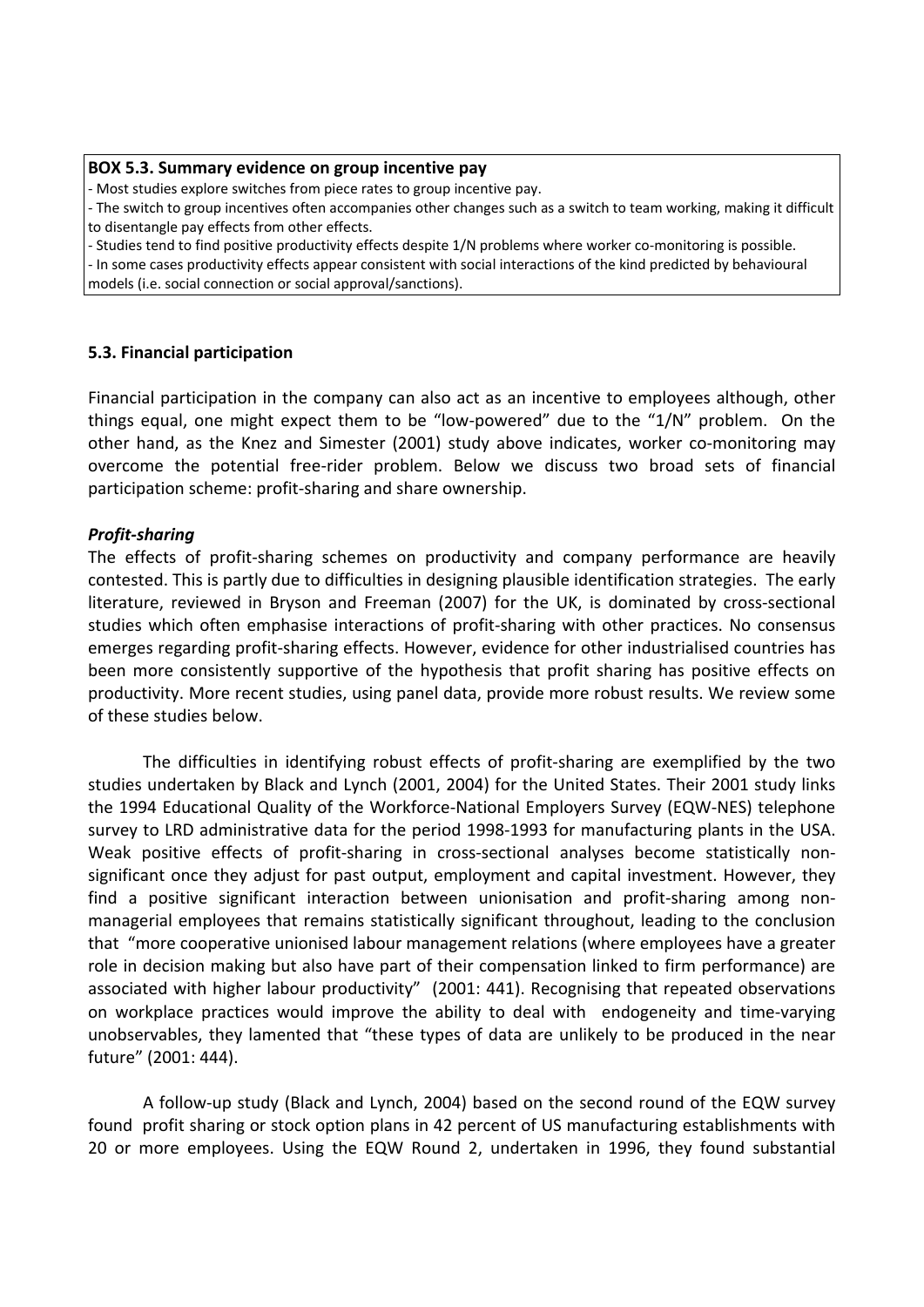#### **BOX 5.3. Summary evidence on group incentive pay**

‐ Most studies explore switches from piece rates to group incentive pay.

‐ The switch to group incentives often accompanies other changes such as a switch to team working, making it difficult to disentangle pay effects from other effects.

- Studies tend to find positive productivity effects despite 1/N problems where worker co-monitoring is possible. ‐ In some cases productivity effects appear consistent with social interactions of the kind predicted by behavioural models (i.e. social connection or social approval/sanctions).

## **5.3. Financial participation**

Financial participation in the company can also act as an incentive to employees although, other things equal, one might expect them to be "low‐powered" due to the "1/N" problem. On the other hand, as the Knez and Simester (2001) study above indicates, worker co-monitoring may overcome the potential free‐rider problem. Below we discuss two broad sets of financial participation scheme: profit‐sharing and share ownership.

# *Profit‐sharing*

The effects of profit-sharing schemes on productivity and company performance are heavily contested. This is partly due to difficulties in designing plausible identification strategies. The early literature, reviewed in Bryson and Freeman (2007) for the UK, is dominated by cross-sectional studies which often emphasise interactions of profit‐sharing with other practices. No consensus emerges regarding profit‐sharing effects. However, evidence for other industrialised countries has been more consistently supportive of the hypothesis that profit sharing has positive effects on productivity. More recent studies, using panel data, provide more robust results. We review some of these studies below.

The difficulties in identifying robust effects of profit‐sharing are exemplified by the two studies undertaken by Black and Lynch (2001, 2004) for the United States. Their 2001 study links the 1994 Educational Quality of the Workforce‐National Employers Survey (EQW‐NES) telephone survey to LRD administrative data for the period 1998-1993 for manufacturing plants in the USA. Weak positive effects of profit-sharing in cross-sectional analyses become statistically nonsignificant once they adjust for past output, employment and capital investment. However, they find a positive significant interaction between unionisation and profit-sharing among nonmanagerial employees that remains statistically significant throughout, leading to the conclusion that "more cooperative unionised labour management relations (where employees have a greater role in decision making but also have part of their compensation linked to firm performance) are associated with higher labour productivity" (2001: 441). Recognising that repeated observations on workplace practices would improve the ability to deal with endogeneity and time-varying unobservables, they lamented that "these types of data are unlikely to be produced in the near future" (2001: 444).

A follow‐up study (Black and Lynch, 2004) based on the second round of the EQW survey found profit sharing or stock option plans in 42 percent of US manufacturing establishments with 20 or more employees. Using the EQW Round 2, undertaken in 1996, they found substantial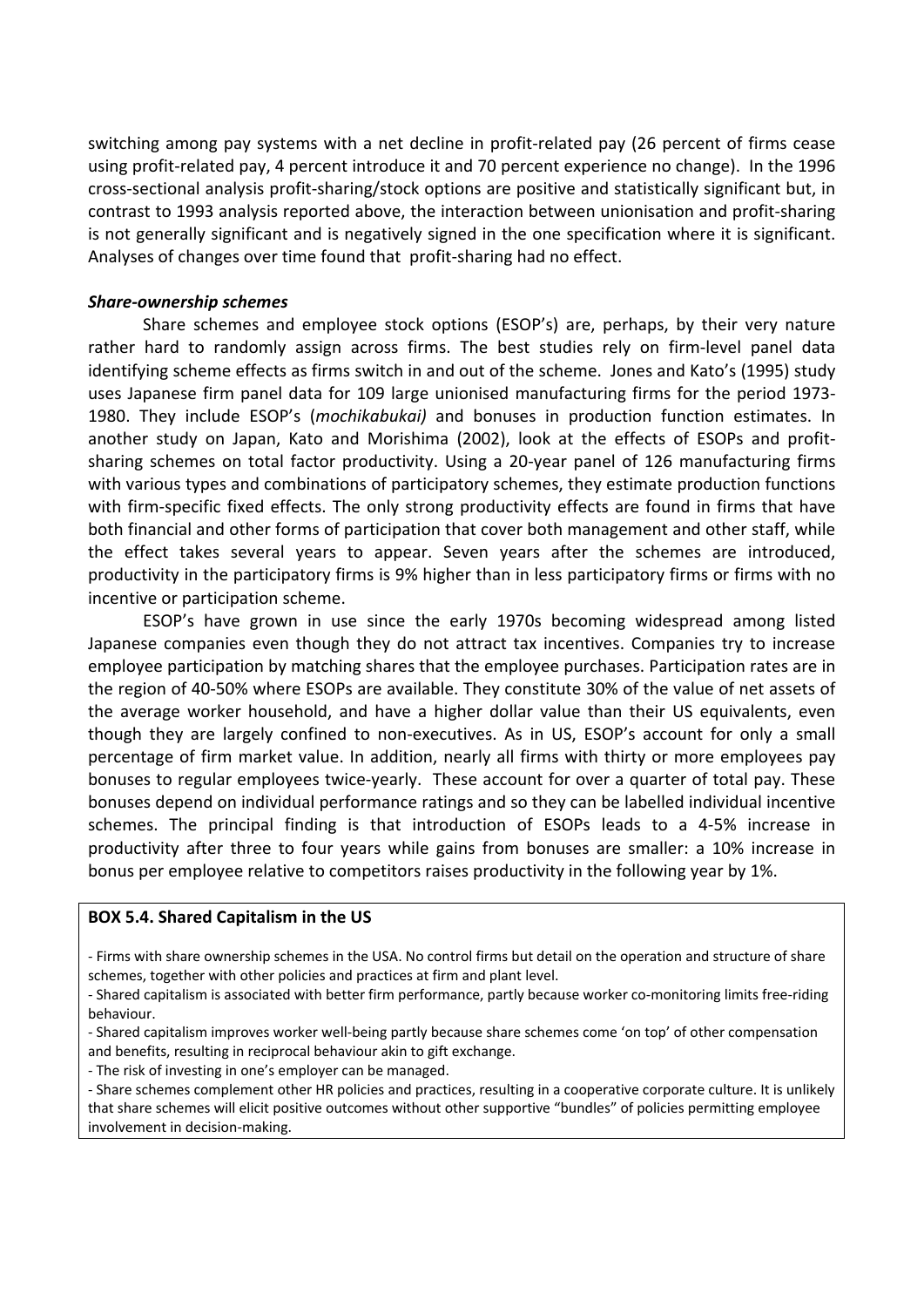switching among pay systems with a net decline in profit‐related pay (26 percent of firms cease using profit-related pay, 4 percent introduce it and 70 percent experience no change). In the 1996 cross‐sectional analysis profit‐sharing/stock options are positive and statistically significant but, in contrast to 1993 analysis reported above, the interaction between unionisation and profit‐sharing is not generally significant and is negatively signed in the one specification where it is significant. Analyses of changes over time found that profit‐sharing had no effect.

# *Share‐ownership schemes*

Share schemes and employee stock options (ESOP's) are, perhaps, by their very nature rather hard to randomly assign across firms. The best studies rely on firm-level panel data identifying scheme effects as firms switch in and out of the scheme. Jones and Kato's (1995) study uses Japanese firm panel data for 109 large unionised manufacturing firms for the period 1973‐ 1980. They include ESOP's (*mochikabukai)* and bonuses in production function estimates. In another study on Japan, Kato and Morishima (2002), look at the effects of ESOPs and profit‐ sharing schemes on total factor productivity. Using a 20‐year panel of 126 manufacturing firms with various types and combinations of participatory schemes, they estimate production functions with firm-specific fixed effects. The only strong productivity effects are found in firms that have both financial and other forms of participation that cover both management and other staff, while the effect takes several years to appear. Seven years after the schemes are introduced, productivity in the participatory firms is 9% higher than in less participatory firms or firms with no incentive or participation scheme.

ESOP's have grown in use since the early 1970s becoming widespread among listed Japanese companies even though they do not attract tax incentives. Companies try to increase employee participation by matching shares that the employee purchases. Participation rates are in the region of 40‐50% where ESOPs are available. They constitute 30% of the value of net assets of the average worker household, and have a higher dollar value than their US equivalents, even though they are largely confined to non‐executives. As in US, ESOP's account for only a small percentage of firm market value. In addition, nearly all firms with thirty or more employees pay bonuses to regular employees twice‐yearly. These account for over a quarter of total pay. These bonuses depend on individual performance ratings and so they can be labelled individual incentive schemes. The principal finding is that introduction of ESOPs leads to a 4‐5% increase in productivity after three to four years while gains from bonuses are smaller: a 10% increase in bonus per employee relative to competitors raises productivity in the following year by 1%.

# **BOX 5.4. Shared Capitalism in the US**

‐ Firms with share ownership schemes in the USA. No control firms but detail on the operation and structure of share schemes, together with other policies and practices at firm and plant level.

‐ Shared capitalism improves worker well‐being partly because share schemes come 'on top' of other compensation and benefits, resulting in reciprocal behaviour akin to gift exchange.

‐ The risk of investing in one's employer can be managed.

‐ Share schemes complement other HR policies and practices, resulting in a cooperative corporate culture. It is unlikely that share schemes will elicit positive outcomes without other supportive "bundles" of policies permitting employee involvement in decision‐making.

<sup>‐</sup> Shared capitalism is associated with better firm performance, partly because worker co‐monitoring limits free‐riding behaviour.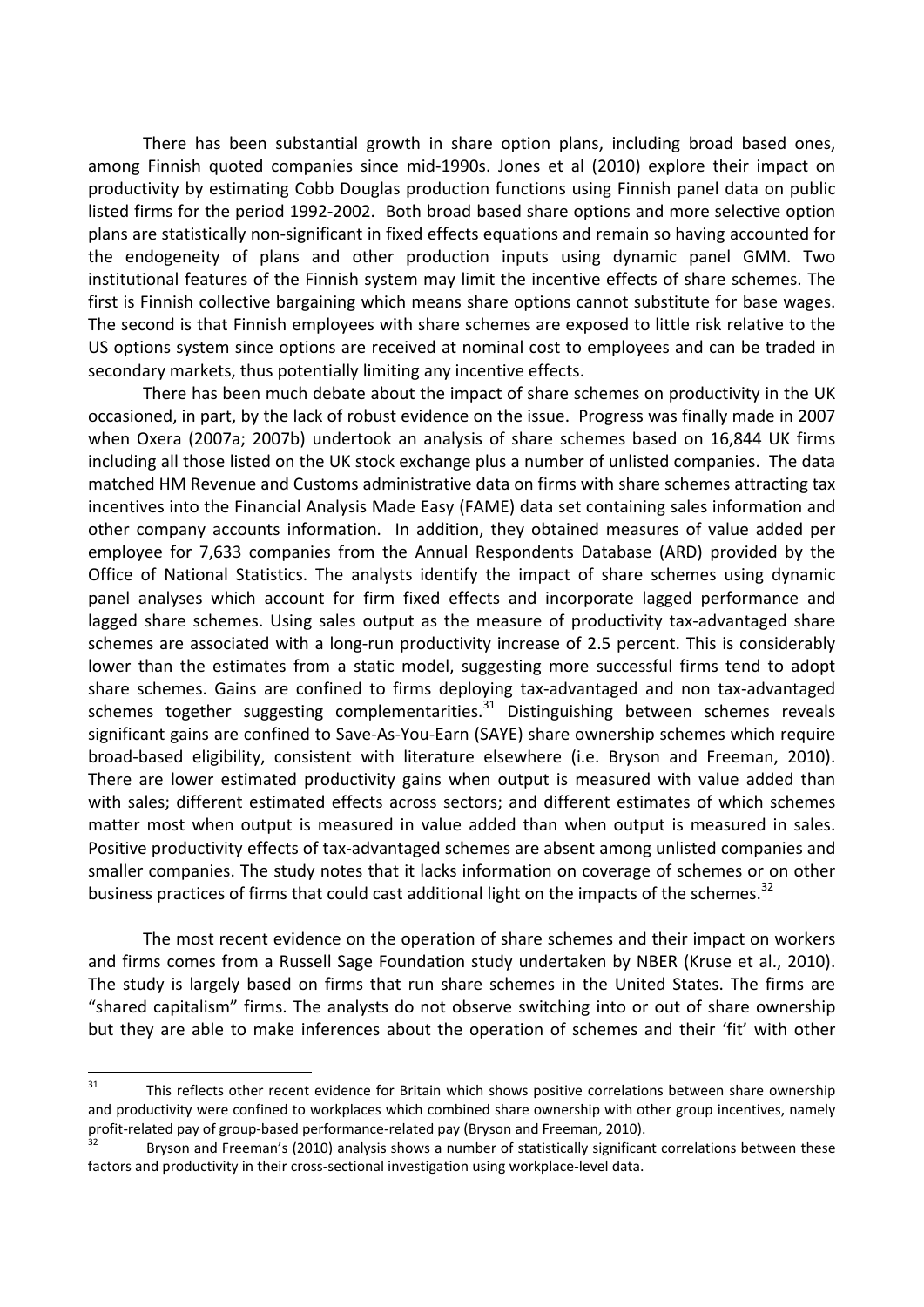There has been substantial growth in share option plans, including broad based ones, among Finnish quoted companies since mid‐1990s. Jones et al (2010) explore their impact on productivity by estimating Cobb Douglas production functions using Finnish panel data on public listed firms for the period 1992‐2002. Both broad based share options and more selective option plans are statistically non‐significant in fixed effects equations and remain so having accounted for the endogeneity of plans and other production inputs using dynamic panel GMM. Two institutional features of the Finnish system may limit the incentive effects of share schemes. The first is Finnish collective bargaining which means share options cannot substitute for base wages. The second is that Finnish employees with share schemes are exposed to little risk relative to the US options system since options are received at nominal cost to employees and can be traded in secondary markets, thus potentially limiting any incentive effects.

There has been much debate about the impact of share schemes on productivity in the UK occasioned, in part, by the lack of robust evidence on the issue. Progress was finally made in 2007 when Oxera (2007a; 2007b) undertook an analysis of share schemes based on 16,844 UK firms including all those listed on the UK stock exchange plus a number of unlisted companies. The data matched HM Revenue and Customs administrative data on firms with share schemes attracting tax incentives into the Financial Analysis Made Easy (FAME) data set containing sales information and other company accounts information. In addition, they obtained measures of value added per employee for 7,633 companies from the Annual Respondents Database (ARD) provided by the Office of National Statistics. The analysts identify the impact of share schemes using dynamic panel analyses which account for firm fixed effects and incorporate lagged performance and lagged share schemes. Using sales output as the measure of productivity tax-advantaged share schemes are associated with a long-run productivity increase of 2.5 percent. This is considerably lower than the estimates from a static model, suggesting more successful firms tend to adopt share schemes. Gains are confined to firms deploying tax‐advantaged and non tax‐advantaged schemes together suggesting complementarities.<sup>31</sup> Distinguishing between schemes reveals significant gains are confined to Save‐As‐You‐Earn (SAYE) share ownership schemes which require broad‐based eligibility, consistent with literature elsewhere (i.e. Bryson and Freeman, 2010). There are lower estimated productivity gains when output is measured with value added than with sales; different estimated effects across sectors; and different estimates of which schemes matter most when output is measured in value added than when output is measured in sales. Positive productivity effects of tax‐advantaged schemes are absent among unlisted companies and smaller companies. The study notes that it lacks information on coverage of schemes or on other business practices of firms that could cast additional light on the impacts of the schemes.<sup>32</sup>

The most recent evidence on the operation of share schemes and their impact on workers and firms comes from a Russell Sage Foundation study undertaken by NBER (Kruse et al., 2010). The study is largely based on firms that run share schemes in the United States. The firms are "shared capitalism" firms. The analysts do not observe switching into or out of share ownership but they are able to make inferences about the operation of schemes and their 'fit' with other

 $31$ This reflects other recent evidence for Britain which shows positive correlations between share ownership and productivity were confined to workplaces which combined share ownership with other group incentives, namely profit-related pay of group-based performance-related pay (Bryson and Freeman, 2010).<br><sup>32</sup> Bryson and Freeman's (2010) analysis shows a number of statistically significant correlations between these

factors and productivity in their cross-sectional investigation using workplace-level data.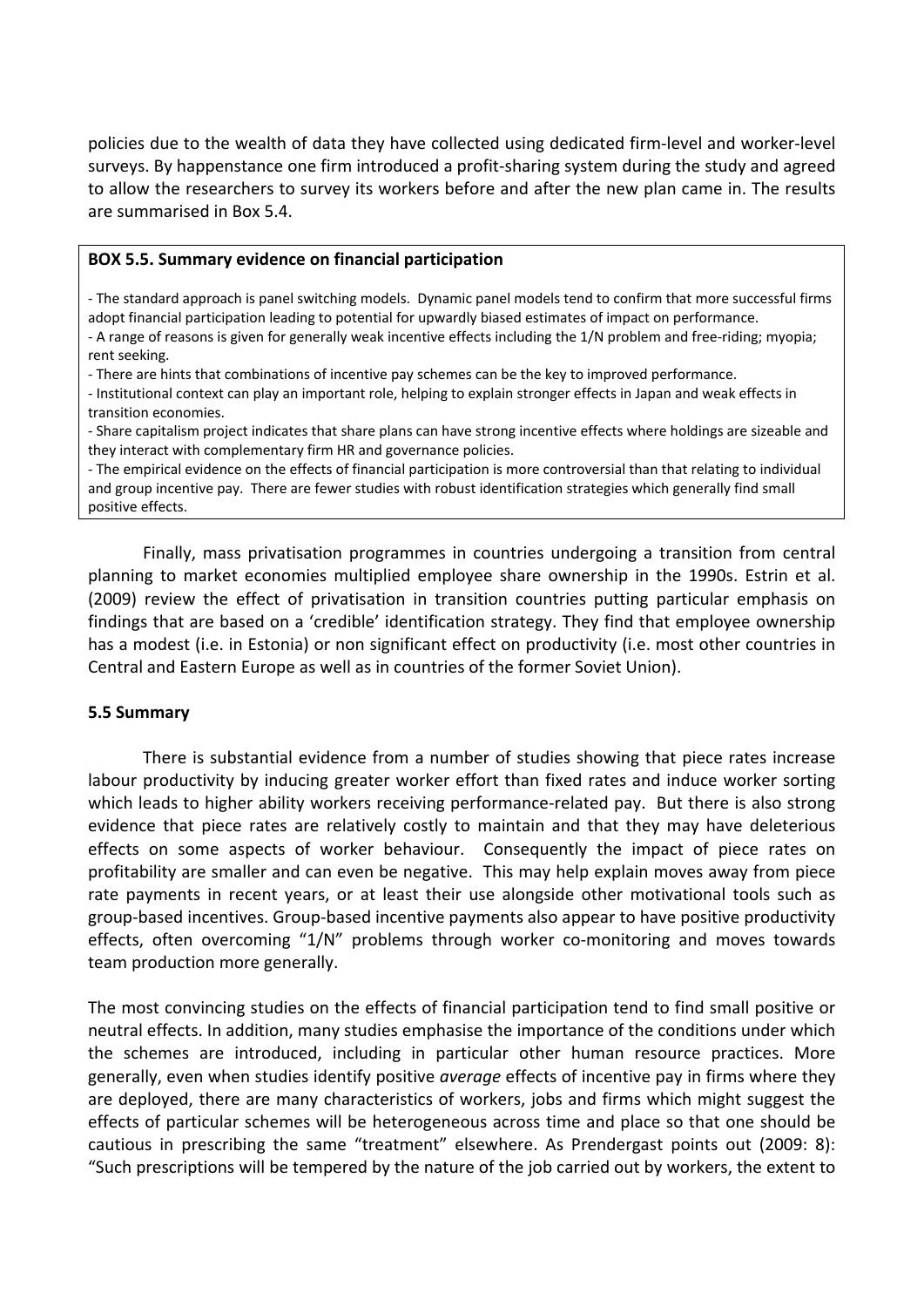policies due to the wealth of data they have collected using dedicated firm‐level and worker‐level surveys. By happenstance one firm introduced a profit‐sharing system during the study and agreed to allow the researchers to survey its workers before and after the new plan came in. The results are summarised in Box 5.4.

## **BOX 5.5. Summary evidence on financial participation**

‐ The standard approach is panel switching models. Dynamic panel models tend to confirm that more successful firms adopt financial participation leading to potential for upwardly biased estimates of impact on performance.

‐ A range of reasons is given for generally weak incentive effects including the 1/N problem and free‐riding; myopia; rent seeking.

- ‐ There are hints that combinations of incentive pay schemes can be the key to improved performance.
- ‐ Institutional context can play an important role, helping to explain stronger effects in Japan and weak effects in transition economies.

‐ Share capitalism project indicates that share plans can have strong incentive effects where holdings are sizeable and they interact with complementary firm HR and governance policies.

‐ The empirical evidence on the effects of financial participation is more controversial than that relating to individual and group incentive pay. There are fewer studies with robust identification strategies which generally find small positive effects.

Finally, mass privatisation programmes in countries undergoing a transition from central planning to market economies multiplied employee share ownership in the 1990s. Estrin et al. (2009) review the effect of privatisation in transition countries putting particular emphasis on findings that are based on a 'credible' identification strategy. They find that employee ownership has a modest (i.e. in Estonia) or non significant effect on productivity (i.e. most other countries in Central and Eastern Europe as well as in countries of the former Soviet Union).

# **5.5 Summary**

There is substantial evidence from a number of studies showing that piece rates increase labour productivity by inducing greater worker effort than fixed rates and induce worker sorting which leads to higher ability workers receiving performance-related pay. But there is also strong evidence that piece rates are relatively costly to maintain and that they may have deleterious effects on some aspects of worker behaviour. Consequently the impact of piece rates on profitability are smaller and can even be negative. This may help explain moves away from piece rate payments in recent years, or at least their use alongside other motivational tools such as group‐based incentives. Group‐based incentive payments also appear to have positive productivity effects, often overcoming "1/N" problems through worker co-monitoring and moves towards team production more generally.

The most convincing studies on the effects of financial participation tend to find small positive or neutral effects. In addition, many studies emphasise the importance of the conditions under which the schemes are introduced, including in particular other human resource practices. More generally, even when studies identify positive *average* effects of incentive pay in firms where they are deployed, there are many characteristics of workers, jobs and firms which might suggest the effects of particular schemes will be heterogeneous across time and place so that one should be cautious in prescribing the same "treatment" elsewhere. As Prendergast points out (2009: 8): "Such prescriptions will be tempered by the nature of the job carried out by workers, the extent to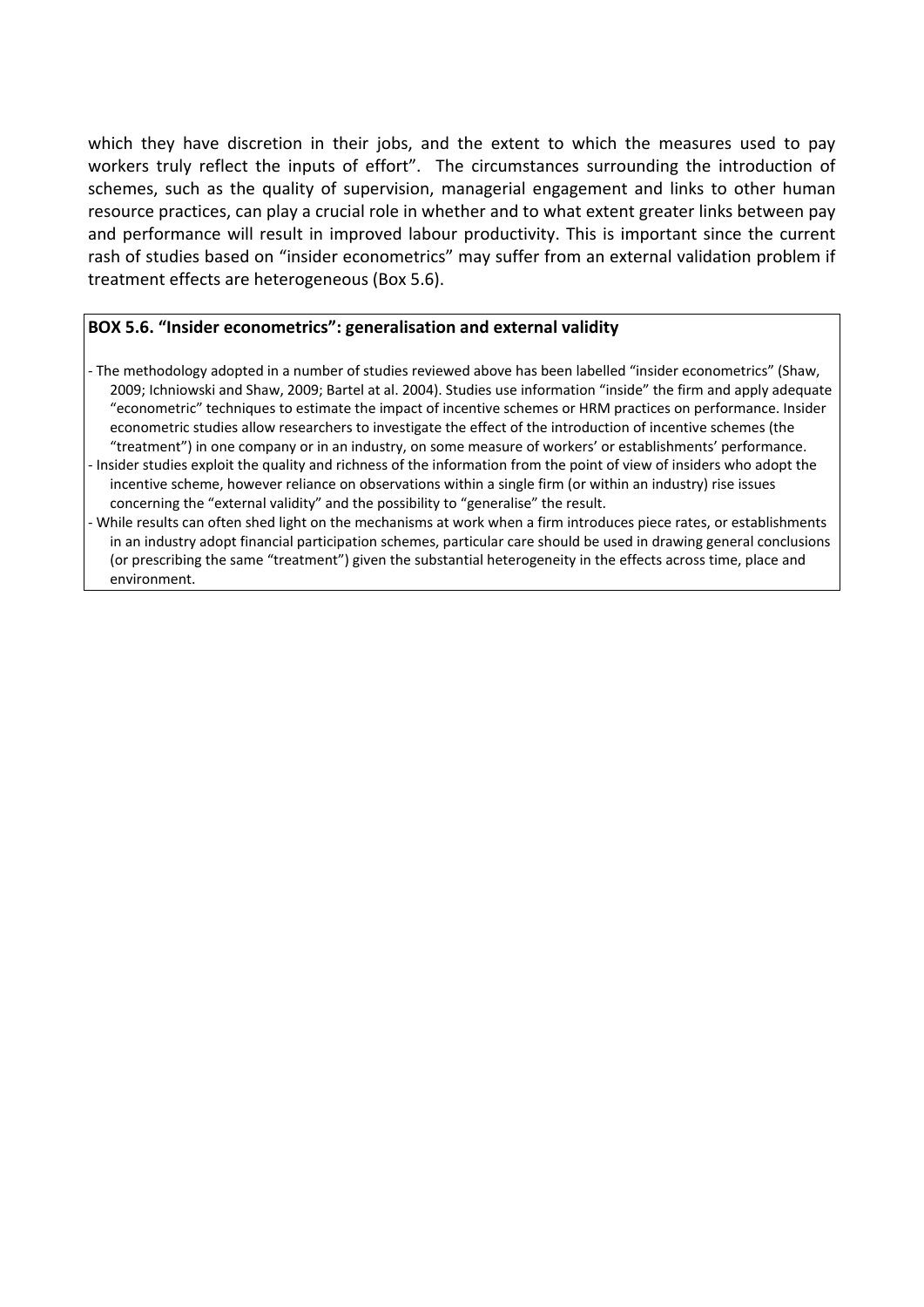which they have discretion in their jobs, and the extent to which the measures used to pay workers truly reflect the inputs of effort". The circumstances surrounding the introduction of schemes, such as the quality of supervision, managerial engagement and links to other human resource practices, can play a crucial role in whether and to what extent greater links between pay and performance will result in improved labour productivity. This is important since the current rash of studies based on "insider econometrics" may suffer from an external validation problem if treatment effects are heterogeneous (Box 5.6).

# **BOX 5.6. "Insider econometrics": generalisation and external validity**

- ‐ The methodology adopted in a number of studies reviewed above has been labelled "insider econometrics" (Shaw, 2009; Ichniowski and Shaw, 2009; Bartel at al. 2004). Studies use information "inside" the firm and apply adequate "econometric" techniques to estimate the impact of incentive schemes or HRM practices on performance. Insider econometric studies allow researchers to investigate the effect of the introduction of incentive schemes (the "treatment") in one company or in an industry, on some measure of workers' or establishments' performance.
- ‐ Insider studies exploit the quality and richness of the information from the point of view of insiders who adopt the incentive scheme, however reliance on observations within a single firm (or within an industry) rise issues concerning the "external validity" and the possibility to "generalise" the result.
- ‐ While results can often shed light on the mechanisms at work when a firm introduces piece rates, or establishments in an industry adopt financial participation schemes, particular care should be used in drawing general conclusions (or prescribing the same "treatment") given the substantial heterogeneity in the effects across time, place and environment.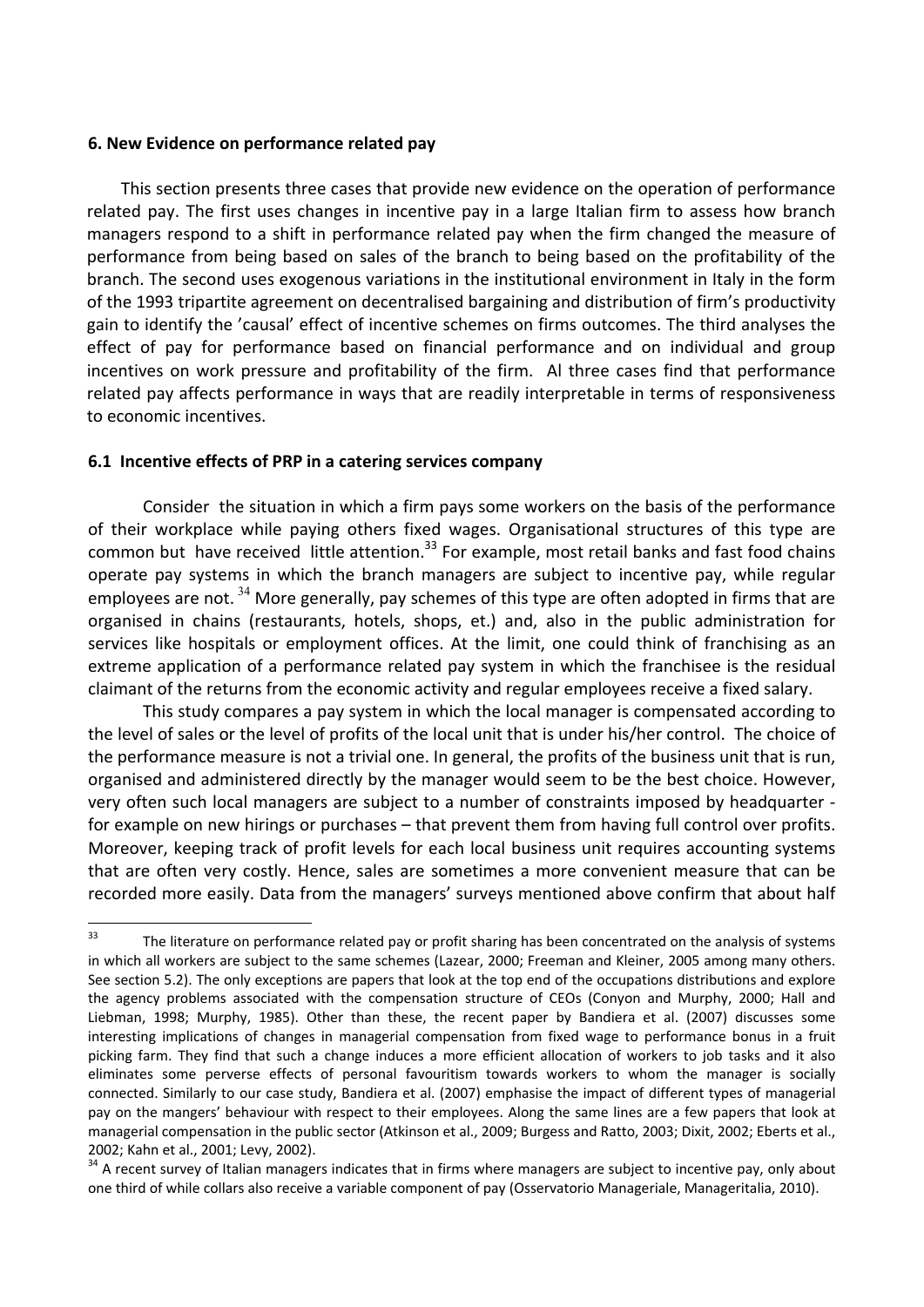## **6. New Evidence on performance related pay**

This section presents three cases that provide new evidence on the operation of performance related pay. The first uses changes in incentive pay in a large Italian firm to assess how branch managers respond to a shift in performance related pay when the firm changed the measure of performance from being based on sales of the branch to being based on the profitability of the branch. The second uses exogenous variations in the institutional environment in Italy in the form of the 1993 tripartite agreement on decentralised bargaining and distribution of firm's productivity gain to identify the 'causal' effect of incentive schemes on firms outcomes. The third analyses the effect of pay for performance based on financial performance and on individual and group incentives on work pressure and profitability of the firm. Al three cases find that performance related pay affects performance in ways that are readily interpretable in terms of responsiveness to economic incentives.

## **6.1 Incentive effects of PRP in a catering services company**

Consider the situation in which a firm pays some workers on the basis of the performance of their workplace while paying others fixed wages. Organisational structures of this type are common but have received little attention.<sup>33</sup> For example, most retail banks and fast food chains operate pay systems in which the branch managers are subject to incentive pay, while regular employees are not.  $34$  More generally, pay schemes of this type are often adopted in firms that are organised in chains (restaurants, hotels, shops, et.) and, also in the public administration for services like hospitals or employment offices. At the limit, one could think of franchising as an extreme application of a performance related pay system in which the franchisee is the residual claimant of the returns from the economic activity and regular employees receive a fixed salary.

This study compares a pay system in which the local manager is compensated according to the level of sales or the level of profits of the local unit that is under his/her control. The choice of the performance measure is not a trivial one. In general, the profits of the business unit that is run, organised and administered directly by the manager would seem to be the best choice. However, very often such local managers are subject to a number of constraints imposed by headquarter ‐ for example on new hirings or purchases – that prevent them from having full control over profits. Moreover, keeping track of profit levels for each local business unit requires accounting systems that are often very costly. Hence, sales are sometimes a more convenient measure that can be recorded more easily. Data from the managers' surveys mentioned above confirm that about half

<sup>33</sup> The literature on performance related pay or profit sharing has been concentrated on the analysis of systems in which all workers are subject to the same schemes (Lazear, 2000; Freeman and Kleiner, 2005 among many others. See section 5.2). The only exceptions are papers that look at the top end of the occupations distributions and explore the agency problems associated with the compensation structure of CEOs (Conyon and Murphy, 2000; Hall and Liebman, 1998; Murphy, 1985). Other than these, the recent paper by Bandiera et al. (2007) discusses some interesting implications of changes in managerial compensation from fixed wage to performance bonus in a fruit picking farm. They find that such a change induces a more efficient allocation of workers to job tasks and it also eliminates some perverse effects of personal favouritism towards workers to whom the manager is socially connected. Similarly to our case study, Bandiera et al. (2007) emphasise the impact of different types of managerial pay on the mangers' behaviour with respect to their employees. Along the same lines are a few papers that look at managerial compensation in the public sector (Atkinson et al., 2009; Burgess and Ratto, 2003; Dixit, 2002; Eberts et al.,

<sup>2002;</sup> Kahn et al., 2001; Levy, 2002).<br><sup>34</sup> A recent survey of Italian managers indicates that in firms where managers are subject to incentive pay, only about one third of while collars also receive a variable component of pay (Osservatorio Manageriale, Manageritalia, 2010).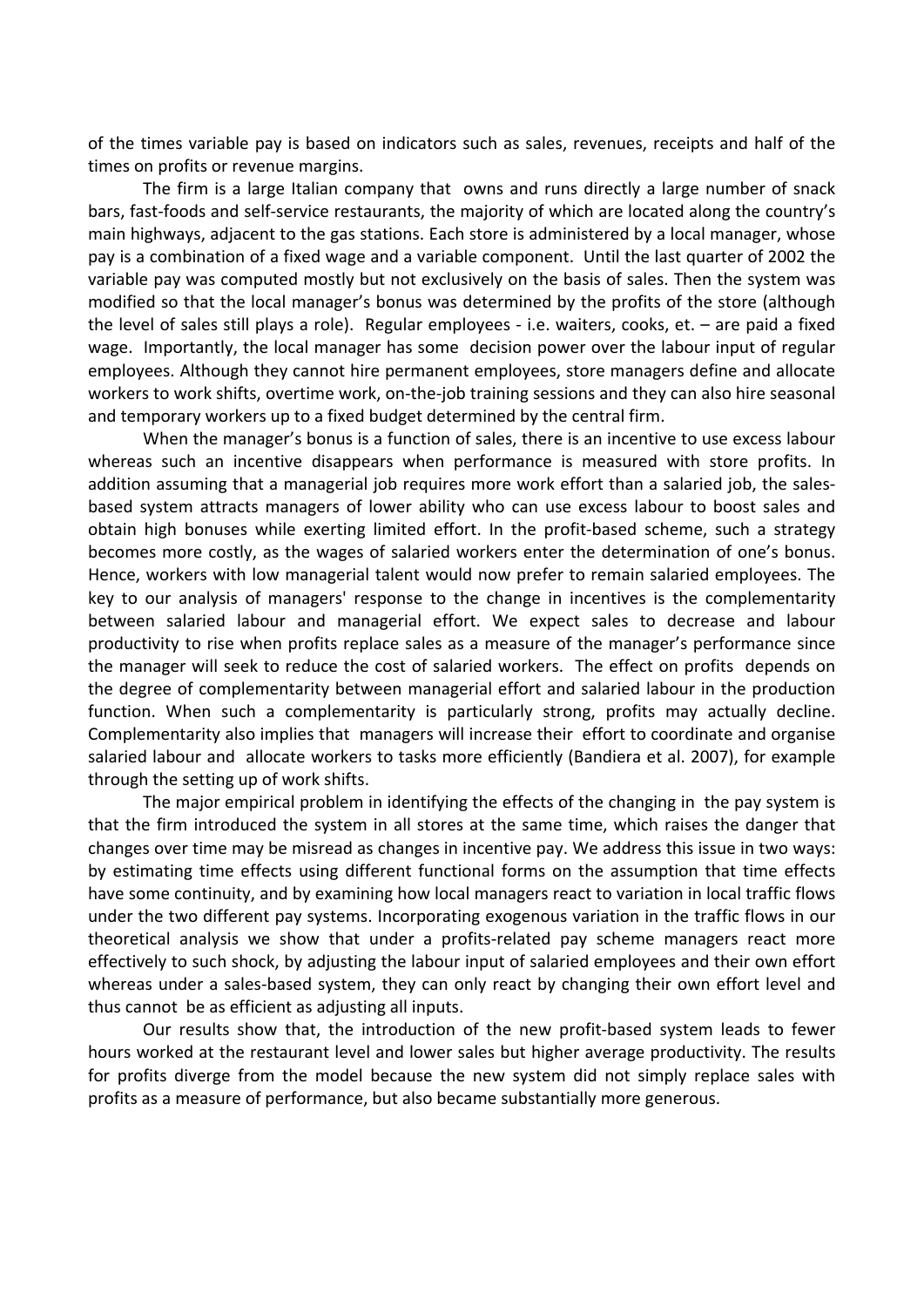of the times variable pay is based on indicators such as sales, revenues, receipts and half of the times on profits or revenue margins.

The firm is a large Italian company that owns and runs directly a large number of snack bars, fast-foods and self-service restaurants, the majority of which are located along the country's main highways, adjacent to the gas stations. Each store is administered by a local manager, whose pay is a combination of a fixed wage and a variable component. Until the last quarter of 2002 the variable pay was computed mostly but not exclusively on the basis of sales. Then the system was modified so that the local manager's bonus was determined by the profits of the store (although the level of sales still plays a role). Regular employees ‐ i.e. waiters, cooks, et. – are paid a fixed wage. Importantly, the local manager has some decision power over the labour input of regular employees. Although they cannot hire permanent employees, store managers define and allocate workers to work shifts, overtime work, on-the-job training sessions and they can also hire seasonal and temporary workers up to a fixed budget determined by the central firm.

 When the manager's bonus is a function of sales, there is an incentive to use excess labour whereas such an incentive disappears when performance is measured with store profits. In addition assuming that a managerial job requires more work effort than a salaried job, the sales‐ based system attracts managers of lower ability who can use excess labour to boost sales and obtain high bonuses while exerting limited effort. In the profit‐based scheme, such a strategy becomes more costly, as the wages of salaried workers enter the determination of one's bonus. Hence, workers with low managerial talent would now prefer to remain salaried employees. The key to our analysis of managers' response to the change in incentives is the complementarity between salaried labour and managerial effort. We expect sales to decrease and labour productivity to rise when profits replace sales as a measure of the manager's performance since the manager will seek to reduce the cost of salaried workers. The effect on profits depends on the degree of complementarity between managerial effort and salaried labour in the production function. When such a complementarity is particularly strong, profits may actually decline. Complementarity also implies that managers will increase their effort to coordinate and organise salaried labour and allocate workers to tasks more efficiently (Bandiera et al. 2007), for example through the setting up of work shifts.

The major empirical problem in identifying the effects of the changing in the pay system is that the firm introduced the system in all stores at the same time, which raises the danger that changes over time may be misread as changes in incentive pay. We address this issue in two ways: by estimating time effects using different functional forms on the assumption that time effects have some continuity, and by examining how local managers react to variation in local traffic flows under the two different pay systems. Incorporating exogenous variation in the traffic flows in our theoretical analysis we show that under a profits‐related pay scheme managers react more effectively to such shock, by adjusting the labour input of salaried employees and their own effort whereas under a sales-based system, they can only react by changing their own effort level and thus cannot be as efficient as adjusting all inputs.

Our results show that, the introduction of the new profit‐based system leads to fewer hours worked at the restaurant level and lower sales but higher average productivity. The results for profits diverge from the model because the new system did not simply replace sales with profits as a measure of performance, but also became substantially more generous.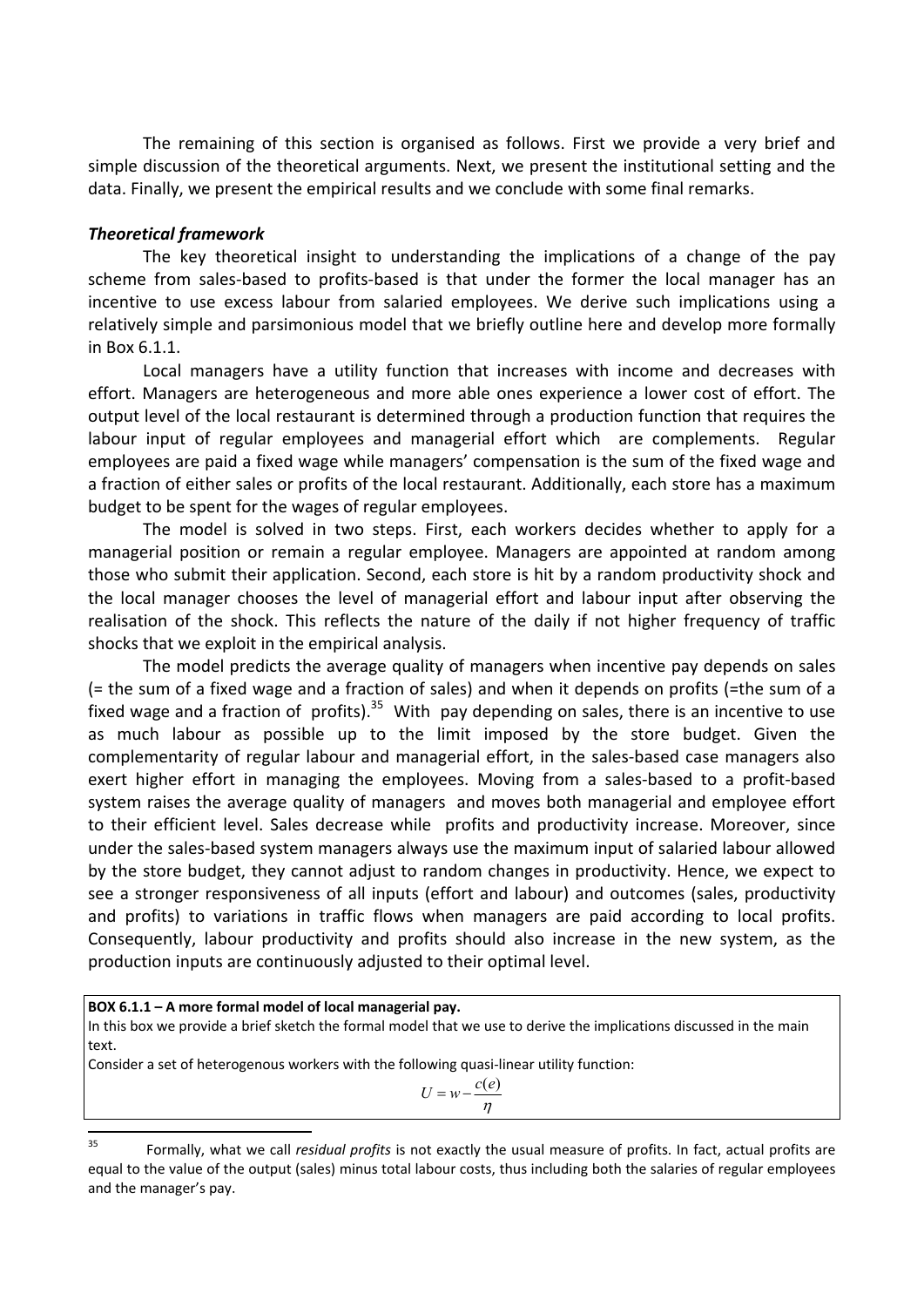The remaining of this section is organised as follows. First we provide a very brief and simple discussion of the theoretical arguments. Next, we present the institutional setting and the data. Finally, we present the empirical results and we conclude with some final remarks.

# *Theoretical framework*

The key theoretical insight to understanding the implications of a change of the pay scheme from sales-based to profits-based is that under the former the local manager has an incentive to use excess labour from salaried employees. We derive such implications using a relatively simple and parsimonious model that we briefly outline here and develop more formally in Box 6.1.1.

Local managers have a utility function that increases with income and decreases with effort. Managers are heterogeneous and more able ones experience a lower cost of effort. The output level of the local restaurant is determined through a production function that requires the labour input of regular employees and managerial effort which are complements. Regular employees are paid a fixed wage while managers' compensation is the sum of the fixed wage and a fraction of either sales or profits of the local restaurant. Additionally, each store has a maximum budget to be spent for the wages of regular employees.

The model is solved in two steps. First, each workers decides whether to apply for a managerial position or remain a regular employee. Managers are appointed at random among those who submit their application. Second, each store is hit by a random productivity shock and the local manager chooses the level of managerial effort and labour input after observing the realisation of the shock. This reflects the nature of the daily if not higher frequency of traffic shocks that we exploit in the empirical analysis.

The model predicts the average quality of managers when incentive pay depends on sales (= the sum of a fixed wage and a fraction of sales) and when it depends on profits (=the sum of a fixed wage and a fraction of  $\mu$  profits).<sup>35</sup> With  $\mu$ ay depending on sales, there is an incentive to use as much labour as possible up to the limit imposed by the store budget. Given the complementarity of regular labour and managerial effort, in the sales‐based case managers also exert higher effort in managing the employees. Moving from a sales-based to a profit-based system raises the average quality of managers and moves both managerial and employee effort to their efficient level. Sales decrease while profits and productivity increase. Moreover, since under the sales‐based system managers always use the maximum input of salaried labour allowed by the store budget, they cannot adjust to random changes in productivity. Hence, we expect to see a stronger responsiveness of all inputs (effort and labour) and outcomes (sales, productivity and profits) to variations in traffic flows when managers are paid according to local profits. Consequently, labour productivity and profits should also increase in the new system, as the production inputs are continuously adjusted to their optimal level.

**BOX 6.1.1 – A more formal model of local managerial pay.**

In this box we provide a brief sketch the formal model that we use to derive the implications discussed in the main text.

Consider a set of heterogenous workers with the following quasi-linear utility function:

η  $U = w - \frac{c(e)}{e}$ 

<sup>35</sup> <sup>35</sup> Formally, what we call *residual profits* is not exactly the usual measure of profits. In fact, actual profits are equal to the value of the output (sales) minus total labour costs, thus including both the salaries of regular employees and the manager's pay.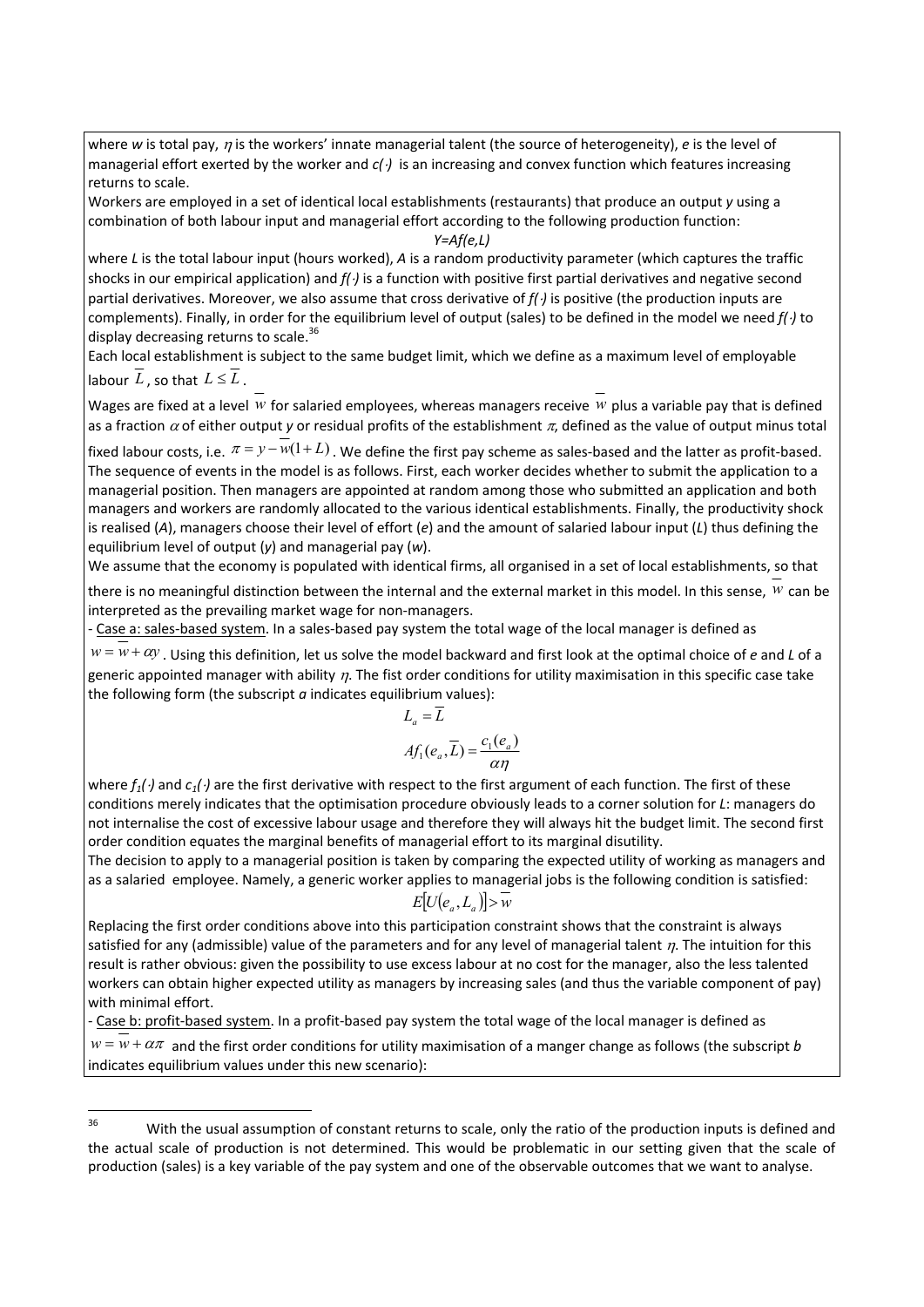where *w* is total pay,  $\eta$  is the workers' innate managerial talent (the source of heterogeneity), *e* is the level of managerial effort exerted by the worker and *c()* is an increasing and convex function which features increasing returns to scale.

Workers are employed in a set of identical local establishments (restaurants) that produce an output *y* using a combination of both labour input and managerial effort according to the following production function:

#### *Y=Af(e,L)*

where *L* is the total labour input (hours worked), *A* is a random productivity parameter (which captures the traffic shocks in our empirical application) and *f()* is a function with positive first partial derivatives and negative second partial derivatives. Moreover, we also assume that cross derivative of *f()* is positive (the production inputs are complements). Finally, in order for the equilibrium level of output (sales) to be defined in the model we need *f()* to display decreasing returns to scale.<sup>36</sup>

Each local establishment is subject to the same budget limit, which we define as a maximum level of employable labour  $\overline{L}$ , so that  $L \leq \overline{L}$ .

Wages are fixed at a level  $\overline{w}$  for salaried employees, whereas managers receive  $\overline{w}$  plus a variable pay that is defined as a fraction  $\alpha$  of either output y or residual profits of the establishment  $\pi$ , defined as the value of output minus total

fixed labour costs, i.e.  $\pi = y - w(1 + L)$ . We define the first pay scheme as sales-based and the latter as profit-based. The sequence of events in the model is as follows. First, each worker decides whether to submit the application to a managerial position. Then managers are appointed at random among those who submitted an application and both managers and workers are randomly allocated to the various identical establishments. Finally, the productivity shock is realised (*A*), managers choose their level of effort (*e*) and the amount of salaried labour input (*L*) thus defining the equilibrium level of output (*y*) and managerial pay (*w*).

We assume that the economy is populated with identical firms, all organised in a set of local establishments, so that there is no meaningful distinction between the internal and the external market in this model. In this sense.  $\overline{w}$  can be interpreted as the prevailing market wage for non‐managers.

- Case a: sales-based system. In a sales-based pay system the total wage of the local manager is defined as

 $w = w + \alpha y$ . Using this definition, let us solve the model backward and first look at the optimal choice of *e* and *L* of a generic appointed manager with ability  $n$ . The fist order conditions for utility maximisation in this specific case take the following form (the subscript  $a$  indicates equilibrium values):

$$
L_a = \overline{L}
$$

$$
Af_1(e_a, \overline{L}) = \frac{c_1(e_a)}{\alpha \eta}
$$

where  $f_1(\cdot)$  and  $c_1(\cdot)$  are the first derivative with respect to the first argument of each function. The first of these conditions merely indicates that the optimisation procedure obviously leads to a corner solution for *L*: managers do not internalise the cost of excessive labour usage and therefore they will always hit the budget limit. The second first order condition equates the marginal benefits of managerial effort to its marginal disutility.

The decision to apply to a managerial position is taken by comparing the expected utility of working as managers and as a salaried employee. Namely, a generic worker applies to managerial jobs is the following condition is satisfied:

$$
E[U(e_a, L_a)] > \overline{w}
$$

Replacing the first order conditions above into this participation constraint shows that the constraint is always satisfied for any (admissible) value of the parameters and for any level of managerial talent  $n$ . The intuition for this result is rather obvious: given the possibility to use excess labour at no cost for the manager, also the less talented workers can obtain higher expected utility as managers by increasing sales (and thus the variable component of pay) with minimal effort.

- Case b: profit-based system. In a profit-based pay system the total wage of the local manager is defined as

 $w = \overline{w} + \alpha \pi$  and the first order conditions for utility maximisation of a manger change as follows (the subscript *b*) indicates equilibrium values under this new scenario):

<sup>36</sup> With the usual assumption of constant returns to scale, only the ratio of the production inputs is defined and the actual scale of production is not determined. This would be problematic in our setting given that the scale of production (sales) is a key variable of the pay system and one of the observable outcomes that we want to analyse.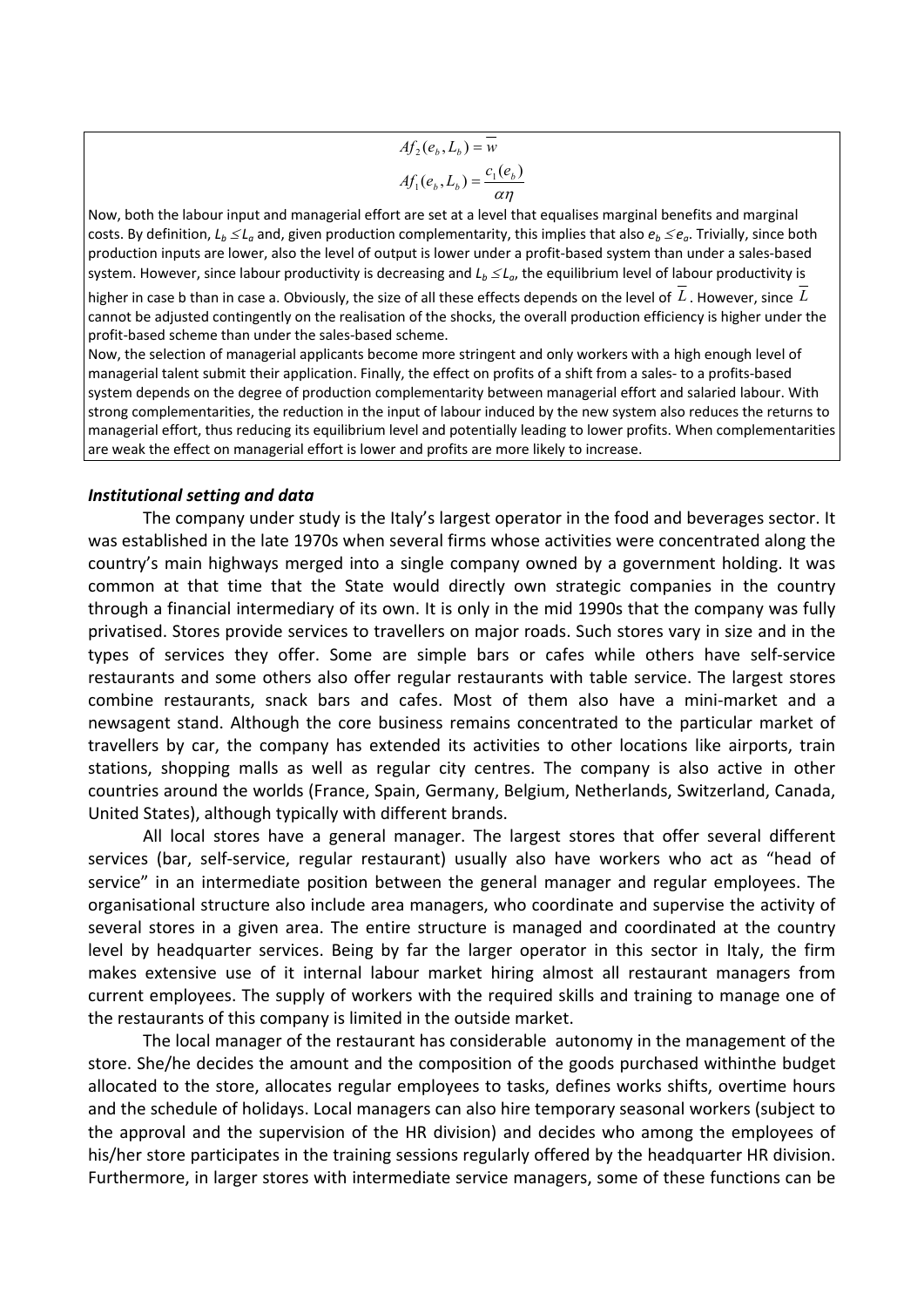$\alpha\eta$  $Af_1(e_b, L_b) = \frac{c_1(e_b)}{m}$  $Af_2(e_b, L_b) = w$ 

Now, both the labour input and managerial effort are set at a level that equalises marginal benefits and marginal costs. By definition,  $L_b \le L_a$  and, given production complementarity, this implies that also  $e_b \le e_a$ . Trivially, since both production inputs are lower, also the level of output is lower under a profit‐based system than under a sales‐based system. However, since labour productivity is decreasing and  $L_b \leq L_a$ , the equilibrium level of labour productivity is

higher in case b than in case a. Obviously, the size of all these effects depends on the level of *L* . However, since *L* cannot be adjusted contingently on the realisation of the shocks, the overall production efficiency is higher under the profit‐based scheme than under the sales‐based scheme.

Now, the selection of managerial applicants become more stringent and only workers with a high enough level of managerial talent submit their application. Finally, the effect on profits of a shift from a sales‐ to a profits‐based system depends on the degree of production complementarity between managerial effort and salaried labour. With strong complementarities, the reduction in the input of labour induced by the new system also reduces the returns to managerial effort, thus reducing its equilibrium level and potentially leading to lower profits. When complementarities are weak the effect on managerial effort is lower and profits are more likely to increase.

#### *Institutional setting and data*

The company under study is the Italy's largest operator in the food and beverages sector. It was established in the late 1970s when several firms whose activities were concentrated along the country's main highways merged into a single company owned by a government holding. It was common at that time that the State would directly own strategic companies in the country through a financial intermediary of its own. It is only in the mid 1990s that the company was fully privatised. Stores provide services to travellers on major roads. Such stores vary in size and in the types of services they offer. Some are simple bars or cafes while others have self‐service restaurants and some others also offer regular restaurants with table service. The largest stores combine restaurants, snack bars and cafes. Most of them also have a mini‐market and a newsagent stand. Although the core business remains concentrated to the particular market of travellers by car, the company has extended its activities to other locations like airports, train stations, shopping malls as well as regular city centres. The company is also active in other countries around the worlds (France, Spain, Germany, Belgium, Netherlands, Switzerland, Canada, United States), although typically with different brands.

All local stores have a general manager. The largest stores that offer several different services (bar, self-service, regular restaurant) usually also have workers who act as "head of service" in an intermediate position between the general manager and regular employees. The organisational structure also include area managers, who coordinate and supervise the activity of several stores in a given area. The entire structure is managed and coordinated at the country level by headquarter services. Being by far the larger operator in this sector in Italy, the firm makes extensive use of it internal labour market hiring almost all restaurant managers from current employees. The supply of workers with the required skills and training to manage one of the restaurants of this company is limited in the outside market.

The local manager of the restaurant has considerable autonomy in the management of the store. She/he decides the amount and the composition of the goods purchased withinthe budget allocated to the store, allocates regular employees to tasks, defines works shifts, overtime hours and the schedule of holidays. Local managers can also hire temporary seasonal workers (subject to the approval and the supervision of the HR division) and decides who among the employees of his/her store participates in the training sessions regularly offered by the headquarter HR division. Furthermore, in larger stores with intermediate service managers, some of these functions can be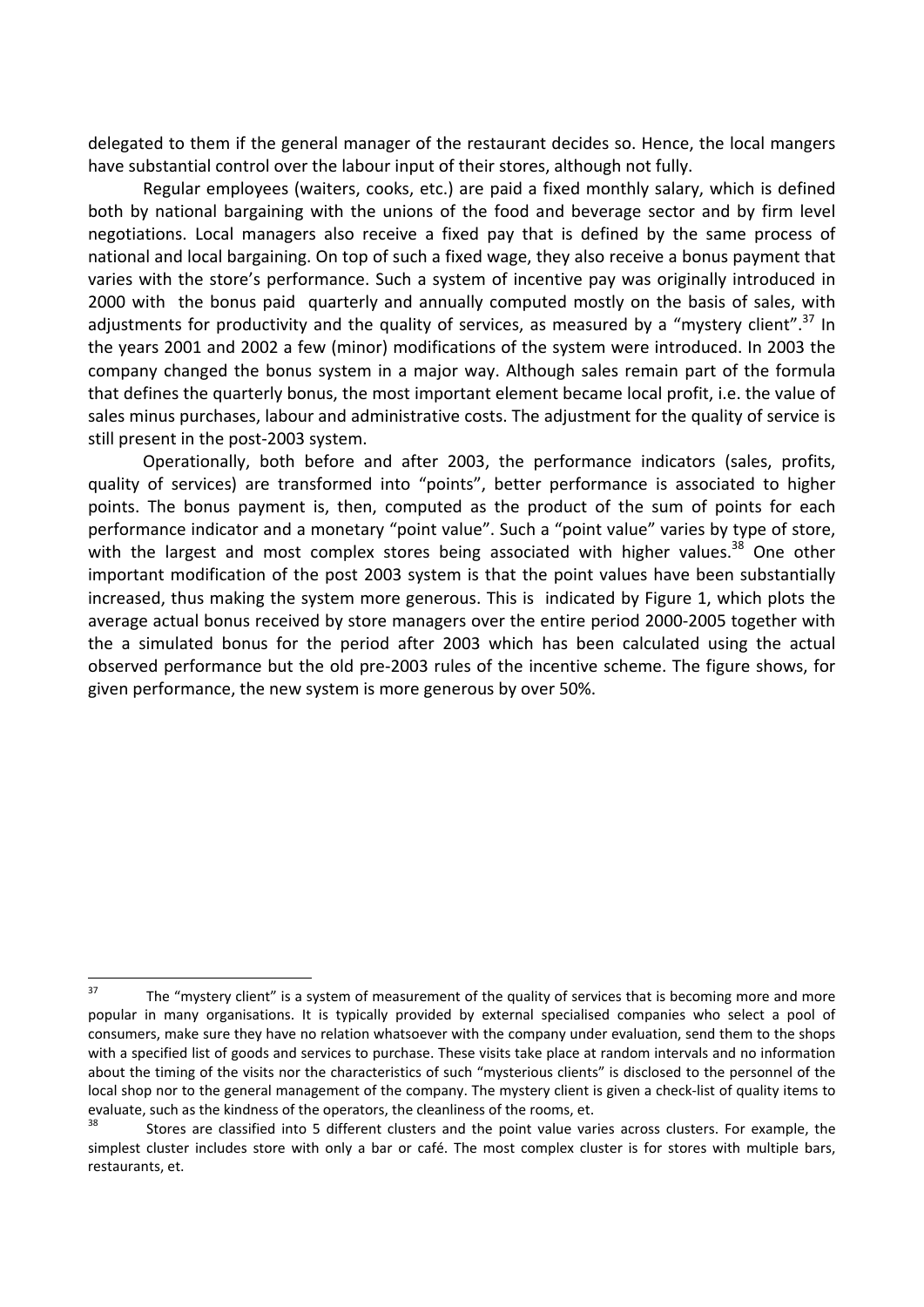delegated to them if the general manager of the restaurant decides so. Hence, the local mangers have substantial control over the labour input of their stores, although not fully.

Regular employees (waiters, cooks, etc.) are paid a fixed monthly salary, which is defined both by national bargaining with the unions of the food and beverage sector and by firm level negotiations. Local managers also receive a fixed pay that is defined by the same process of national and local bargaining. On top of such a fixed wage, they also receive a bonus payment that varies with the store's performance. Such a system of incentive pay was originally introduced in 2000 with the bonus paid quarterly and annually computed mostly on the basis of sales, with adjustments for productivity and the quality of services, as measured by a "mystery client".<sup>37</sup> In the years 2001 and 2002 a few (minor) modifications of the system were introduced. In 2003 the company changed the bonus system in a major way. Although sales remain part of the formula that defines the quarterly bonus, the most important element became local profit, i.e. the value of sales minus purchases, labour and administrative costs. The adjustment for the quality of service is still present in the post‐2003 system.

Operationally, both before and after 2003, the performance indicators (sales, profits, quality of services) are transformed into "points", better performance is associated to higher points. The bonus payment is, then, computed as the product of the sum of points for each performance indicator and a monetary "point value". Such a "point value" varies by type of store, with the largest and most complex stores being associated with higher values.<sup>38</sup> One other important modification of the post 2003 system is that the point values have been substantially increased, thus making the system more generous. This is indicated by Figure 1, which plots the average actual bonus received by store managers over the entire period 2000‐2005 together with the a simulated bonus for the period after 2003 which has been calculated using the actual observed performance but the old pre‐2003 rules of the incentive scheme. The figure shows, for given performance, the new system is more generous by over 50%.

 $37$ The "mystery client" is a system of measurement of the quality of services that is becoming more and more popular in many organisations. It is typically provided by external specialised companies who select a pool of consumers, make sure they have no relation whatsoever with the company under evaluation, send them to the shops with a specified list of goods and services to purchase. These visits take place at random intervals and no information about the timing of the visits nor the characteristics of such "mysterious clients" is disclosed to the personnel of the local shop nor to the general management of the company. The mystery client is given a check‐list of quality items to evaluate, such as the kindness of the operators, the cleanliness of the rooms, et.<br><sup>38</sup> Stores are classified into 5 different clusters and the point value varies across clusters. For example, the

simplest cluster includes store with only a bar or café. The most complex cluster is for stores with multiple bars, restaurants, et.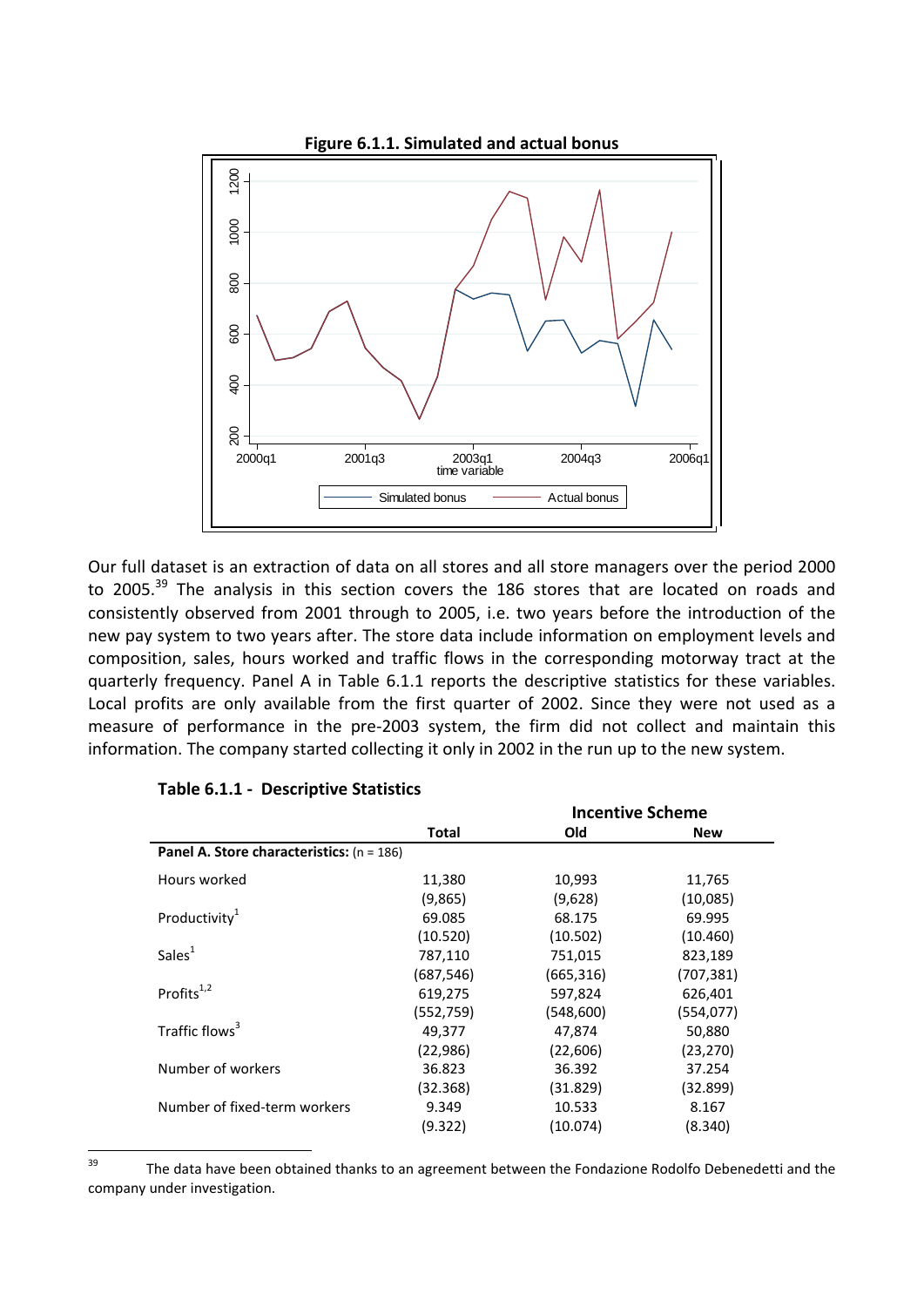

Our full dataset is an extraction of data on all stores and all store managers over the period 2000 to 2005.<sup>39</sup> The analysis in this section covers the 186 stores that are located on roads and consistently observed from 2001 through to 2005, i.e. two years before the introduction of the new pay system to two years after. The store data include information on employment levels and composition, sales, hours worked and traffic flows in the corresponding motorway tract at the quarterly frequency. Panel A in Table 6.1.1 reports the descriptive statistics for these variables. Local profits are only available from the first quarter of 2002. Since they were not used as a measure of performance in the pre‐2003 system, the firm did not collect and maintain this information. The company started collecting it only in 2002 in the run up to the new system.

|                                                    |              |            | <b>Incentive Scheme</b> |  |  |
|----------------------------------------------------|--------------|------------|-------------------------|--|--|
|                                                    | <b>Total</b> | Old        | <b>New</b>              |  |  |
| <b>Panel A. Store characteristics:</b> $(n = 186)$ |              |            |                         |  |  |
| Hours worked                                       | 11,380       | 10,993     | 11,765                  |  |  |
|                                                    | (9,865)      | (9,628)    | (10,085)                |  |  |
| Productivity <sup>1</sup>                          | 69.085       | 68.175     | 69.995                  |  |  |
|                                                    | (10.520)     | (10.502)   | (10.460)                |  |  |
| Sales $1$                                          | 787,110      | 751,015    | 823,189                 |  |  |
|                                                    | (687, 546)   | (665, 316) | (707, 381)              |  |  |
| Profits $1,2$                                      | 619,275      | 597,824    | 626,401                 |  |  |
|                                                    | (552, 759)   | (548, 600) | (554, 077)              |  |  |
| Traffic flows <sup>3</sup>                         | 49,377       | 47,874     | 50,880                  |  |  |
|                                                    | (22,986)     | (22, 606)  | (23, 270)               |  |  |
| Number of workers                                  | 36.823       | 36.392     | 37.254                  |  |  |
|                                                    | (32.368)     | (31.829)   | (32.899)                |  |  |
| Number of fixed-term workers                       | 9.349        | 10.533     | 8.167                   |  |  |
|                                                    | (9.322)      | (10.074)   | (8.340)                 |  |  |

## **Table 6.1.1 ‐ Descriptive Statistics**

<sup>39</sup> The data have been obtained thanks to an agreement between the Fondazione Rodolfo Debenedetti and the company under investigation.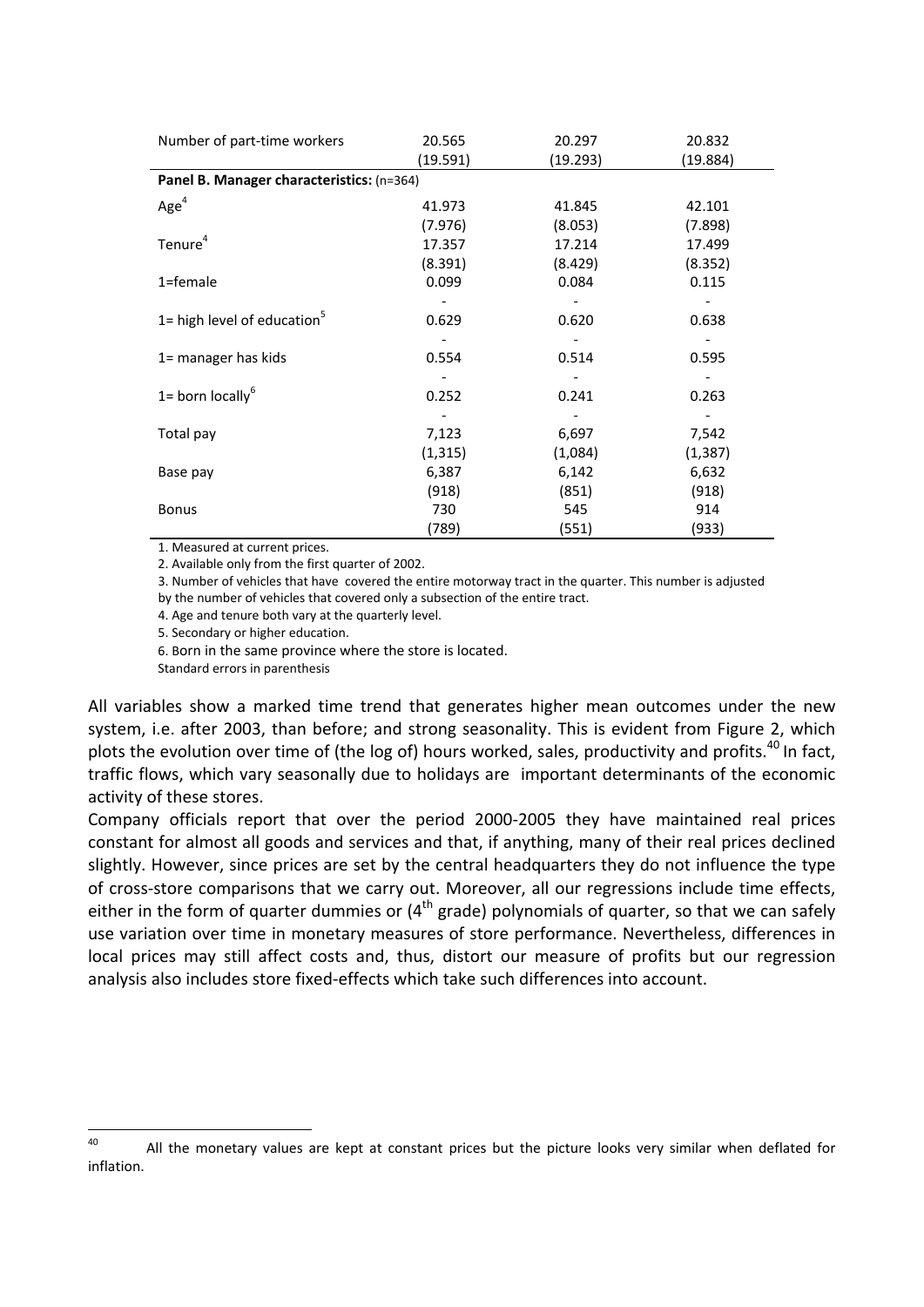| Number of part-time workers               | 20.565   | 20.297   | 20.832                   |
|-------------------------------------------|----------|----------|--------------------------|
|                                           | (19.591) | (19.293) | (19.884)                 |
| Panel B. Manager characteristics: (n=364) |          |          |                          |
| Age <sup>4</sup>                          | 41.973   | 41.845   | 42.101                   |
|                                           | (7.976)  | (8.053)  | (7.898)                  |
| Tenure <sup>4</sup>                       | 17.357   | 17.214   | 17.499                   |
|                                           | (8.391)  | (8.429)  | (8.352)                  |
| 1=female                                  | 0.099    | 0.084    | 0.115                    |
|                                           |          |          |                          |
| 1= high level of education $5$            | 0.629    | 0.620    | 0.638                    |
|                                           |          |          |                          |
| 1= manager has kids                       | 0.554    | 0.514    | 0.595                    |
|                                           |          |          |                          |
| 1= born locally $6$                       | 0.252    | 0.241    | 0.263                    |
|                                           |          |          | $\overline{\phantom{a}}$ |
| Total pay                                 | 7,123    | 6,697    | 7,542                    |
|                                           | (1, 315) | (1,084)  | (1, 387)                 |
| Base pay                                  | 6,387    | 6,142    | 6,632                    |
|                                           | (918)    | (851)    | (918)                    |
| <b>Bonus</b>                              | 730      | 545      | 914                      |
|                                           | (789)    | (551)    | (933)                    |

1. Measured at current prices.

2. Available only from the first quarter of 2002.

3. Number of vehicles that have covered the entire motorway tract in the quarter. This number is adjusted by the number of vehicles that covered only a subsection of the entire tract.

4. Age and tenure both vary at the quarterly level.

5. Secondary or higher education.

6. Born in the same province where the store is located.

Standard errors in parenthesis

All variables show a marked time trend that generates higher mean outcomes under the new system, i.e. after 2003, than before; and strong seasonality. This is evident from Figure 2, which plots the evolution over time of (the log of) hours worked, sales, productivity and profits.<sup>40</sup> In fact, traffic flows, which vary seasonally due to holidays are important determinants of the economic activity of these stores.

Company officials report that over the period 2000‐2005 they have maintained real prices constant for almost all goods and services and that, if anything, many of their real prices declined slightly. However, since prices are set by the central headquarters they do not influence the type of cross‐store comparisons that we carry out. Moreover, all our regressions include time effects, either in the form of quarter dummies or  $(4<sup>th</sup>$  grade) polynomials of quarter, so that we can safely use variation over time in monetary measures of store performance. Nevertheless, differences in local prices may still affect costs and, thus, distort our measure of profits but our regression analysis also includes store fixed‐effects which take such differences into account.

 $40$ All the monetary values are kept at constant prices but the picture looks very similar when deflated for inflation.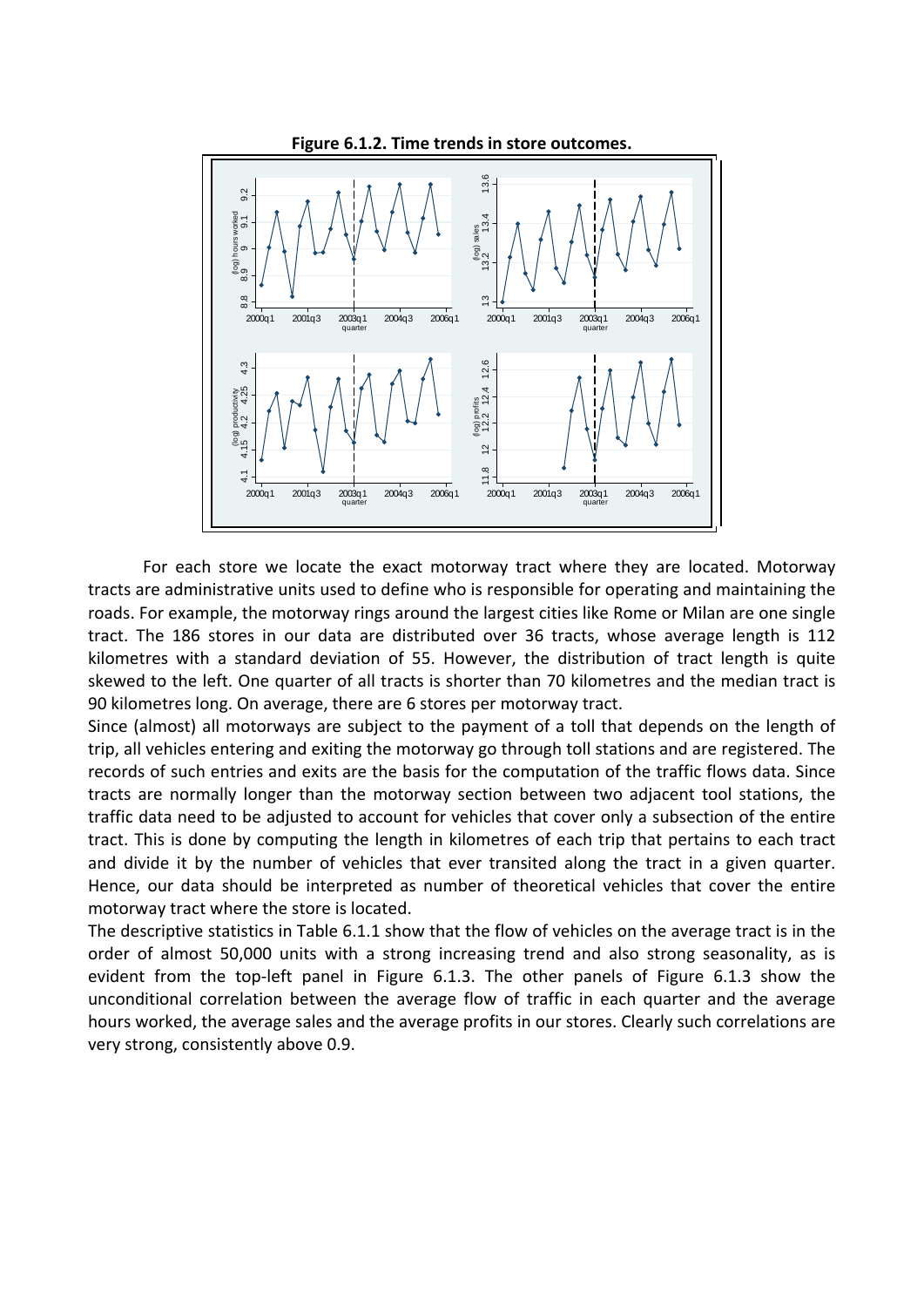

For each store we locate the exact motorway tract where they are located. Motorway tracts are administrative units used to define who is responsible for operating and maintaining the roads. For example, the motorway rings around the largest cities like Rome or Milan are one single tract. The 186 stores in our data are distributed over 36 tracts, whose average length is 112 kilometres with a standard deviation of 55. However, the distribution of tract length is quite skewed to the left. One quarter of all tracts is shorter than 70 kilometres and the median tract is 90 kilometres long. On average, there are 6 stores per motorway tract.

Since (almost) all motorways are subject to the payment of a toll that depends on the length of trip, all vehicles entering and exiting the motorway go through toll stations and are registered. The records of such entries and exits are the basis for the computation of the traffic flows data. Since tracts are normally longer than the motorway section between two adjacent tool stations, the traffic data need to be adjusted to account for vehicles that cover only a subsection of the entire tract. This is done by computing the length in kilometres of each trip that pertains to each tract and divide it by the number of vehicles that ever transited along the tract in a given quarter. Hence, our data should be interpreted as number of theoretical vehicles that cover the entire motorway tract where the store is located.

The descriptive statistics in Table 6.1.1 show that the flow of vehicles on the average tract is in the order of almost 50,000 units with a strong increasing trend and also strong seasonality, as is evident from the top-left panel in Figure 6.1.3. The other panels of Figure 6.1.3 show the unconditional correlation between the average flow of traffic in each quarter and the average hours worked, the average sales and the average profits in our stores. Clearly such correlations are very strong, consistently above 0.9.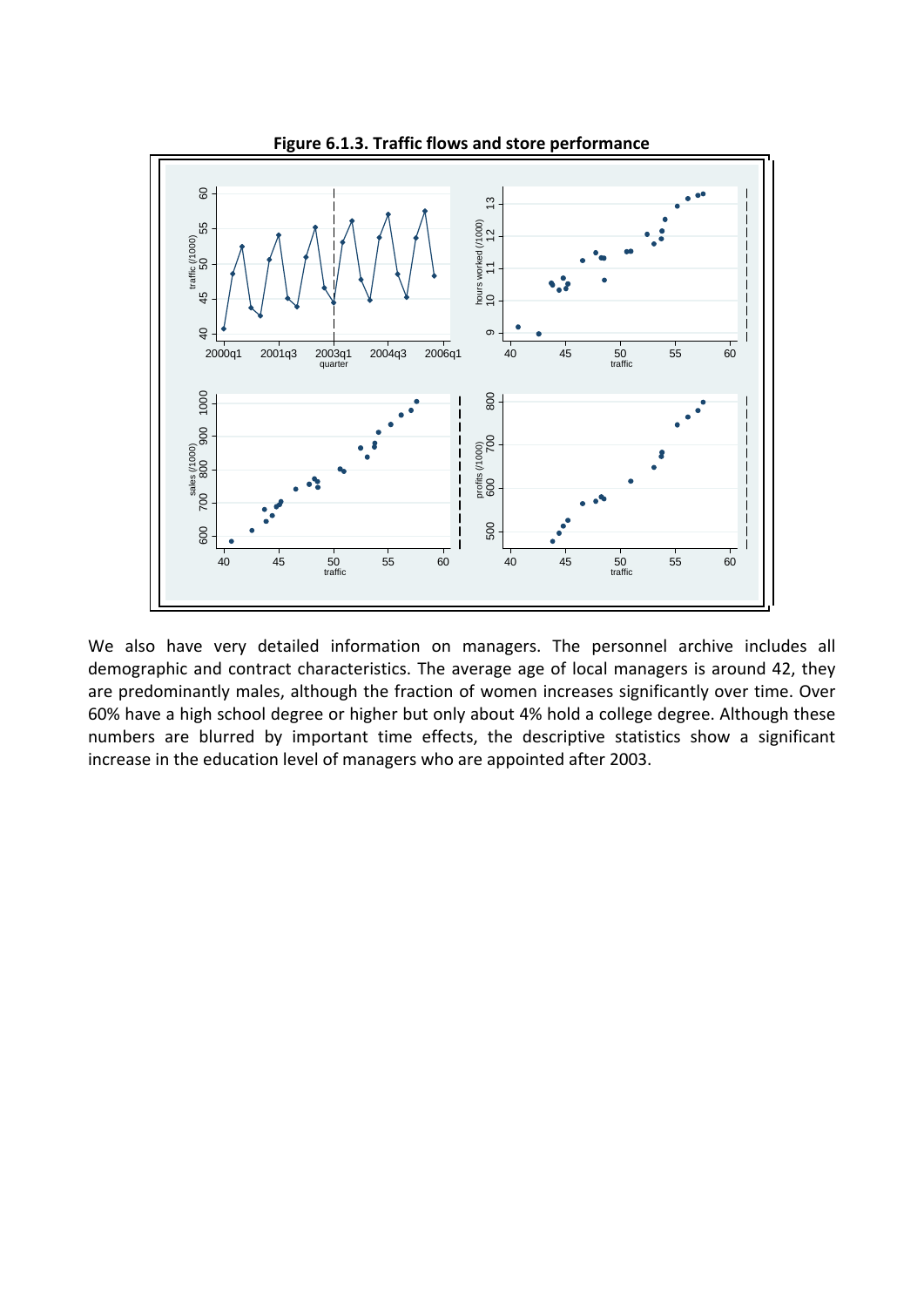

We also have very detailed information on managers. The personnel archive includes all demographic and contract characteristics. The average age of local managers is around 42, they are predominantly males, although the fraction of women increases significantly over time. Over 60% have a high school degree or higher but only about 4% hold a college degree. Although these numbers are blurred by important time effects, the descriptive statistics show a significant increase in the education level of managers who are appointed after 2003.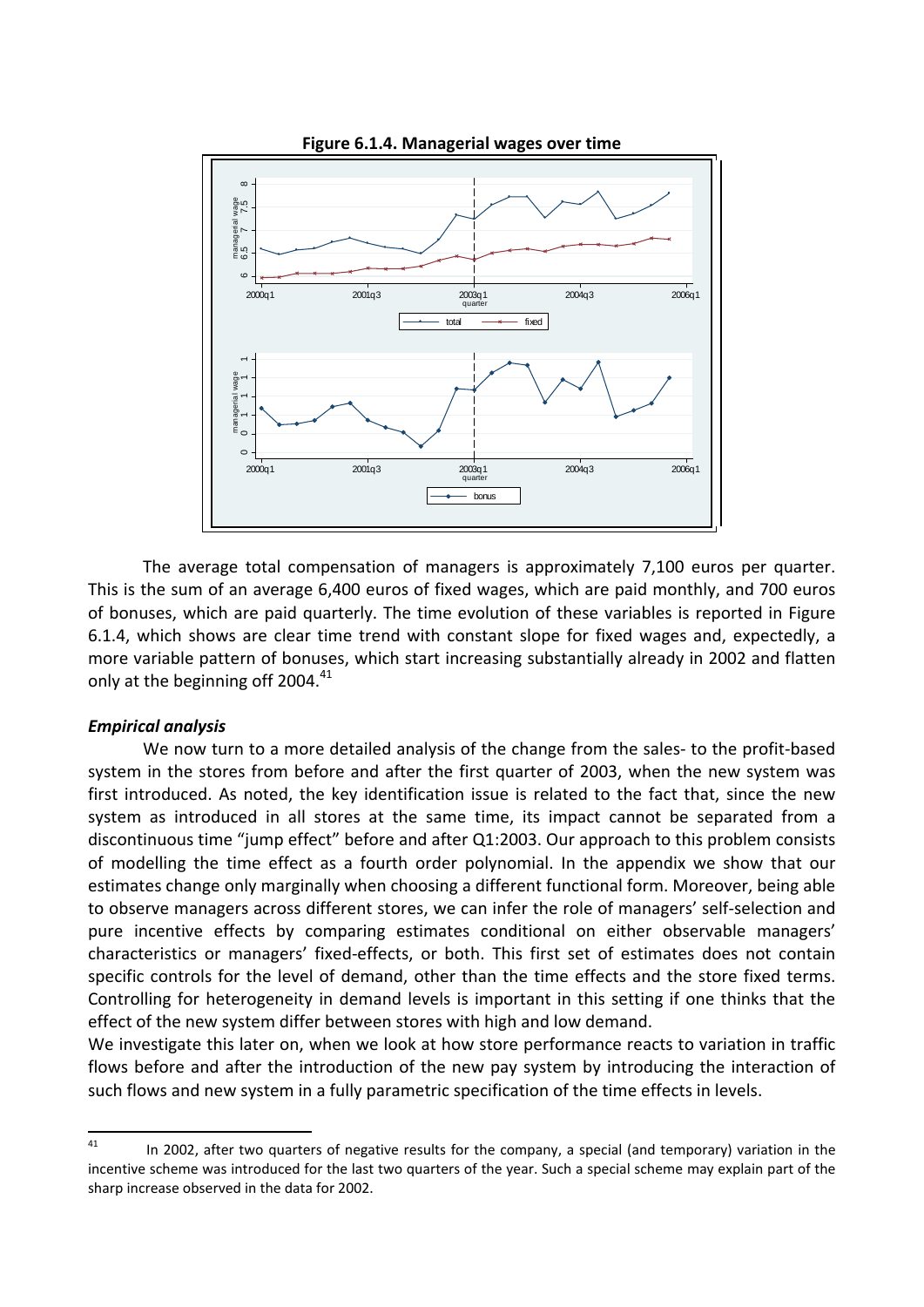

The average total compensation of managers is approximately 7,100 euros per quarter. This is the sum of an average 6,400 euros of fixed wages, which are paid monthly, and 700 euros of bonuses, which are paid quarterly. The time evolution of these variables is reported in Figure 6.1.4, which shows are clear time trend with constant slope for fixed wages and, expectedly, a more variable pattern of bonuses, which start increasing substantially already in 2002 and flatten only at the beginning off 2004.<sup>41</sup>

## *Empirical analysis*

We now turn to a more detailed analysis of the change from the sales- to the profit-based system in the stores from before and after the first quarter of 2003, when the new system was first introduced. As noted, the key identification issue is related to the fact that, since the new system as introduced in all stores at the same time, its impact cannot be separated from a discontinuous time "jump effect" before and after Q1:2003. Our approach to this problem consists of modelling the time effect as a fourth order polynomial. In the appendix we show that our estimates change only marginally when choosing a different functional form. Moreover, being able to observe managers across different stores, we can infer the role of managers' self‐selection and pure incentive effects by comparing estimates conditional on either observable managers' characteristics or managers' fixed‐effects, or both. This first set of estimates does not contain specific controls for the level of demand, other than the time effects and the store fixed terms. Controlling for heterogeneity in demand levels is important in this setting if one thinks that the effect of the new system differ between stores with high and low demand.

We investigate this later on, when we look at how store performance reacts to variation in traffic flows before and after the introduction of the new pay system by introducing the interaction of such flows and new system in a fully parametric specification of the time effects in levels.

 $41$ In 2002, after two quarters of negative results for the company, a special (and temporary) variation in the incentive scheme was introduced for the last two quarters of the year. Such a special scheme may explain part of the sharp increase observed in the data for 2002.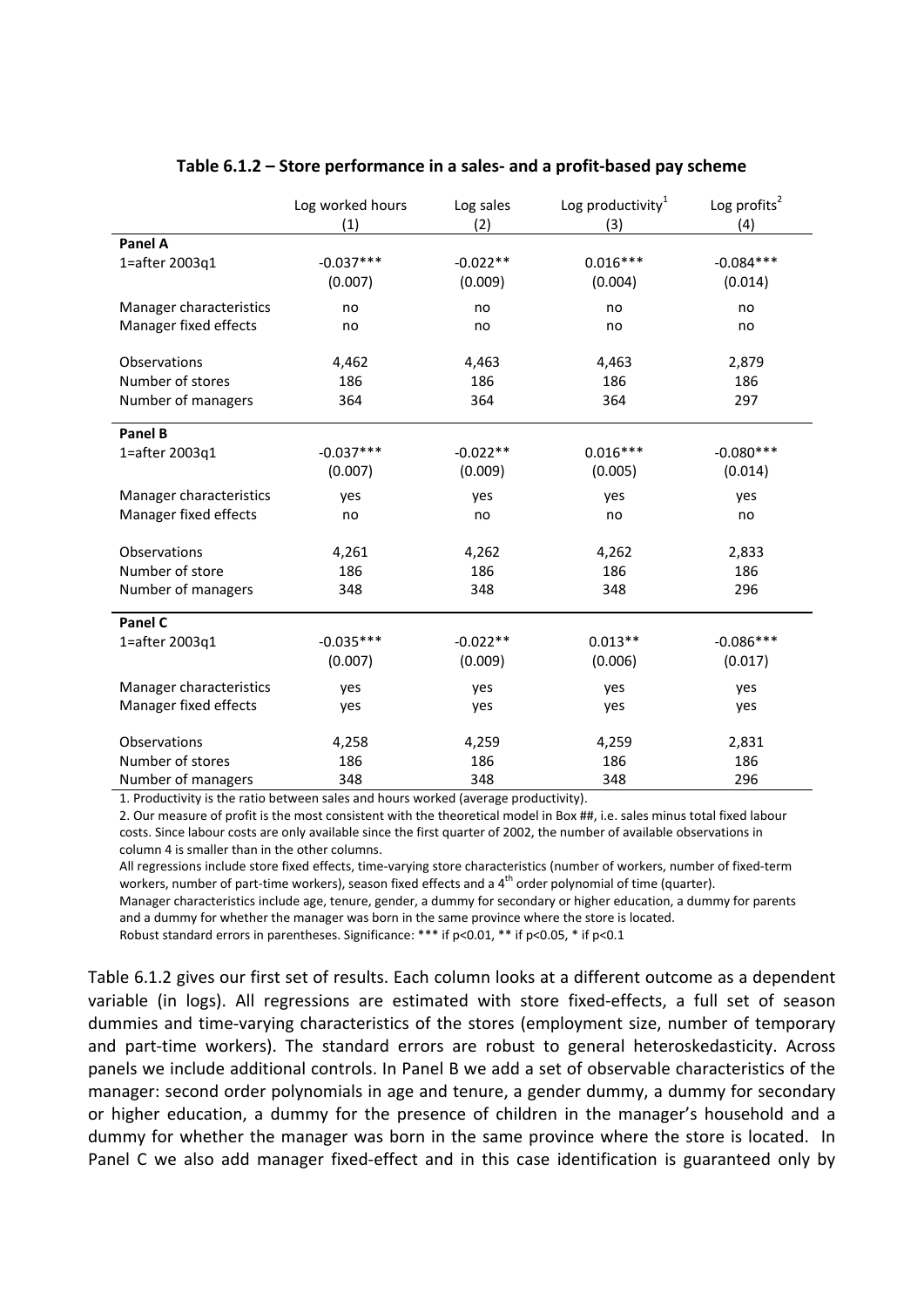|                         | Log worked hours<br>(1) | Log sales<br>(2) | Log productivity $1$<br>(3) | Log profits <sup>2</sup><br>(4) |
|-------------------------|-------------------------|------------------|-----------------------------|---------------------------------|
| Panel A                 |                         |                  |                             |                                 |
| 1=after 2003q1          | $-0.037***$             | $-0.022**$       | $0.016***$                  | $-0.084***$                     |
|                         | (0.007)                 | (0.009)          | (0.004)                     | (0.014)                         |
| Manager characteristics | no                      | no               | no                          | no                              |
| Manager fixed effects   | no                      | no               | no                          | no                              |
| Observations            | 4,462                   | 4,463            | 4,463                       | 2,879                           |
| Number of stores        | 186                     | 186              | 186                         | 186                             |
| Number of managers      | 364                     | 364              | 364                         | 297                             |
| <b>Panel B</b>          |                         |                  |                             |                                 |
| 1=after 2003q1          | $-0.037***$             | $-0.022**$       | $0.016***$                  | $-0.080***$                     |
|                         | (0.007)                 | (0.009)          | (0.005)                     | (0.014)                         |
| Manager characteristics | yes                     | yes              | yes                         | yes                             |
| Manager fixed effects   | no                      | no               | no                          | no                              |
| Observations            | 4,261                   | 4,262            | 4,262                       | 2,833                           |
| Number of store         | 186                     | 186              | 186                         | 186                             |
| Number of managers      | 348                     | 348              | 348                         | 296                             |
| <b>Panel C</b>          |                         |                  |                             |                                 |
| 1=after 2003q1          | $-0.035***$             | $-0.022**$       | $0.013**$                   | $-0.086***$                     |
|                         | (0.007)                 | (0.009)          | (0.006)                     | (0.017)                         |
| Manager characteristics | yes                     | yes              | yes                         | yes                             |
| Manager fixed effects   | yes                     | yes              | yes                         | yes                             |
| Observations            | 4,258                   | 4,259            | 4,259                       | 2,831                           |
| Number of stores        | 186                     | 186              | 186                         | 186                             |
| Number of managers      | 348                     | 348              | 348                         | 296                             |

## **Table 6.1.2 – Store performance in a sales‐ and a profit‐based pay scheme**

1. Productivity is the ratio between sales and hours worked (average productivity).

2. Our measure of profit is the most consistent with the theoretical model in Box ##, i.e. sales minus total fixed labour costs. Since labour costs are only available since the first quarter of 2002, the number of available observations in column 4 is smaller than in the other columns.

All regressions include store fixed effects, time‐varying store characteristics (number of workers, number of fixed‐term workers, number of part-time workers), season fixed effects and a  $4<sup>th</sup>$  order polynomial of time (quarter).

Manager characteristics include age, tenure, gender, a dummy for secondary or higher education, a dummy for parents and a dummy for whether the manager was born in the same province where the store is located.

Robust standard errors in parentheses. Significance: \*\*\* if p<0.01, \*\* if p<0.05, \* if p<0.1

Table 6.1.2 gives our first set of results. Each column looks at a different outcome as a dependent variable (in logs). All regressions are estimated with store fixed‐effects, a full set of season dummies and time‐varying characteristics of the stores (employment size, number of temporary and part-time workers). The standard errors are robust to general heteroskedasticity. Across panels we include additional controls. In Panel B we add a set of observable characteristics of the manager: second order polynomials in age and tenure, a gender dummy, a dummy for secondary or higher education, a dummy for the presence of children in the manager's household and a dummy for whether the manager was born in the same province where the store is located. In Panel C we also add manager fixed‐effect and in this case identification is guaranteed only by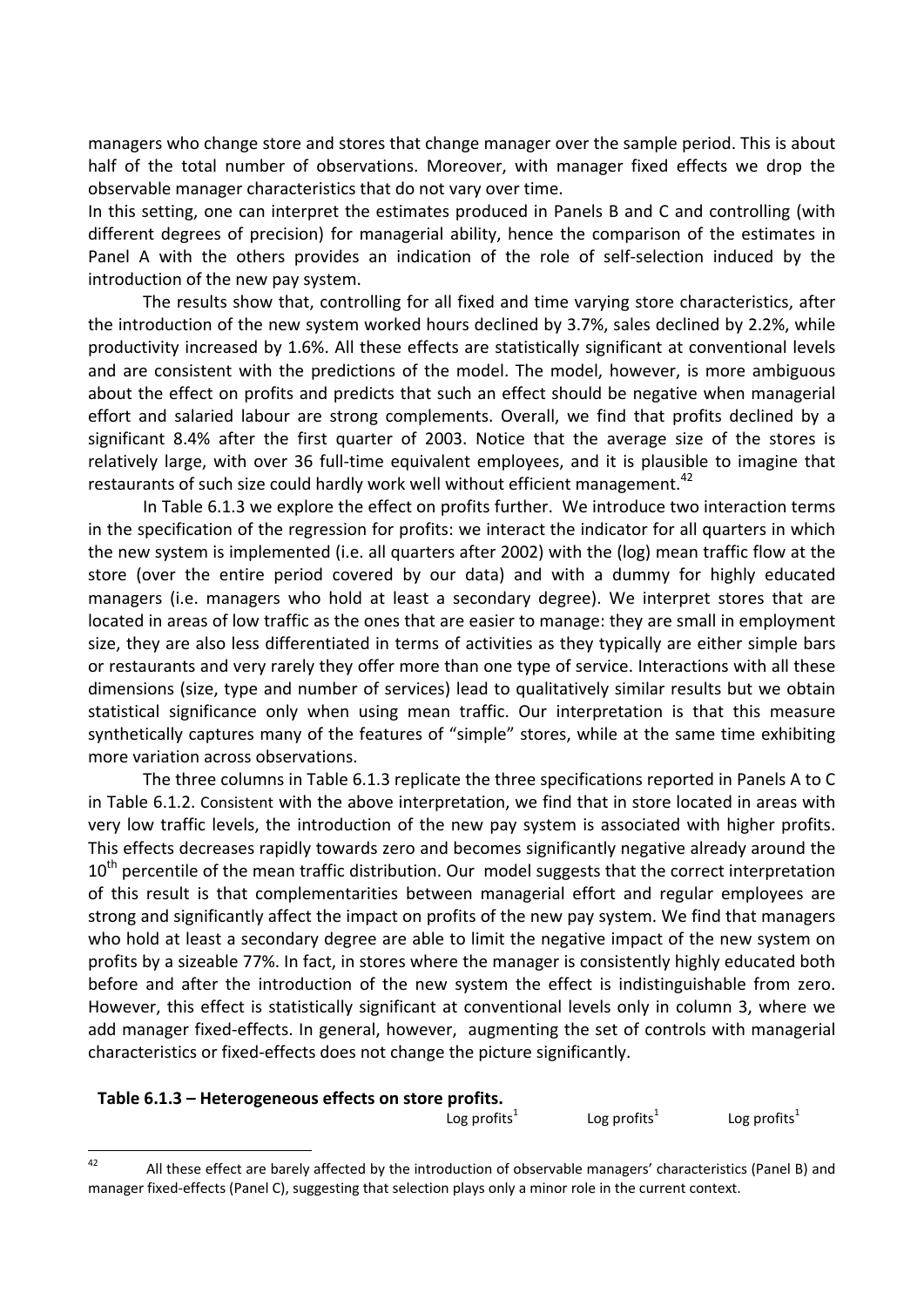managers who change store and stores that change manager over the sample period. This is about half of the total number of observations. Moreover, with manager fixed effects we drop the observable manager characteristics that do not vary over time.

In this setting, one can interpret the estimates produced in Panels B and C and controlling (with different degrees of precision) for managerial ability, hence the comparison of the estimates in Panel A with the others provides an indication of the role of self‐selection induced by the introduction of the new pay system.

The results show that, controlling for all fixed and time varying store characteristics, after the introduction of the new system worked hours declined by 3.7%, sales declined by 2.2%, while productivity increased by 1.6%. All these effects are statistically significant at conventional levels and are consistent with the predictions of the model. The model, however, is more ambiguous about the effect on profits and predicts that such an effect should be negative when managerial effort and salaried labour are strong complements. Overall, we find that profits declined by a significant 8.4% after the first quarter of 2003. Notice that the average size of the stores is relatively large, with over 36 full-time equivalent employees, and it is plausible to imagine that restaurants of such size could hardly work well without efficient management.<sup>42</sup>

In Table 6.1.3 we explore the effect on profits further. We introduce two interaction terms in the specification of the regression for profits: we interact the indicator for all quarters in which the new system is implemented (i.e. all quarters after 2002) with the (log) mean traffic flow at the store (over the entire period covered by our data) and with a dummy for highly educated managers (i.e. managers who hold at least a secondary degree). We interpret stores that are located in areas of low traffic as the ones that are easier to manage: they are small in employment size, they are also less differentiated in terms of activities as they typically are either simple bars or restaurants and very rarely they offer more than one type of service. Interactions with all these dimensions (size, type and number of services) lead to qualitatively similar results but we obtain statistical significance only when using mean traffic. Our interpretation is that this measure synthetically captures many of the features of "simple" stores, while at the same time exhibiting more variation across observations.

The three columns in Table 6.1.3 replicate the three specifications reported in Panels A to C in Table 6.1.2. Consistent with the above interpretation, we find that in store located in areas with very low traffic levels, the introduction of the new pay system is associated with higher profits. This effects decreases rapidly towards zero and becomes significantly negative already around the  $10<sup>th</sup>$  percentile of the mean traffic distribution. Our model suggests that the correct interpretation of this result is that complementarities between managerial effort and regular employees are strong and significantly affect the impact on profits of the new pay system. We find that managers who hold at least a secondary degree are able to limit the negative impact of the new system on profits by a sizeable 77%. In fact, in stores where the manager is consistently highly educated both before and after the introduction of the new system the effect is indistinguishable from zero. However, this effect is statistically significant at conventional levels only in column 3, where we add manager fixed-effects. In general, however, augmenting the set of controls with managerial characteristics or fixed‐effects does not change the picture significantly.

## **Table 6.1.3 – Heterogeneous effects on store profits.**

Log profits<sup>1</sup> Log profits<sup>1</sup> Log profits<sup>1</sup>

 $42$ All these effect are barely affected by the introduction of observable managers' characteristics (Panel B) and manager fixed-effects (Panel C), suggesting that selection plays only a minor role in the current context.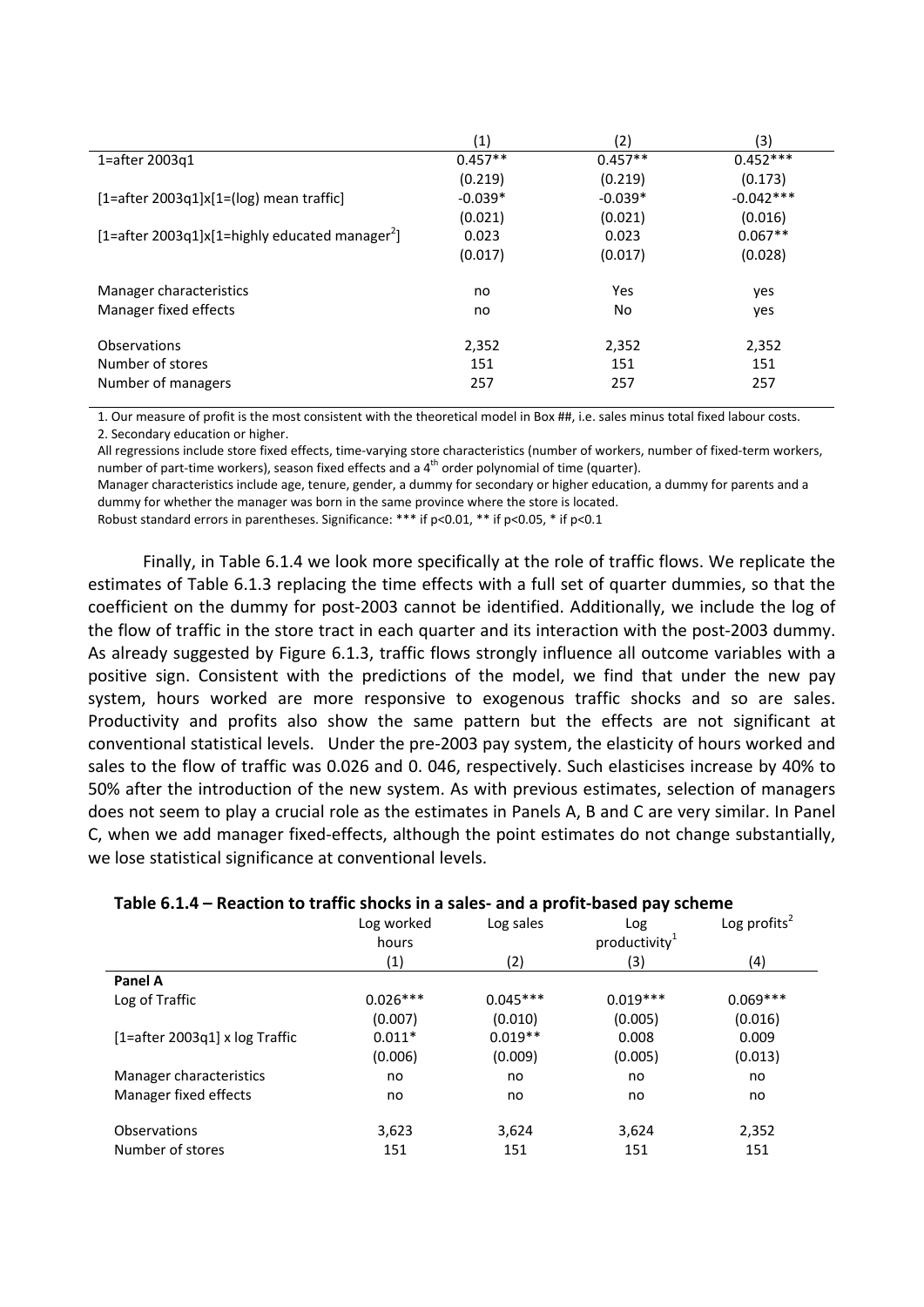|                                                     | (1)       | (2)       | (3)         |
|-----------------------------------------------------|-----------|-----------|-------------|
| 1=after 2003q1                                      | $0.457**$ | $0.457**$ | $0.452***$  |
|                                                     | (0.219)   | (0.219)   | (0.173)     |
| $[1 = after 2003q1]x[1 = (log)$ mean traffic        | $-0.039*$ | $-0.039*$ | $-0.042***$ |
|                                                     | (0.021)   | (0.021)   | (0.016)     |
| $[1 = after 2003q1]x[1 = highly educated manager2]$ | 0.023     | 0.023     | $0.067**$   |
|                                                     | (0.017)   | (0.017)   | (0.028)     |
| Manager characteristics                             | no        | Yes       | yes         |
| Manager fixed effects                               | no        | No        | yes         |
| <b>Observations</b>                                 | 2,352     | 2,352     | 2,352       |
| Number of stores                                    | 151       | 151       | 151         |
| Number of managers                                  | 257       | 257       | 257         |

1. Our measure of profit is the most consistent with the theoretical model in Box ##, i.e. sales minus total fixed labour costs. 2. Secondary education or higher.

All regressions include store fixed effects, time‐varying store characteristics (number of workers, number of fixed‐term workers, number of part-time workers), season fixed effects and a  $4<sup>th</sup>$  order polynomial of time (quarter).

Manager characteristics include age, tenure, gender, a dummy for secondary or higher education, a dummy for parents and a dummy for whether the manager was born in the same province where the store is located.

Robust standard errors in parentheses. Significance: \*\*\* if p<0.01, \*\* if p<0.05, \* if p<0.1

Finally, in Table 6.1.4 we look more specifically at the role of traffic flows. We replicate the estimates of Table 6.1.3 replacing the time effects with a full set of quarter dummies, so that the coefficient on the dummy for post‐2003 cannot be identified. Additionally, we include the log of the flow of traffic in the store tract in each quarter and its interaction with the post‐2003 dummy. As already suggested by Figure 6.1.3, traffic flows strongly influence all outcome variables with a positive sign. Consistent with the predictions of the model, we find that under the new pay system, hours worked are more responsive to exogenous traffic shocks and so are sales. Productivity and profits also show the same pattern but the effects are not significant at conventional statistical levels. Under the pre‐2003 pay system, the elasticity of hours worked and sales to the flow of traffic was 0.026 and 0. 046, respectively. Such elasticises increase by 40% to 50% after the introduction of the new system. As with previous estimates, selection of managers does not seem to play a crucial role as the estimates in Panels A, B and C are very similar. In Panel C, when we add manager fixed‐effects, although the point estimates do not change substantially, we lose statistical significance at conventional levels.

| Table 6.1.4 - Reaction to traffic shocks in a sales- and a profit-based pay scheme |  |
|------------------------------------------------------------------------------------|--|
|------------------------------------------------------------------------------------|--|

|                                  | Log worked<br>hours | Log sales  | Log<br>productivity | Log profits <sup>2</sup> |
|----------------------------------|---------------------|------------|---------------------|--------------------------|
|                                  | (1)                 | (2)        | (3)                 | (4)                      |
| Panel A                          |                     |            |                     |                          |
| Log of Traffic                   | $0.026***$          | $0.045***$ | $0.019***$          | $0.069***$               |
|                                  | (0.007)             | (0.010)    | (0.005)             | (0.016)                  |
| $[1=after 2003q1]$ x log Traffic | $0.011*$            | $0.019**$  | 0.008               | 0.009                    |
|                                  | (0.006)             | (0.009)    | (0.005)             | (0.013)                  |
| Manager characteristics          | no                  | no         | no                  | no                       |
| Manager fixed effects            | no                  | no         | no                  | no                       |
| <b>Observations</b>              | 3,623               | 3,624      | 3,624               | 2,352                    |
| Number of stores                 | 151                 | 151        | 151                 | 151                      |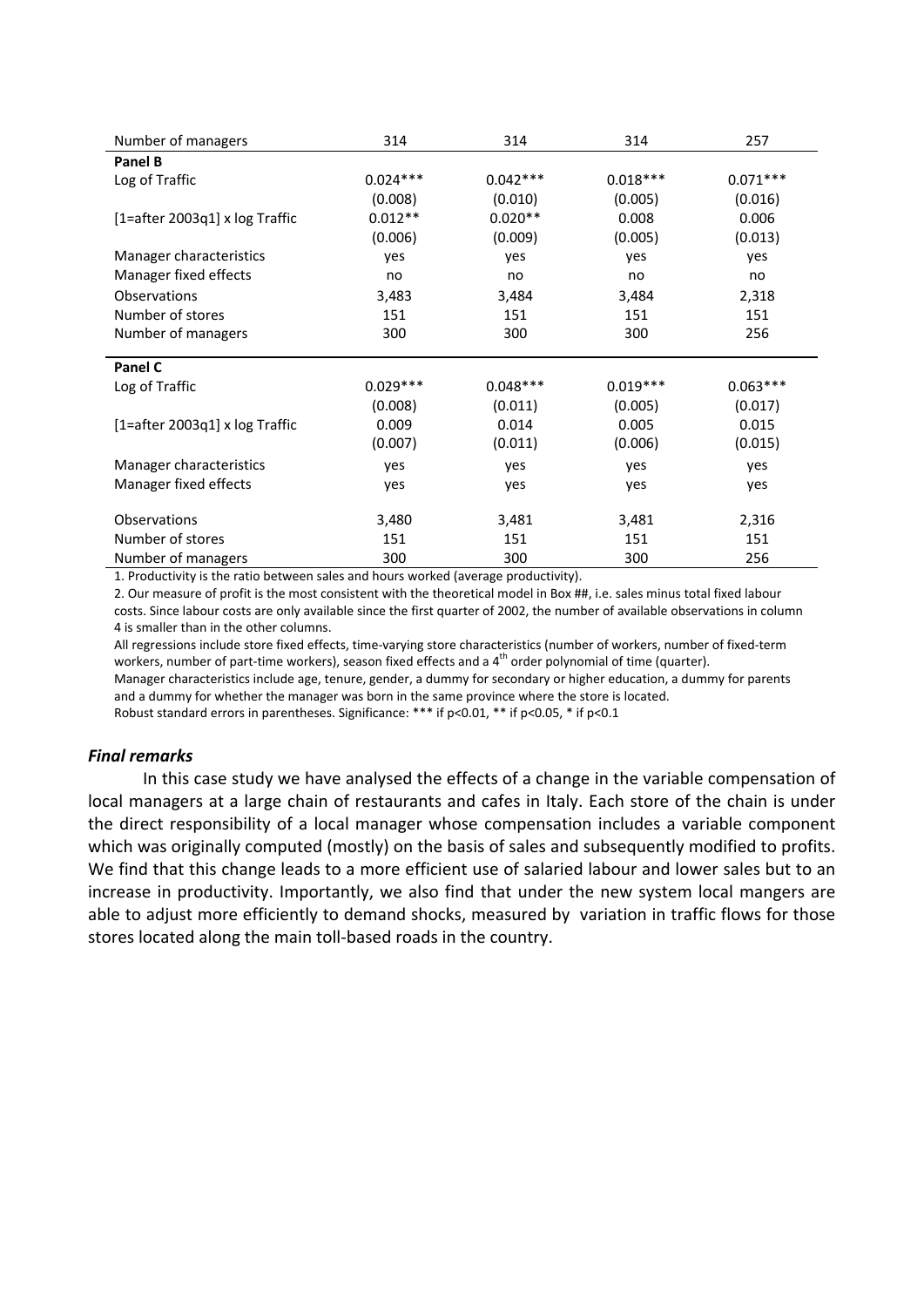| Number of managers                 | 314        | 314        | 314        | 257        |
|------------------------------------|------------|------------|------------|------------|
| Panel B                            |            |            |            |            |
| Log of Traffic                     | $0.024***$ | $0.042***$ | $0.018***$ | $0.071***$ |
|                                    | (0.008)    | (0.010)    | (0.005)    | (0.016)    |
| $[1 = after 2003q1]$ x log Traffic | $0.012**$  | $0.020**$  | 0.008      | 0.006      |
|                                    | (0.006)    | (0.009)    | (0.005)    | (0.013)    |
| Manager characteristics            | yes        | yes        | yes        | yes        |
| Manager fixed effects              | no         | no         | no         | no         |
| Observations                       | 3,483      | 3,484      | 3,484      | 2,318      |
| Number of stores                   | 151        | 151        | 151        | 151        |
| Number of managers                 | 300        | 300        | 300        | 256        |
| Panel C                            |            |            |            |            |
|                                    |            |            |            |            |
| Log of Traffic                     | $0.029***$ | $0.048***$ | $0.019***$ | $0.063***$ |
|                                    | (0.008)    | (0.011)    | (0.005)    | (0.017)    |
| $[1 = after 2003q1]$ x log Traffic | 0.009      | 0.014      | 0.005      | 0.015      |
|                                    | (0.007)    | (0.011)    | (0.006)    | (0.015)    |
| Manager characteristics            | yes        | yes        | yes        | yes        |
| Manager fixed effects              | yes        | yes        | yes        | yes        |
|                                    |            |            |            |            |
| <b>Observations</b>                | 3,480      | 3,481      | 3,481      | 2,316      |
| Number of stores                   | 151        | 151        | 151        | 151        |
| Number of managers                 | 300        | 300        | 300        | 256        |

1. Productivity is the ratio between sales and hours worked (average productivity).

2. Our measure of profit is the most consistent with the theoretical model in Box ##, i.e. sales minus total fixed labour costs. Since labour costs are only available since the first quarter of 2002, the number of available observations in column 4 is smaller than in the other columns.

All regressions include store fixed effects, time‐varying store characteristics (number of workers, number of fixed‐term workers, number of part-time workers), season fixed effects and a  $4<sup>th</sup>$  order polynomial of time (quarter). Manager characteristics include age, tenure, gender, a dummy for secondary or higher education, a dummy for parents and a dummy for whether the manager was born in the same province where the store is located.

Robust standard errors in parentheses. Significance: \*\*\* if p<0.01, \*\* if p<0.05, \* if p<0.1

## *Final remarks*

In this case study we have analysed the effects of a change in the variable compensation of local managers at a large chain of restaurants and cafes in Italy. Each store of the chain is under the direct responsibility of a local manager whose compensation includes a variable component which was originally computed (mostly) on the basis of sales and subsequently modified to profits. We find that this change leads to a more efficient use of salaried labour and lower sales but to an increase in productivity. Importantly, we also find that under the new system local mangers are able to adjust more efficiently to demand shocks, measured by variation in traffic flows for those stores located along the main toll‐based roads in the country.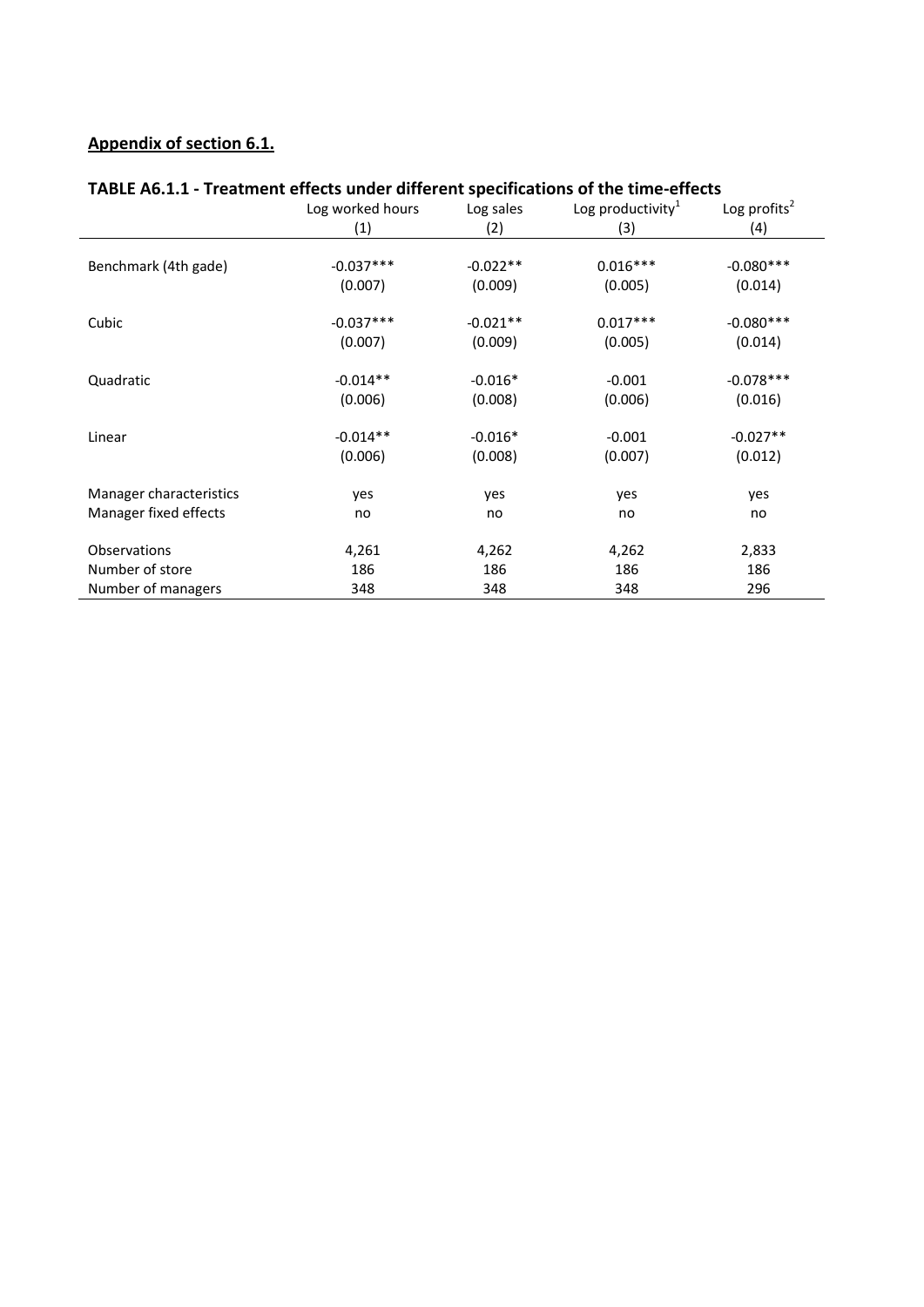# **Appendix of section 6.1.**

# **TABLE A6.1.1 ‐ Treatment effects under different specifications of the time‐effects**

|                         | Log worked hours | Log sales  | Log productivity $1$ | Log profits <sup>2</sup> |
|-------------------------|------------------|------------|----------------------|--------------------------|
|                         | (1)              | (2)        | (3)                  | (4)                      |
|                         |                  |            |                      |                          |
| Benchmark (4th gade)    | $-0.037***$      | $-0.022**$ | $0.016***$           | $-0.080***$              |
|                         | (0.007)          | (0.009)    | (0.005)              | (0.014)                  |
| Cubic                   | $-0.037***$      | $-0.021**$ | $0.017***$           | $-0.080***$              |
|                         |                  |            |                      |                          |
|                         | (0.007)          | (0.009)    | (0.005)              | (0.014)                  |
| Quadratic               | $-0.014**$       | $-0.016*$  | $-0.001$             | $-0.078***$              |
|                         | (0.006)          | (0.008)    | (0.006)              | (0.016)                  |
| Linear                  | $-0.014**$       | $-0.016*$  | $-0.001$             | $-0.027**$               |
|                         |                  |            |                      |                          |
|                         | (0.006)          | (0.008)    | (0.007)              | (0.012)                  |
| Manager characteristics | yes              | yes        | yes                  | yes                      |
| Manager fixed effects   | no               | no         | no                   | no                       |
|                         |                  |            |                      |                          |
| Observations            | 4,261            | 4,262      | 4,262                | 2,833                    |
| Number of store         | 186              | 186        | 186                  | 186                      |
| Number of managers      | 348              | 348        | 348                  | 296                      |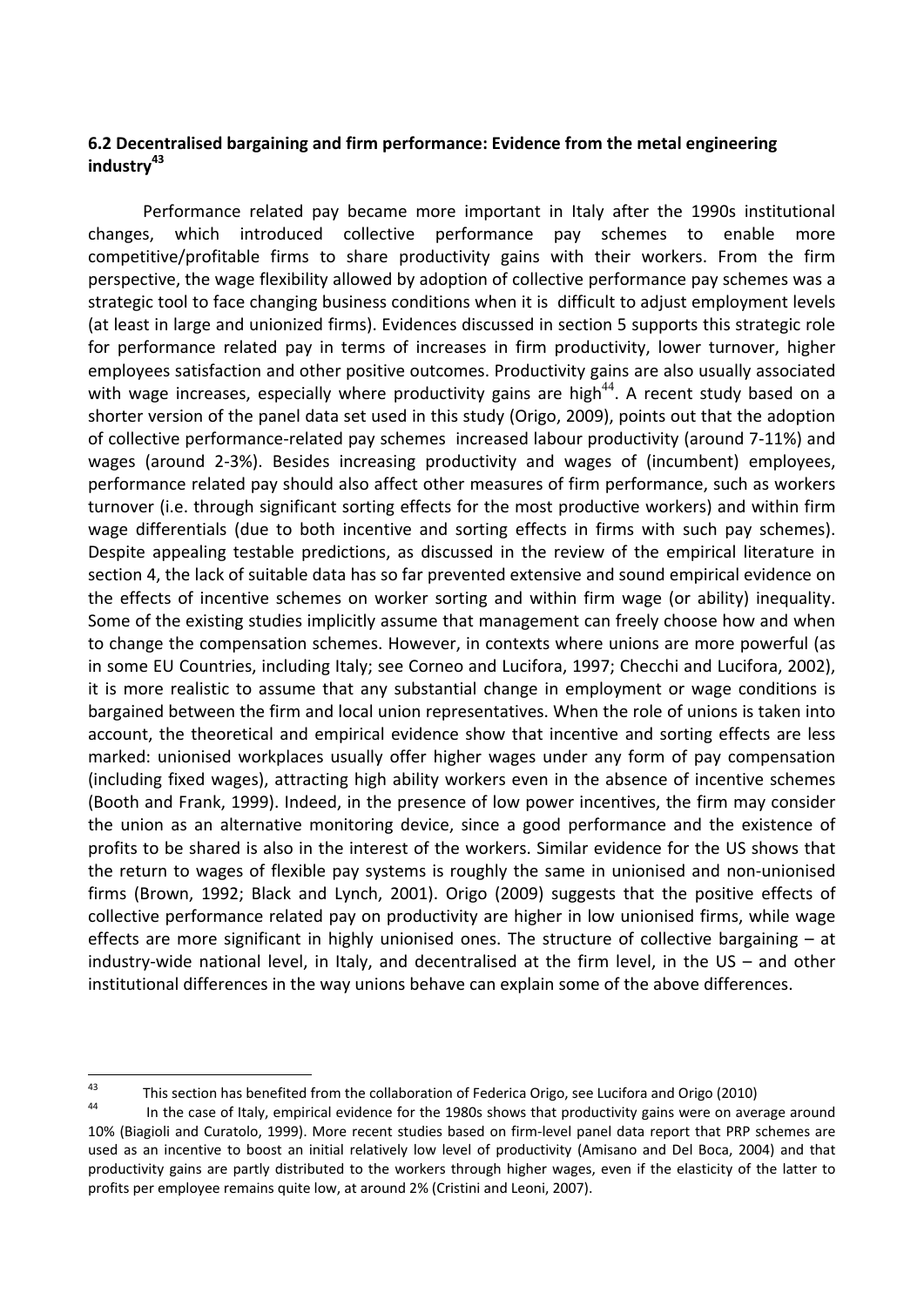# **6.2 Decentralised bargaining and firm performance: Evidence from the metal engineering industry<sup>43</sup>**

Performance related pay became more important in Italy after the 1990s institutional changes, which introduced collective performance pay schemes to enable more competitive/profitable firms to share productivity gains with their workers. From the firm perspective, the wage flexibility allowed by adoption of collective performance pay schemes was a strategic tool to face changing business conditions when it is difficult to adjust employment levels (at least in large and unionized firms). Evidences discussed in section 5 supports this strategic role for performance related pay in terms of increases in firm productivity, lower turnover, higher employees satisfaction and other positive outcomes. Productivity gains are also usually associated with wage increases, especially where productivity gains are high<sup>44</sup>. A recent study based on a shorter version of the panel data set used in this study (Origo, 2009), points out that the adoption of collective performance‐related pay schemes increased labour productivity (around 7‐11%) and wages (around 2‐3%). Besides increasing productivity and wages of (incumbent) employees, performance related pay should also affect other measures of firm performance, such as workers turnover (i.e. through significant sorting effects for the most productive workers) and within firm wage differentials (due to both incentive and sorting effects in firms with such pay schemes). Despite appealing testable predictions, as discussed in the review of the empirical literature in section 4, the lack of suitable data has so far prevented extensive and sound empirical evidence on the effects of incentive schemes on worker sorting and within firm wage (or ability) inequality. Some of the existing studies implicitly assume that management can freely choose how and when to change the compensation schemes. However, in contexts where unions are more powerful (as in some EU Countries, including Italy; see Corneo and Lucifora, 1997; Checchi and Lucifora, 2002), it is more realistic to assume that any substantial change in employment or wage conditions is bargained between the firm and local union representatives. When the role of unions is taken into account, the theoretical and empirical evidence show that incentive and sorting effects are less marked: unionised workplaces usually offer higher wages under any form of pay compensation (including fixed wages), attracting high ability workers even in the absence of incentive schemes (Booth and Frank, 1999). Indeed, in the presence of low power incentives, the firm may consider the union as an alternative monitoring device, since a good performance and the existence of profits to be shared is also in the interest of the workers. Similar evidence for the US shows that the return to wages of flexible pay systems is roughly the same in unionised and non‐unionised firms (Brown, 1992; Black and Lynch, 2001). Origo (2009) suggests that the positive effects of collective performance related pay on productivity are higher in low unionised firms, while wage effects are more significant in highly unionised ones. The structure of collective bargaining – at industry‐wide national level, in Italy, and decentralised at the firm level, in the US – and other institutional differences in the way unions behave can explain some of the above differences.

<sup>43</sup> <sup>43</sup> This section has benefited from the collaboration of Federica Origo, see Lucifora and Origo (2010) 10 In the case of Italy, empirical evidence for the 1980s shows that productivity gains were on average around

<sup>10%</sup> (Biagioli and Curatolo, 1999). More recent studies based on firm‐level panel data report that PRP schemes are used as an incentive to boost an initial relatively low level of productivity (Amisano and Del Boca, 2004) and that productivity gains are partly distributed to the workers through higher wages, even if the elasticity of the latter to profits per employee remains quite low, at around 2% (Cristini and Leoni, 2007).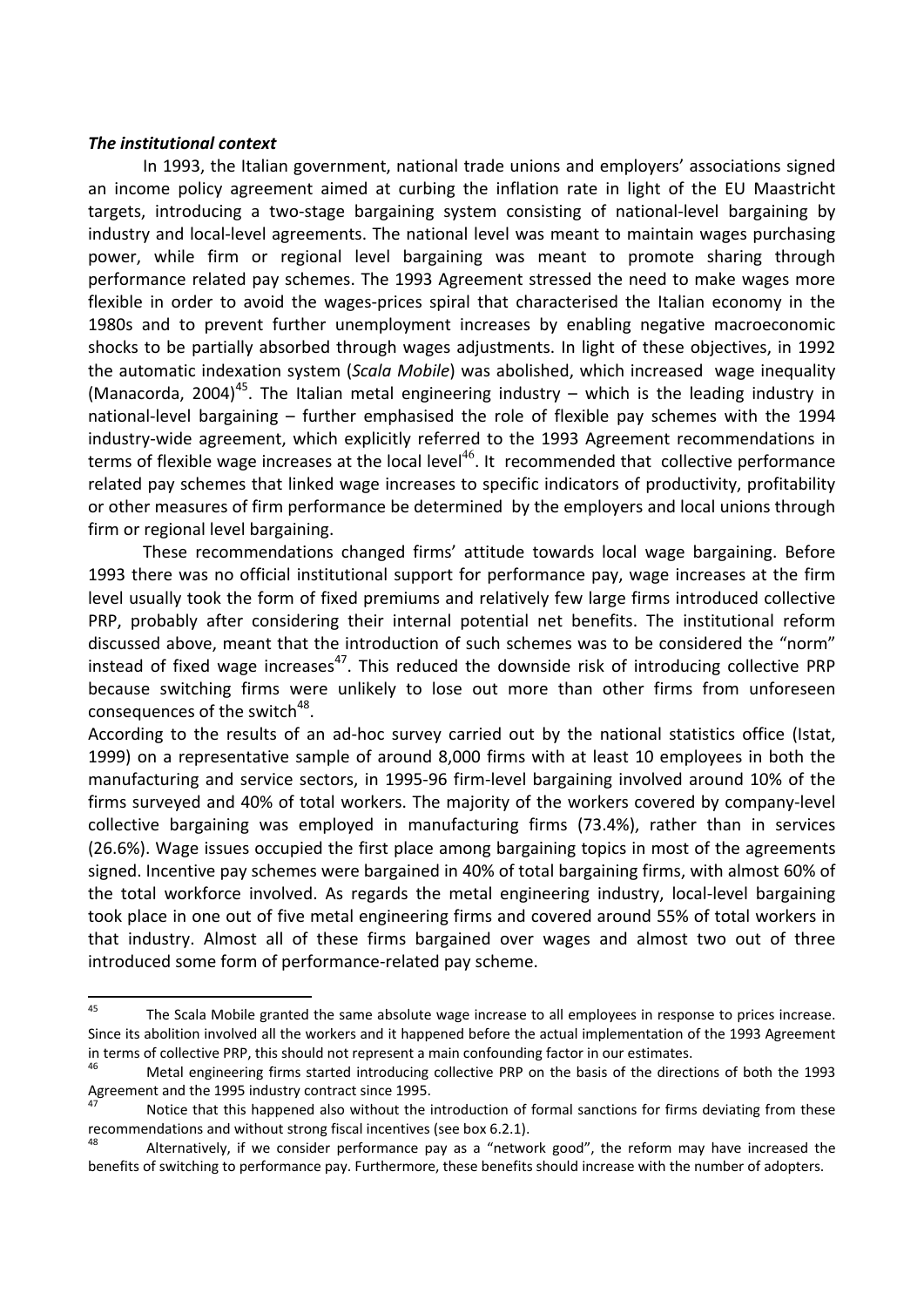#### *The institutional context*

In 1993, the Italian government, national trade unions and employers' associations signed an income policy agreement aimed at curbing the inflation rate in light of the EU Maastricht targets, introducing a two‐stage bargaining system consisting of national‐level bargaining by industry and local‐level agreements. The national level was meant to maintain wages purchasing power, while firm or regional level bargaining was meant to promote sharing through performance related pay schemes. The 1993 Agreement stressed the need to make wages more flexible in order to avoid the wages-prices spiral that characterised the Italian economy in the 1980s and to prevent further unemployment increases by enabling negative macroeconomic shocks to be partially absorbed through wages adjustments. In light of these objectives, in 1992 the automatic indexation system (*Scala Mobile*) was abolished, which increased wage inequality (Manacorda, 2004)<sup>45</sup>. The Italian metal engineering industry – which is the leading industry in national-level bargaining – further emphasised the role of flexible pay schemes with the 1994 industry‐wide agreement, which explicitly referred to the 1993 Agreement recommendations in terms of flexible wage increases at the local level<sup>46</sup>. It recommended that collective performance related pay schemes that linked wage increases to specific indicators of productivity, profitability or other measures of firm performance be determined by the employers and local unions through firm or regional level bargaining.

These recommendations changed firms' attitude towards local wage bargaining. Before 1993 there was no official institutional support for performance pay, wage increases at the firm level usually took the form of fixed premiums and relatively few large firms introduced collective PRP, probably after considering their internal potential net benefits. The institutional reform discussed above, meant that the introduction of such schemes was to be considered the "norm" instead of fixed wage increases<sup>47</sup>. This reduced the downside risk of introducing collective PRP because switching firms were unlikely to lose out more than other firms from unforeseen consequences of the switch<sup>48</sup>.

According to the results of an ad‐hoc survey carried out by the national statistics office (Istat, 1999) on a representative sample of around 8,000 firms with at least 10 employees in both the manufacturing and service sectors, in 1995‐96 firm‐level bargaining involved around 10% of the firms surveyed and 40% of total workers. The majority of the workers covered by company‐level collective bargaining was employed in manufacturing firms (73.4%), rather than in services (26.6%). Wage issues occupied the first place among bargaining topics in most of the agreements signed. Incentive pay schemes were bargained in 40% of total bargaining firms, with almost 60% of the total workforce involved. As regards the metal engineering industry, local-level bargaining took place in one out of five metal engineering firms and covered around 55% of total workers in that industry. Almost all of these firms bargained over wages and almost two out of three introduced some form of performance‐related pay scheme.

<sup>45</sup> The Scala Mobile granted the same absolute wage increase to all employees in response to prices increase. Since its abolition involved all the workers and it happened before the actual implementation of the 1993 Agreement

in terms of collective PRP, this should not represent a main confounding factor in our estimates.<br>  $46$  Metal engineering firms started introducing collective PRP on the basis of the directions of both the 1993<br>
Agreement

Notice that this happened also without the introduction of formal sanctions for firms deviating from these recommendations and without strong fiscal incentives (see box 6.2.1).<br><sup>48</sup> Alternatively, if we consider performance pay as a "network good", the reform may have increased the

benefits of switching to performance pay. Furthermore, these benefits should increase with the number of adopters.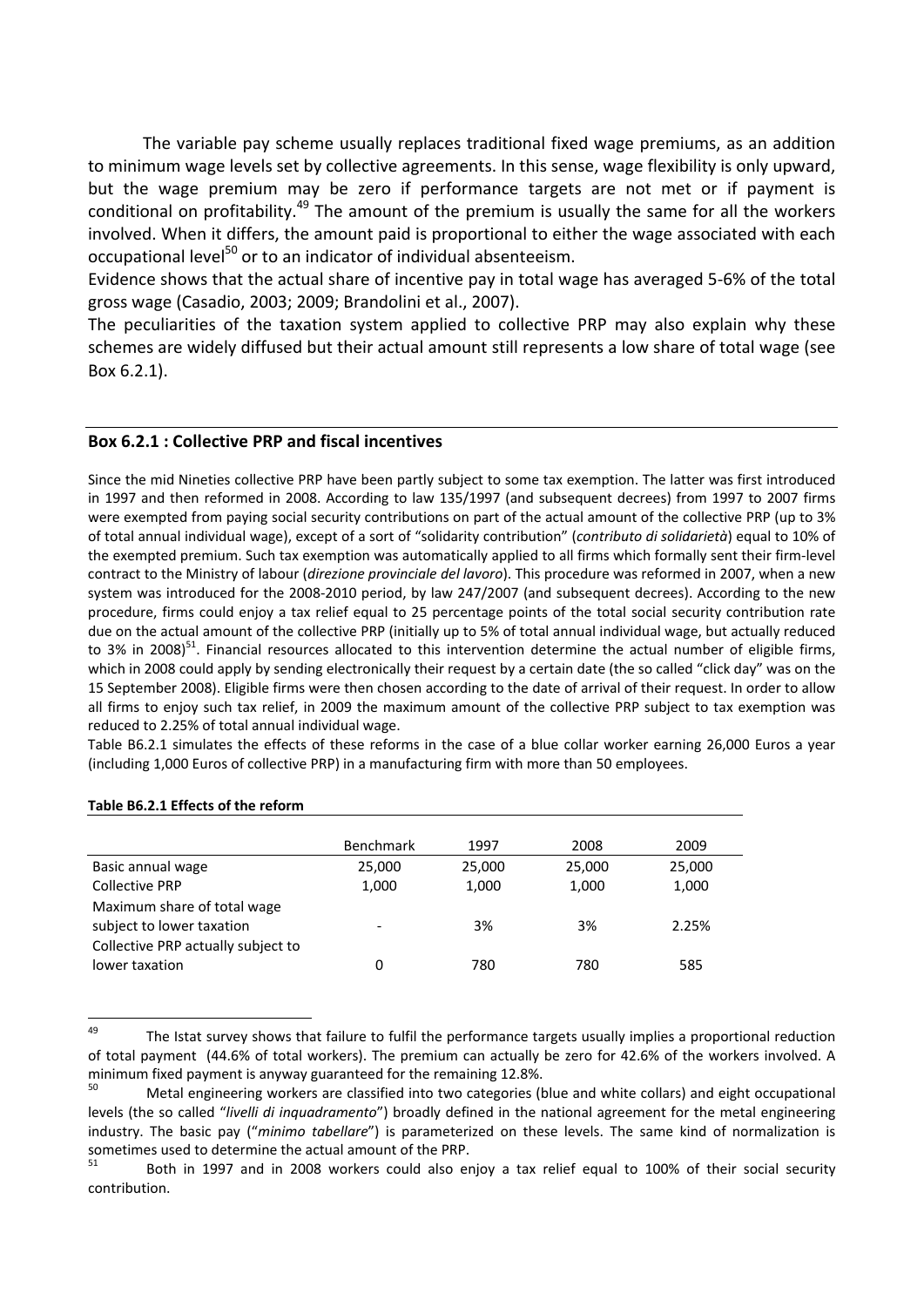The variable pay scheme usually replaces traditional fixed wage premiums, as an addition to minimum wage levels set by collective agreements. In this sense, wage flexibility is only upward, but the wage premium may be zero if performance targets are not met or if payment is conditional on profitability.<sup>49</sup> The amount of the premium is usually the same for all the workers involved. When it differs, the amount paid is proportional to either the wage associated with each occupational level<sup>50</sup> or to an indicator of individual absenteeism.

Evidence shows that the actual share of incentive pay in total wage has averaged 5‐6% of the total gross wage (Casadio, 2003; 2009; Brandolini et al., 2007).

The peculiarities of the taxation system applied to collective PRP may also explain why these schemes are widely diffused but their actual amount still represents a low share of total wage (see Box 6.2.1).

#### **Box 6.2.1 : Collective PRP and fiscal incentives**

Since the mid Nineties collective PRP have been partly subject to some tax exemption. The latter was first introduced in 1997 and then reformed in 2008. According to law 135/1997 (and subsequent decrees) from 1997 to 2007 firms were exempted from paying social security contributions on part of the actual amount of the collective PRP (up to 3% of total annual individual wage), except of a sort of "solidarity contribution" (*contributo di solidarietà*) equal to 10% of the exempted premium. Such tax exemption was automatically applied to all firms which formally sent their firm‐level contract to the Ministry of labour (*direzione provinciale del lavoro*). This procedure was reformed in 2007, when a new system was introduced for the 2008‐2010 period, by law 247/2007 (and subsequent decrees). According to the new procedure, firms could enjoy a tax relief equal to 25 percentage points of the total social security contribution rate due on the actual amount of the collective PRP (initially up to 5% of total annual individual wage, but actually reduced to 3% in 2008) $51$ . Financial resources allocated to this intervention determine the actual number of eligible firms, which in 2008 could apply by sending electronically their request by a certain date (the so called "click day" was on the 15 September 2008). Eligible firms were then chosen according to the date of arrival of their request. In order to allow all firms to enjoy such tax relief, in 2009 the maximum amount of the collective PRP subject to tax exemption was reduced to 2.25% of total annual individual wage.

Table B6.2.1 simulates the effects of these reforms in the case of a blue collar worker earning 26,000 Euros a year (including 1,000 Euros of collective PRP) in a manufacturing firm with more than 50 employees.

|                                    | <b>Benchmark</b> | 1997   | 2008   | 2009   |
|------------------------------------|------------------|--------|--------|--------|
| Basic annual wage                  | 25,000           | 25,000 | 25,000 | 25,000 |
| <b>Collective PRP</b>              | 1,000            | 1,000  | 1,000  | 1,000  |
| Maximum share of total wage        |                  |        |        |        |
| subject to lower taxation          |                  | 3%     | 3%     | 2.25%  |
| Collective PRP actually subject to |                  |        |        |        |
| lower taxation                     |                  | 780    | 780    | 585    |

#### **Table B6.2.1 Effects of the reform**

<sup>49</sup> The Istat survey shows that failure to fulfil the performance targets usually implies a proportional reduction of total payment (44.6% of total workers). The premium can actually be zero for 42.6% of the workers involved. A

minimum fixed payment is anyway guaranteed for the remaining 12.8%.<br><sup>50</sup> Metal engineering workers are classified into two categories (blue and white collars) and eight occupational levels (the so called "*livelli di inquadramento*") broadly defined in the national agreement for the metal engineering industry. The basic pay ("*minimo tabellare*") is parameterized on these levels. The same kind of normalization is sometimes used to determine the actual amount of the PRP.<br><sup>51</sup> Both in 1997 and in 2008 workers could also enjoy a tax relief equal to 100% of their social security

contribution.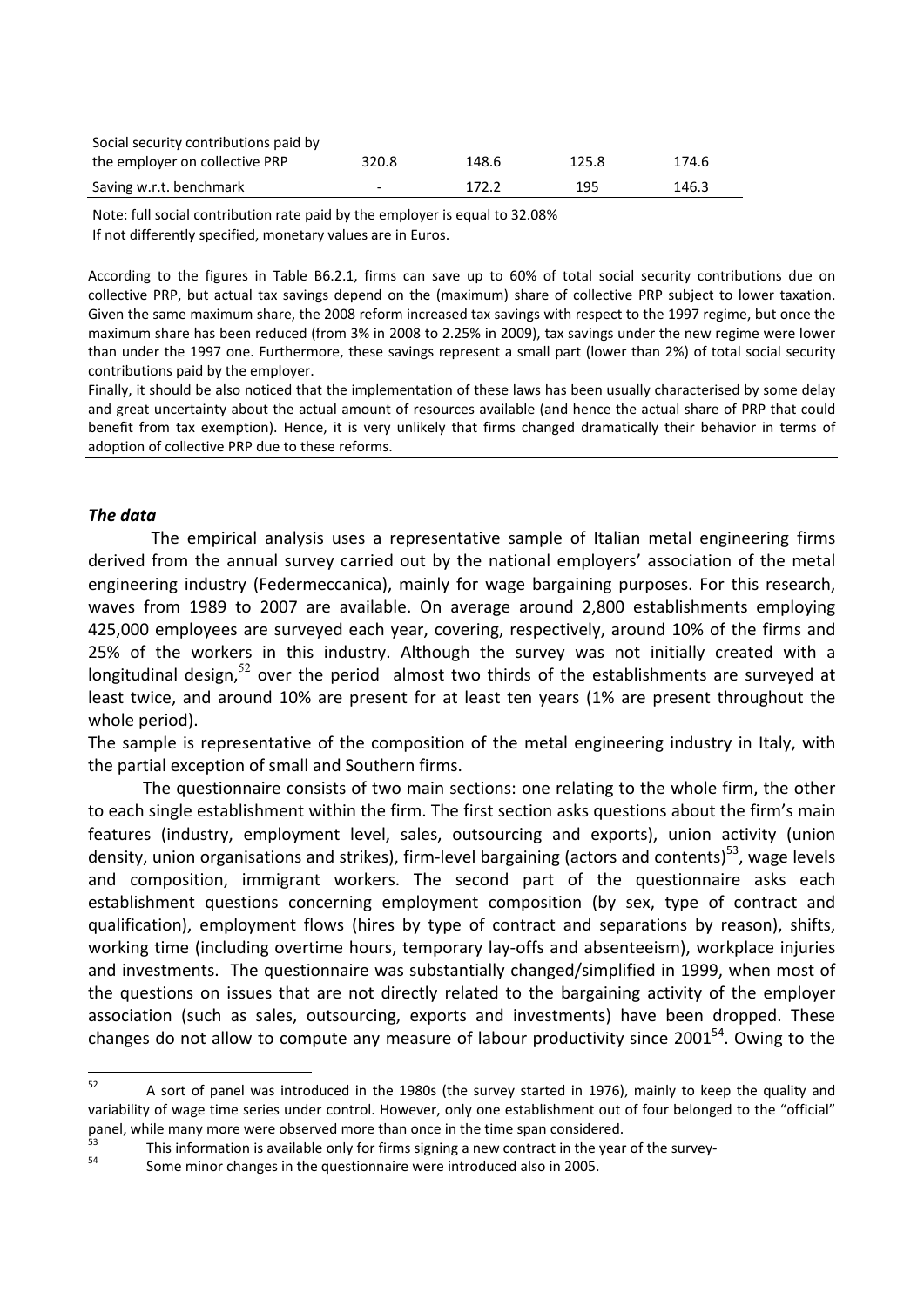| Social security contributions paid by |       |       |       |       |
|---------------------------------------|-------|-------|-------|-------|
| the employer on collective PRP        | 320.8 | 148.6 | 125.8 | 174.6 |
| Saving w.r.t. benchmark               | -     | 172.2 | 195   | 146.3 |

Note: full social contribution rate paid by the employer is equal to 32.08% If not differently specified, monetary values are in Euros.

According to the figures in Table B6.2.1, firms can save up to 60% of total social security contributions due on collective PRP, but actual tax savings depend on the (maximum) share of collective PRP subject to lower taxation. Given the same maximum share, the 2008 reform increased tax savings with respect to the 1997 regime, but once the maximum share has been reduced (from 3% in 2008 to 2.25% in 2009), tax savings under the new regime were lower than under the 1997 one. Furthermore, these savings represent a small part (lower than 2%) of total social security contributions paid by the employer.

Finally, it should be also noticed that the implementation of these laws has been usually characterised by some delay and great uncertainty about the actual amount of resources available (and hence the actual share of PRP that could benefit from tax exemption). Hence, it is very unlikely that firms changed dramatically their behavior in terms of adoption of collective PRP due to these reforms.

#### *The data*

 The empirical analysis uses a representative sample of Italian metal engineering firms derived from the annual survey carried out by the national employers' association of the metal engineering industry (Federmeccanica), mainly for wage bargaining purposes. For this research, waves from 1989 to 2007 are available. On average around 2,800 establishments employing 425,000 employees are surveyed each year, covering, respectively, around 10% of the firms and 25% of the workers in this industry. Although the survey was not initially created with a longitudinal design,  $52$  over the period almost two thirds of the establishments are surveyed at least twice, and around 10% are present for at least ten years (1% are present throughout the whole period).

The sample is representative of the composition of the metal engineering industry in Italy, with the partial exception of small and Southern firms.

The questionnaire consists of two main sections: one relating to the whole firm, the other to each single establishment within the firm. The first section asks questions about the firm's main features (industry, employment level, sales, outsourcing and exports), union activity (union density, union organisations and strikes), firm-level bargaining (actors and contents)<sup>53</sup>, wage levels and composition, immigrant workers. The second part of the questionnaire asks each establishment questions concerning employment composition (by sex, type of contract and qualification), employment flows (hires by type of contract and separations by reason), shifts, working time (including overtime hours, temporary lay-offs and absenteeism), workplace injuries and investments. The questionnaire was substantially changed/simplified in 1999, when most of the questions on issues that are not directly related to the bargaining activity of the employer association (such as sales, outsourcing, exports and investments) have been dropped. These changes do not allow to compute any measure of labour productivity since  $2001^{54}$ . Owing to the

 $52$ <sup>52</sup> A sort of panel was introduced in the 1980s (the survey started in 1976), mainly to keep the quality and variability of wage time series under control. However, only one establishment out of four belonged to the "official"

panel, while many more were observed more than once in the time span considered.<br>This information is available only for firms signing a new contract in the year of the survey-<br>Some minor changes in the questionnaire were i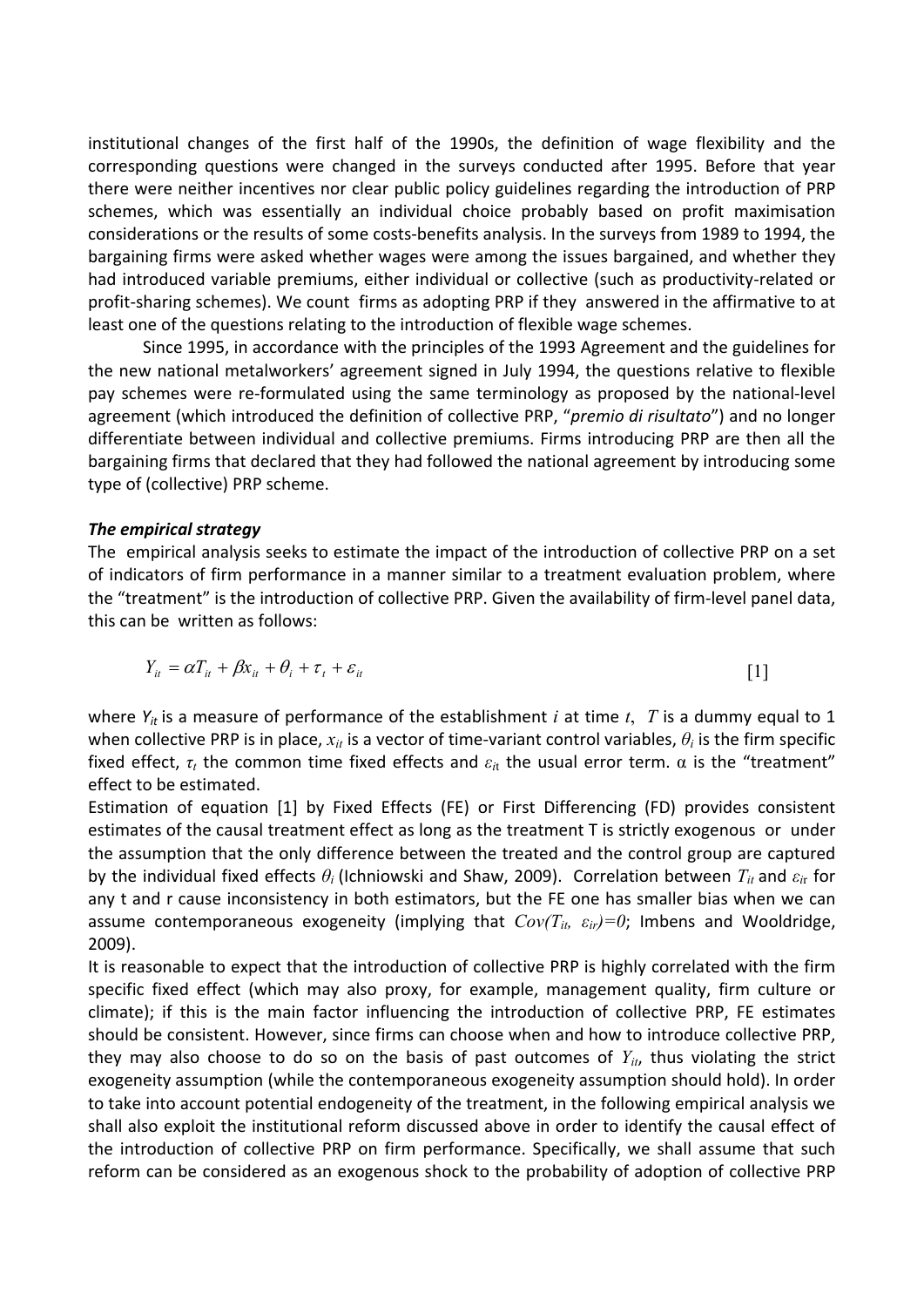institutional changes of the first half of the 1990s, the definition of wage flexibility and the corresponding questions were changed in the surveys conducted after 1995. Before that year there were neither incentives nor clear public policy guidelines regarding the introduction of PRP schemes, which was essentially an individual choice probably based on profit maximisation considerations or the results of some costs‐benefits analysis. In the surveys from 1989 to 1994, the bargaining firms were asked whether wages were among the issues bargained, and whether they had introduced variable premiums, either individual or collective (such as productivity-related or profit-sharing schemes). We count firms as adopting PRP if they answered in the affirmative to at least one of the questions relating to the introduction of flexible wage schemes.

Since 1995, in accordance with the principles of the 1993 Agreement and the guidelines for the new national metalworkers' agreement signed in July 1994, the questions relative to flexible pay schemes were re‐formulated using the same terminology as proposed by the national‐level agreement (which introduced the definition of collective PRP, "*premio di risultato*") and no longer differentiate between individual and collective premiums. Firms introducing PRP are then all the bargaining firms that declared that they had followed the national agreement by introducing some type of (collective) PRP scheme.

#### *The empirical strategy*

The empirical analysis seeks to estimate the impact of the introduction of collective PRP on a set of indicators of firm performance in a manner similar to a treatment evaluation problem, where the "treatment" is the introduction of collective PRP. Given the availability of firm‐level panel data, this can be written as follows:

$$
Y_{it} = \alpha T_{it} + \beta x_{it} + \theta_i + \tau_t + \varepsilon_{it}
$$
\n<sup>[1]</sup>

where  $Y_{it}$  is a measure of performance of the establishment *i* at time  $t$ ,  $T$  is a dummy equal to 1 when collective PRP is in place,  $x_{it}$  is a vector of time-variant control variables,  $\theta_i$  is the firm specific fixed effect,  $τ_t$  the common time fixed effects and  $ε_t$  the usual error term.  $α$  is the "treatment" effect to be estimated.

Estimation of equation [1] by Fixed Effects (FE) or First Differencing (FD) provides consistent estimates of the causal treatment effect as long as the treatment T is strictly exogenous or under the assumption that the only difference between the treated and the control group are captured by the individual fixed effects  $\theta_i$  (Ichniowski and Shaw, 2009). Correlation between  $T_{it}$  and  $\varepsilon_{ir}$  for any t and r cause inconsistency in both estimators, but the FE one has smaller bias when we can assume contemporaneous exogeneity (implying that  $Cov(T_{it}, \varepsilon_{ir})=0$ ; Imbens and Wooldridge, 2009).

It is reasonable to expect that the introduction of collective PRP is highly correlated with the firm specific fixed effect (which may also proxy, for example, management quality, firm culture or climate); if this is the main factor influencing the introduction of collective PRP, FE estimates should be consistent. However, since firms can choose when and how to introduce collective PRP, they may also choose to do so on the basis of past outcomes of *Yit*, thus violating the strict exogeneity assumption (while the contemporaneous exogeneity assumption should hold). In order to take into account potential endogeneity of the treatment, in the following empirical analysis we shall also exploit the institutional reform discussed above in order to identify the causal effect of the introduction of collective PRP on firm performance. Specifically, we shall assume that such reform can be considered as an exogenous shock to the probability of adoption of collective PRP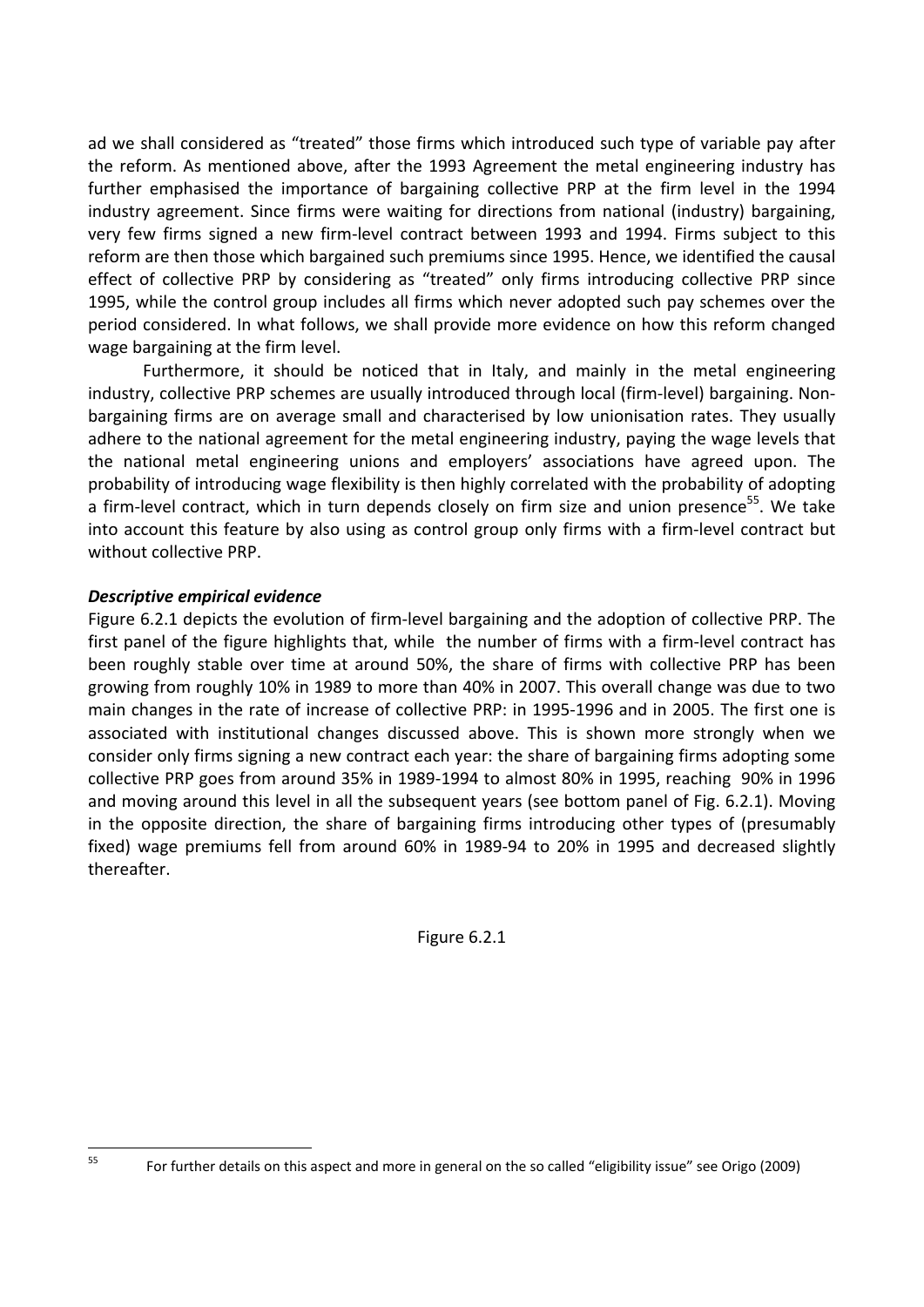ad we shall considered as "treated" those firms which introduced such type of variable pay after the reform. As mentioned above, after the 1993 Agreement the metal engineering industry has further emphasised the importance of bargaining collective PRP at the firm level in the 1994 industry agreement. Since firms were waiting for directions from national (industry) bargaining, very few firms signed a new firm‐level contract between 1993 and 1994. Firms subject to this reform are then those which bargained such premiums since 1995. Hence, we identified the causal effect of collective PRP by considering as "treated" only firms introducing collective PRP since 1995, while the control group includes all firms which never adopted such pay schemes over the period considered. In what follows, we shall provide more evidence on how this reform changed wage bargaining at the firm level.

Furthermore, it should be noticed that in Italy, and mainly in the metal engineering industry, collective PRP schemes are usually introduced through local (firm‐level) bargaining. Non‐ bargaining firms are on average small and characterised by low unionisation rates. They usually adhere to the national agreement for the metal engineering industry, paying the wage levels that the national metal engineering unions and employers' associations have agreed upon. The probability of introducing wage flexibility is then highly correlated with the probability of adopting a firm-level contract, which in turn depends closely on firm size and union presence<sup>55</sup>. We take into account this feature by also using as control group only firms with a firm‐level contract but without collective PRP.

## *Descriptive empirical evidence*

Figure 6.2.1 depicts the evolution of firm‐level bargaining and the adoption of collective PRP. The first panel of the figure highlights that, while the number of firms with a firm-level contract has been roughly stable over time at around 50%, the share of firms with collective PRP has been growing from roughly 10% in 1989 to more than 40% in 2007. This overall change was due to two main changes in the rate of increase of collective PRP: in 1995‐1996 and in 2005. The first one is associated with institutional changes discussed above. This is shown more strongly when we consider only firms signing a new contract each year: the share of bargaining firms adopting some collective PRP goes from around 35% in 1989‐1994 to almost 80% in 1995, reaching 90% in 1996 and moving around this level in all the subsequent years (see bottom panel of Fig. 6.2.1). Moving in the opposite direction, the share of bargaining firms introducing other types of (presumably fixed) wage premiums fell from around 60% in 1989‐94 to 20% in 1995 and decreased slightly thereafter.

Figure 6.2.1

<sup>55</sup> 

<sup>55</sup> For further details on this aspect and more in general on the so called "eligibility issue" see Origo (2009)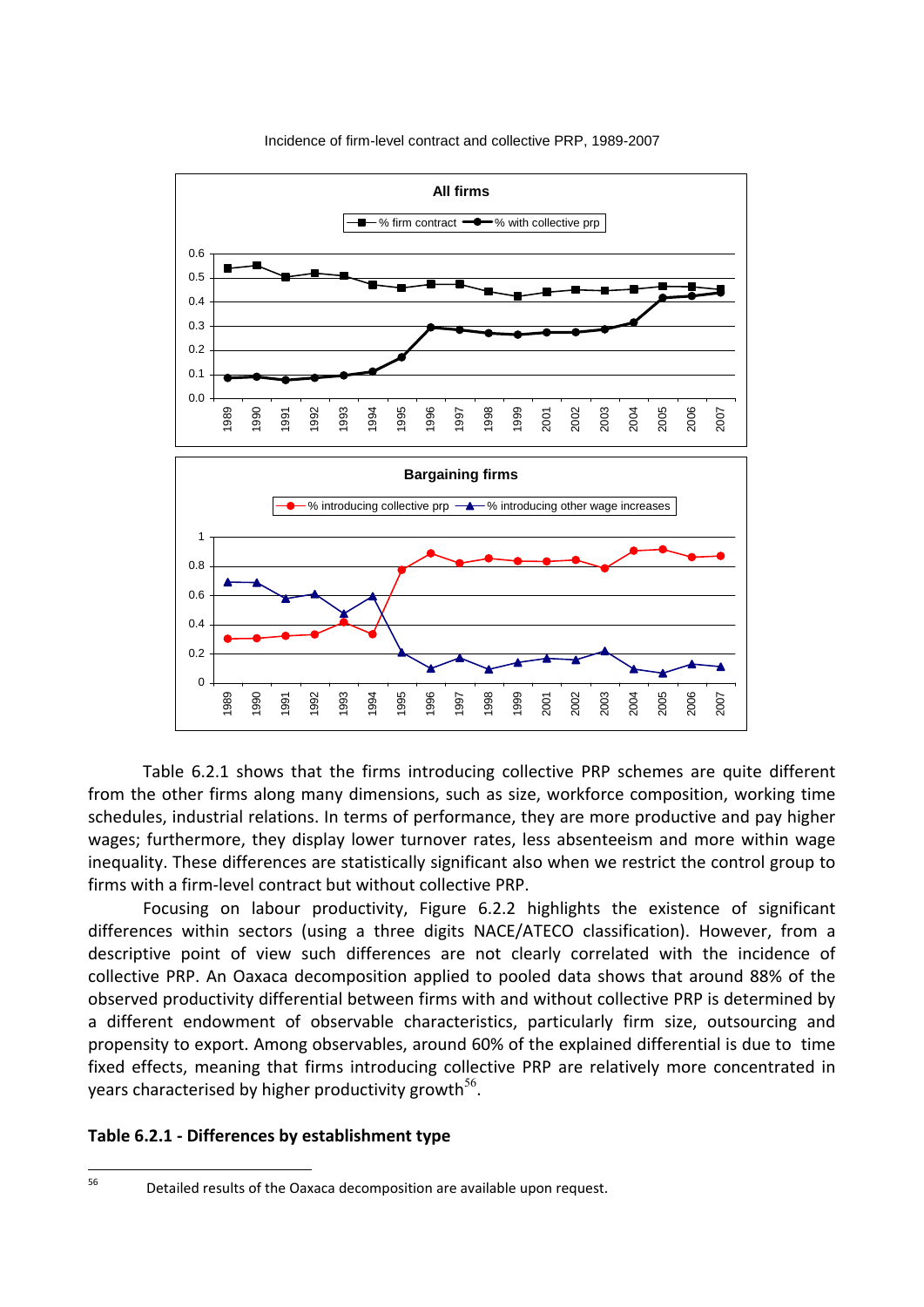

Incidence of firm-level contract and collective PRP, 1989-2007

Table 6.2.1 shows that the firms introducing collective PRP schemes are quite different from the other firms along many dimensions, such as size, workforce composition, working time schedules, industrial relations. In terms of performance, they are more productive and pay higher wages; furthermore, they display lower turnover rates, less absenteeism and more within wage inequality. These differences are statistically significant also when we restrict the control group to firms with a firm‐level contract but without collective PRP.

Focusing on labour productivity, Figure 6.2.2 highlights the existence of significant differences within sectors (using a three digits NACE/ATECO classification). However, from a descriptive point of view such differences are not clearly correlated with the incidence of collective PRP. An Oaxaca decomposition applied to pooled data shows that around 88% of the observed productivity differential between firms with and without collective PRP is determined by a different endowment of observable characteristics, particularly firm size, outsourcing and propensity to export. Among observables, around 60% of the explained differential is due to time fixed effects, meaning that firms introducing collective PRP are relatively more concentrated in years characterised by higher productivity growth<sup>56</sup>.

#### **Table 6.2.1 ‐ Differences by establishment type**

56

Detailed results of the Oaxaca decomposition are available upon request.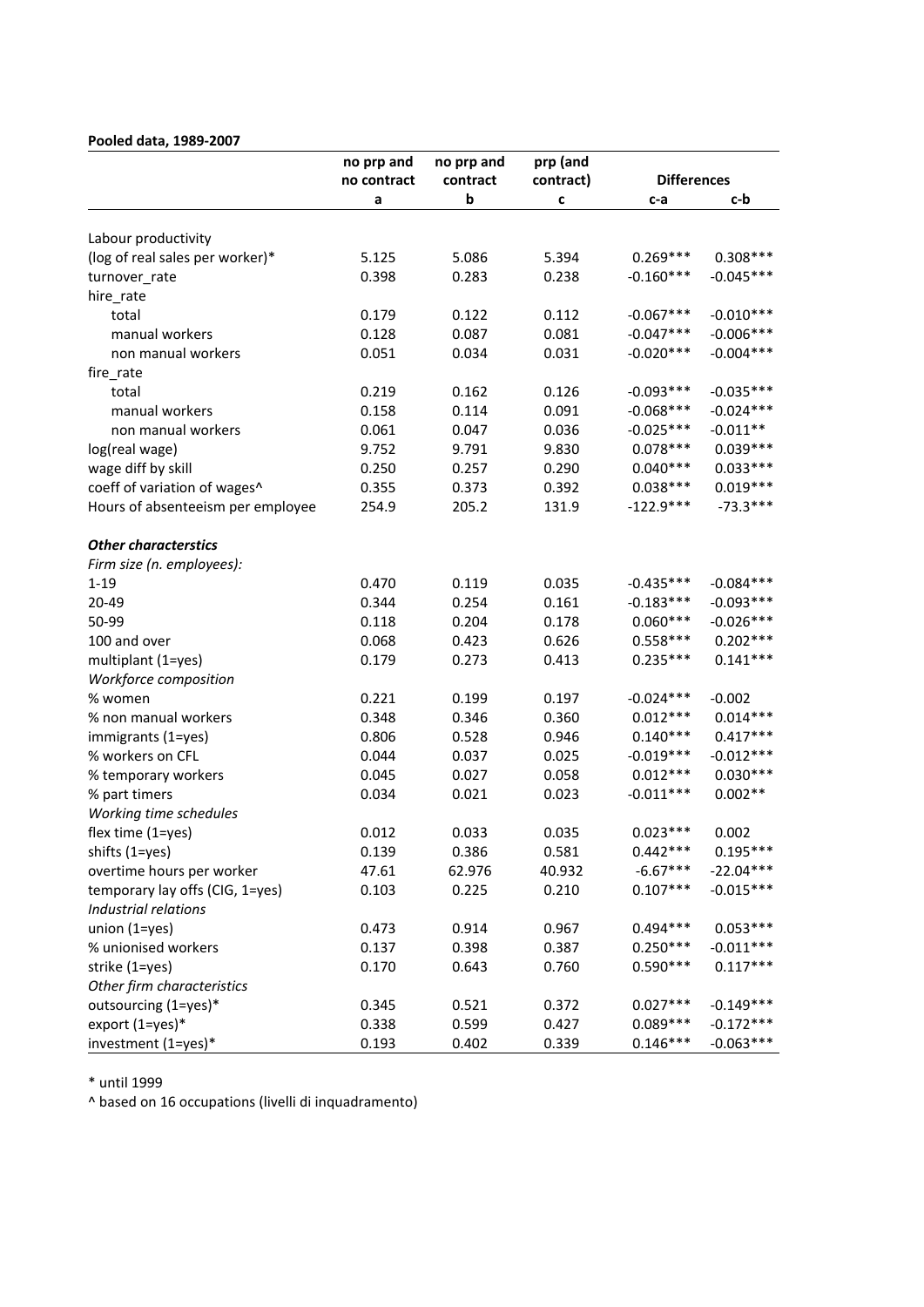#### **Pooled data, 1989‐2007**

|                                   | no prp and  | no prp and | prp (and  |                    |             |
|-----------------------------------|-------------|------------|-----------|--------------------|-------------|
|                                   | no contract | contract   | contract) | <b>Differences</b> |             |
|                                   | а           | b          | C         | c-a                | c-b         |
|                                   |             |            |           |                    |             |
| Labour productivity               |             |            |           |                    |             |
| (log of real sales per worker)*   | 5.125       | 5.086      | 5.394     | $0.269***$         | $0.308***$  |
| turnover_rate                     | 0.398       | 0.283      | 0.238     | $-0.160***$        | $-0.045***$ |
| hire_rate                         |             |            |           |                    |             |
| total                             | 0.179       | 0.122      | 0.112     | $-0.067***$        | $-0.010***$ |
| manual workers                    | 0.128       | 0.087      | 0.081     | $-0.047***$        | $-0.006***$ |
| non manual workers                | 0.051       | 0.034      | 0.031     | $-0.020***$        | $-0.004***$ |
| fire_rate                         |             |            |           |                    |             |
| total                             | 0.219       | 0.162      | 0.126     | $-0.093***$        | $-0.035***$ |
| manual workers                    | 0.158       | 0.114      | 0.091     | $-0.068***$        | $-0.024***$ |
| non manual workers                | 0.061       | 0.047      | 0.036     | $-0.025***$        | $-0.011**$  |
| log(real wage)                    | 9.752       | 9.791      | 9.830     | $0.078***$         | $0.039***$  |
| wage diff by skill                | 0.250       | 0.257      | 0.290     | $0.040***$         | $0.033***$  |
| coeff of variation of wages^      | 0.355       | 0.373      | 0.392     | $0.038***$         | $0.019***$  |
| Hours of absenteeism per employee | 254.9       | 205.2      | 131.9     | $-122.9***$        | $-73.3***$  |
| <b>Other characterstics</b>       |             |            |           |                    |             |
| Firm size (n. employees):         |             |            |           |                    |             |
| $1 - 19$                          | 0.470       | 0.119      | 0.035     | $-0.435***$        | $-0.084***$ |
| 20-49                             | 0.344       | 0.254      | 0.161     | $-0.183***$        | $-0.093***$ |
| 50-99                             | 0.118       | 0.204      | 0.178     | $0.060***$         | $-0.026***$ |
| 100 and over                      | 0.068       | 0.423      | 0.626     | $0.558***$         | $0.202***$  |
| multiplant (1=yes)                | 0.179       | 0.273      | 0.413     | $0.235***$         | $0.141***$  |
| Workforce composition             |             |            |           |                    |             |
| % women                           | 0.221       | 0.199      | 0.197     | $-0.024***$        | $-0.002$    |
| % non manual workers              | 0.348       | 0.346      | 0.360     | $0.012***$         | $0.014***$  |
| immigrants (1=yes)                | 0.806       | 0.528      | 0.946     | $0.140***$         | $0.417***$  |
| % workers on CFL                  | 0.044       | 0.037      | 0.025     | $-0.019***$        | $-0.012***$ |
| % temporary workers               | 0.045       | 0.027      | 0.058     | $0.012***$         | $0.030***$  |
| % part timers                     | 0.034       | 0.021      | 0.023     | $-0.011***$        | $0.002**$   |
| Working time schedules            |             |            |           |                    |             |
| flex time $(1 = yes)$             | 0.012       | 0.033      | 0.035     | $0.023***$         | 0.002       |
| shifts (1=yes)                    | 0.139       | 0.386      | 0.581     | $0.442***$         | $0.195***$  |
| overtime hours per worker         | 47.61       | 62.976     | 40.932    | $-6.67***$         | $-22.04***$ |
| temporary lay offs (CIG, 1=yes)   | 0.103       | 0.225      | 0.210     | $0.107***$         | $-0.015***$ |
| Industrial relations              |             |            |           |                    |             |
| union $(1 = yes)$                 | 0.473       | 0.914      | 0.967     | $0.494***$         | $0.053***$  |
| % unionised workers               | 0.137       | 0.398      | 0.387     | $0.250***$         | $-0.011***$ |
| strike (1=yes)                    | 0.170       | 0.643      | 0.760     | $0.590***$         | $0.117***$  |
| Other firm characteristics        |             |            |           |                    |             |
| outsourcing (1=yes)*              | 0.345       | 0.521      | 0.372     | $0.027***$         | $-0.149***$ |
| export (1=yes)*                   | 0.338       | 0.599      | 0.427     | $0.089***$         | $-0.172***$ |
| investment (1=yes)*               | 0.193       | 0.402      | 0.339     | $0.146***$         | $-0.063***$ |

\* until 1999

^ based on 16 occupations (livelli di inquadramento)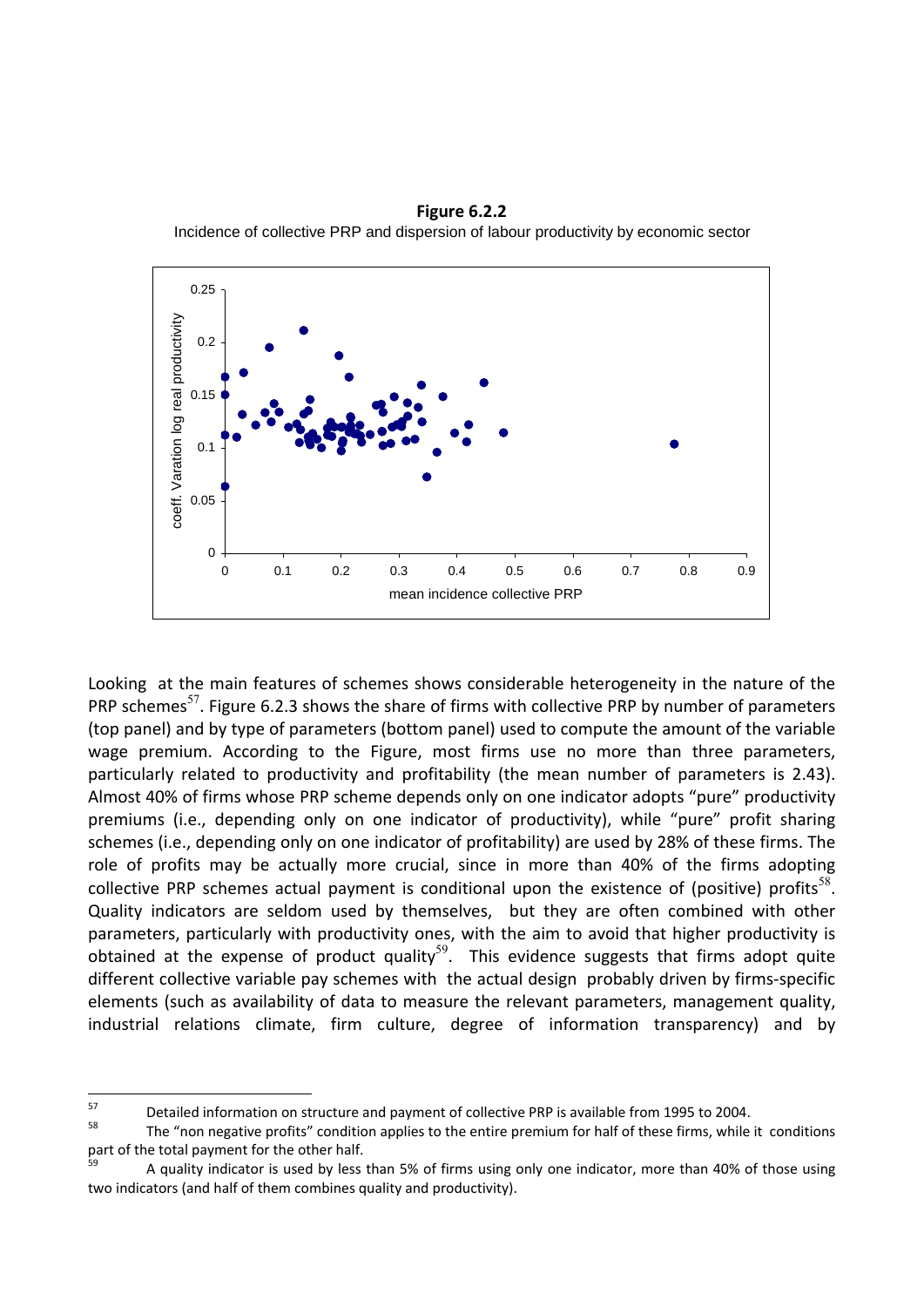**Figure 6.2.2** Incidence of collective PRP and dispersion of labour productivity by economic sector



Looking at the main features of schemes shows considerable heterogeneity in the nature of the PRP schemes<sup>57</sup>. Figure 6.2.3 shows the share of firms with collective PRP by number of parameters (top panel) and by type of parameters (bottom panel) used to compute the amount of the variable wage premium. According to the Figure, most firms use no more than three parameters, particularly related to productivity and profitability (the mean number of parameters is 2.43). Almost 40% of firms whose PRP scheme depends only on one indicator adopts "pure" productivity premiums (i.e., depending only on one indicator of productivity), while "pure" profit sharing schemes (i.e., depending only on one indicator of profitability) are used by 28% of these firms. The role of profits may be actually more crucial, since in more than 40% of the firms adopting collective PRP schemes actual payment is conditional upon the existence of (positive) profits<sup>58</sup>. Quality indicators are seldom used by themselves, but they are often combined with other parameters, particularly with productivity ones, with the aim to avoid that higher productivity is obtained at the expense of product quality<sup>59</sup>. This evidence suggests that firms adopt quite different collective variable pay schemes with the actual design probably driven by firms‐specific elements (such as availability of data to measure the relevant parameters, management quality, industrial relations climate, firm culture, degree of information transparency) and by

<sup>57</sup> 

<sup>57</sup> Detailed information on structure and payment of collective PRP is available from 1995 to 2004.<br>
58 The "non negative profits" condition applies to the entire premium for half of these firms, while it conditions part o

A quality indicator is used by less than 5% of firms using only one indicator, more than 40% of those using two indicators (and half of them combines quality and productivity).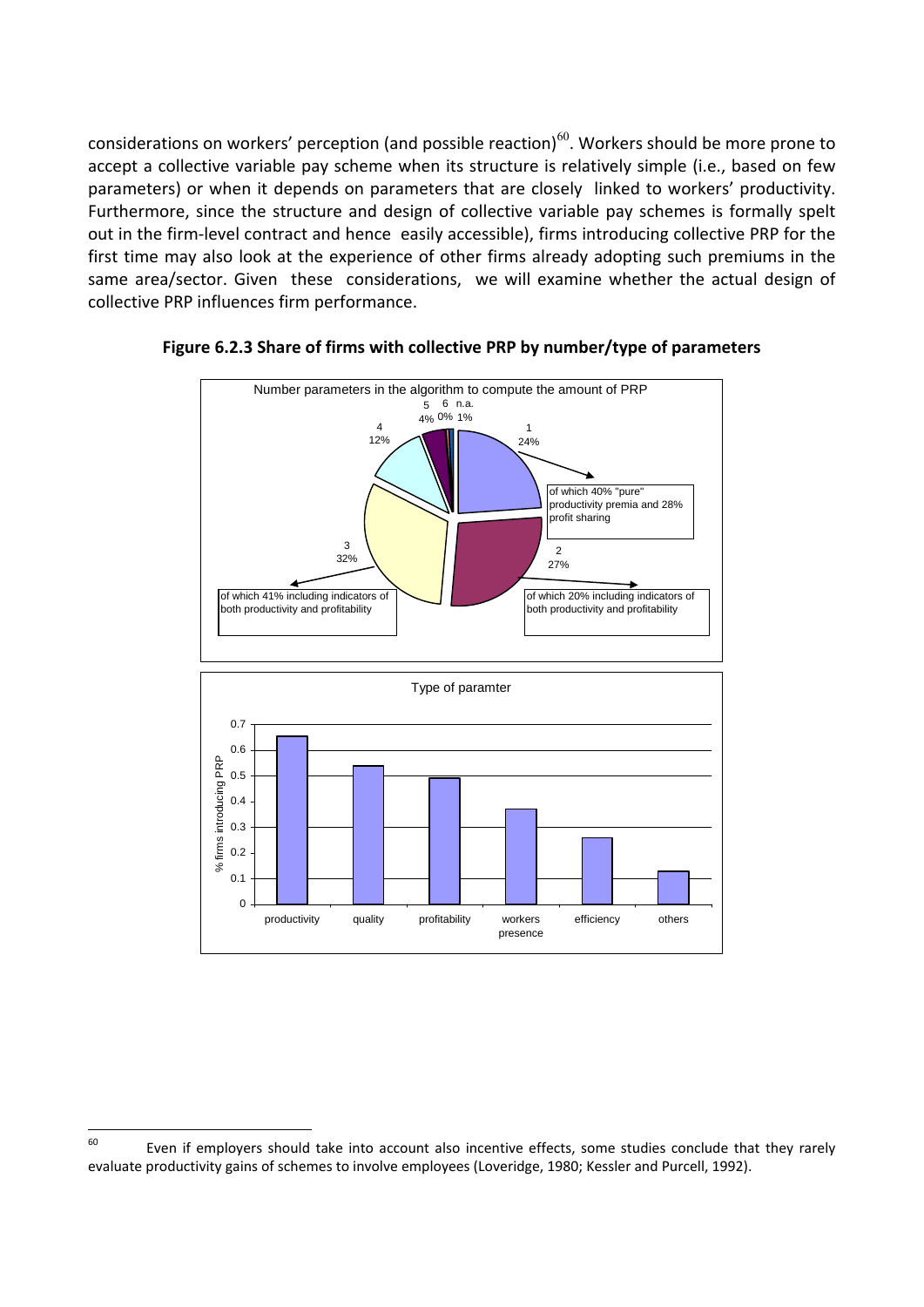considerations on workers' perception (and possible reaction) $60$ . Workers should be more prone to accept a collective variable pay scheme when its structure is relatively simple (i.e., based on few parameters) or when it depends on parameters that are closely linked to workers' productivity. Furthermore, since the structure and design of collective variable pay schemes is formally spelt out in the firm‐level contract and hence easily accessible), firms introducing collective PRP for the first time may also look at the experience of other firms already adopting such premiums in the same area/sector. Given these considerations, we will examine whether the actual design of collective PRP influences firm performance.



#### **Figure 6.2.3 Share of firms with collective PRP by number/type of parameters**

<sup>60</sup> Even if employers should take into account also incentive effects, some studies conclude that they rarely evaluate productivity gains of schemes to involve employees (Loveridge, 1980; Kessler and Purcell, 1992).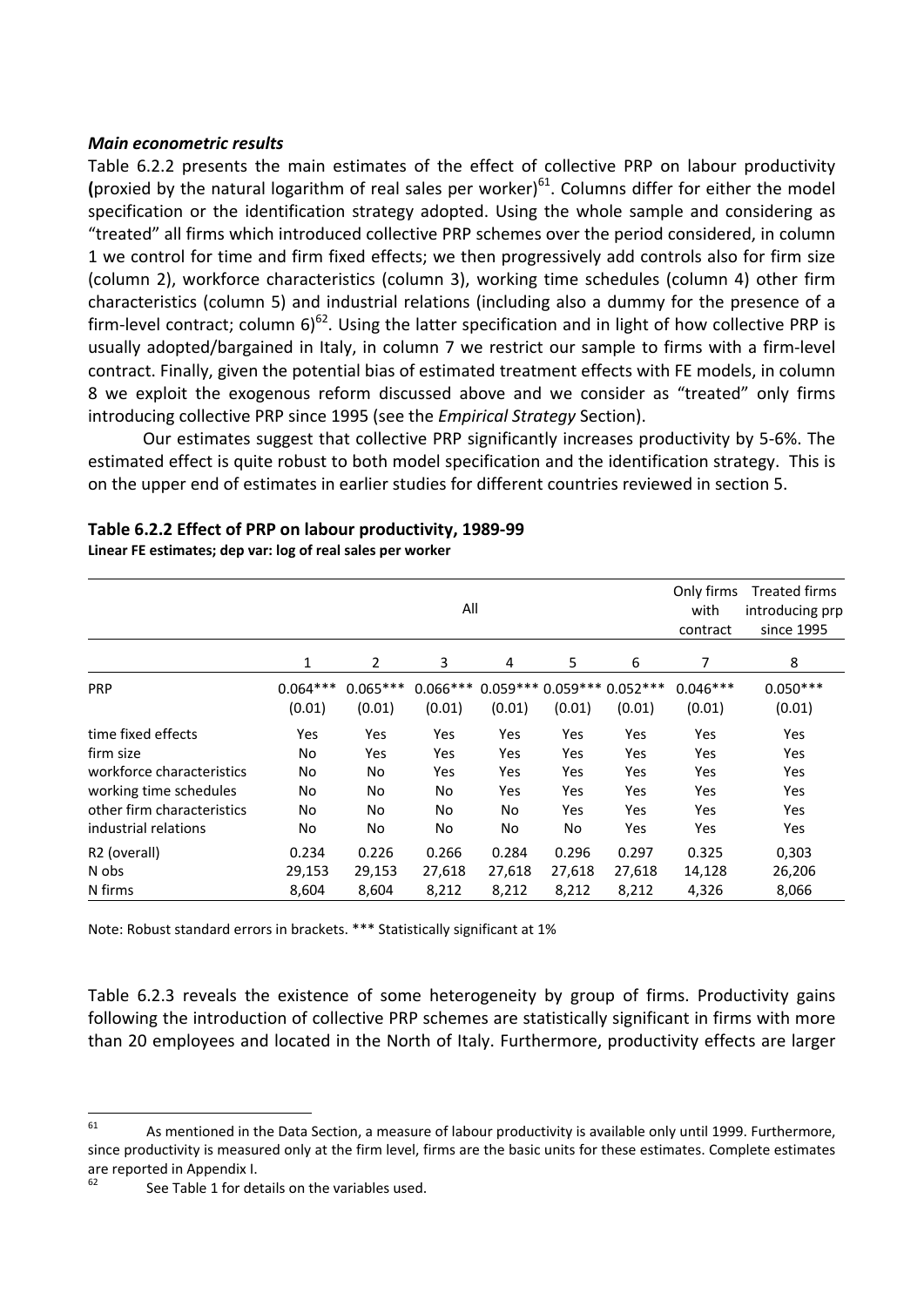#### *Main econometric results*

Table 6.2.2 presents the main estimates of the effect of collective PRP on labour productivity **(**proxied by the natural logarithm of real sales per worker)61. Columns differ for either the model specification or the identification strategy adopted. Using the whole sample and considering as "treated" all firms which introduced collective PRP schemes over the period considered, in column 1 we control for time and firm fixed effects; we then progressively add controls also for firm size (column 2), workforce characteristics (column 3), working time schedules (column 4) other firm characteristics (column 5) and industrial relations (including also a dummy for the presence of a firm-level contract; column  $6)^{62}$ . Using the latter specification and in light of how collective PRP is usually adopted/bargained in Italy, in column 7 we restrict our sample to firms with a firm‐level contract. Finally, given the potential bias of estimated treatment effects with FE models, in column 8 we exploit the exogenous reform discussed above and we consider as "treated" only firms introducing collective PRP since 1995 (see the *Empirical Strategy* Section).

Our estimates suggest that collective PRP significantly increases productivity by 5‐6%. The estimated effect is quite robust to both model specification and the identification strategy. This is on the upper end of estimates in earlier studies for different countries reviewed in section 5.

|                                                                                                                                              |                                    |                                    | Only firms<br>with<br>contract      | Treated firms<br>introducing prp<br>since 1995 |                                       |                                        |                                        |                                        |
|----------------------------------------------------------------------------------------------------------------------------------------------|------------------------------------|------------------------------------|-------------------------------------|------------------------------------------------|---------------------------------------|----------------------------------------|----------------------------------------|----------------------------------------|
|                                                                                                                                              | 1                                  | 2                                  | 3                                   | 4                                              | 5                                     | 6                                      | $\overline{7}$                         | 8                                      |
| <b>PRP</b>                                                                                                                                   | $0.064***$<br>(0.01)               | $0.065***$<br>(0.01)               | $0.066***$<br>(0.01)                | (0.01)                                         | $0.059***0.059***$<br>(0.01)          | $0.052***$<br>(0.01)                   | $0.046***$<br>(0.01)                   | $0.050***$<br>(0.01)                   |
| time fixed effects<br>firm size<br>workforce characteristics<br>working time schedules<br>other firm characteristics<br>industrial relations | Yes<br>No.<br>No<br>No<br>No<br>No | Yes<br>Yes<br>No<br>No<br>No<br>No | Yes<br>Yes<br>Yes<br>No<br>No<br>No | Yes<br>Yes<br>Yes<br>Yes<br>No<br>No           | Yes<br>Yes<br>Yes<br>Yes<br>Yes<br>No | Yes<br>Yes<br>Yes<br>Yes<br>Yes<br>Yes | Yes<br>Yes<br>Yes<br>Yes<br>Yes<br>Yes | Yes<br>Yes<br>Yes<br>Yes<br>Yes<br>Yes |
| R <sub>2</sub> (overall)<br>N obs<br>N firms                                                                                                 | 0.234<br>29,153<br>8,604           | 0.226<br>29,153<br>8,604           | 0.266<br>27,618<br>8,212            | 0.284<br>27,618<br>8,212                       | 0.296<br>27,618<br>8,212              | 0.297<br>27,618<br>8,212               | 0.325<br>14,128<br>4,326               | 0,303<br>26,206<br>8,066               |

#### **Table 6.2.2 Effect of PRP on labour productivity, 1989‐99**

**Linear FE estimates; dep var: log of real sales per worker** 

Note: Robust standard errors in brackets. \*\*\* Statistically significant at 1%

Table 6.2.3 reveals the existence of some heterogeneity by group of firms. Productivity gains following the introduction of collective PRP schemes are statistically significant in firms with more than 20 employees and located in the North of Italy. Furthermore, productivity effects are larger

<sup>61</sup> As mentioned in the Data Section, a measure of labour productivity is available only until 1999. Furthermore, since productivity is measured only at the firm level, firms are the basic units for these estimates. Complete estimates are reported in Appendix I.<br> $62$  See Table 1 for details on the variables used.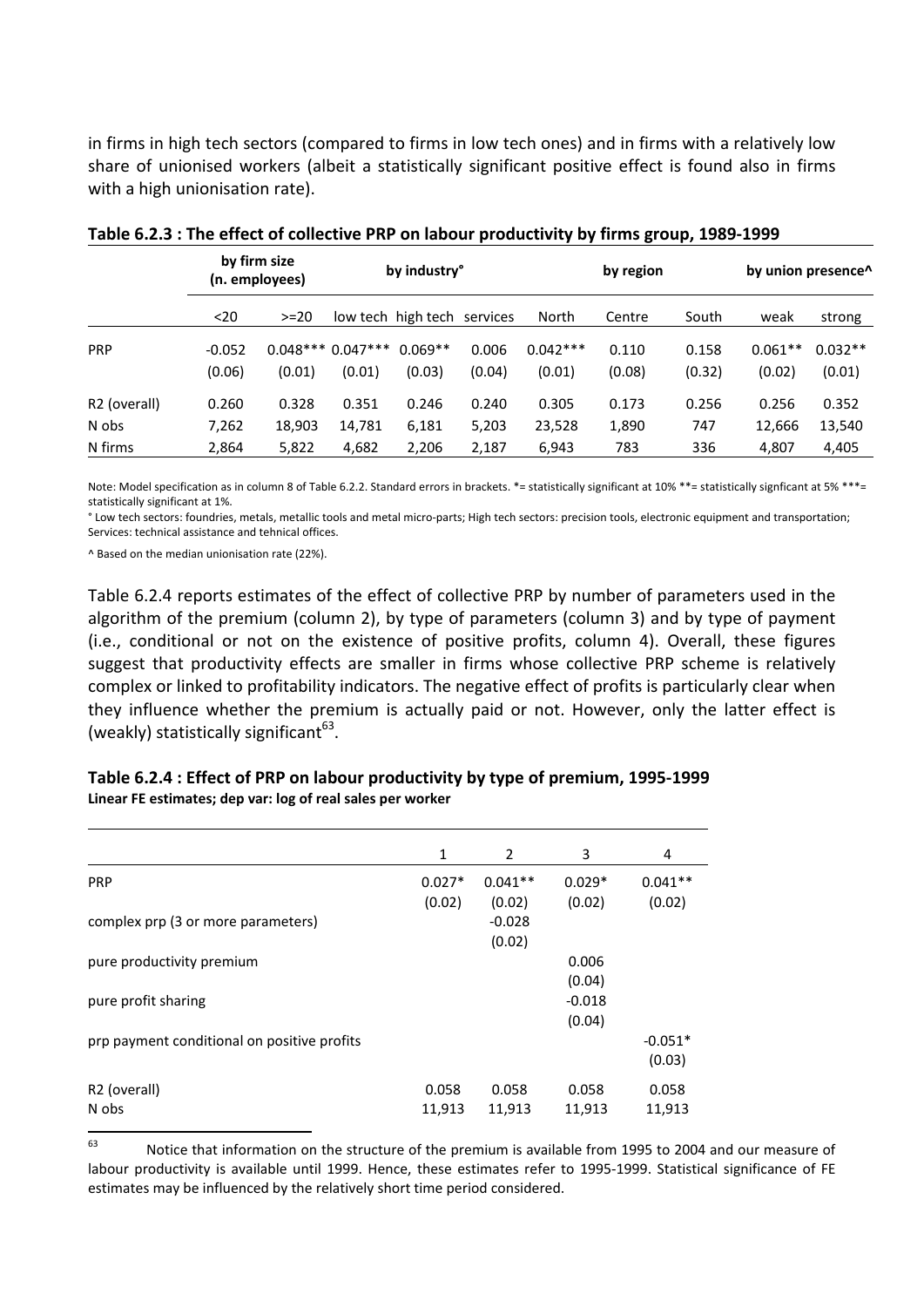in firms in high tech sectors (compared to firms in low tech ones) and in firms with a relatively low share of unionised workers (albeit a statistically significant positive effect is found also in firms with a high unionisation rate).

|              |                    | by firm size<br>(n. employees) | by industry°                 |                             |                 | by region            |                 |                 | by union presence <sup><math>\wedge</math></sup> |                     |  |
|--------------|--------------------|--------------------------------|------------------------------|-----------------------------|-----------------|----------------------|-----------------|-----------------|--------------------------------------------------|---------------------|--|
|              | $20$               | $>=20$                         |                              | low tech high tech services |                 | North                | Centre          | South           | weak                                             | strong              |  |
| <b>PRP</b>   | $-0.052$<br>(0.06) | (0.01)                         | $0.048***0.047***$<br>(0.01) | $0.069**$<br>(0.03)         | 0.006<br>(0.04) | $0.042***$<br>(0.01) | 0.110<br>(0.08) | 0.158<br>(0.32) | $0.061**$<br>(0.02)                              | $0.032**$<br>(0.01) |  |
| R2 (overall) | 0.260              | 0.328                          | 0.351                        | 0.246                       | 0.240           | 0.305                | 0.173           | 0.256           | 0.256                                            | 0.352               |  |
| N obs        | 7,262              | 18,903                         | 14,781                       | 6,181                       | 5,203           | 23,528               | 1,890           | 747             | 12,666                                           | 13,540              |  |
| N firms      | 2,864              | 5,822                          | 4,682                        | 2,206                       | 2,187           | 6,943                | 783             | 336             | 4,807                                            | 4,405               |  |

**Table 6.2.3 : The effect of collective PRP on labour productivity by firms group, 1989‐1999**

Note: Model specification as in column 8 of Table 6.2.2. Standard errors in brackets. \*= statistically significant at 10% \*\*= statistically signficant at 5% \*\*\*= statistically significant at 1%.

° Low tech sectors: foundries, metals, metallic tools and metal micro‐parts; High tech sectors: precision tools, electronic equipment and transportation; Services: technical assistance and tehnical offices.

^ Based on the median unionisation rate (22%).

Table 6.2.4 reports estimates of the effect of collective PRP by number of parameters used in the algorithm of the premium (column 2), by type of parameters (column 3) and by type of payment (i.e., conditional or not on the existence of positive profits, column 4). Overall, these figures suggest that productivity effects are smaller in firms whose collective PRP scheme is relatively complex or linked to profitability indicators. The negative effect of profits is particularly clear when they influence whether the premium is actually paid or not. However, only the latter effect is (weakly) statistically significant<sup>63</sup>.

|                                             | 1                  | $\overline{2}$      | 3                  | 4                   |
|---------------------------------------------|--------------------|---------------------|--------------------|---------------------|
| <b>PRP</b>                                  | $0.027*$<br>(0.02) | $0.041**$<br>(0.02) | $0.029*$<br>(0.02) | $0.041**$<br>(0.02) |
| complex prp (3 or more parameters)          |                    | $-0.028$<br>(0.02)  |                    |                     |
| pure productivity premium                   |                    |                     | 0.006<br>(0.04)    |                     |
| pure profit sharing                         |                    |                     | $-0.018$<br>(0.04) |                     |
| prp payment conditional on positive profits |                    |                     |                    | $-0.051*$<br>(0.03) |
| R2 (overall)<br>N obs                       | 0.058<br>11,913    | 0.058<br>11,913     | 0.058<br>11,913    | 0.058<br>11,913     |

| Table 6.2.4 : Effect of PRP on labour productivity by type of premium, 1995-1999 |  |
|----------------------------------------------------------------------------------|--|
| Linear FE estimates; dep var: log of real sales per worker                       |  |

<sup>63</sup> Notice that information on the structure of the premium is available from 1995 to 2004 and our measure of labour productivity is available until 1999. Hence, these estimates refer to 1995-1999. Statistical significance of FE estimates may be influenced by the relatively short time period considered.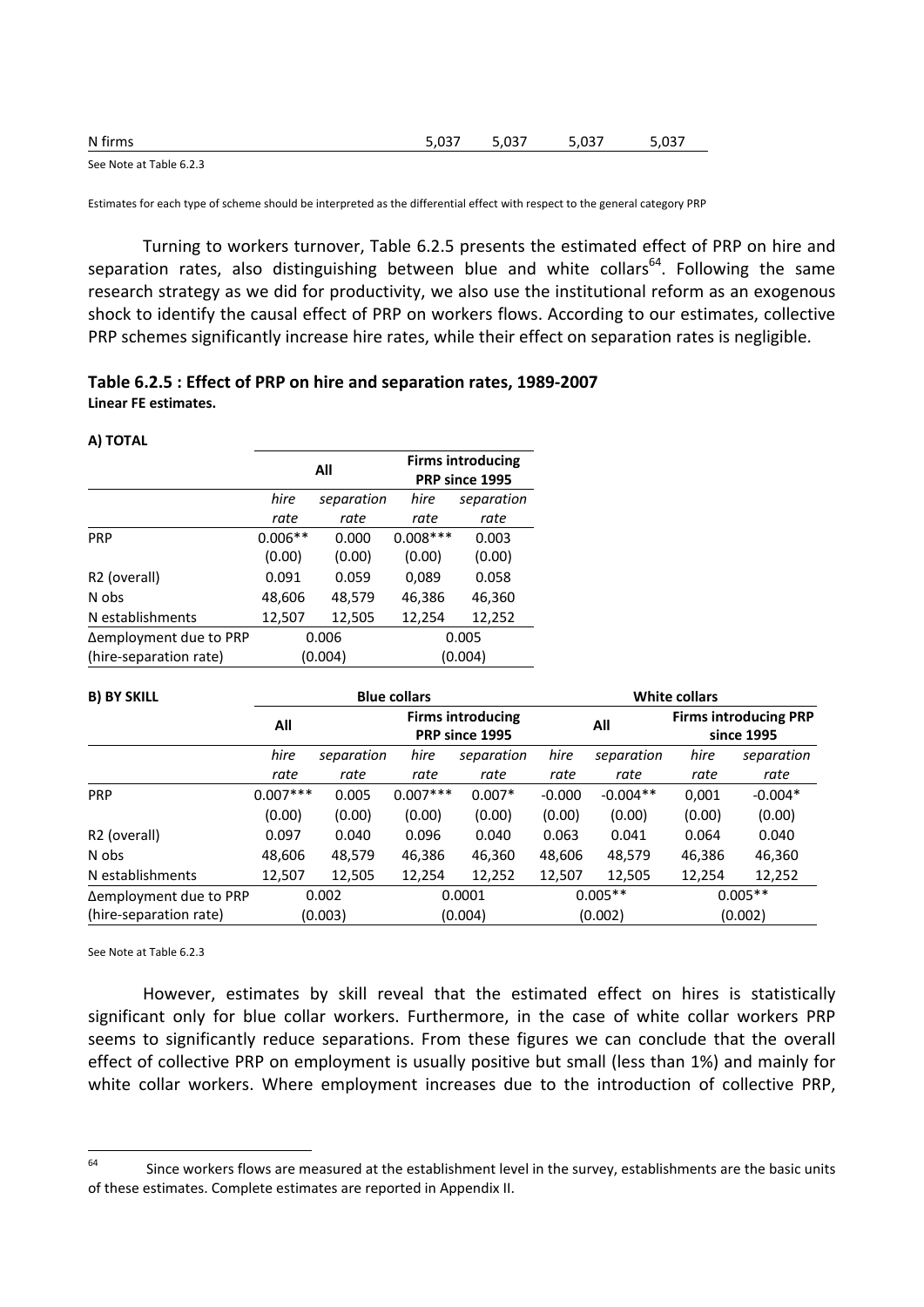| N firms                                                           | $\sim$ 00 $-$ | 5.037 | റാ | . กว- |
|-------------------------------------------------------------------|---------------|-------|----|-------|
|                                                                   | .             | ັັ    | .  | .     |
| $\sim$ $\cdot$ $\cdot$ $\sim$ $\sim$ $\cdot$ $\sim$ $\sim$ $\sim$ |               |       |    |       |

See Note at Table 6.2.3

Estimates for each type of scheme should be interpreted as the differential effect with respect to the general category PRP

Turning to workers turnover, Table 6.2.5 presents the estimated effect of PRP on hire and separation rates, also distinguishing between blue and white collars<sup>64</sup>. Following the same research strategy as we did for productivity, we also use the institutional reform as an exogenous shock to identify the causal effect of PRP on workers flows. According to our estimates, collective PRP schemes significantly increase hire rates, while their effect on separation rates is negligible.

| Table 6.2.5 : Effect of PRP on hire and separation rates, 1989-2007 |  |
|---------------------------------------------------------------------|--|
| Linear FE estimates.                                                |  |

**A) TOTAL**

|                        |           | All        |            | <b>Firms introducing</b> |  |
|------------------------|-----------|------------|------------|--------------------------|--|
|                        |           |            |            | PRP since 1995           |  |
|                        | hire      | separation | hire       | separation               |  |
|                        | rate      | rate       | rate       | rate                     |  |
| <b>PRP</b>             | $0.006**$ | 0.000      | $0.008***$ | 0.003                    |  |
|                        | (0.00)    | (0.00)     | (0.00)     | (0.00)                   |  |
| R2 (overall)           | 0.091     | 0.059      | 0,089      | 0.058                    |  |
| N obs                  | 48,606    | 48,579     | 46,386     | 46,360                   |  |
| N establishments       | 12,507    | 12,505     | 12,254     | 12,252                   |  |
| Δemployment due to PRP |           | 0.006      |            | 0.005                    |  |
| (hire-separation rate) |           | (0.004)    |            | (0.004)                  |  |

| <b>B) BY SKILL</b>       |            | <b>Blue collars</b> |                                            |            |           | <b>White collars</b> |                                            |            |  |
|--------------------------|------------|---------------------|--------------------------------------------|------------|-----------|----------------------|--------------------------------------------|------------|--|
|                          | All        |                     | <b>Firms introducing</b><br>PRP since 1995 |            |           | All                  | <b>Firms introducing PRP</b><br>since 1995 |            |  |
|                          | hire       | separation          | hire                                       | separation | hire      | separation           | hire                                       | separation |  |
|                          | rate       | rate                | rate                                       | rate       | rate      | rate                 | rate                                       | rate       |  |
| PRP                      | $0.007***$ | 0.005               | $0.007***$                                 | $0.007*$   | $-0.000$  | $-0.004**$           | 0,001                                      | $-0.004*$  |  |
|                          | (0.00)     | (0.00)              | (0.00)                                     | (0.00)     | (0.00)    | (0.00)               | (0.00)                                     | (0.00)     |  |
| R <sub>2</sub> (overall) | 0.097      | 0.040               | 0.096                                      | 0.040      | 0.063     | 0.041                | 0.064                                      | 0.040      |  |
| N obs                    | 48,606     | 48,579              | 46,386                                     | 46,360     | 48,606    | 48,579               | 46,386                                     | 46,360     |  |
| N establishments         | 12,507     | 12,505              | 12,254                                     | 12,252     | 12,507    | 12,505               | 12,254                                     | 12,252     |  |
| Δemployment due to PRP   |            | 0.002               |                                            | 0.0001     | $0.005**$ |                      | $0.005**$                                  |            |  |
| (hire-separation rate)   |            | (0.003)             |                                            | (0.004)    |           | (0.002)              |                                            | (0.002)    |  |

See Note at Table 6.2.3

However, estimates by skill reveal that the estimated effect on hires is statistically significant only for blue collar workers. Furthermore, in the case of white collar workers PRP seems to significantly reduce separations. From these figures we can conclude that the overall effect of collective PRP on employment is usually positive but small (less than 1%) and mainly for white collar workers. Where employment increases due to the introduction of collective PRP,

<sup>64</sup> Since workers flows are measured at the establishment level in the survey, establishments are the basic units of these estimates. Complete estimates are reported in Appendix II.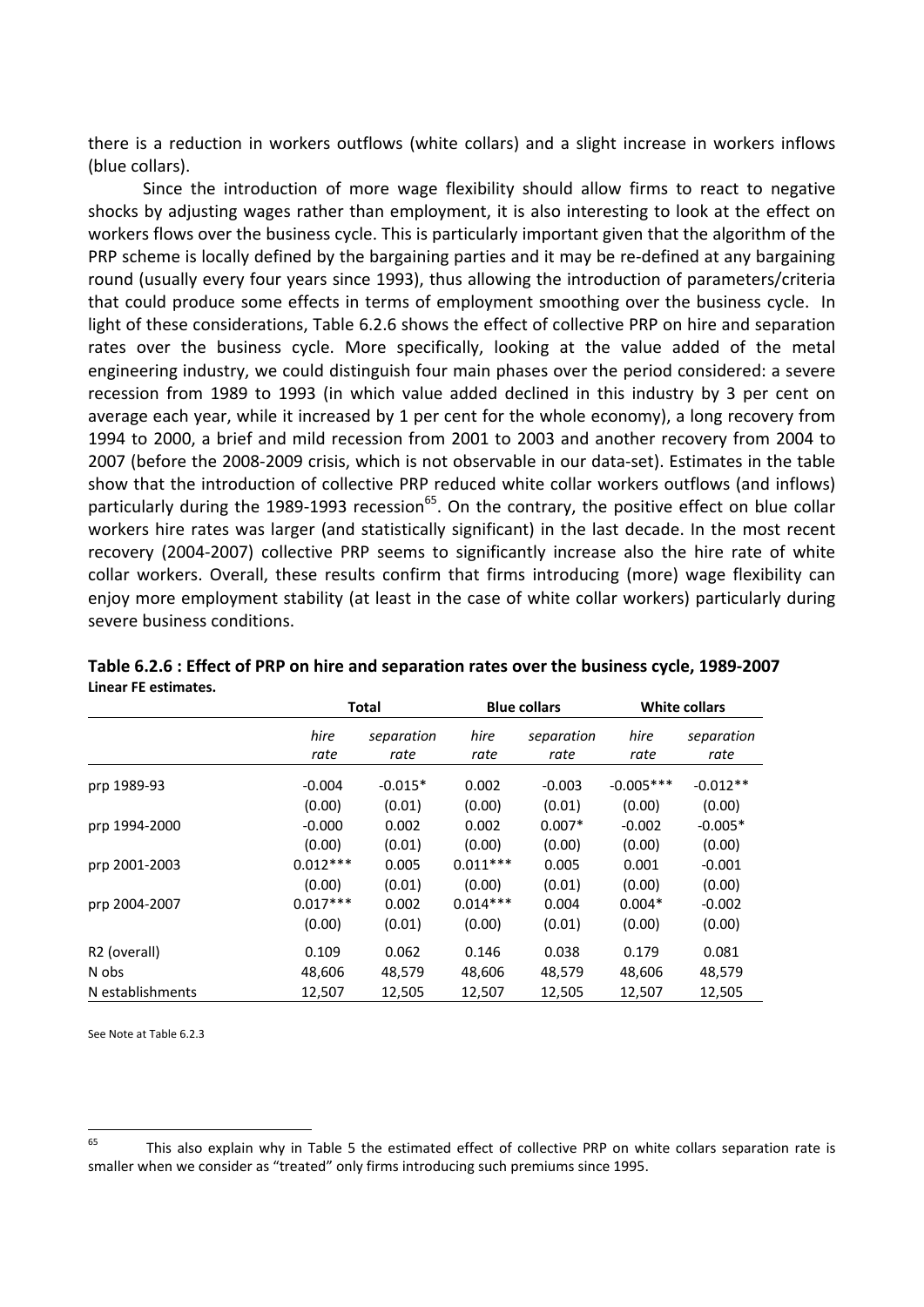there is a reduction in workers outflows (white collars) and a slight increase in workers inflows (blue collars).

Since the introduction of more wage flexibility should allow firms to react to negative shocks by adjusting wages rather than employment, it is also interesting to look at the effect on workers flows over the business cycle. This is particularly important given that the algorithm of the PRP scheme is locally defined by the bargaining parties and it may be re-defined at any bargaining round (usually every four years since 1993), thus allowing the introduction of parameters/criteria that could produce some effects in terms of employment smoothing over the business cycle. In light of these considerations, Table 6.2.6 shows the effect of collective PRP on hire and separation rates over the business cycle. More specifically, looking at the value added of the metal engineering industry, we could distinguish four main phases over the period considered: a severe recession from 1989 to 1993 (in which value added declined in this industry by 3 per cent on average each year, while it increased by 1 per cent for the whole economy), a long recovery from 1994 to 2000, a brief and mild recession from 2001 to 2003 and another recovery from 2004 to 2007 (before the 2008‐2009 crisis, which is not observable in our data‐set). Estimates in the table show that the introduction of collective PRP reduced white collar workers outflows (and inflows) particularly during the 1989-1993 recession<sup>65</sup>. On the contrary, the positive effect on blue collar workers hire rates was larger (and statistically significant) in the last decade. In the most recent recovery (2004‐2007) collective PRP seems to significantly increase also the hire rate of white collar workers. Overall, these results confirm that firms introducing (more) wage flexibility can enjoy more employment stability (at least in the case of white collar workers) particularly during severe business conditions.

|                  |            | <b>Total</b> |            | <b>Blue collars</b> | <b>White collars</b> |            |
|------------------|------------|--------------|------------|---------------------|----------------------|------------|
|                  | hire       | separation   | hire       | separation          | hire                 | separation |
|                  | rate       | rate         | rate       | rate                | rate                 | rate       |
| prp 1989-93      | $-0.004$   | $-0.015*$    | 0.002      | $-0.003$            | $-0.005***$          | $-0.012**$ |
|                  | (0.00)     | (0.01)       | (0.00)     | (0.01)              | (0.00)               | (0.00)     |
| prp 1994-2000    | $-0.000$   | 0.002        | 0.002      | $0.007*$            | $-0.002$             | $-0.005*$  |
|                  | (0.00)     | (0.01)       | (0.00)     | (0.00)              | (0.00)               | (0.00)     |
| prp 2001-2003    | $0.012***$ | 0.005        | $0.011***$ | 0.005               | 0.001                | $-0.001$   |
|                  | (0.00)     | (0.01)       | (0.00)     | (0.01)              | (0.00)               | (0.00)     |
| prp 2004-2007    | $0.017***$ | 0.002        | $0.014***$ | 0.004               | $0.004*$             | $-0.002$   |
|                  | (0.00)     | (0.01)       | (0.00)     | (0.01)              | (0.00)               | (0.00)     |
| R2 (overall)     | 0.109      | 0.062        | 0.146      | 0.038               | 0.179                | 0.081      |
| N obs            | 48,606     | 48,579       | 48,606     | 48,579              | 48,606               | 48,579     |
| N establishments | 12,507     | 12,505       | 12,507     | 12,505              | 12,507               | 12,505     |

**Table 6.2.6 : Effect of PRP on hire and separation rates over the business cycle, 1989‐2007 Linear FE estimates.** 

See Note at Table 6.2.3

<sup>65</sup> This also explain why in Table 5 the estimated effect of collective PRP on white collars separation rate is smaller when we consider as "treated" only firms introducing such premiums since 1995.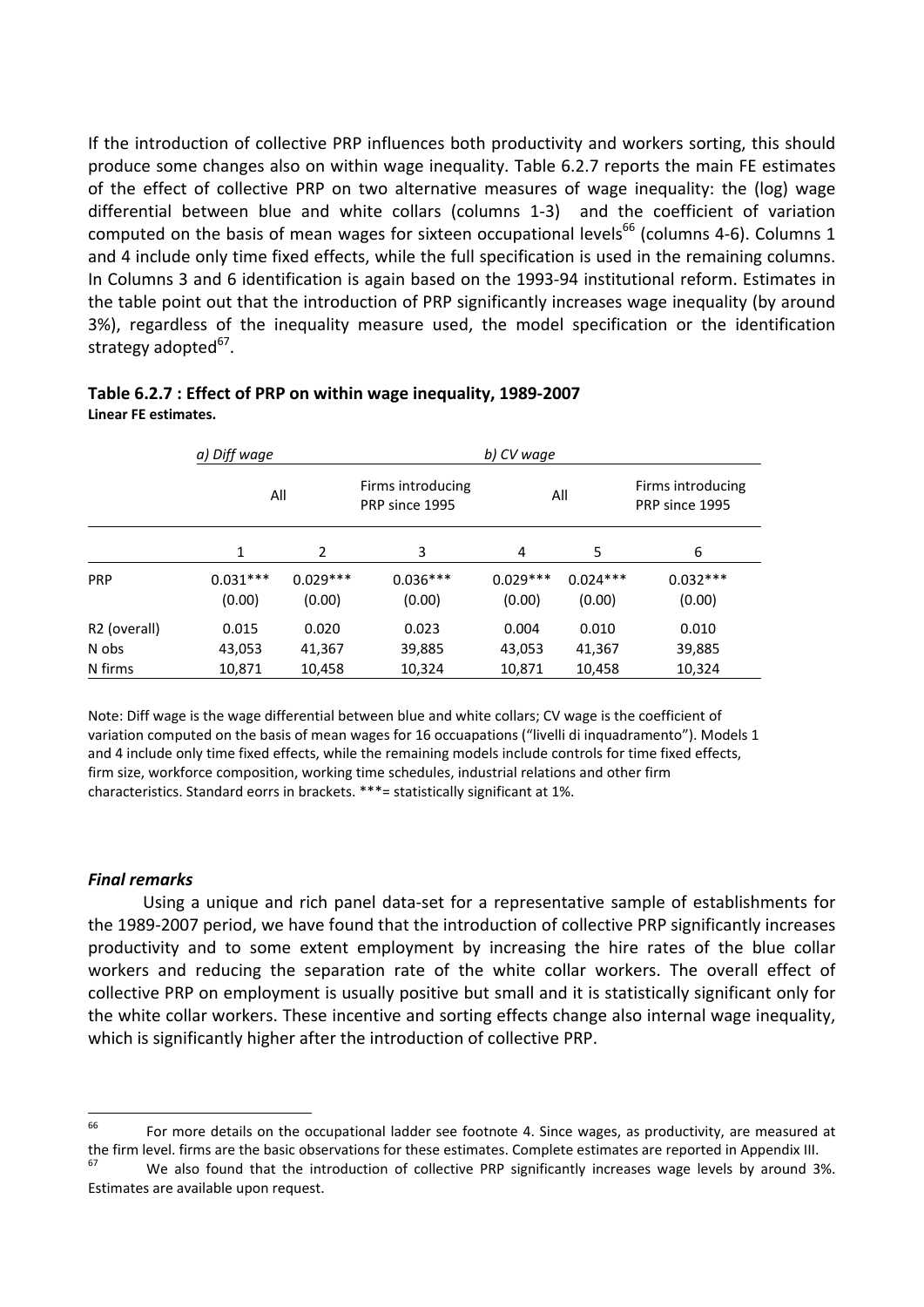If the introduction of collective PRP influences both productivity and workers sorting, this should produce some changes also on within wage inequality. Table 6.2.7 reports the main FE estimates of the effect of collective PRP on two alternative measures of wage inequality: the (log) wage differential between blue and white collars (columns 1-3) and the coefficient of variation computed on the basis of mean wages for sixteen occupational levels<sup>66</sup> (columns 4-6). Columns 1 and 4 include only time fixed effects, while the full specification is used in the remaining columns. In Columns 3 and 6 identification is again based on the 1993‐94 institutional reform. Estimates in the table point out that the introduction of PRP significantly increases wage inequality (by around 3%), regardless of the inequality measure used, the model specification or the identification strategy adopted $67$ .

|              | a) Diff wage         |                      | b) CV wage                          |                      |                      |                                     |  |
|--------------|----------------------|----------------------|-------------------------------------|----------------------|----------------------|-------------------------------------|--|
|              | All                  |                      | Firms introducing<br>PRP since 1995 |                      | All                  | Firms introducing<br>PRP since 1995 |  |
|              | 1                    | 2                    | 3                                   | 4                    | 5                    | 6                                   |  |
| <b>PRP</b>   | $0.031***$<br>(0.00) | $0.029***$<br>(0.00) | $0.036***$<br>(0.00)                | $0.029***$<br>(0.00) | $0.024***$<br>(0.00) | $0.032***$<br>(0.00)                |  |
| R2 (overall) | 0.015                | 0.020                | 0.023                               | 0.004                | 0.010                | 0.010                               |  |
| N obs        | 43,053               | 41,367               | 39,885                              | 43,053               | 41,367               | 39,885                              |  |
| N firms      | 10,871               | 10,458               | 10,324                              | 10,871               | 10,458               | 10,324                              |  |

## **Table 6.2.7 : Effect of PRP on within wage inequality, 1989‐2007 Linear FE estimates.**

Note: Diff wage is the wage differential between blue and white collars; CV wage is the coefficient of variation computed on the basis of mean wages for 16 occuapations ("livelli di inquadramento"). Models 1 and 4 include only time fixed effects, while the remaining models include controls for time fixed effects, firm size, workforce composition, working time schedules, industrial relations and other firm characteristics. Standard eorrs in brackets. \*\*\*= statistically significant at 1%.

#### *Final remarks*

Using a unique and rich panel data‐set for a representative sample of establishments for the 1989‐2007 period, we have found that the introduction of collective PRP significantly increases productivity and to some extent employment by increasing the hire rates of the blue collar workers and reducing the separation rate of the white collar workers. The overall effect of collective PRP on employment is usually positive but small and it is statistically significant only for the white collar workers. These incentive and sorting effects change also internal wage inequality, which is significantly higher after the introduction of collective PRP.

<sup>66</sup> <sup>66</sup> For more details on the occupational ladder see footnote 4. Since wages, as productivity, are measured at the firm level. firms are the basic observations for these estimates. Complete estimates are reported in Appendix III.<br><sup>67</sup> We also found that the introduction of collective PRP significantly increases wage levels by aroun

Estimates are available upon request.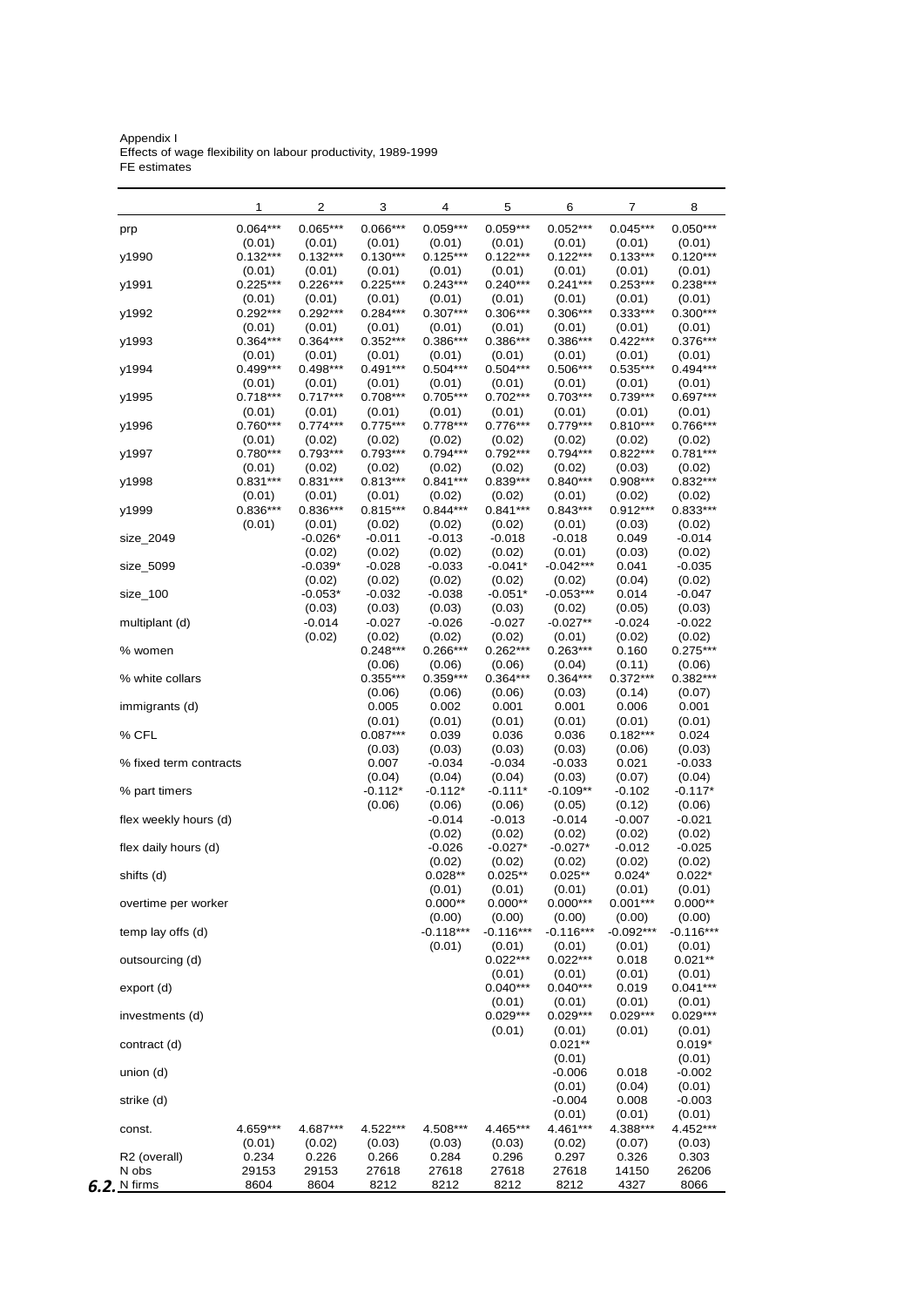#### Appendix I Effects of wage flexibility on labour productivity, 1989-1999 FE estimates

|                          | 1                    | $\overline{\mathbf{c}}$ | 3                    | 4                    | 5                    | 6                     | 7                    | 8                    |
|--------------------------|----------------------|-------------------------|----------------------|----------------------|----------------------|-----------------------|----------------------|----------------------|
| prp                      | $0.064***$           | $0.065***$              | $0.066***$           | $0.059***$           | $0.059***$           | $0.052***$            | $0.045***$           | $0.050***$           |
|                          | (0.01)               | (0.01)                  | (0.01)               | (0.01)               | (0.01)               | (0.01)                | (0.01)               | (0.01)               |
| y1990                    | $0.132***$<br>(0.01) | $0.132***$<br>(0.01)    | $0.130***$<br>(0.01) | $0.125***$<br>(0.01) | $0.122***$<br>(0.01) | $0.122***$<br>(0.01)  | $0.133***$<br>(0.01) | $0.120***$<br>(0.01) |
| y1991                    | $0.225***$           | 0.226***                | $0.225***$           | $0.243***$           | $0.240***$           | $0.241***$            | $0.253***$           | 0.238***             |
|                          | (0.01)               | (0.01)                  | (0.01)               | (0.01)               | (0.01)               | (0.01)                | (0.01)               | (0.01)               |
| y1992                    | 0.292***             | $0.292***$              | $0.284***$           | $0.307***$           | 0.306***             | 0.306***              | 0.333***             | 0.300***             |
|                          | (0.01)               | (0.01)                  | (0.01)               | (0.01)               | (0.01)               | (0.01)                | (0.01)               | (0.01)               |
| y1993                    | 0.364***<br>(0.01)   | 0.364***<br>(0.01)      | $0.352***$<br>(0.01) | 0.386***<br>(0.01)   | 0.386***<br>(0.01)   | 0.386***<br>(0.01)    | $0.422***$<br>(0.01) | 0.376***<br>(0.01)   |
| y1994                    | 0.499***             | 0.498***                | $0.491***$           | $0.504***$           | $0.504***$           | 0.506***              | 0.535***             | $0.494***$           |
|                          | (0.01)               | (0.01)                  | (0.01)               | (0.01)               | (0.01)               | (0.01)                | (0.01)               | (0.01)               |
| y1995                    | $0.718***$           | $0.717***$              | $0.708***$           | $0.705***$           | $0.702***$           | $0.703***$            | 0.739***             | $0.697***$           |
| y1996                    | (0.01)<br>0.760***   | (0.01)<br>$0.774***$    | (0.01)<br>$0.775***$ | (0.01)<br>$0.778***$ | (0.01)<br>0.776***   | (0.01)<br>$0.779***$  | (0.01)<br>$0.810***$ | (0.01)<br>0.766***   |
|                          | (0.01)               | (0.02)                  | (0.02)               | (0.02)               | (0.02)               | (0.02)                | (0.02)               | (0.02)               |
| y1997                    | 0.780***             | 0.793***                | $0.793***$           | 0.794***             | 0.792***             | 0.794***              | $0.822***$           | $0.781***$           |
|                          | (0.01)               | (0.02)                  | (0.02)               | (0.02)               | (0.02)               | (0.02)                | (0.03)               | (0.02)               |
| y1998                    | $0.831***$           | $0.831***$              | $0.813***$           | $0.841***$           | 0.839***             | $0.840***$            | 0.908***             | 0.832***             |
| y1999                    | (0.01)<br>$0.836***$ | (0.01)<br>0.836***      | (0.01)<br>$0.815***$ | (0.02)<br>$0.844***$ | (0.02)<br>$0.841***$ | (0.01)<br>0.843***    | (0.02)<br>0.912***   | (0.02)<br>0.833***   |
|                          | (0.01)               | (0.01)                  | (0.02)               | (0.02)               | (0.02)               | (0.01)                | (0.03)               | (0.02)               |
| size_2049                |                      | $-0.026*$               | $-0.011$             | $-0.013$             | $-0.018$             | -0.018                | 0.049                | $-0.014$             |
|                          |                      | (0.02)                  | (0.02)               | (0.02)               | (0.02)               | (0.01)                | (0.03)               | (0.02)               |
| size 5099                |                      | $-0.039*$               | $-0.028$             | $-0.033$             | $-0.041*$            | $-0.042***$           | 0.041                | $-0.035$             |
| size_100                 |                      | (0.02)<br>$-0.053*$     | (0.02)<br>$-0.032$   | (0.02)<br>$-0.038$   | (0.02)<br>-0.051*    | (0.02)<br>$-0.053***$ | (0.04)<br>0.014      | (0.02)<br>$-0.047$   |
|                          |                      | (0.03)                  | (0.03)               | (0.03)               | (0.03)               | (0.02)                | (0.05)               | (0.03)               |
| multiplant (d)           |                      | $-0.014$                | $-0.027$             | $-0.026$             | $-0.027$             | $-0.027**$            | $-0.024$             | $-0.022$             |
|                          |                      | (0.02)                  | (0.02)               | (0.02)               | (0.02)               | (0.01)                | (0.02)               | (0.02)               |
| % women                  |                      |                         | $0.248***$           | 0.266***             | $0.262***$           | $0.263***$            | 0.160                | $0.275***$           |
| % white collars          |                      |                         | (0.06)<br>0.355***   | (0.06)<br>0.359***   | (0.06)<br>$0.364***$ | (0.04)<br>0.364***    | (0.11)<br>$0.372***$ | (0.06)<br>$0.382***$ |
|                          |                      |                         | (0.06)               | (0.06)               | (0.06)               | (0.03)                | (0.14)               | (0.07)               |
| immigrants (d)           |                      |                         | 0.005                | 0.002                | 0.001                | 0.001                 | 0.006                | 0.001                |
|                          |                      |                         | (0.01)               | (0.01)               | (0.01)               | (0.01)                | (0.01)               | (0.01)               |
| % CFL                    |                      |                         | $0.087***$           | 0.039                | 0.036                | 0.036                 | $0.182***$           | 0.024                |
| % fixed term contracts   |                      |                         | (0.03)<br>0.007      | (0.03)<br>$-0.034$   | (0.03)<br>$-0.034$   | (0.03)<br>$-0.033$    | (0.06)<br>0.021      | (0.03)<br>$-0.033$   |
|                          |                      |                         | (0.04)               | (0.04)               | (0.04)               | (0.03)                | (0.07)               | (0.04)               |
| % part timers            |                      |                         | $-0.112*$            | $-0.112*$            | $-0.111*$            | $-0.109**$            | $-0.102$             | $-0.117*$            |
|                          |                      |                         | (0.06)               | (0.06)               | (0.06)               | (0.05)                | (0.12)               | (0.06)               |
| flex weekly hours (d)    |                      |                         |                      | $-0.014$<br>(0.02)   | $-0.013$<br>(0.02)   | $-0.014$<br>(0.02)    | $-0.007$<br>(0.02)   | $-0.021$<br>(0.02)   |
| flex daily hours (d)     |                      |                         |                      | $-0.026$             | $-0.027*$            | $-0.027*$             | $-0.012$             | $-0.025$             |
|                          |                      |                         |                      | (0.02)               | (0.02)               | (0.02)                | (0.02)               | (0.02)               |
| shifts (d)               |                      |                         |                      | $0.028**$            | $0.025**$            | $0.025**$             | $0.024*$             | $0.022*$             |
| overtime per worker      |                      |                         |                      | (0.01)<br>$0.000**$  | (0.01)<br>$0.000**$  | (0.01)<br>$0.000***$  | (0.01)<br>$0.001***$ | (0.01)               |
|                          |                      |                         |                      | (0.00)               | (0.00)               | (0.00)                | (0.00)               | $0.000**$<br>(0.00)  |
| temp lay offs (d)        |                      |                         |                      | $-0.118***$          | $-0.116***$          | $-0.116***$           | $-0.092***$          | $-0.116***$          |
|                          |                      |                         |                      | (0.01)               | (0.01)               | (0.01)                | (0.01)               | (0.01)               |
| outsourcing (d)          |                      |                         |                      |                      | $0.022***$           | $0.022***$            | 0.018                | $0.021**$            |
|                          |                      |                         |                      |                      | (0.01)<br>$0.040***$ | (0.01)<br>$0.040***$  | (0.01)<br>0.019      | (0.01)<br>$0.041***$ |
| export (d)               |                      |                         |                      |                      | (0.01)               | (0.01)                | (0.01)               | (0.01)               |
| investments (d)          |                      |                         |                      |                      | $0.029***$           | $0.029***$            | $0.029***$           | $0.029***$           |
|                          |                      |                         |                      |                      | (0.01)               | (0.01)                | (0.01)               | (0.01)               |
| contract (d)             |                      |                         |                      |                      |                      | $0.021**$             |                      | $0.019*$             |
| union (d)                |                      |                         |                      |                      |                      | (0.01)<br>$-0.006$    | 0.018                | (0.01)<br>$-0.002$   |
|                          |                      |                         |                      |                      |                      | (0.01)                | (0.04)               | (0.01)               |
| strike (d)               |                      |                         |                      |                      |                      | $-0.004$              | 0.008                | $-0.003$             |
|                          |                      |                         |                      |                      |                      | (0.01)                | (0.01)               | (0.01)               |
| const.                   | 4.659***             | 4.687***                | 4.522***             | 4.508***             | 4.465***             | 4.461***              | 4.388***             | 4.452***             |
| R <sub>2</sub> (overall) | (0.01)<br>0.234      | (0.02)<br>0.226         | (0.03)<br>0.266      | (0.03)<br>0.284      | (0.03)<br>0.296      | (0.02)<br>0.297       | (0.07)<br>0.326      | (0.03)<br>0.303      |
| N obs                    | 29153                | 29153                   | 27618                | 27618                | 27618                | 27618                 | 14150                | 26206                |
| $6.2.$ N firms           | 8604                 | 8604                    | 8212                 | 8212                 | 8212                 | 8212                  | 4327                 | 8066                 |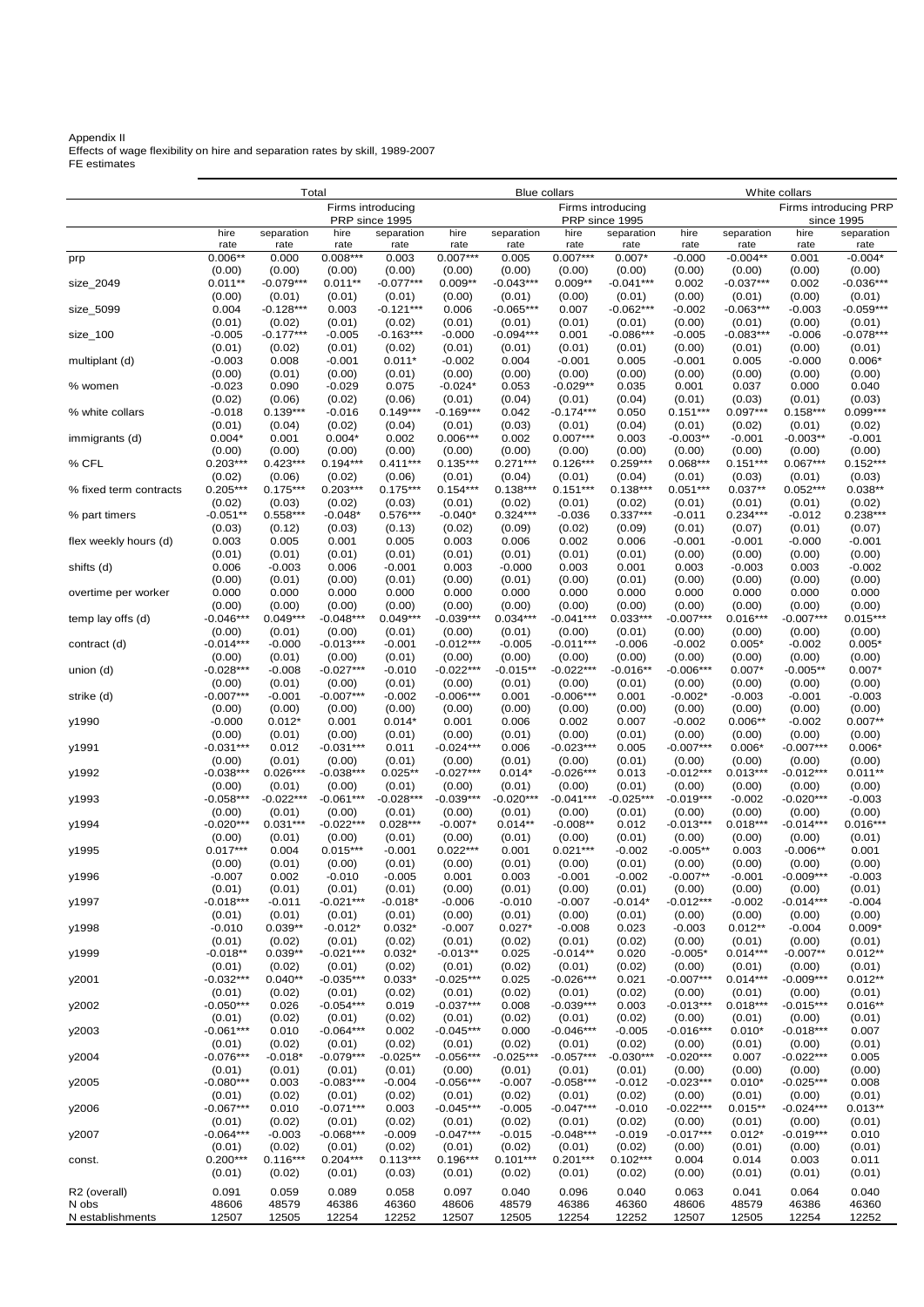#### Appendix II

Effects of wage flexibility on hire and separation rates by skill, 1989-2007 FE estimates

|                          |                       | Total                 |                       |                                     |                       | <b>Blue collars</b>   |                       |                                     |                       |                       | White collars         |                                     |
|--------------------------|-----------------------|-----------------------|-----------------------|-------------------------------------|-----------------------|-----------------------|-----------------------|-------------------------------------|-----------------------|-----------------------|-----------------------|-------------------------------------|
|                          |                       |                       |                       | Firms introducing<br>PRP since 1995 |                       |                       |                       | Firms introducing<br>PRP since 1995 |                       |                       |                       | Firms introducing PRP<br>since 1995 |
|                          | hire<br>rate          | separation<br>rate    | hire<br>rate          | separation<br>rate                  | hire<br>rate          | separation<br>rate    | hire<br>rate          | separation<br>rate                  | hire<br>rate          | separation<br>rate    | hire<br>rate          | separation<br>rate                  |
| prp                      | $0.006**$             | 0.000                 | $0.008***$            | 0.003                               | $0.007***$            | 0.005                 | $0.007***$            | $0.007*$                            | $-0.000$              | $-0.004**$            | 0.001                 | $-0.004*$                           |
|                          | (0.00)                | (0.00)                | (0.00)                | (0.00)                              | (0.00)                | (0.00)                | (0.00)                | (0.00)                              | (0.00)                | (0.00)                | (0.00)                | (0.00)                              |
| size 2049                | $0.011**$<br>(0.00)   | $-0.079***$<br>(0.01) | $0.011**$<br>(0.01)   | $-0.077***$<br>(0.01)               | $0.009**$<br>(0.00)   | $-0.043***$<br>(0.01) | $0.009**$<br>(0.00)   | $-0.041***$<br>(0.01)               | 0.002<br>(0.00)       | $-0.037***$<br>(0.01) | 0.002<br>(0.00)       | $-0.036***$<br>(0.01)               |
| size_5099                | 0.004                 | $-0.128***$           | 0.003                 | $-0.121***$                         | 0.006                 | $-0.065***$           | 0.007                 | $-0.062***$                         | $-0.002$              | $-0.063***$           | $-0.003$              | $-0.059***$                         |
|                          | (0.01)                | (0.02)                | (0.01)                | (0.02)                              | (0.01)                | (0.01)                | (0.01)                | (0.01)                              | (0.00)                | (0.01)                | (0.00)                | (0.01)                              |
| size_100                 | $-0.005$<br>(0.01)    | -0.177***<br>(0.02)   | $-0.005$<br>(0.01)    | -0.163***<br>(0.02)                 | $-0.000$<br>(0.01)    | $-0.094***$<br>(0.01) | 0.001<br>(0.01)       | $-0.086***$<br>(0.01)               | $-0.005$<br>(0.00)    | $-0.083***$<br>(0.01) | $-0.006$<br>(0.00)    | $-0.078***$<br>(0.01)               |
| multiplant (d)           | $-0.003$              | 0.008                 | $-0.001$              | $0.011*$                            | $-0.002$              | 0.004                 | $-0.001$              | 0.005                               | $-0.001$              | 0.005                 | $-0.000$              | $0.006*$                            |
|                          | (0.00)                | (0.01)                | (0.00)                | (0.01)                              | (0.00)                | (0.00)                | (0.00)                | (0.00)                              | (0.00)                | (0.00)                | (0.00)                | (0.00)                              |
| % women                  | $-0.023$              | 0.090                 | $-0.029$              | 0.075                               | $-0.024*$             | 0.053                 | $-0.029**$            | 0.035                               | 0.001                 | 0.037                 | 0.000                 | 0.040                               |
| % white collars          | (0.02)<br>$-0.018$    | (0.06)<br>$0.139***$  | (0.02)<br>$-0.016$    | (0.06)<br>$0.149***$                | (0.01)<br>$-0.169***$ | (0.04)<br>0.042       | (0.01)<br>$-0.174***$ | (0.04)<br>0.050                     | (0.01)<br>$0.151***$  | (0.03)<br>$0.097***$  | (0.01)<br>$0.158***$  | (0.03)<br>$0.099***$                |
|                          | (0.01)                | (0.04)                | (0.02)                | (0.04)                              | (0.01)                | (0.03)                | (0.01)                | (0.04)                              | (0.01)                | (0.02)                | (0.01)                | (0.02)                              |
| immigrants (d)           | $0.004*$              | 0.001                 | $0.004*$              | 0.002                               | $0.006***$            | 0.002                 | $0.007***$            | 0.003                               | -0.003**              | $-0.001$              | $-0.003**$            | $-0.001$                            |
|                          | (0.00)                | (0.00)                | (0.00)                | (0.00)                              | (0.00)                | (0.00)                | (0.00)                | (0.00)                              | (0.00)                | (0.00)                | (0.00)                | (0.00)                              |
| % CFL                    | $0.203***$<br>(0.02)  | $0.423***$<br>(0.06)  | $0.194***$<br>(0.02)  | $0.411***$<br>(0.06)                | $0.135***$<br>(0.01)  | $0.271***$<br>(0.04)  | $0.126***$<br>(0.01)  | $0.259***$<br>(0.04)                | $0.068***$<br>(0.01)  | $0.151***$<br>(0.03)  | $0.067***$<br>(0.01)  | $0.152***$<br>(0.03)                |
| % fixed term contracts   | $0.205***$            | $0.175***$            | $0.203***$            | $0.175***$                          | $0.154***$            | $0.138***$            | $0.151***$            | $0.138***$                          | $0.051***$            | $0.037**$             | $0.052***$            | $0.038**$                           |
|                          | (0.02)                | (0.03)                | (0.02)                | (0.03)                              | (0.01)                | (0.02)                | (0.01)                | (0.02)                              | (0.01)                | (0.01)                | (0.01)                | (0.02)                              |
| % part timers            | $-0.051**$<br>(0.03)  | $0.558***$<br>(0.12)  | $-0.048*$<br>(0.03)   | $0.576***$<br>(0.13)                | $-0.040*$<br>(0.02)   | $0.324***$<br>(0.09)  | $-0.036$<br>(0.02)    | $0.337***$<br>(0.09)                | $-0.011$<br>(0.01)    | $0.234***$<br>(0.07)  | $-0.012$<br>(0.01)    | $0.238***$<br>(0.07)                |
| flex weekly hours (d)    | 0.003                 | 0.005                 | 0.001                 | 0.005                               | 0.003                 | 0.006                 | 0.002                 | 0.006                               | $-0.001$              | $-0.001$              | $-0.000$              | $-0.001$                            |
|                          | (0.01)                | (0.01)                | (0.01)                | (0.01)                              | (0.01)                | (0.01)                | (0.01)                | (0.01)                              | (0.00)                | (0.00)                | (0.00)                | (0.00)                              |
| shifts (d)               | 0.006                 | $-0.003$              | 0.006                 | $-0.001$                            | 0.003                 | $-0.000$              | 0.003                 | 0.001                               | 0.003                 | $-0.003$              | 0.003                 | $-0.002$                            |
| overtime per worker      | (0.00)<br>0.000       | (0.01)<br>0.000       | (0.00)<br>0.000       | (0.01)<br>0.000                     | (0.00)<br>0.000       | (0.01)<br>0.000       | (0.00)<br>0.000       | (0.01)<br>0.000                     | (0.00)<br>0.000       | (0.00)<br>0.000       | (0.00)<br>0.000       | (0.00)<br>0.000                     |
|                          | (0.00)                | (0.00)                | (0.00)                | (0.00)                              | (0.00)                | (0.00)                | (0.00)                | (0.00)                              | (0.00)                | (0.00)                | (0.00)                | (0.00)                              |
| temp lay offs (d)        | $-0.046***$           | $0.049***$            | $-0.048***$           | $0.049***$                          | $-0.039***$           | $0.034***$            | $-0.041***$           | $0.033***$                          | $-0.007***$           | $0.016***$            | $-0.007***$           | $0.015***$                          |
|                          | (0.00)                | (0.01)                | (0.00)                | (0.01)                              | (0.00)                | (0.01)                | (0.00)                | (0.01)                              | (0.00)                | (0.00)                | (0.00)                | (0.00)                              |
| contract (d)             | $-0.014***$<br>(0.00) | $-0.000$<br>(0.01)    | $-0.013***$<br>(0.00) | $-0.001$<br>(0.01)                  | $-0.012***$<br>(0.00) | $-0.005$<br>(0.00)    | $-0.011***$<br>(0.00) | $-0.006$<br>(0.00)                  | $-0.002$<br>(0.00)    | $0.005*$<br>(0.00)    | $-0.002$<br>(0.00)    | $0.005*$<br>(0.00)                  |
| union (d)                | -0.028***             | $-0.008$              | $-0.027***$           | $-0.010$                            | $-0.022***$           | -0.015**              | $-0.022***$           | $-0.016**$                          | $-0.006***$           | $0.007*$              | $-0.005**$            | $0.007*$                            |
|                          | (0.00)                | (0.01)                | (0.00)                | (0.01)                              | (0.00)                | (0.01)                | (0.00)                | (0.01)                              | (0.00)                | (0.00)                | (0.00)                | (0.00)                              |
| strike (d)               | $-0.007***$           | $-0.001$<br>(0.00)    | $-0.007***$           | $-0.002$<br>(0.00)                  | $-0.006***$           | 0.001<br>(0.00)       | $-0.006***$           | 0.001                               | $-0.002*$<br>(0.00)   | $-0.003$              | $-0.001$              | $-0.003$<br>(0.00)                  |
| y1990                    | (0.00)<br>$-0.000$    | $0.012*$              | (0.00)<br>0.001       | $0.014*$                            | (0.00)<br>0.001       | 0.006                 | (0.00)<br>0.002       | (0.00)<br>0.007                     | $-0.002$              | (0.00)<br>$0.006**$   | (0.00)<br>$-0.002$    | $0.007**$                           |
|                          | (0.00)                | (0.01)                | (0.00)                | (0.01)                              | (0.00)                | (0.01)                | (0.00)                | (0.01)                              | (0.00)                | (0.00)                | (0.00)                | (0.00)                              |
| y1991                    | $-0.031***$           | 0.012                 | $-0.031***$           | 0.011                               | $-0.024***$           | 0.006                 | $-0.023***$           | 0.005                               | $-0.007***$           | $0.006*$              | $-0.007***$           | $0.006*$                            |
| y1992                    | (0.00)<br>$-0.038***$ | (0.01)<br>$0.026***$  | (0.00)<br>$-0.038***$ | (0.01)<br>$0.025**$                 | (0.00)<br>$-0.027***$ | (0.01)<br>$0.014*$    | (0.00)<br>$-0.026***$ | (0.01)<br>0.013                     | (0.00)<br>$-0.012***$ | (0.00)<br>$0.013***$  | (0.00)<br>$-0.012***$ | (0.00)<br>$0.011**$                 |
|                          | (0.00)                | (0.01)                | (0.00)                | (0.01)                              | (0.00)                | (0.01)                | (0.00)                | (0.01)                              | (0.00)                | (0.00)                | (0.00)                | (0.00)                              |
| y1993                    | $-0.058***$           | $-0.022***$           | $-0.061***$           | $-0.028***$                         | $-0.039***$           | $-0.020***$           | $-0.041***$           | $-0.025***$                         | $-0.019***$           | $-0.002$              | $-0.020***$           | $-0.003$                            |
|                          | (0.00)                | (0.01)                | (0.00)                | (0.01)                              | (0.00)                | (0.01)                | (0.00)                | (0.01)                              | (0.00)                | (0.00)                | (0.00)                | (0.00)                              |
| y1994                    | $-0.020***$<br>(0.00) | $0.031***$<br>(0.01)  | $-0.022***$<br>(0.00) | $0.028***$<br>(0.01)                | $-0.007*$<br>(0.00)   | $0.014**$<br>(0.01)   | $-0.008**$<br>(0.00)  | 0.012<br>(0.01)                     | $-0.013***$<br>(0.00) | $0.018***$<br>(0.00)  | $-0.014***$<br>(0.00) | $0.016***$<br>(0.01)                |
| y1995                    | $0.017***$            | 0.004                 | $0.015***$            | $-0.001$                            | $0.022***$            | 0.001                 | $0.021***$            | $-0.002$                            | $-0.005**$            | 0.003                 | $-0.006**$            | 0.001                               |
|                          | (0.00)                | (0.01)                | (0.00)                | (0.01)                              | (0.00)                | (0.01)                | (0.00)                | (0.01)                              | (0.00)                | (0.00)                | (0.00)                | (0.00)                              |
| y1996                    | $-0.007$              | 0.002                 | $-0.010$<br>(0.01)    | $-0.005$                            | 0.001                 | 0.003                 | $-0.001$<br>(0.00)    | $-0.002$<br>(0.01)                  | $-0.007**$<br>(0.00)  | $-0.001$<br>(0.00)    | $-0.009***$<br>(0.00) | $-0.003$<br>(0.01)                  |
| y1997                    | (0.01)<br>$-0.018***$ | (0.01)<br>$-0.011$    | -0.021***             | (0.01)<br>$-0.018*$                 | (0.00)<br>$-0.006$    | (0.01)<br>$-0.010$    | $-0.007$              | $-0.014*$                           | $-0.012***$           | $-0.002$              | $-0.014***$           | $-0.004$                            |
|                          | (0.01)                | (0.01)                | (0.01)                | (0.01)                              | (0.00)                | (0.01)                | (0.00)                | (0.01)                              | (0.00)                | (0.00)                | (0.00)                | (0.00)                              |
| y1998                    | $-0.010$              | $0.039**$             | $-0.012*$             | $0.032*$                            | $-0.007$              | $0.027*$              | $-0.008$              | 0.023                               | $-0.003$              | $0.012**$             | $-0.004$              | $0.009*$                            |
| y1999                    | (0.01)<br>$-0.018**$  | (0.02)<br>$0.039**$   | (0.01)<br>$-0.021***$ | (0.02)<br>$0.032*$                  | (0.01)<br>$-0.013**$  | (0.02)<br>0.025       | (0.01)<br>$-0.014**$  | (0.02)<br>0.020                     | (0.00)<br>$-0.005*$   | (0.01)<br>$0.014***$  | (0.00)<br>$-0.007**$  | (0.01)<br>$0.012**$                 |
|                          | (0.01)                | (0.02)                | (0.01)                | (0.02)                              | (0.01)                | (0.02)                | (0.01)                | (0.02)                              | (0.00)                | (0.01)                | (0.00)                | (0.01)                              |
| y2001                    | $-0.032***$           | $0.040**$             | $-0.035***$           | $0.033*$                            | $-0.025***$           | 0.025                 | $-0.026***$           | 0.021                               | $-0.007***$           | $0.014***$            | $-0.009***$           | $0.012**$                           |
|                          | (0.01)                | (0.02)                | (0.01)                | (0.02)                              | (0.01)                | (0.02)                | (0.01)                | (0.02)                              | (0.00)                | (0.01)                | (0.00)                | (0.01)                              |
| y2002                    | $-0.050***$<br>(0.01) | 0.026<br>(0.02)       | $-0.054***$<br>(0.01) | 0.019<br>(0.02)                     | $-0.037***$<br>(0.01) | 0.008<br>(0.02)       | $-0.039***$<br>(0.01) | 0.003<br>(0.02)                     | $-0.013***$<br>(0.00) | $0.018***$<br>(0.01)  | $-0.015***$<br>(0.00) | $0.016**$<br>(0.01)                 |
| y2003                    | $-0.061***$           | 0.010                 | -0.064***             | 0.002                               | $-0.045***$           | 0.000                 | $-0.046***$           | $-0.005$                            | $-0.016***$           | $0.010*$              | $-0.018***$           | 0.007                               |
|                          | (0.01)                | (0.02)                | (0.01)                | (0.02)                              | (0.01)                | (0.02)                | (0.01)                | (0.02)                              | (0.00)                | (0.01)                | (0.00)                | (0.01)                              |
| y2004                    | $-0.076***$           | $-0.018*$             | $-0.079***$           | $-0.025**$                          | $-0.056***$           | $-0.025***$           | $-0.057***$           | $-0.030***$                         | $-0.020***$           | 0.007                 | $-0.022***$           | 0.005                               |
| y2005                    | (0.01)<br>$-0.080***$ | (0.01)<br>0.003       | (0.01)<br>$-0.083***$ | (0.01)<br>$-0.004$                  | (0.00)<br>$-0.056***$ | (0.01)<br>$-0.007$    | (0.01)<br>$-0.058***$ | (0.01)<br>$-0.012$                  | (0.00)<br>$-0.023***$ | (0.00)<br>$0.010*$    | (0.00)<br>$-0.025***$ | (0.00)<br>0.008                     |
|                          | (0.01)                | (0.02)                | (0.01)                | (0.02)                              | (0.01)                | (0.02)                | (0.01)                | (0.02)                              | (0.00)                | (0.01)                | (0.00)                | (0.01)                              |
| y2006                    | $-0.067***$           | 0.010                 | $-0.071***$           | 0.003                               | $-0.045***$           | $-0.005$              | $-0.047***$           | $-0.010$                            | $-0.022***$           | $0.015**$             | $-0.024***$           | $0.013**$                           |
| y2007                    | (0.01)<br>$-0.064***$ | (0.02)<br>$-0.003$    | (0.01)<br>$-0.068***$ | (0.02)<br>$-0.009$                  | (0.01)<br>$-0.047***$ | (0.02)<br>$-0.015$    | (0.01)<br>$-0.048***$ | (0.02)<br>$-0.019$                  | (0.00)<br>$-0.017***$ | (0.01)<br>$0.012*$    | (0.00)<br>$-0.019***$ | (0.01)<br>0.010                     |
|                          | (0.01)                | (0.02)                | (0.01)                | (0.02)                              | (0.01)                | (0.02)                | (0.01)                | (0.02)                              | (0.00)                | (0.01)                | (0.00)                | (0.01)                              |
| const.                   | $0.200***$            | $0.116***$            | $0.204***$            | $0.113***$                          | $0.196***$            | $0.101***$            | $0.201***$            | $0.102***$                          | 0.004                 | 0.014                 | 0.003                 | 0.011                               |
|                          | (0.01)                | (0.02)                | (0.01)                | (0.03)                              | (0.01)                | (0.02)                | (0.01)                | (0.02)                              | (0.00)                | (0.01)                | (0.01)                | (0.01)                              |
| R <sub>2</sub> (overall) | 0.091                 | 0.059                 | 0.089                 | 0.058                               | 0.097                 | 0.040                 | 0.096                 | 0.040                               | 0.063                 | 0.041                 | 0.064                 | 0.040                               |
| N obs                    | 48606                 | 48579                 | 46386                 | 46360                               | 48606                 | 48579                 | 46386                 | 46360                               | 48606                 | 48579                 | 46386                 | 46360                               |
| N establishments         | 12507                 | 12505                 | 12254                 | 12252                               | 12507                 | 12505                 | 12254                 | 12252                               | 12507                 | 12505                 | 12254                 | 12252                               |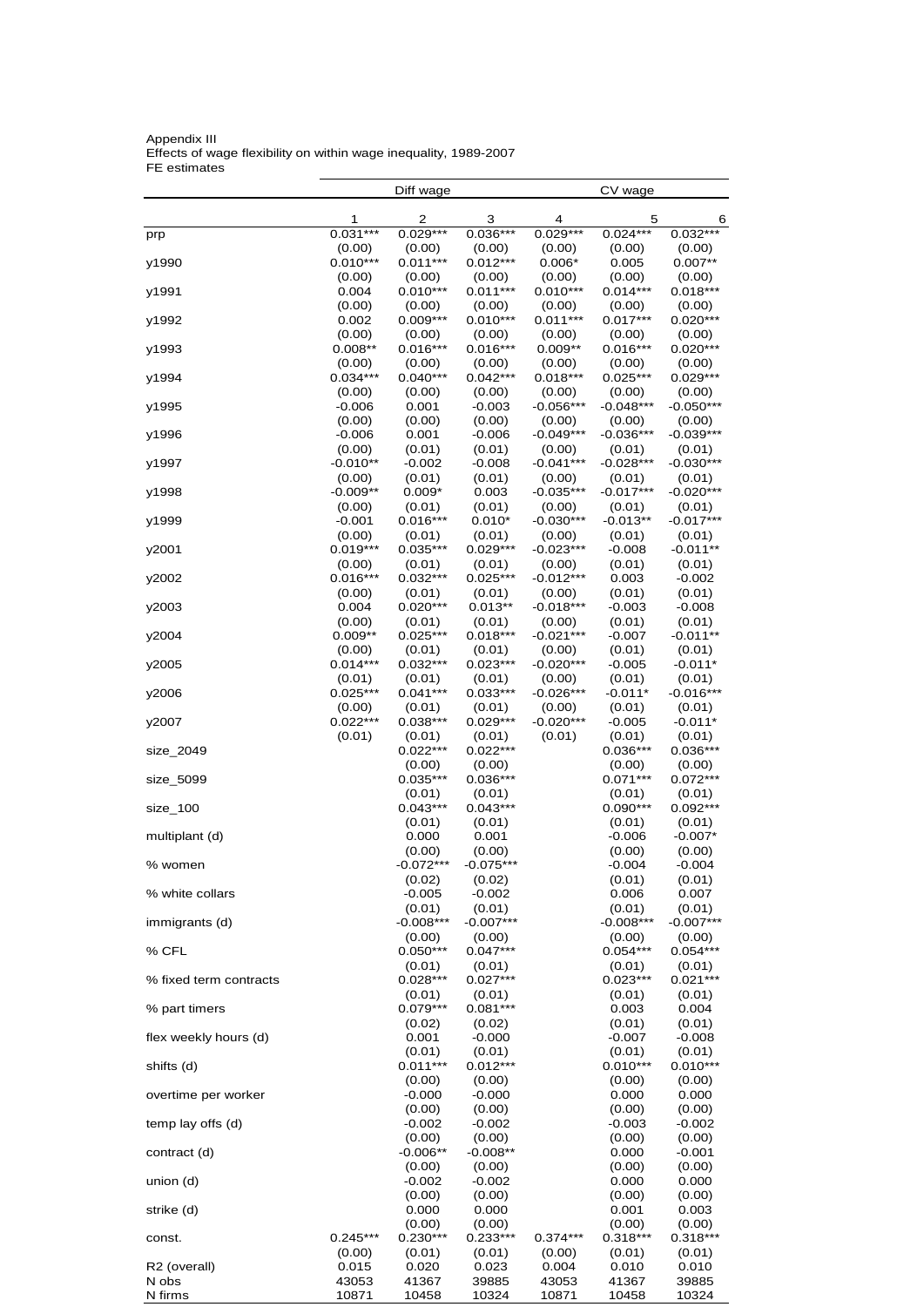Appendix III Effects of wage flexibility on within wage inequality, 1989-2007 FE estimates

|                          |                      | Diff wage            |                      |                       | CV wage               |                       |
|--------------------------|----------------------|----------------------|----------------------|-----------------------|-----------------------|-----------------------|
|                          | 1                    | 2                    | 3                    | 4                     | 5                     | 6                     |
| prp                      | $0.031***$           | $0.029***$           | $0.036***$           | $0.029***$            | $0.024***$            | $0.032***$            |
|                          | (0.00)               | (0.00)               | (0.00)               | (0.00)                | (0.00)                | (0.00)                |
| y1990                    | $0.010***$<br>(0.00) | $0.011***$<br>(0.00) | $0.012***$<br>(0.00) | $0.006*$<br>(0.00)    | 0.005<br>(0.00)       | $0.007**$<br>(0.00)   |
| y1991                    | 0.004                | $0.010***$           | $0.011***$           | $0.010***$            | $0.014***$            | $0.018***$            |
|                          | (0.00)               | (0.00)               | (0.00)               | (0.00)                | (0.00)                | (0.00)                |
| y1992                    | 0.002                | $0.009***$           | $0.010***$           | $0.011***$            | $0.017***$            | $0.020***$            |
| y1993                    | (0.00)<br>$0.008**$  | (0.00)<br>$0.016***$ | (0.00)<br>$0.016***$ | (0.00)<br>$0.009**$   | (0.00)<br>$0.016***$  | (0.00)<br>$0.020***$  |
|                          | (0.00)               | (0.00)               | (0.00)               | (0.00)                | (0.00)                | (0.00)                |
| y1994                    | $0.034***$           | $0.040***$           | $0.042***$           | $0.018***$            | $0.025***$            | $0.029***$            |
| y1995                    | (0.00)<br>$-0.006$   | (0.00)<br>0.001      | (0.00)<br>$-0.003$   | (0.00)<br>$-0.056***$ | (0.00)<br>-0.048***   | (0.00)<br>$-0.050***$ |
|                          | (0.00)               | (0.00)               | (0.00)               | (0.00)                | (0.00)                | (0.00)                |
| y1996                    | $-0.006$             | 0.001                | $-0.006$             | $-0.049***$           | $-0.036***$           | $-0.039***$           |
|                          | (0.00)               | (0.01)               | (0.01)               | (0.00)                | (0.01)                | (0.01)                |
| y1997                    | $-0.010**$<br>(0.00) | $-0.002$<br>(0.01)   | $-0.008$<br>(0.01)   | $-0.041***$<br>(0.00) | $-0.028***$<br>(0.01) | $-0.030***$<br>(0.01) |
| y1998                    | $-0.009**$           | $0.009*$             | 0.003                | $-0.035***$           | $-0.017***$           | $-0.020***$           |
|                          | (0.00)               | (0.01)               | (0.01)               | (0.00)                | (0.01)                | (0.01)                |
| y1999                    | $-0.001$<br>(0.00)   | $0.016***$<br>(0.01) | $0.010*$<br>(0.01)   | $-0.030***$<br>(0.00) | $-0.013**$<br>(0.01)  | $-0.017***$<br>(0.01) |
| y2001                    | $0.019***$           | $0.035***$           | $0.029***$           | $-0.023***$           | $-0.008$              | $-0.011**$            |
|                          | (0.00)               | (0.01)               | (0.01)               | (0.00)                | (0.01)                | (0.01)                |
| y2002                    | $0.016***$           | $0.032***$<br>(0.01) | $0.025***$<br>(0.01) | $-0.012***$           | 0.003<br>(0.01)       | $-0.002$<br>(0.01)    |
| y2003                    | (0.00)<br>0.004      | $0.020***$           | $0.013**$            | (0.00)<br>$-0.018***$ | $-0.003$              | $-0.008$              |
|                          | (0.00)               | (0.01)               | (0.01)               | (0.00)                | (0.01)                | (0.01)                |
| y2004                    | $0.009**$            | $0.025***$           | $0.018***$           | $-0.021***$           | $-0.007$              | $-0.011**$            |
| y2005                    | (0.00)<br>$0.014***$ | (0.01)<br>$0.032***$ | (0.01)<br>$0.023***$ | (0.00)<br>$-0.020***$ | (0.01)<br>$-0.005$    | (0.01)<br>$-0.011*$   |
|                          | (0.01)               | (0.01)               | (0.01)               | (0.00)                | (0.01)                | (0.01)                |
| y2006                    | $0.025***$           | $0.041***$           | $0.033***$           | $-0.026***$           | -0.011*               | $-0.016***$           |
| y2007                    | (0.00)<br>$0.022***$ | (0.01)<br>$0.038***$ | (0.01)<br>$0.029***$ | (0.00)<br>$-0.020***$ | (0.01)<br>$-0.005$    | (0.01)<br>$-0.011*$   |
|                          | (0.01)               | (0.01)               | (0.01)               | (0.01)                | (0.01)                | (0.01)                |
| size_2049                |                      | $0.022***$           | $0.022***$           |                       | $0.036***$            | $0.036***$            |
| size_5099                |                      | (0.00)<br>$0.035***$ | (0.00)<br>$0.036***$ |                       | (0.00)<br>$0.071***$  | (0.00)<br>$0.072***$  |
|                          |                      | (0.01)               | (0.01)               |                       | (0.01)                | (0.01)                |
| size_100                 |                      | $0.043***$           | $0.043***$<br>(0.01) |                       | $0.090***$            | $0.092***$<br>(0.01)  |
| multiplant (d)           |                      | (0.01)<br>0.000      | 0.001                |                       | (0.01)<br>$-0.006$    | $-0.007*$             |
|                          |                      | (0.00)               | (0.00)               |                       | (0.00)                | (0.00)                |
| % women                  |                      | -0.072***            | $-0.075***$          |                       | $-0.004$              | $-0.004$              |
| % white collars          |                      | (0.02)<br>$-0.005$   | (0.02)<br>$-0.002$   |                       | (0.01)<br>0.006       | (0.01)<br>0.007       |
|                          |                      | (0.01)               | (0.01)               |                       | (0.01)                | (0.01)                |
| immigrants (d)           |                      | $-0.008***$          | $-0.007***$          |                       | $-0.008***$           | $-0.007***$           |
| % CFL                    |                      | (0.00)<br>$0.050***$ | (0.00)<br>$0.047***$ |                       | (0.00)<br>$0.054***$  | (0.00)<br>$0.054***$  |
|                          |                      | (0.01)               | (0.01)               |                       | (0.01)                | (0.01)                |
| % fixed term contracts   |                      | $0.028***$           | $0.027***$           |                       | $0.023***$            | $0.021***$            |
| % part timers            |                      | (0.01)<br>$0.079***$ | (0.01)<br>$0.081***$ |                       | (0.01)<br>0.003       | (0.01)<br>0.004       |
|                          |                      | (0.02)               | (0.02)               |                       | (0.01)                | (0.01)                |
| flex weekly hours (d)    |                      | 0.001                | $-0.000$             |                       | $-0.007$              | $-0.008$              |
| shifts (d)               |                      | (0.01)<br>$0.011***$ | (0.01)<br>$0.012***$ |                       | (0.01)<br>$0.010***$  | (0.01)<br>$0.010***$  |
|                          |                      | (0.00)               | (0.00)               |                       | (0.00)                | (0.00)                |
| overtime per worker      |                      | $-0.000$             | $-0.000$             |                       | 0.000                 | 0.000                 |
| temp lay offs (d)        |                      | (0.00)<br>$-0.002$   | (0.00)<br>$-0.002$   |                       | (0.00)<br>$-0.003$    | (0.00)<br>$-0.002$    |
|                          |                      | (0.00)               | (0.00)               |                       | (0.00)                | (0.00)                |
| contract (d)             |                      | $-0.006**$           | $-0.008**$           |                       | 0.000                 | $-0.001$              |
| union (d)                |                      | (0.00)<br>$-0.002$   | (0.00)<br>$-0.002$   |                       | (0.00)<br>0.000       | (0.00)<br>0.000       |
|                          |                      | (0.00)               | (0.00)               |                       | (0.00)                | (0.00)                |
| strike (d)               |                      | 0.000                | 0.000                |                       | 0.001                 | 0.003                 |
| const.                   | $0.245***$           | (0.00)<br>$0.230***$ | (0.00)<br>$0.233***$ | $0.374***$            | (0.00)<br>$0.318***$  | (0.00)<br>$0.318***$  |
|                          | (0.00)               | (0.01)               | (0.01)               | (0.00)                | (0.01)                | (0.01)                |
| R <sub>2</sub> (overall) | 0.015                | 0.020                | 0.023                | 0.004                 | 0.010                 | 0.010                 |
| N obs<br>N firms         | 43053<br>10871       | 41367<br>10458       | 39885<br>10324       | 43053<br>10871        | 41367<br>10458        | 39885<br>10324        |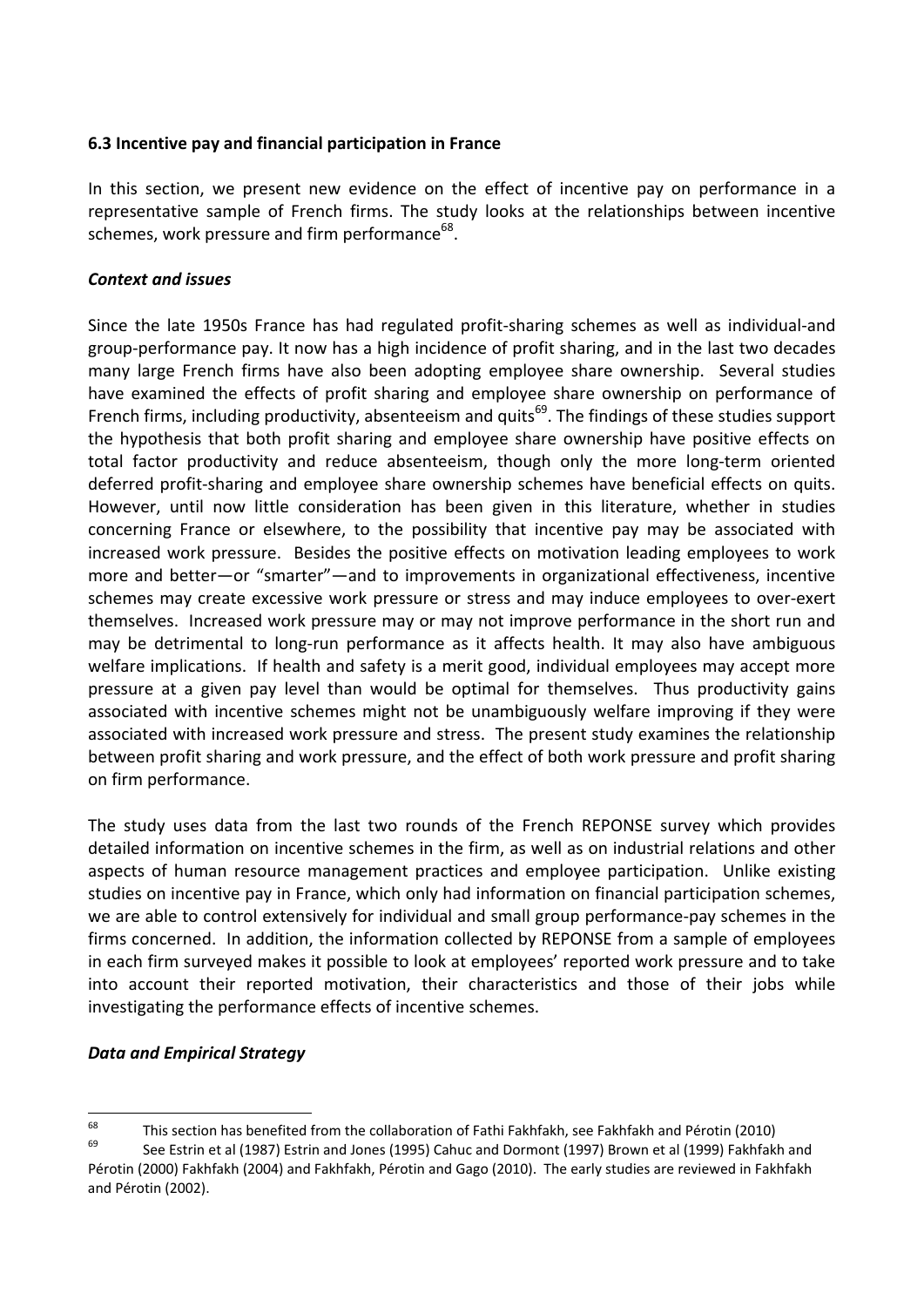## **6.3 Incentive pay and financial participation in France**

In this section, we present new evidence on the effect of incentive pay on performance in a representative sample of French firms. The study looks at the relationships between incentive schemes, work pressure and firm performance<sup>68</sup>.

### *Context and issues*

Since the late 1950s France has had regulated profit‐sharing schemes as well as individual‐and group‐performance pay. It now has a high incidence of profit sharing, and in the last two decades many large French firms have also been adopting employee share ownership. Several studies have examined the effects of profit sharing and employee share ownership on performance of French firms, including productivity, absenteeism and quits<sup>69</sup>. The findings of these studies support the hypothesis that both profit sharing and employee share ownership have positive effects on total factor productivity and reduce absenteeism, though only the more long‐term oriented deferred profit‐sharing and employee share ownership schemes have beneficial effects on quits. However, until now little consideration has been given in this literature, whether in studies concerning France or elsewhere, to the possibility that incentive pay may be associated with increased work pressure. Besides the positive effects on motivation leading employees to work more and better—or "smarter"—and to improvements in organizational effectiveness, incentive schemes may create excessive work pressure or stress and may induce employees to over‐exert themselves. Increased work pressure may or may not improve performance in the short run and may be detrimental to long‐run performance as it affects health. It may also have ambiguous welfare implications. If health and safety is a merit good, individual employees may accept more pressure at a given pay level than would be optimal for themselves. Thus productivity gains associated with incentive schemes might not be unambiguously welfare improving if they were associated with increased work pressure and stress. The present study examines the relationship between profit sharing and work pressure, and the effect of both work pressure and profit sharing on firm performance.

The study uses data from the last two rounds of the French REPONSE survey which provides detailed information on incentive schemes in the firm, as well as on industrial relations and other aspects of human resource management practices and employee participation. Unlike existing studies on incentive pay in France, which only had information on financial participation schemes, we are able to control extensively for individual and small group performance-pay schemes in the firms concerned. In addition, the information collected by REPONSE from a sample of employees in each firm surveyed makes it possible to look at employees' reported work pressure and to take into account their reported motivation, their characteristics and those of their jobs while investigating the performance effects of incentive schemes.

## *Data and Empirical Strategy*

<sup>68</sup> <sup>68</sup> This section has benefited from the collaboration of Fathi Fakhfakh, see Fakhfakh and Pérotin (2010)<br><sup>69</sup> See Estrin et al (1987) Estrin and Jones (1995) Cahuc and Dormont (1997) Brown et al (1999) Fakhfakh and

Pérotin (2000) Fakhfakh (2004) and Fakhfakh, Pérotin and Gago (2010). The early studies are reviewed in Fakhfakh and Pérotin (2002).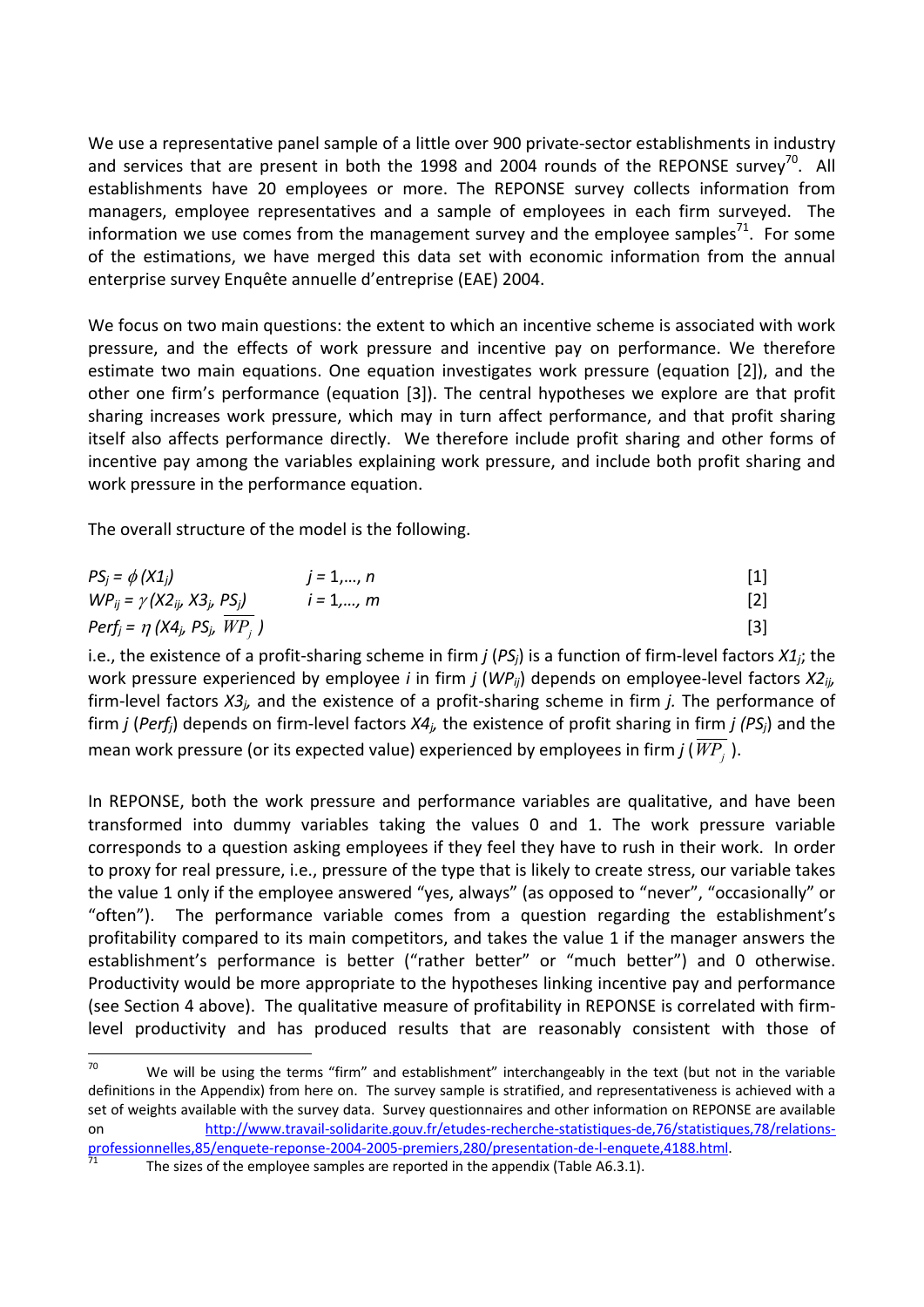We use a representative panel sample of a little over 900 private-sector establishments in industry and services that are present in both the 1998 and 2004 rounds of the REPONSE survev<sup>70</sup>. All establishments have 20 employees or more. The REPONSE survey collects information from managers, employee representatives and a sample of employees in each firm surveyed. The information we use comes from the management survey and the employee samples<sup>71</sup>. For some of the estimations, we have merged this data set with economic information from the annual enterprise survey Enquête annuelle d'entreprise (EAE) 2004.

We focus on two main questions: the extent to which an incentive scheme is associated with work pressure, and the effects of work pressure and incentive pay on performance. We therefore estimate two main equations. One equation investigates work pressure (equation [2]), and the other one firm's performance (equation [3]). The central hypotheses we explore are that profit sharing increases work pressure, which may in turn affect performance, and that profit sharing itself also affects performance directly. We therefore include profit sharing and other forms of incentive pay among the variables explaining work pressure, and include both profit sharing and work pressure in the performance equation.

The overall structure of the model is the following.

| $PS_i = \phi(X1_i)$                                                    | $j = 1, , n$ | $[1]$ |
|------------------------------------------------------------------------|--------------|-------|
| $WP_{ij} = \gamma (X2_{ij}, X3_{j}, PS_{j})$                           | $i = 1, , m$ | $[2]$ |
| $Perf_j = \eta$ (X4 <sub>j</sub> , PS <sub>j</sub> , WP <sub>i</sub> ) |              | $[3]$ |

i.e., the existence of a profit‐sharing scheme in firm *j* (*PSj*) is a function of firm‐level factors *X1j*; the work pressure experienced by employee *i* in firm *j* (*WP<sub>ii</sub>*) depends on employee-level factors  $X2_{ii}$ , firm‐level factors *X3j,* and the existence of a profit‐sharing scheme in firm *j.* The performance of firm *j* (*Perfj*) depends on firm‐level factors *X4j,* the existence of profit sharing in firm *j (PSj*) and the mean work pressure (or its expected value) experienced by employees in firm  $j$  ( $WP<sub>j</sub>$ ).

In REPONSE, both the work pressure and performance variables are qualitative, and have been transformed into dummy variables taking the values 0 and 1. The work pressure variable corresponds to a question asking employees if they feel they have to rush in their work. In order to proxy for real pressure, i.e., pressure of the type that is likely to create stress, our variable takes the value 1 only if the employee answered "yes, always" (as opposed to "never", "occasionally" or "often"). The performance variable comes from a question regarding the establishment's profitability compared to its main competitors, and takes the value 1 if the manager answers the establishment's performance is better ("rather better" or "much better") and 0 otherwise. Productivity would be more appropriate to the hypotheses linking incentive pay and performance (see Section 4 above). The qualitative measure of profitability in REPONSE is correlated with firm‐ level productivity and has produced results that are reasonably consistent with those of

<sup>70</sup> We will be using the terms "firm" and establishment" interchangeably in the text (but not in the variable definitions in the Appendix) from here on. The survey sample is stratified, and representativeness is achieved with a set of weights available with the survey data. Survey questionnaires and other information on REPONSE are available on http://www.travail-solidarite.gouv.fr/etudes-recherche-statistiques-de,76/statistiques,78/relationsprofessionnelles,85/enquete-reponse-2004-2005-premiers,280/presentation-de-l-enquete,4188.html.<br>
The sizes of the employee samples are reported in the appendix (Table A6.3.1).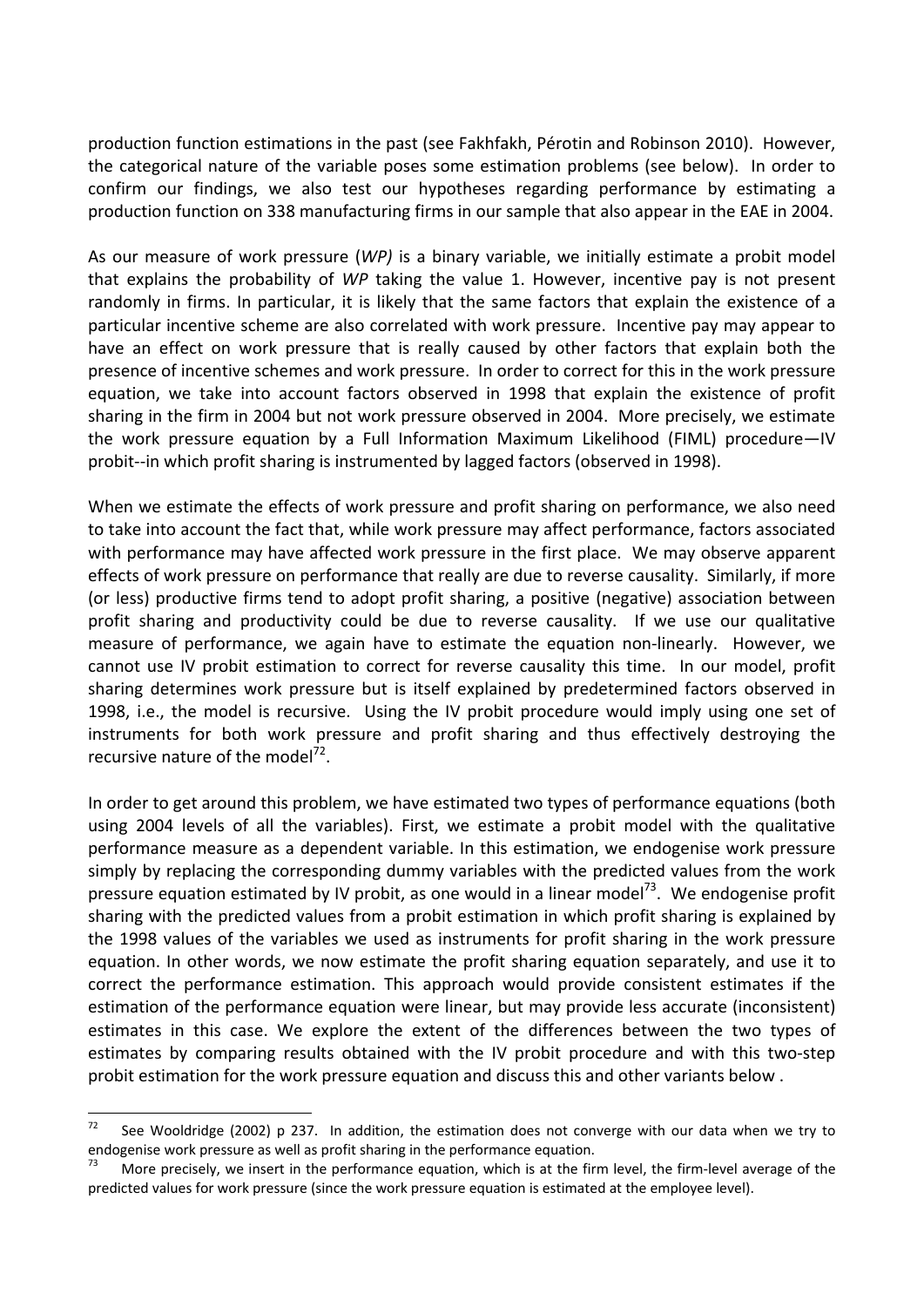production function estimations in the past (see Fakhfakh, Pérotin and Robinson 2010). However, the categorical nature of the variable poses some estimation problems (see below). In order to confirm our findings, we also test our hypotheses regarding performance by estimating a production function on 338 manufacturing firms in our sample that also appear in the EAE in 2004.

As our measure of work pressure (*WP)* is a binary variable, we initially estimate a probit model that explains the probability of *WP* taking the value 1. However, incentive pay is not present randomly in firms. In particular, it is likely that the same factors that explain the existence of a particular incentive scheme are also correlated with work pressure. Incentive pay may appear to have an effect on work pressure that is really caused by other factors that explain both the presence of incentive schemes and work pressure. In order to correct for this in the work pressure equation, we take into account factors observed in 1998 that explain the existence of profit sharing in the firm in 2004 but not work pressure observed in 2004. More precisely, we estimate the work pressure equation by a Full Information Maximum Likelihood (FIML) procedure—IV probit--in which profit sharing is instrumented by lagged factors (observed in 1998).

When we estimate the effects of work pressure and profit sharing on performance, we also need to take into account the fact that, while work pressure may affect performance, factors associated with performance may have affected work pressure in the first place. We may observe apparent effects of work pressure on performance that really are due to reverse causality. Similarly, if more (or less) productive firms tend to adopt profit sharing, a positive (negative) association between profit sharing and productivity could be due to reverse causality. If we use our qualitative measure of performance, we again have to estimate the equation non-linearly. However, we cannot use IV probit estimation to correct for reverse causality this time. In our model, profit sharing determines work pressure but is itself explained by predetermined factors observed in 1998, i.e., the model is recursive. Using the IV probit procedure would imply using one set of instruments for both work pressure and profit sharing and thus effectively destroying the recursive nature of the model<sup>72</sup>.

In order to get around this problem, we have estimated two types of performance equations (both using 2004 levels of all the variables). First, we estimate a probit model with the qualitative performance measure as a dependent variable. In this estimation, we endogenise work pressure simply by replacing the corresponding dummy variables with the predicted values from the work pressure equation estimated by IV probit, as one would in a linear model<sup>73</sup>. We endogenise profit sharing with the predicted values from a probit estimation in which profit sharing is explained by the 1998 values of the variables we used as instruments for profit sharing in the work pressure equation. In other words, we now estimate the profit sharing equation separately, and use it to correct the performance estimation. This approach would provide consistent estimates if the estimation of the performance equation were linear, but may provide less accurate (inconsistent) estimates in this case. We explore the extent of the differences between the two types of estimates by comparing results obtained with the IV probit procedure and with this two‐step probit estimation for the work pressure equation and discuss this and other variants below .

<sup>72</sup> See Wooldridge (2002) p 237. In addition, the estimation does not converge with our data when we try to

endogenise work pressure as well as profit sharing in the performance equation.<br><sup>73</sup> More precisely, we insert in the performance equation, which is at the firm level, the firm-level average of the predicted values for work pressure (since the work pressure equation is estimated at the employee level).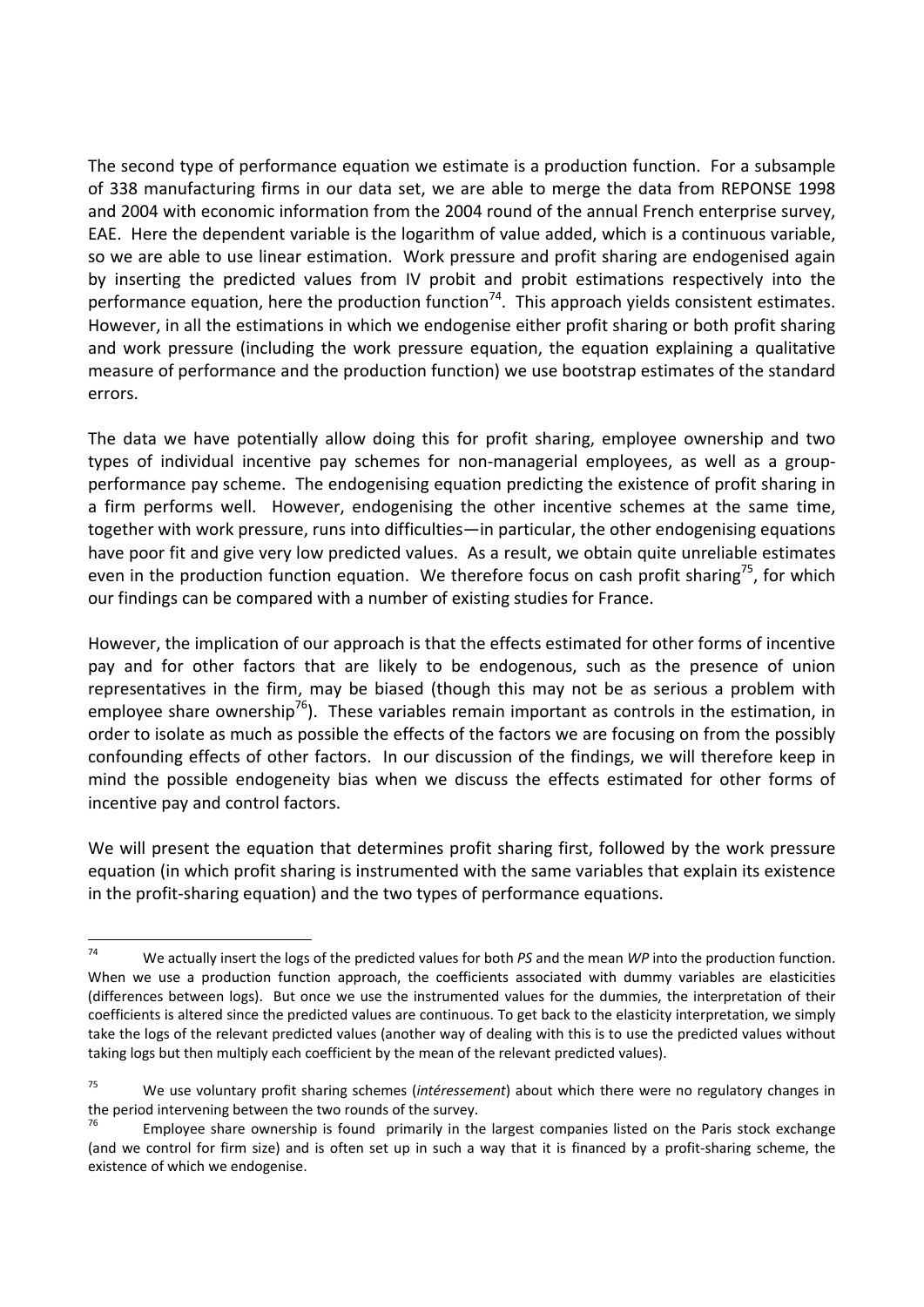The second type of performance equation we estimate is a production function. For a subsample of 338 manufacturing firms in our data set, we are able to merge the data from REPONSE 1998 and 2004 with economic information from the 2004 round of the annual French enterprise survey, EAE. Here the dependent variable is the logarithm of value added, which is a continuous variable, so we are able to use linear estimation. Work pressure and profit sharing are endogenised again by inserting the predicted values from IV probit and probit estimations respectively into the performance equation, here the production function<sup>74</sup>. This approach yields consistent estimates. However, in all the estimations in which we endogenise either profit sharing or both profit sharing and work pressure (including the work pressure equation, the equation explaining a qualitative measure of performance and the production function) we use bootstrap estimates of the standard errors.

The data we have potentially allow doing this for profit sharing, employee ownership and two types of individual incentive pay schemes for non‐managerial employees, as well as a group‐ performance pay scheme. The endogenising equation predicting the existence of profit sharing in a firm performs well. However, endogenising the other incentive schemes at the same time, together with work pressure, runs into difficulties—in particular, the other endogenising equations have poor fit and give very low predicted values. As a result, we obtain quite unreliable estimates even in the production function equation. We therefore focus on cash profit sharing<sup>75</sup>, for which our findings can be compared with a number of existing studies for France.

However, the implication of our approach is that the effects estimated for other forms of incentive pay and for other factors that are likely to be endogenous, such as the presence of union representatives in the firm, may be biased (though this may not be as serious a problem with employee share ownership<sup>76</sup>). These variables remain important as controls in the estimation, in order to isolate as much as possible the effects of the factors we are focusing on from the possibly confounding effects of other factors. In our discussion of the findings, we will therefore keep in mind the possible endogeneity bias when we discuss the effects estimated for other forms of incentive pay and control factors.

We will present the equation that determines profit sharing first, followed by the work pressure equation (in which profit sharing is instrumented with the same variables that explain its existence in the profit‐sharing equation) and the two types of performance equations.

<sup>74</sup> <sup>74</sup> We actually insert the logs of the predicted values for both *PS* and the mean *WP* into the production function. When we use a production function approach, the coefficients associated with dummy variables are elasticities (differences between logs). But once we use the instrumented values for the dummies, the interpretation of their coefficients is altered since the predicted values are continuous. To get back to the elasticity interpretation, we simply take the logs of the relevant predicted values (another way of dealing with this is to use the predicted values without taking logs but then multiply each coefficient by the mean of the relevant predicted values).

<sup>75</sup> We use voluntary profit sharing schemes (*intéressement*) about which there were no regulatory changes in the period intervening between the two rounds of the survey.<br><sup>76</sup> Employee share ownership is found primarily in the largest companies listed on the Paris stock exchange

<sup>(</sup>and we control for firm size) and is often set up in such a way that it is financed by a profit‐sharing scheme, the existence of which we endogenise.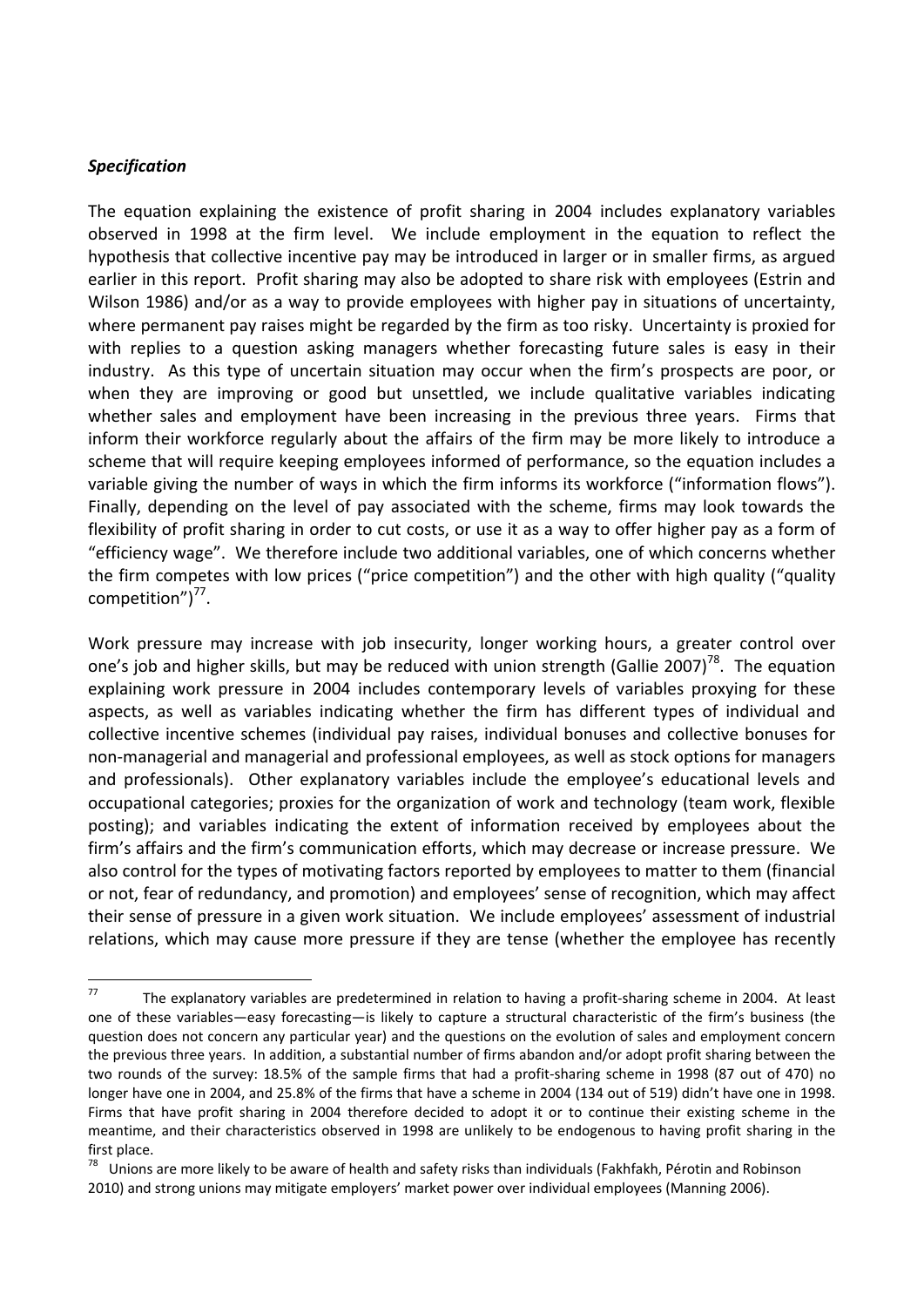## *Specification*

The equation explaining the existence of profit sharing in 2004 includes explanatory variables observed in 1998 at the firm level. We include employment in the equation to reflect the hypothesis that collective incentive pay may be introduced in larger or in smaller firms, as argued earlier in this report. Profit sharing may also be adopted to share risk with employees (Estrin and Wilson 1986) and/or as a way to provide employees with higher pay in situations of uncertainty, where permanent pay raises might be regarded by the firm as too risky. Uncertainty is proxied for with replies to a question asking managers whether forecasting future sales is easy in their industry. As this type of uncertain situation may occur when the firm's prospects are poor, or when they are improving or good but unsettled, we include qualitative variables indicating whether sales and employment have been increasing in the previous three years. Firms that inform their workforce regularly about the affairs of the firm may be more likely to introduce a scheme that will require keeping employees informed of performance, so the equation includes a variable giving the number of ways in which the firm informs its workforce ("information flows"). Finally, depending on the level of pay associated with the scheme, firms may look towards the flexibility of profit sharing in order to cut costs, or use it as a way to offer higher pay as a form of "efficiency wage". We therefore include two additional variables, one of which concerns whether the firm competes with low prices ("price competition") and the other with high quality ("quality competition") $^{77}$ .

Work pressure may increase with job insecurity, longer working hours, a greater control over one's job and higher skills, but may be reduced with union strength (Gallie 2007)<sup>78</sup>. The equation explaining work pressure in 2004 includes contemporary levels of variables proxying for these aspects, as well as variables indicating whether the firm has different types of individual and collective incentive schemes (individual pay raises, individual bonuses and collective bonuses for non‐managerial and managerial and professional employees, as well as stock options for managers and professionals). Other explanatory variables include the employee's educational levels and occupational categories; proxies for the organization of work and technology (team work, flexible posting); and variables indicating the extent of information received by employees about the firm's affairs and the firm's communication efforts, which may decrease or increase pressure. We also control for the types of motivating factors reported by employees to matter to them (financial or not, fear of redundancy, and promotion) and employees' sense of recognition, which may affect their sense of pressure in a given work situation. We include employees' assessment of industrial relations, which may cause more pressure if they are tense (whether the employee has recently

<sup>77</sup> The explanatory variables are predetermined in relation to having a profit-sharing scheme in 2004. At least one of these variables—easy forecasting—is likely to capture a structural characteristic of the firm's business (the question does not concern any particular year) and the questions on the evolution of sales and employment concern the previous three years. In addition, a substantial number of firms abandon and/or adopt profit sharing between the two rounds of the survey: 18.5% of the sample firms that had a profit‐sharing scheme in 1998 (87 out of 470) no longer have one in 2004, and 25.8% of the firms that have a scheme in 2004 (134 out of 519) didn't have one in 1998. Firms that have profit sharing in 2004 therefore decided to adopt it or to continue their existing scheme in the meantime, and their characteristics observed in 1998 are unlikely to be endogenous to having profit sharing in the

first place.<br><sup>78</sup> Unions are more likely to be aware of health and safety risks than individuals (Fakhfakh, Pérotin and Robinson 2010) and strong unions may mitigate employers' market power over individual employees (Manning 2006).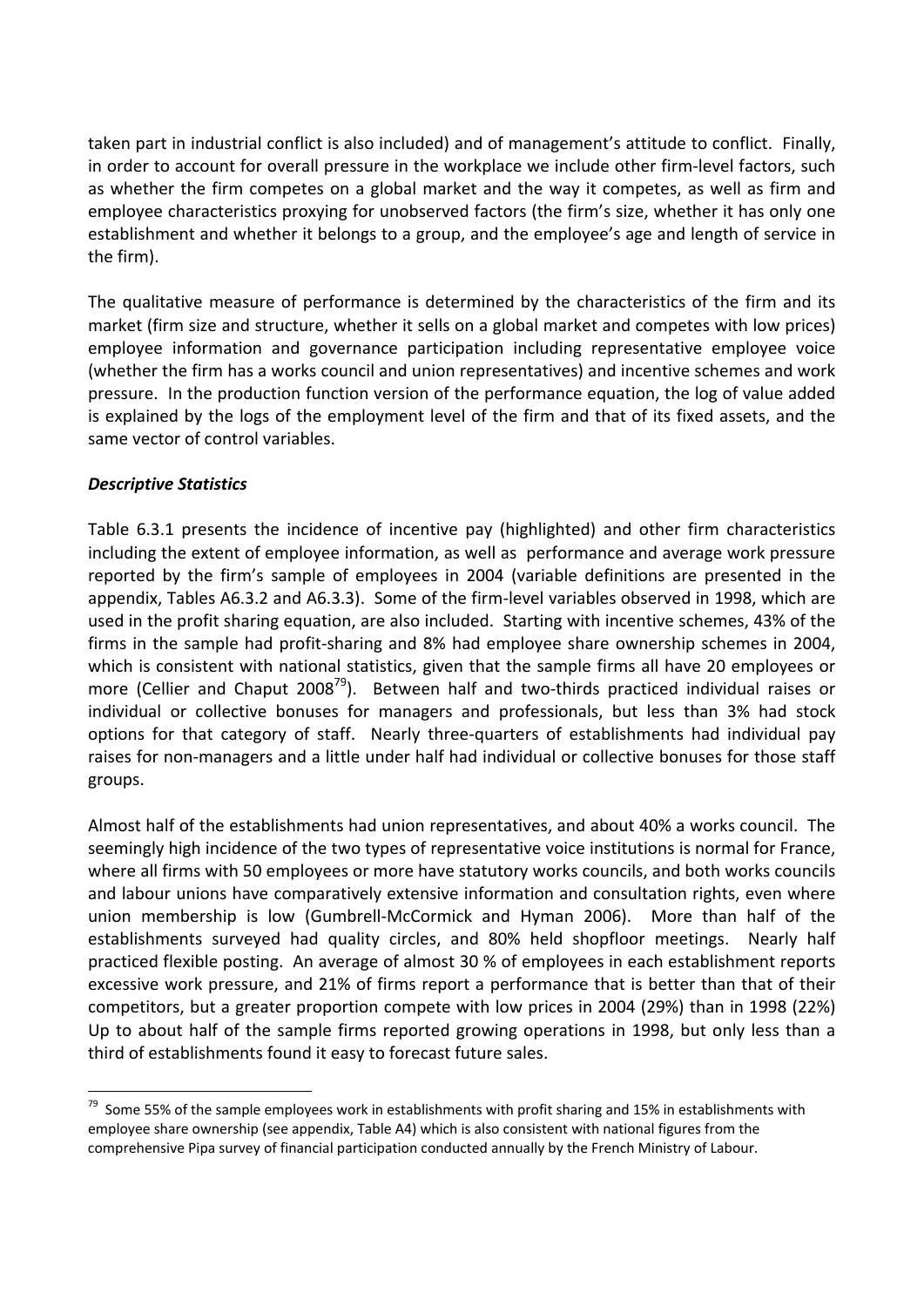taken part in industrial conflict is also included) and of management's attitude to conflict. Finally, in order to account for overall pressure in the workplace we include other firm‐level factors, such as whether the firm competes on a global market and the way it competes, as well as firm and employee characteristics proxying for unobserved factors (the firm's size, whether it has only one establishment and whether it belongs to a group, and the employee's age and length of service in the firm).

The qualitative measure of performance is determined by the characteristics of the firm and its market (firm size and structure, whether it sells on a global market and competes with low prices) employee information and governance participation including representative employee voice (whether the firm has a works council and union representatives) and incentive schemes and work pressure. In the production function version of the performance equation, the log of value added is explained by the logs of the employment level of the firm and that of its fixed assets, and the same vector of control variables.

# *Descriptive Statistics*

 $\overline{a}$ 

Table 6.3.1 presents the incidence of incentive pay (highlighted) and other firm characteristics including the extent of employee information, as well as performance and average work pressure reported by the firm's sample of employees in 2004 (variable definitions are presented in the appendix, Tables A6.3.2 and A6.3.3). Some of the firm-level variables observed in 1998, which are used in the profit sharing equation, are also included. Starting with incentive schemes, 43% of the firms in the sample had profit‐sharing and 8% had employee share ownership schemes in 2004, which is consistent with national statistics, given that the sample firms all have 20 employees or more (Cellier and Chaput 2008 $^{79}$ ). Between half and two-thirds practiced individual raises or individual or collective bonuses for managers and professionals, but less than 3% had stock options for that category of staff. Nearly three‐quarters of establishments had individual pay raises for non‐managers and a little under half had individual or collective bonuses for those staff groups.

Almost half of the establishments had union representatives, and about 40% a works council. The seemingly high incidence of the two types of representative voice institutions is normal for France, where all firms with 50 employees or more have statutory works councils, and both works councils and labour unions have comparatively extensive information and consultation rights, even where union membership is low (Gumbrell‐McCormick and Hyman 2006). More than half of the establishments surveyed had quality circles, and 80% held shopfloor meetings. Nearly half practiced flexible posting. An average of almost 30 % of employees in each establishment reports excessive work pressure, and 21% of firms report a performance that is better than that of their competitors, but a greater proportion compete with low prices in 2004 (29%) than in 1998 (22%) Up to about half of the sample firms reported growing operations in 1998, but only less than a third of establishments found it easy to forecast future sales.

<sup>&</sup>lt;sup>79</sup> Some 55% of the sample employees work in establishments with profit sharing and 15% in establishments with employee share ownership (see appendix, Table A4) which is also consistent with national figures from the comprehensive Pipa survey of financial participation conducted annually by the French Ministry of Labour.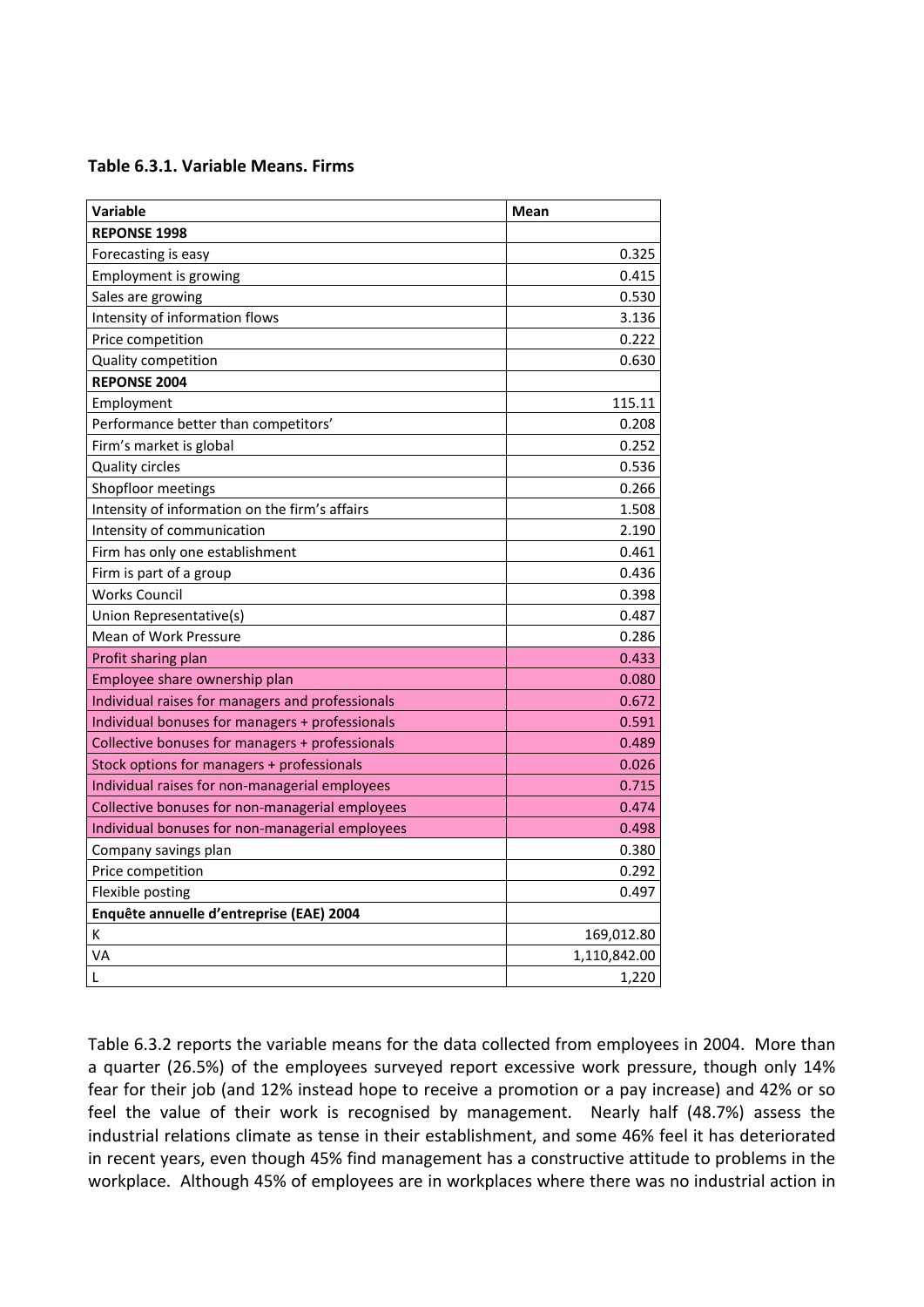|  | Table 6.3.1. Variable Means. Firms |
|--|------------------------------------|
|--|------------------------------------|

| Variable                                         | <b>Mean</b>  |
|--------------------------------------------------|--------------|
| <b>REPONSE 1998</b>                              |              |
| Forecasting is easy                              | 0.325        |
| <b>Employment is growing</b>                     | 0.415        |
| Sales are growing                                | 0.530        |
| Intensity of information flows                   | 3.136        |
| Price competition                                | 0.222        |
| Quality competition                              | 0.630        |
| <b>REPONSE 2004</b>                              |              |
| Employment                                       | 115.11       |
| Performance better than competitors'             | 0.208        |
| Firm's market is global                          | 0.252        |
| <b>Quality circles</b>                           | 0.536        |
| Shopfloor meetings                               | 0.266        |
| Intensity of information on the firm's affairs   | 1.508        |
| Intensity of communication                       | 2.190        |
| Firm has only one establishment                  | 0.461        |
| Firm is part of a group                          | 0.436        |
| <b>Works Council</b>                             | 0.398        |
| Union Representative(s)                          | 0.487        |
| <b>Mean of Work Pressure</b>                     | 0.286        |
| Profit sharing plan                              | 0.433        |
| Employee share ownership plan                    | 0.080        |
| Individual raises for managers and professionals | 0.672        |
| Individual bonuses for managers + professionals  | 0.591        |
| Collective bonuses for managers + professionals  | 0.489        |
| Stock options for managers + professionals       | 0.026        |
| Individual raises for non-managerial employees   | 0.715        |
| Collective bonuses for non-managerial employees  | 0.474        |
| Individual bonuses for non-managerial employees  | 0.498        |
| Company savings plan                             | 0.380        |
| Price competition                                | 0.292        |
| Flexible posting                                 | 0.497        |
| Enquête annuelle d'entreprise (EAE) 2004         |              |
| K                                                | 169,012.80   |
| VA                                               | 1,110,842.00 |
|                                                  | 1,220        |

Table 6.3.2 reports the variable means for the data collected from employees in 2004. More than a quarter (26.5%) of the employees surveyed report excessive work pressure, though only 14% fear for their job (and 12% instead hope to receive a promotion or a pay increase) and 42% or so feel the value of their work is recognised by management. Nearly half (48.7%) assess the industrial relations climate as tense in their establishment, and some 46% feel it has deteriorated in recent years, even though 45% find management has a constructive attitude to problems in the workplace. Although 45% of employees are in workplaces where there was no industrial action in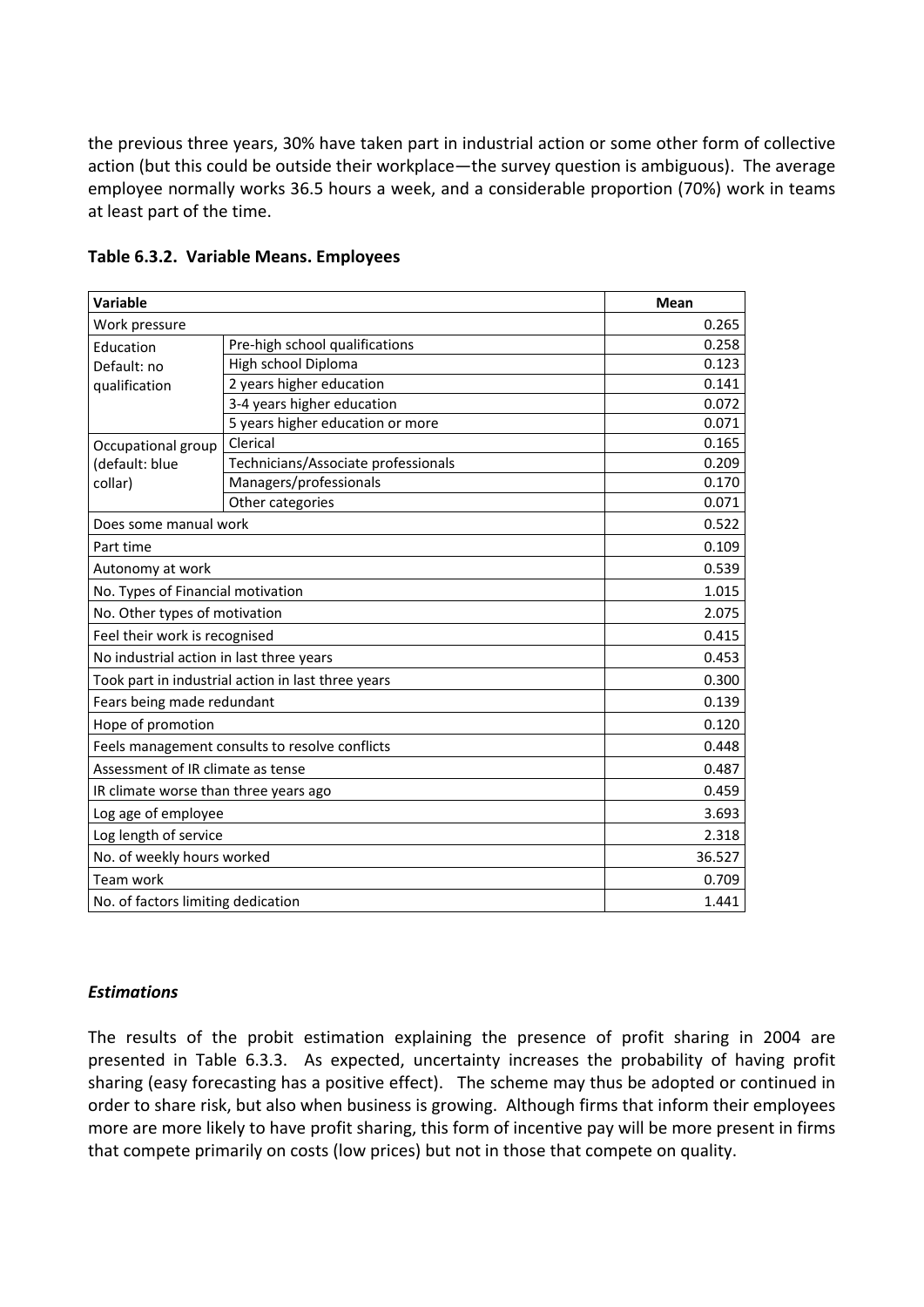the previous three years, 30% have taken part in industrial action or some other form of collective action (but this could be outside their workplace—the survey question is ambiguous). The average employee normally works 36.5 hours a week, and a considerable proportion (70%) work in teams at least part of the time.

| <b>Variable</b>                          |                                                    | <b>Mean</b> |
|------------------------------------------|----------------------------------------------------|-------------|
| Work pressure                            |                                                    | 0.265       |
| Education                                | Pre-high school qualifications                     | 0.258       |
| Default: no                              | High school Diploma                                | 0.123       |
| qualification                            | 2 years higher education                           | 0.141       |
|                                          | 3-4 years higher education                         | 0.072       |
|                                          | 5 years higher education or more                   | 0.071       |
| Occupational group                       | Clerical                                           | 0.165       |
| (default: blue                           | Technicians/Associate professionals                | 0.209       |
| collar)                                  | Managers/professionals                             | 0.170       |
|                                          | Other categories                                   | 0.071       |
| Does some manual work                    |                                                    | 0.522       |
| Part time                                |                                                    | 0.109       |
| Autonomy at work                         |                                                    | 0.539       |
| No. Types of Financial motivation        |                                                    | 1.015       |
| No. Other types of motivation            |                                                    | 2.075       |
| Feel their work is recognised            |                                                    | 0.415       |
| No industrial action in last three years |                                                    | 0.453       |
|                                          | Took part in industrial action in last three years | 0.300       |
| Fears being made redundant               |                                                    | 0.139       |
| Hope of promotion                        |                                                    | 0.120       |
|                                          | Feels management consults to resolve conflicts     | 0.448       |
| Assessment of IR climate as tense        |                                                    | 0.487       |
| IR climate worse than three years ago    |                                                    | 0.459       |
| Log age of employee                      |                                                    | 3.693       |
| Log length of service                    |                                                    | 2.318       |
| No. of weekly hours worked               |                                                    | 36.527      |
| Team work                                |                                                    | 0.709       |
| No. of factors limiting dedication       |                                                    | 1.441       |

**Table 6.3.2. Variable Means. Employees** 

#### *Estimations*

The results of the probit estimation explaining the presence of profit sharing in 2004 are presented in Table 6.3.3. As expected, uncertainty increases the probability of having profit sharing (easy forecasting has a positive effect). The scheme may thus be adopted or continued in order to share risk, but also when business is growing. Although firms that inform their employees more are more likely to have profit sharing, this form of incentive pay will be more present in firms that compete primarily on costs (low prices) but not in those that compete on quality.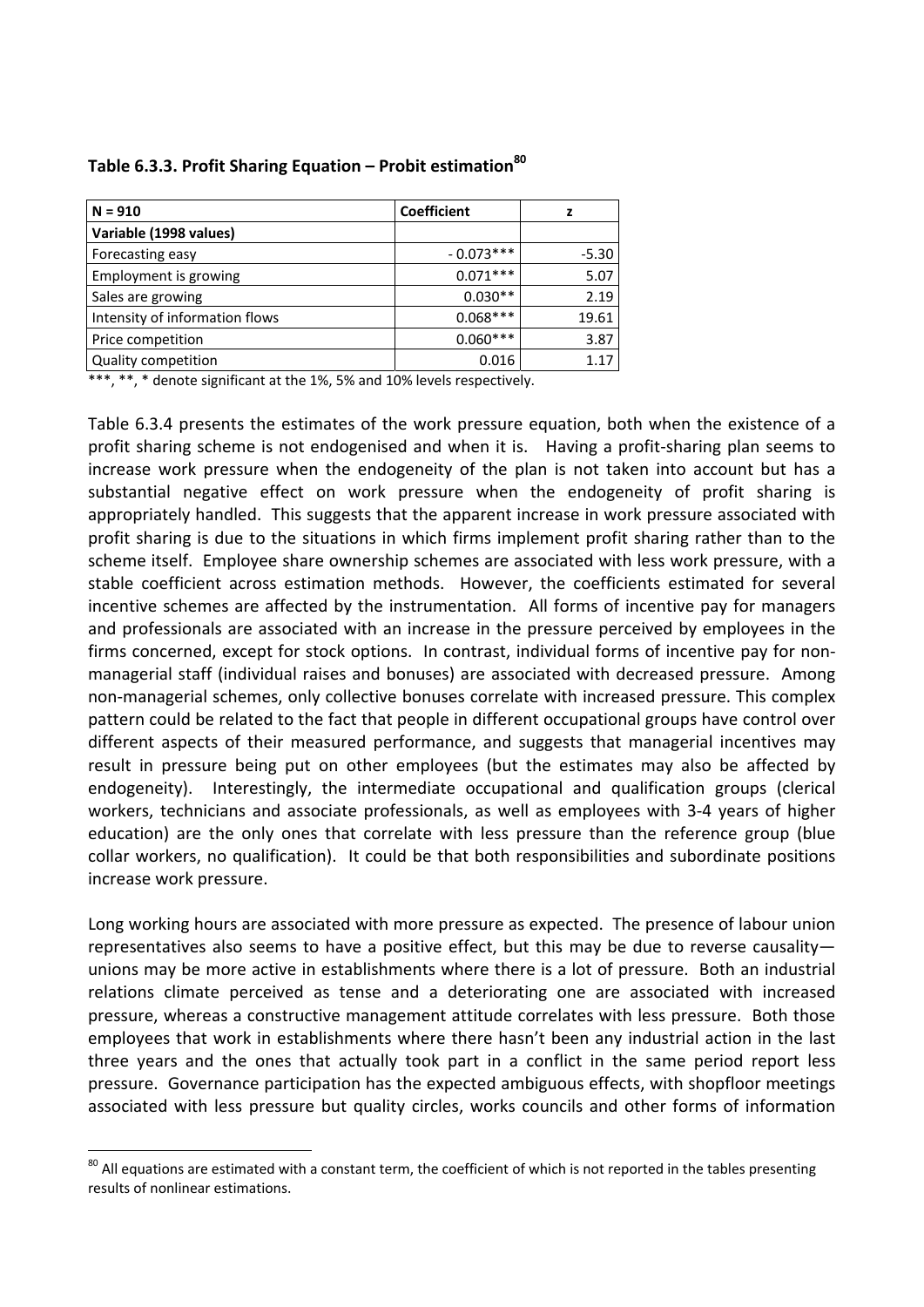| $N = 910$                      | <b>Coefficient</b> |         |
|--------------------------------|--------------------|---------|
| Variable (1998 values)         |                    |         |
| Forecasting easy               | $-0.073***$        | $-5.30$ |
| Employment is growing          | $0.071***$         | 5.07    |
| Sales are growing              | $0.030**$          | 2.19    |
| Intensity of information flows | $0.068***$         | 19.61   |
| Price competition              | $0.060***$         | 3.87    |
| <b>Quality competition</b>     | 0.016              |         |

### **Table 6.3.3. Profit Sharing Equation – Probit estimation80**

\*\*\*, \*\*, \* denote significant at the 1%, 5% and 10% levels respectively.

Table 6.3.4 presents the estimates of the work pressure equation, both when the existence of a profit sharing scheme is not endogenised and when it is. Having a profit-sharing plan seems to increase work pressure when the endogeneity of the plan is not taken into account but has a substantial negative effect on work pressure when the endogeneity of profit sharing is appropriately handled. This suggests that the apparent increase in work pressure associated with profit sharing is due to the situations in which firms implement profit sharing rather than to the scheme itself. Employee share ownership schemes are associated with less work pressure, with a stable coefficient across estimation methods. However, the coefficients estimated for several incentive schemes are affected by the instrumentation. All forms of incentive pay for managers and professionals are associated with an increase in the pressure perceived by employees in the firms concerned, except for stock options. In contrast, individual forms of incentive pay for nonmanagerial staff (individual raises and bonuses) are associated with decreased pressure. Among non-managerial schemes, only collective bonuses correlate with increased pressure. This complex pattern could be related to the fact that people in different occupational groups have control over different aspects of their measured performance, and suggests that managerial incentives may result in pressure being put on other employees (but the estimates may also be affected by endogeneity). Interestingly, the intermediate occupational and qualification groups (clerical workers, technicians and associate professionals, as well as employees with 3‐4 years of higher education) are the only ones that correlate with less pressure than the reference group (blue collar workers, no qualification). It could be that both responsibilities and subordinate positions increase work pressure.

Long working hours are associated with more pressure as expected. The presence of labour union representatives also seems to have a positive effect, but this may be due to reverse causality unions may be more active in establishments where there is a lot of pressure. Both an industrial relations climate perceived as tense and a deteriorating one are associated with increased pressure, whereas a constructive management attitude correlates with less pressure. Both those employees that work in establishments where there hasn't been any industrial action in the last three years and the ones that actually took part in a conflict in the same period report less pressure. Governance participation has the expected ambiguous effects, with shopfloor meetings associated with less pressure but quality circles, works councils and other forms of information

 $\overline{a}$ 

 $80$  All equations are estimated with a constant term, the coefficient of which is not reported in the tables presenting results of nonlinear estimations.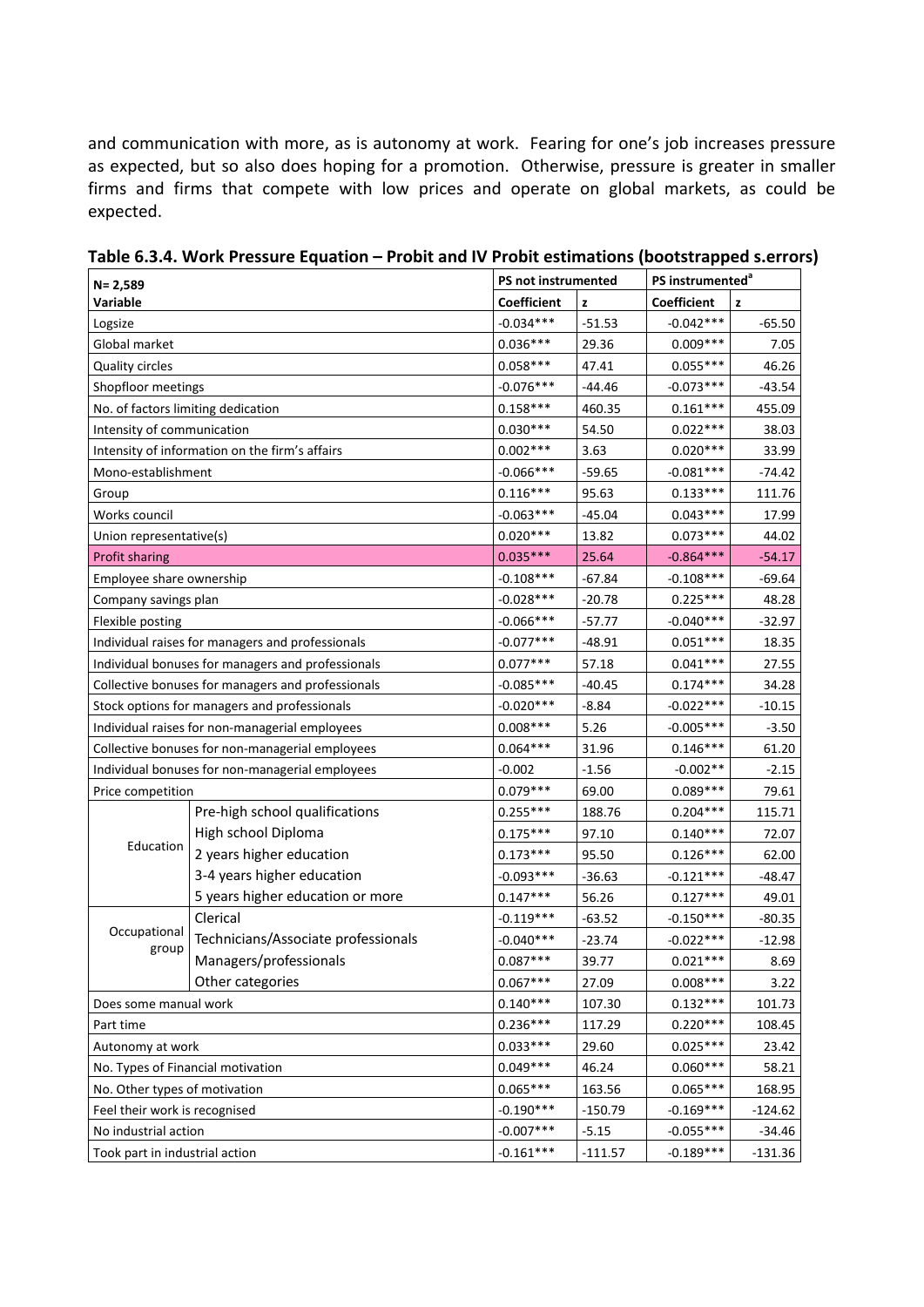and communication with more, as is autonomy at work. Fearing for one's job increases pressure as expected, but so also does hoping for a promotion. Otherwise, pressure is greater in smaller firms and firms that compete with low prices and operate on global markets, as could be expected.

**N= 2,589 Variable PS not instrumented PS instrumented<sup>a</sup> Coefficient z Coefficient z** Logsize ‐0.034\*\*\* ‐51.53 ‐0.042\*\*\* ‐65.50 Global market 0.036\*\*\* 29.36 0.009\*\*\* 7.05 Quality circles 2.055 and 2.055 and 2.055 and 2.055 and 2.055 and 2.055 and 2.055 and 2.055 and 2.055 and 2.05 Shopfloor meetings ‐0.076\*\*\* ‐44.46 ‐0.073\*\*\* ‐43.54 No. of factors limiting dedication 0.158\*\*\* 460.35 0.161\*\*\* 455.09 Intensity of communication 0.030\*\*\* 54.50 0.022\*\*\* 38.03 Intensity of information on the firm's affairs 0.002\*\*\* 3.63 0.020\*\*\* 33.99 Mono‐establishment ‐0.066\*\*\* ‐59.65 ‐0.081\*\*\* ‐74.42 Group 0.116\*\*\* 95.63 0.133\*\*\* 111.76 Works council ‐0.063\*\*\* ‐45.04 0.043\*\*\* 17.99 Union representative(s) 0.020\*\*\* 13.82 0.073\*\*\* 44.02 Profit sharing 0.035\*\*\* 25.64 ‐0.864\*\*\* ‐54.17 Employee share ownership ‐0.108\*\*\* ‐67.84 ‐0.108\*\*\* ‐69.64 Company savings plan ‐0.028\*\*\* ‐20.78 0.225\*\*\* 48.28 Flexible posting ‐0.066\*\*\* ‐57.77 ‐0.040\*\*\* ‐32.97 Individual raises for managers and professionals ‐0.077\*\*\* ‐48.91 0.051\*\*\* 18.35 Individual bonuses for managers and professionals 0.077\*\*\* 57.18 0.041\*\*\* 27.55 Collective bonuses for managers and professionals **1**  $-0.085***$   $-40.45$   $-0.174***$  34.28 Stock options for managers and professionals ‐0.020\*\*\* ‐8.84 ‐0.022\*\*\* ‐10.15 Individual raises for non-managerial employees  $\vert$  0.008\*\*\*  $\vert$  5.26  $\vert$  -0.005\*\*\*  $\vert$  -3.50 Collective bonuses for non‐managerial employees 0.064\*\*\* 31.96 0.146\*\*\* 61.20 Individual bonuses for non‐managerial employees ‐0.002 ‐1.56 ‐0.002\*\* ‐2.15 Price competition **Price competition 1.0.079\*\*\***  $\begin{bmatrix} 69.00 & 1 & 0.089^{***} \end{bmatrix}$  **79.61** Education Pre‐high school qualifications 0.255\*\*\* 188.76 0.204\*\*\* 115.71 High school Diploma  $\vert$  0.175\*\*\*  $\vert$  97.10  $\vert$  0.140\*\*\*  $\vert$  72.07 2 years higher education  $\vert 0.173*** \vert 95.50 \vert 0.126*** \vert 62.00$ 3-4 years higher education • | -0.093\*\*\* | -36.63 | -0.121\*\*\* | -48.47 5 years higher education or more 0.147\*\*\* 56.26 0.127\*\*\* 49.01 **Occupational** group Clerical ‐0.119\*\*\* ‐63.52 ‐0.150\*\*\* ‐80.35 Technicians/Associate professionals ‐0.040\*\*\* ‐23.74 ‐0.022\*\*\* ‐12.98 Managers/professionals 0.087\*\*\* 39.77 0.021\*\*\* 8.69 Other categories 0.067\*\*\* 27.09 0.008\*\*\* 3.22 Does some manual work 0.140\*\*\* 107.30 0.132\*\*\* 101.73 Part time 0.236\*\*\* 117.29 0.220\*\*\* 108.45 Autonomy at work 1.0 and 23.42 and 23.42 and 23.42 and 23.42 and 23.42 and 23.42 and 23.42 and 23.42 and 23.42 No. Types of Financial motivation  $(0.049*** \ 46.24 \ 0.060*** \ 58.21)$ 

No. Other types of motivation 0.065\*\*\* 163.56 0.065\*\*\* 168.95 Feel their work is recognised **Feel their work is recognised Feel their work is recognised Feel their work is recognised** No industrial action ‐0.007\*\*\* ‐5.15 ‐0.055\*\*\* ‐34.46 Took part in industrial action  $|$ -0.161\*\*\*  $|$ -111.57  $|$ -0.189\*\*\*  $|$ -131.36

**Table 6.3.4. Work Pressure Equation – Probit and IV Probit estimations (bootstrapped s.errors)**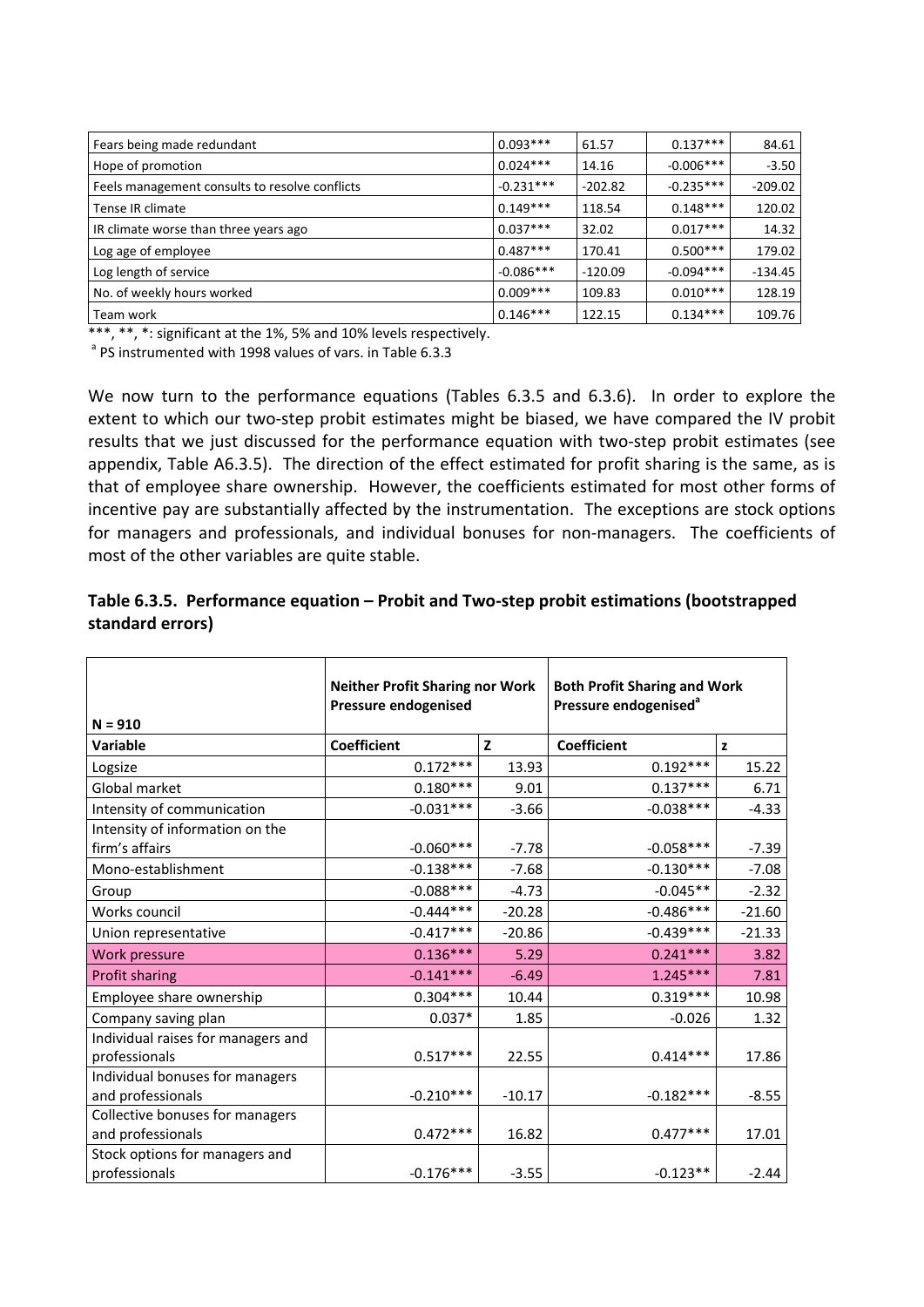| Fears being made redundant                     | $0.093***$  | 61.57     | $0.137***$  | 84.61     |
|------------------------------------------------|-------------|-----------|-------------|-----------|
| Hope of promotion                              | $0.024***$  | 14.16     | $-0.006***$ | $-3.50$   |
| Feels management consults to resolve conflicts | $-0.231***$ | $-202.82$ | $-0.235***$ | $-209.02$ |
| Tense IR climate                               | $0.149***$  | 118.54    | $0.148***$  | 120.02    |
| IR climate worse than three years ago          | $0.037***$  | 32.02     | $0.017***$  | 14.32     |
| Log age of employee                            | $0.487***$  | 170.41    | $0.500***$  | 179.02    |
| Log length of service                          | $-0.086***$ | $-120.09$ | $-0.094***$ | $-134.45$ |
| No. of weekly hours worked                     | $0.009***$  | 109.83    | $0.010***$  | 128.19    |
| Team work                                      | $0.146***$  | 122.15    | $0.134***$  | 109.76    |

\*\*\*, \*\*, \*: significant at the 1%, 5% and  $\overline{10\%}$  levels respectively.<br><sup>a</sup> PS instrumented with 1998 values of vars. in Table 6.3.3

We now turn to the performance equations (Tables 6.3.5 and 6.3.6). In order to explore the extent to which our two-step probit estimates might be biased, we have compared the IV probit results that we just discussed for the performance equation with two-step probit estimates (see appendix, Table A6.3.5). The direction of the effect estimated for profit sharing is the same, as is that of employee share ownership. However, the coefficients estimated for most other forms of incentive pay are substantially affected by the instrumentation. The exceptions are stock options for managers and professionals, and individual bonuses for non-managers. The coefficients of most of the other variables are quite stable.

|                  | Table 6.3.5. Performance equation – Probit and Two-step probit estimations (bootstrapped |
|------------------|------------------------------------------------------------------------------------------|
| standard errors) |                                                                                          |

| $N = 910$                          | <b>Neither Profit Sharing nor Work</b><br>Pressure endogenised |          | <b>Both Profit Sharing and Work</b><br>Pressure endogenised <sup>a</sup> |          |  |
|------------------------------------|----------------------------------------------------------------|----------|--------------------------------------------------------------------------|----------|--|
| <b>Variable</b>                    | <b>Coefficient</b>                                             | Z        | <b>Coefficient</b>                                                       | z        |  |
| Logsize                            | $0.172***$                                                     | 13.93    | $0.192***$                                                               | 15.22    |  |
| Global market                      | $0.180***$                                                     | 9.01     | $0.137***$                                                               | 6.71     |  |
| Intensity of communication         | $-0.031***$                                                    | $-3.66$  | $-0.038***$                                                              | $-4.33$  |  |
| Intensity of information on the    |                                                                |          |                                                                          |          |  |
| firm's affairs                     | $-0.060***$                                                    | $-7.78$  | $-0.058***$                                                              | $-7.39$  |  |
| Mono-establishment                 | $-0.138***$                                                    | $-7.68$  | $-0.130***$                                                              | $-7.08$  |  |
| Group                              | $-0.088***$                                                    | $-4.73$  | $-0.045**$                                                               | $-2.32$  |  |
| Works council                      | $-0.444***$                                                    | $-20.28$ | $-0.486***$                                                              | $-21.60$ |  |
| Union representative               | $-0.417***$                                                    | $-20.86$ | $-0.439***$                                                              | $-21.33$ |  |
| Work pressure                      | $0.136***$                                                     | 5.29     | $0.241***$                                                               | 3.82     |  |
| Profit sharing                     | $-0.141***$                                                    | $-6.49$  | $1.245***$                                                               | 7.81     |  |
| Employee share ownership           | $0.304***$                                                     | 10.44    | $0.319***$                                                               | 10.98    |  |
| Company saving plan                | $0.037*$                                                       | 1.85     | $-0.026$                                                                 | 1.32     |  |
| Individual raises for managers and |                                                                |          |                                                                          |          |  |
| professionals                      | $0.517***$                                                     | 22.55    | $0.414***$                                                               | 17.86    |  |
| Individual bonuses for managers    |                                                                |          |                                                                          |          |  |
| and professionals                  | $-0.210***$                                                    | $-10.17$ | $-0.182***$                                                              | $-8.55$  |  |
| Collective bonuses for managers    |                                                                |          |                                                                          |          |  |
| and professionals                  | $0.472***$                                                     | 16.82    | $0.477***$                                                               | 17.01    |  |
| Stock options for managers and     |                                                                |          |                                                                          |          |  |
| professionals                      | $-0.176***$                                                    | $-3.55$  | $-0.123**$                                                               | $-2.44$  |  |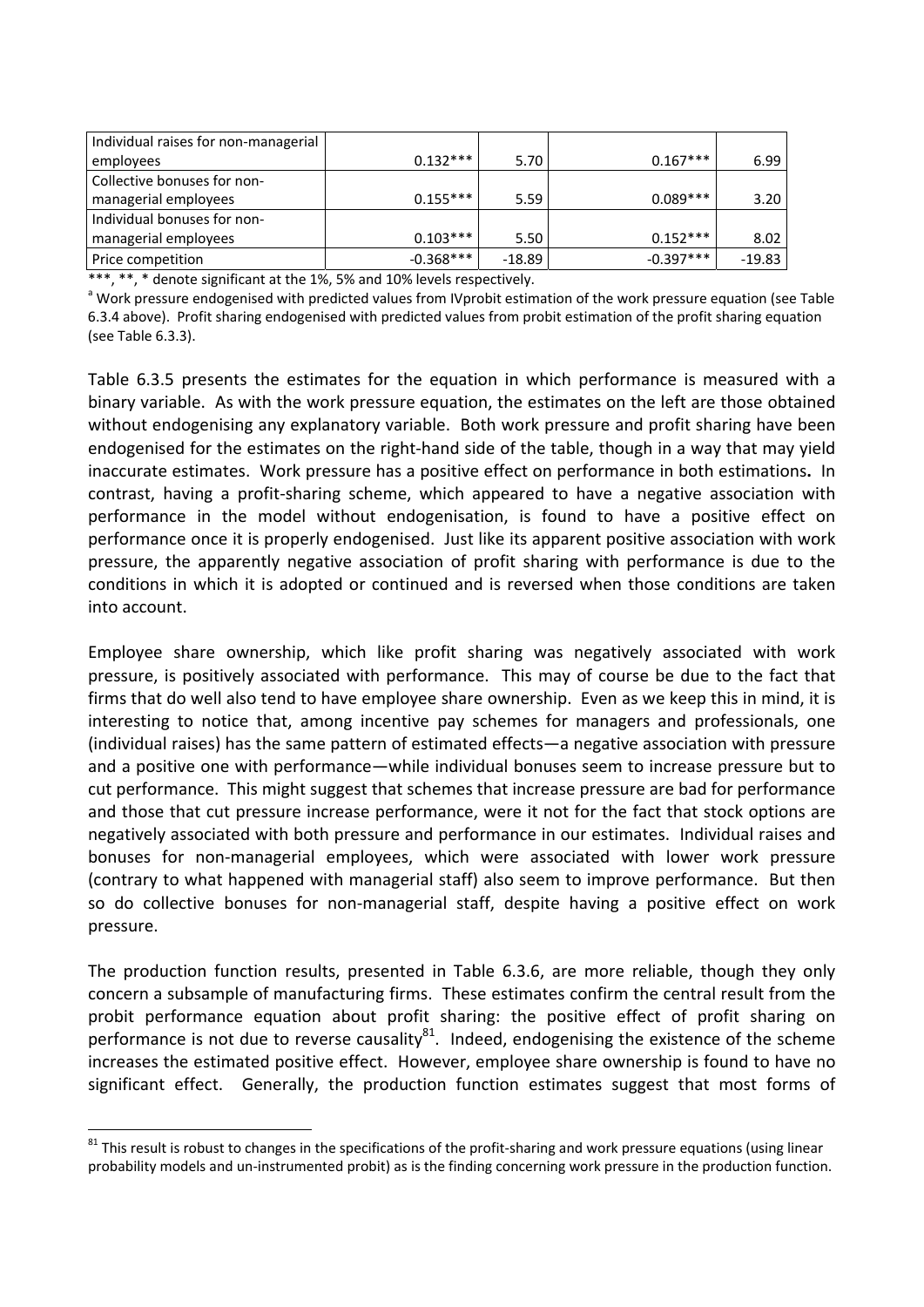| Individual raises for non-managerial |             |          |             |          |
|--------------------------------------|-------------|----------|-------------|----------|
| employees                            | $0.132***$  | 5.70     | $0.167***$  | 6.99     |
| Collective bonuses for non-          |             |          |             |          |
| managerial employees                 | $0.155***$  | 5.59     | $0.089***$  | 3.20     |
| Individual bonuses for non-          |             |          |             |          |
| managerial employees                 | $0.103***$  | 5.50     | $0.152***$  | 8.02     |
| Price competition                    | $-0.368***$ | $-18.89$ | $-0.397***$ | $-19.83$ |

\*\*\*, \*\*, \* denote significant at the 1%, 5% and 10% levels respectively.<br><sup>a</sup> Work pressure endogenised with predicted values from IVprobit estimation of the work pressure equation (see Table 6.3.4 above). Profit sharing endogenised with predicted values from probit estimation of the profit sharing equation (see Table 6.3.3).

Table 6.3.5 presents the estimates for the equation in which performance is measured with a binary variable. As with the work pressure equation, the estimates on the left are those obtained without endogenising any explanatory variable. Both work pressure and profit sharing have been endogenised for the estimates on the right‐hand side of the table, though in a way that may yield inaccurate estimates. Work pressure has a positive effect on performance in both estimations**.** In contrast, having a profit‐sharing scheme, which appeared to have a negative association with performance in the model without endogenisation, is found to have a positive effect on performance once it is properly endogenised. Just like its apparent positive association with work pressure, the apparently negative association of profit sharing with performance is due to the conditions in which it is adopted or continued and is reversed when those conditions are taken into account.

Employee share ownership, which like profit sharing was negatively associated with work pressure, is positively associated with performance. This may of course be due to the fact that firms that do well also tend to have employee share ownership. Even as we keep this in mind, it is interesting to notice that, among incentive pay schemes for managers and professionals, one (individual raises) has the same pattern of estimated effects—a negative association with pressure and a positive one with performance—while individual bonuses seem to increase pressure but to cut performance. This might suggest that schemes that increase pressure are bad for performance and those that cut pressure increase performance, were it not for the fact that stock options are negatively associated with both pressure and performance in our estimates. Individual raises and bonuses for non‐managerial employees, which were associated with lower work pressure (contrary to what happened with managerial staff) also seem to improve performance. But then so do collective bonuses for non-managerial staff, despite having a positive effect on work pressure.

The production function results, presented in Table 6.3.6, are more reliable, though they only concern a subsample of manufacturing firms. These estimates confirm the central result from the probit performance equation about profit sharing: the positive effect of profit sharing on performance is not due to reverse causality $^{81}$ . Indeed, endogenising the existence of the scheme increases the estimated positive effect. However, employee share ownership is found to have no significant effect. Generally, the production function estimates suggest that most forms of

 $\overline{a}$ 

 $81$  This result is robust to changes in the specifications of the profit-sharing and work pressure equations (using linear probability models and un‐instrumented probit) as is the finding concerning work pressure in the production function.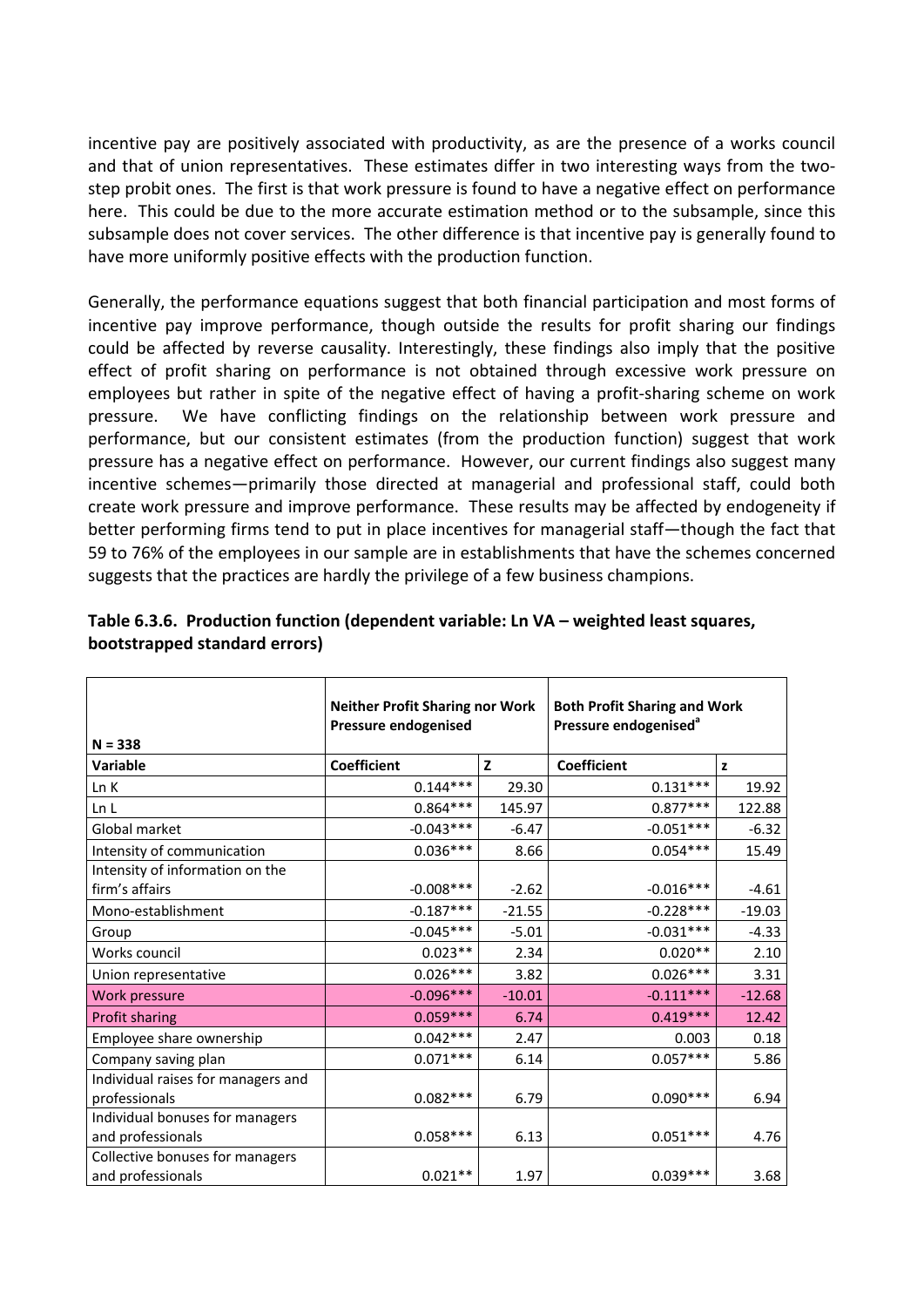incentive pay are positively associated with productivity, as are the presence of a works council and that of union representatives. These estimates differ in two interesting ways from the twostep probit ones. The first is that work pressure is found to have a negative effect on performance here. This could be due to the more accurate estimation method or to the subsample, since this subsample does not cover services. The other difference is that incentive pay is generally found to have more uniformly positive effects with the production function.

Generally, the performance equations suggest that both financial participation and most forms of incentive pay improve performance, though outside the results for profit sharing our findings could be affected by reverse causality. Interestingly, these findings also imply that the positive effect of profit sharing on performance is not obtained through excessive work pressure on employees but rather in spite of the negative effect of having a profit‐sharing scheme on work pressure. We have conflicting findings on the relationship between work pressure and performance, but our consistent estimates (from the production function) suggest that work pressure has a negative effect on performance. However, our current findings also suggest many incentive schemes—primarily those directed at managerial and professional staff, could both create work pressure and improve performance. These results may be affected by endogeneity if better performing firms tend to put in place incentives for managerial staff—though the fact that 59 to 76% of the employees in our sample are in establishments that have the schemes concerned suggests that the practices are hardly the privilege of a few business champions.

| $N = 338$                                            | <b>Neither Profit Sharing nor Work</b><br><b>Pressure endogenised</b> |          | <b>Both Profit Sharing and Work</b><br>Pressure endogenised <sup>ª</sup> |          |  |
|------------------------------------------------------|-----------------------------------------------------------------------|----------|--------------------------------------------------------------------------|----------|--|
| <b>Variable</b>                                      | <b>Coefficient</b>                                                    | z        | <b>Coefficient</b>                                                       | z        |  |
| Ln K                                                 | $0.144***$                                                            | 29.30    | $0.131***$                                                               | 19.92    |  |
| Ln L                                                 | $0.864***$                                                            | 145.97   | $0.877***$                                                               | 122.88   |  |
| Global market                                        | $-0.043***$                                                           | $-6.47$  | $-0.051***$                                                              | $-6.32$  |  |
| Intensity of communication                           | $0.036***$                                                            | 8.66     | $0.054***$                                                               | 15.49    |  |
| Intensity of information on the<br>firm's affairs    | $-0.008***$                                                           | $-2.62$  | $-0.016***$                                                              | $-4.61$  |  |
| Mono-establishment                                   | $-0.187***$                                                           | $-21.55$ | $-0.228***$                                                              | $-19.03$ |  |
| Group                                                | $-0.045***$                                                           | $-5.01$  | $-0.031***$                                                              | $-4.33$  |  |
| Works council                                        | $0.023**$                                                             | 2.34     | $0.020**$                                                                | 2.10     |  |
| Union representative                                 | $0.026***$                                                            | 3.82     | $0.026***$                                                               | 3.31     |  |
| Work pressure                                        | $-0.096***$                                                           | $-10.01$ | $-0.111***$                                                              | $-12.68$ |  |
| Profit sharing                                       | $0.059***$                                                            | 6.74     | $0.419***$                                                               | 12.42    |  |
| Employee share ownership                             | $0.042***$                                                            | 2.47     | 0.003                                                                    | 0.18     |  |
| Company saving plan                                  | $0.071***$                                                            | 6.14     | $0.057***$                                                               | 5.86     |  |
| Individual raises for managers and<br>professionals  | $0.082***$                                                            | 6.79     | $0.090***$                                                               | 6.94     |  |
| Individual bonuses for managers<br>and professionals | $0.058***$                                                            | 6.13     | $0.051***$                                                               | 4.76     |  |
| Collective bonuses for managers<br>and professionals | $0.021**$                                                             | 1.97     | $0.039***$                                                               | 3.68     |  |

| Table 6.3.6. Production function (dependent variable: Ln VA - weighted least squares, |
|---------------------------------------------------------------------------------------|
| bootstrapped standard errors)                                                         |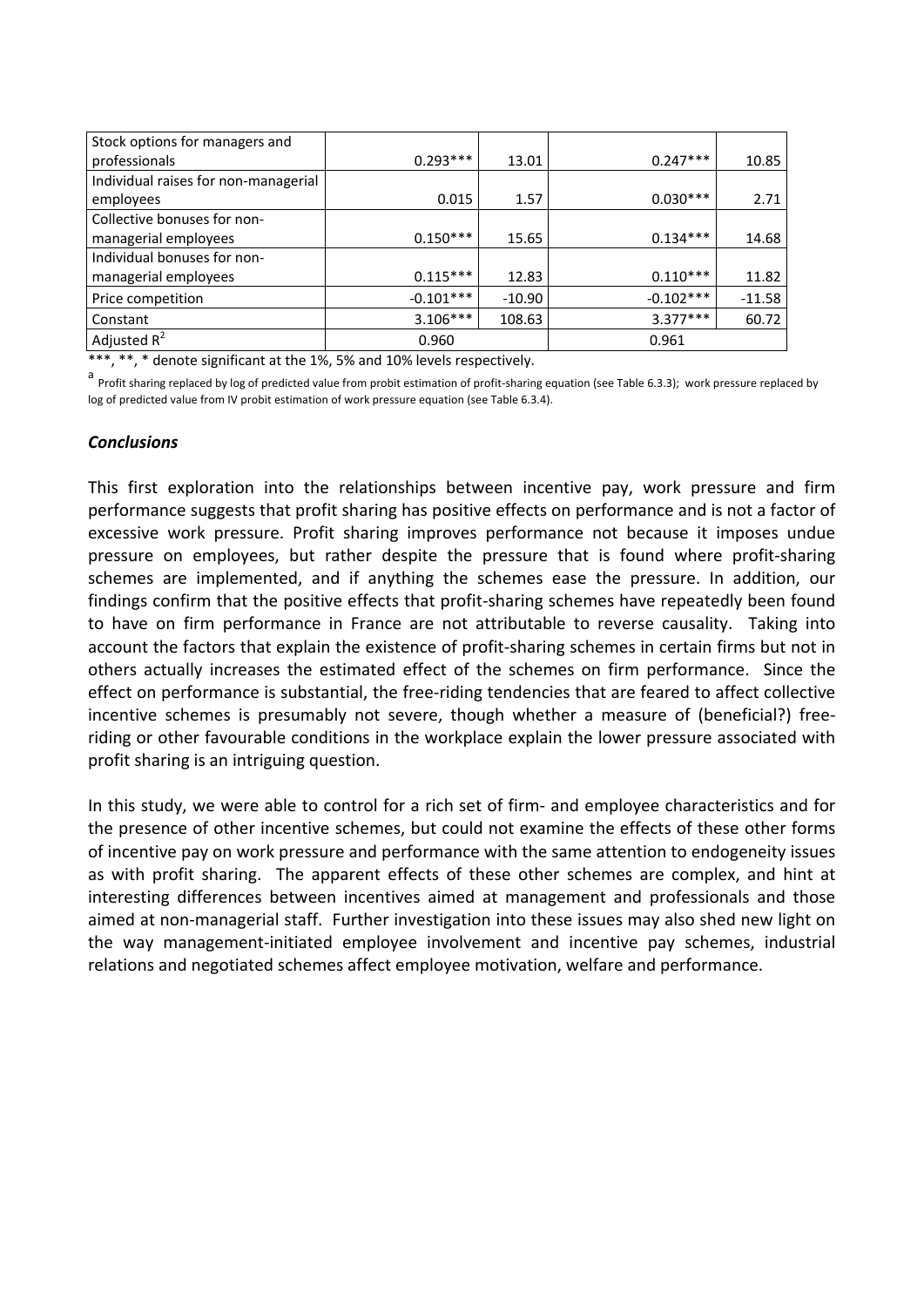| Stock options for managers and       |             |          |             |          |
|--------------------------------------|-------------|----------|-------------|----------|
| professionals                        | $0.293***$  | 13.01    | $0.247***$  | 10.85    |
| Individual raises for non-managerial |             |          |             |          |
| employees                            | 0.015       | 1.57     | $0.030***$  | 2.71     |
| Collective bonuses for non-          |             |          |             |          |
| managerial employees                 | $0.150***$  | 15.65    | $0.134***$  | 14.68    |
| Individual bonuses for non-          |             |          |             |          |
| managerial employees                 | $0.115***$  | 12.83    | $0.110***$  | 11.82    |
| Price competition                    | $-0.101***$ | $-10.90$ | $-0.102***$ | $-11.58$ |
| Constant                             | $3.106***$  | 108.63   | $3.377***$  | 60.72    |
| Adjusted $R^2$                       | 0.960       |          | 0.961       |          |

\*\*\*, \*\*, \* denote significant at the 1%, 5% and 10% levels respectively.

a Profit sharing replaced by log of predicted value from probit estimation of profit-sharing equation (see Table 6.3.3); work pressure replaced by log of predicted value from IV probit estimation of work pressure equation (see Table 6.3.4).

#### *Conclusions*

This first exploration into the relationships between incentive pay, work pressure and firm performance suggests that profit sharing has positive effects on performance and is not a factor of excessive work pressure. Profit sharing improves performance not because it imposes undue pressure on employees, but rather despite the pressure that is found where profit‐sharing schemes are implemented, and if anything the schemes ease the pressure. In addition, our findings confirm that the positive effects that profit‐sharing schemes have repeatedly been found to have on firm performance in France are not attributable to reverse causality. Taking into account the factors that explain the existence of profit‐sharing schemes in certain firms but not in others actually increases the estimated effect of the schemes on firm performance. Since the effect on performance is substantial, the free-riding tendencies that are feared to affect collective incentive schemes is presumably not severe, though whether a measure of (beneficial?) free‐ riding or other favourable conditions in the workplace explain the lower pressure associated with profit sharing is an intriguing question.

In this study, we were able to control for a rich set of firm‐ and employee characteristics and for the presence of other incentive schemes, but could not examine the effects of these other forms of incentive pay on work pressure and performance with the same attention to endogeneity issues as with profit sharing. The apparent effects of these other schemes are complex, and hint at interesting differences between incentives aimed at management and professionals and those aimed at non-managerial staff. Further investigation into these issues may also shed new light on the way management‐initiated employee involvement and incentive pay schemes, industrial relations and negotiated schemes affect employee motivation, welfare and performance.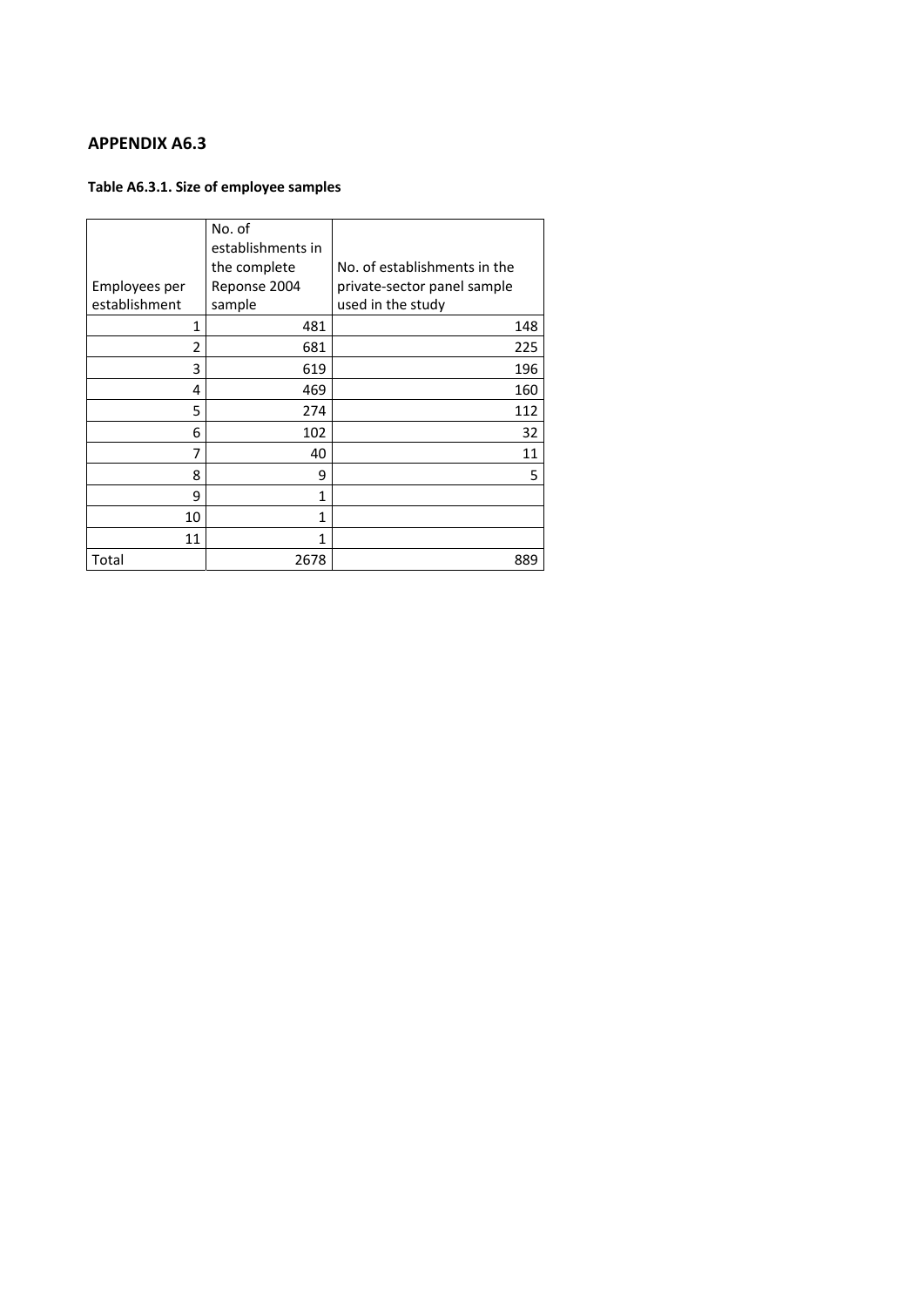#### **APPENDIX A6.3**

#### **Table A6.3.1. Size of employee samples**

|               | No. of<br>establishments in |                              |
|---------------|-----------------------------|------------------------------|
|               | the complete                | No. of establishments in the |
| Employees per | Reponse 2004                | private-sector panel sample  |
| establishment | sample                      | used in the study            |
| 1             | 481                         | 148                          |
| 2             | 681                         | 225                          |
| 3             | 619                         | 196                          |
| 4             | 469                         | 160                          |
| 5             | 274                         | 112                          |
| 6             | 102                         | 32                           |
| 7             | 40                          | 11                           |
| 8             | 9                           | 5                            |
| 9             | 1                           |                              |
| 10            | 1                           |                              |
| 11            | 1                           |                              |
| Total         | 2678                        | 889                          |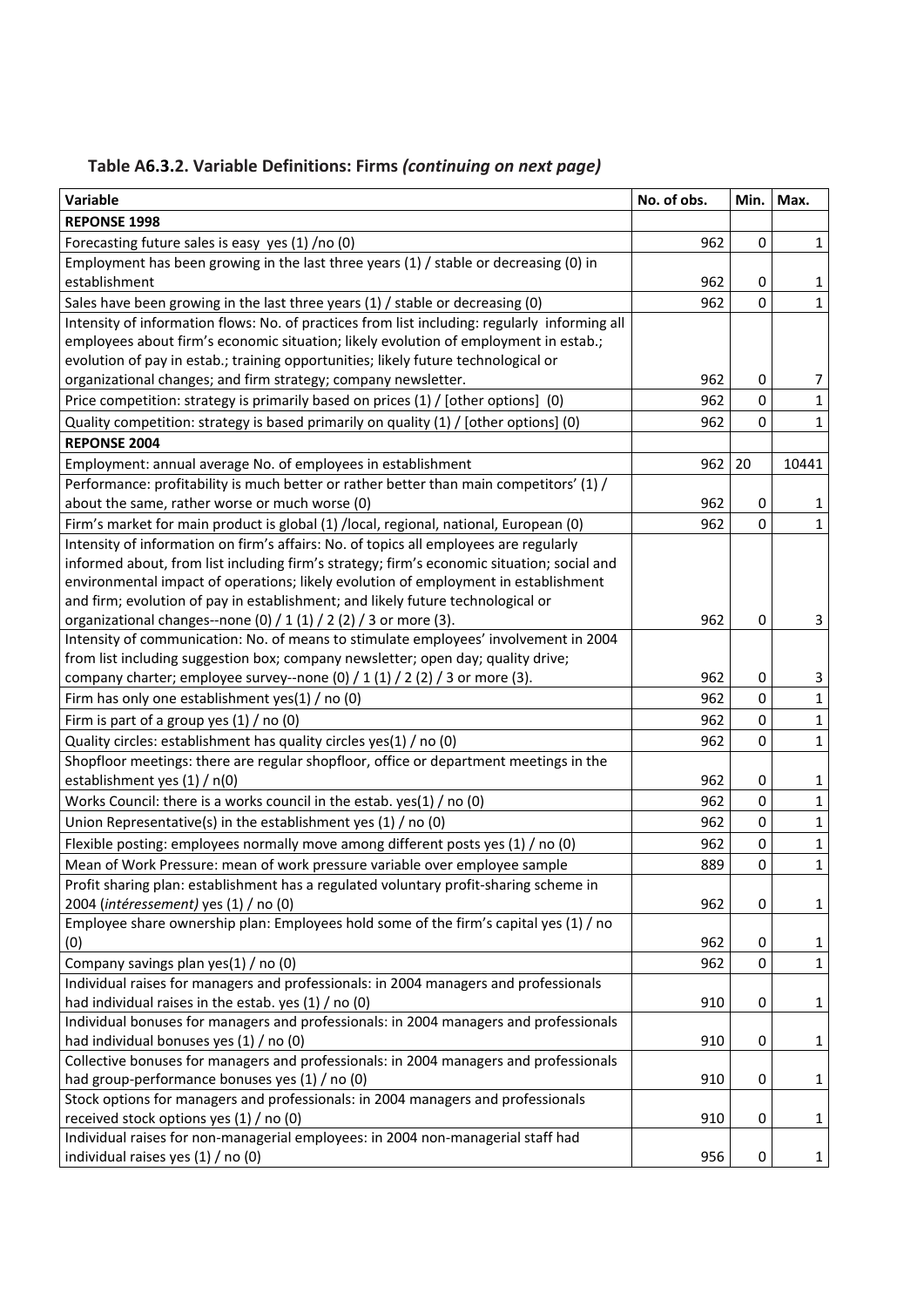| Table A6.3.2. Variable Definitions: Firms (continuing on next page) |  |
|---------------------------------------------------------------------|--|
|---------------------------------------------------------------------|--|

| Variable                                                                                      | No. of obs. | Min.        | Max.         |
|-----------------------------------------------------------------------------------------------|-------------|-------------|--------------|
| <b>REPONSE 1998</b>                                                                           |             |             |              |
| Forecasting future sales is easy yes (1) /no (0)                                              | 962         | 0           | $\mathbf{1}$ |
| Employment has been growing in the last three years (1) / stable or decreasing (0) in         |             |             |              |
| establishment                                                                                 | 962         | 0           | 1            |
| Sales have been growing in the last three years (1) / stable or decreasing (0)                | 962         | $\Omega$    | $\mathbf{1}$ |
| Intensity of information flows: No. of practices from list including: regularly informing all |             |             |              |
| employees about firm's economic situation; likely evolution of employment in estab.;          |             |             |              |
| evolution of pay in estab.; training opportunities; likely future technological or            |             |             |              |
| organizational changes; and firm strategy; company newsletter.                                | 962         | 0           | 7            |
| Price competition: strategy is primarily based on prices (1) / [other options] (0)            | 962         | 0           | $\mathbf 1$  |
| Quality competition: strategy is based primarily on quality (1) / [other options] (0)         | 962         | 0           | $\mathbf{1}$ |
| <b>REPONSE 2004</b>                                                                           |             |             |              |
| Employment: annual average No. of employees in establishment                                  | 962         | 20          | 10441        |
| Performance: profitability is much better or rather better than main competitors' (1) /       |             |             |              |
| about the same, rather worse or much worse (0)                                                | 962         | 0           | 1            |
| Firm's market for main product is global (1) /local, regional, national, European (0)         | 962         | 0           | $\mathbf{1}$ |
| Intensity of information on firm's affairs: No. of topics all employees are regularly         |             |             |              |
| informed about, from list including firm's strategy; firm's economic situation; social and    |             |             |              |
| environmental impact of operations; likely evolution of employment in establishment           |             |             |              |
| and firm; evolution of pay in establishment; and likely future technological or               |             |             |              |
| organizational changes--none (0) $/$ 1 (1) $/$ 2 (2) $/$ 3 or more (3).                       | 962         | $\mathbf 0$ | 3            |
| Intensity of communication: No. of means to stimulate employees' involvement in 2004          |             |             |              |
| from list including suggestion box; company newsletter; open day; quality drive;              |             |             |              |
| company charter; employee survey--none (0) / 1 (1) / 2 (2) / 3 or more (3).                   | 962         | 0           | 3            |
| Firm has only one establishment yes(1) / no (0)                                               | 962         | $\mathbf 0$ | $\mathbf 1$  |
| Firm is part of a group yes $(1)$ / no $(0)$                                                  | 962         | 0           | $\mathbf 1$  |
| Quality circles: establishment has quality circles yes(1) / no (0)                            | 962         | $\mathbf 0$ | $\mathbf{1}$ |
| Shopfloor meetings: there are regular shopfloor, office or department meetings in the         |             |             |              |
| establishment yes (1) / n(0)                                                                  | 962         | 0           | 1            |
| Works Council: there is a works council in the estab. $yes(1) / no(0)$                        | 962         | $\mathbf 0$ | $\mathbf 1$  |
| Union Representative(s) in the establishment yes $(1)$ / no $(0)$                             | 962         | 0           | $\mathbf 1$  |
| Flexible posting: employees normally move among different posts yes (1) / no (0)              | 962         | $\pmb{0}$   | $\mathbf 1$  |
| Mean of Work Pressure: mean of work pressure variable over employee sample                    | 889         | $\pmb{0}$   | $\mathbf 1$  |
| Profit sharing plan: establishment has a regulated voluntary profit-sharing scheme in         |             |             |              |
| 2004 (intéressement) yes (1) / no (0)                                                         | 962         | 0           | $\mathbf{1}$ |
| Employee share ownership plan: Employees hold some of the firm's capital yes (1) / no         |             |             |              |
| (0)                                                                                           | 962         | 0           | 1            |
| Company savings plan yes(1) / no (0)                                                          | 962         | 0           | $\mathbf{1}$ |
| Individual raises for managers and professionals: in 2004 managers and professionals          |             |             |              |
| had individual raises in the estab. yes (1) / no (0)                                          | 910         | 0           | 1            |
| Individual bonuses for managers and professionals: in 2004 managers and professionals         |             |             |              |
| had individual bonuses yes (1) / no (0)                                                       | 910         | 0           | $\mathbf{1}$ |
| Collective bonuses for managers and professionals: in 2004 managers and professionals         |             |             |              |
| had group-performance bonuses yes (1) / no (0)                                                | 910         | 0           | $\mathbf{1}$ |
| Stock options for managers and professionals: in 2004 managers and professionals              |             |             |              |
| received stock options yes (1) / no (0)                                                       | 910         | 0           | $\mathbf{1}$ |
| Individual raises for non-managerial employees: in 2004 non-managerial staff had              |             |             |              |
| individual raises yes (1) / no (0)                                                            | 956         | 0           | $\mathbf{1}$ |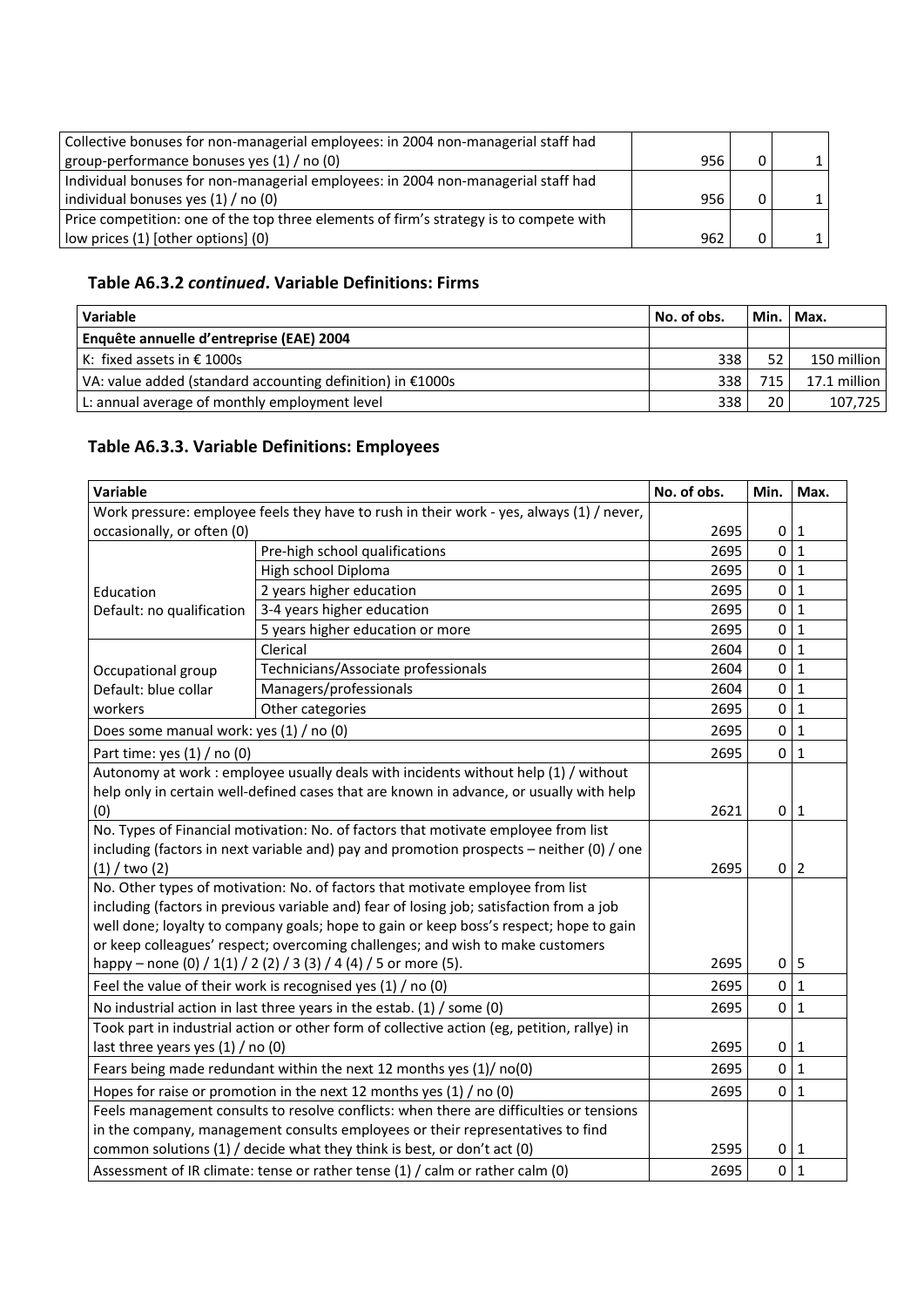| Collective bonuses for non-managerial employees: in 2004 non-managerial staff had      |     |          |  |
|----------------------------------------------------------------------------------------|-----|----------|--|
| group-performance bonuses yes (1) / no (0)                                             | 956 |          |  |
| Individual bonuses for non-managerial employees: in 2004 non-managerial staff had      |     |          |  |
| individual bonuses yes (1) / no (0)                                                    | 956 | 0        |  |
| Price competition: one of the top three elements of firm's strategy is to compete with |     |          |  |
| low prices (1) [other options] (0)                                                     | 962 | $\Omega$ |  |

# **Table A6.3.2** *continued***. Variable Definitions: Firms**

| Variable                                                   | No. of obs. | Min. | Max.         |
|------------------------------------------------------------|-------------|------|--------------|
| Enquête annuelle d'entreprise (EAE) 2004                   |             |      |              |
| K: fixed assets in $\epsilon$ 1000s                        | 338         | 52   | 150 million  |
| VA: value added (standard accounting definition) in €1000s | 338         | 715  | 17.1 million |
| L: annual average of monthly employment level              | 338         | 20   | 107,725      |

# **Table A6.3.3. Variable Definitions: Employees**

| Variable                                                                                 |                                                                                             | No. of obs. | Min.           | Max.         |
|------------------------------------------------------------------------------------------|---------------------------------------------------------------------------------------------|-------------|----------------|--------------|
|                                                                                          | Work pressure: employee feels they have to rush in their work - yes, always (1) / never,    |             |                |              |
| occasionally, or often (0)                                                               |                                                                                             | 2695        | 0              | 1            |
|                                                                                          | Pre-high school qualifications                                                              | 2695        | $\mathbf 0$    | $\mathbf{1}$ |
|                                                                                          | High school Diploma                                                                         | 2695        | 0              | $\mathbf{1}$ |
| Education                                                                                | 2 years higher education                                                                    | 2695        | $\overline{0}$ | $\mathbf{1}$ |
| Default: no qualification                                                                | 3-4 years higher education                                                                  | 2695        | 0              | $\mathbf{1}$ |
|                                                                                          | 5 years higher education or more                                                            | 2695        | $\pmb{0}$      | $\mathbf{1}$ |
|                                                                                          | Clerical                                                                                    | 2604        | $\pmb{0}$      | 1            |
| Occupational group                                                                       | Technicians/Associate professionals                                                         | 2604        | $\pmb{0}$      | $\mathbf{1}$ |
| Default: blue collar                                                                     | Managers/professionals                                                                      | 2604        | $\mathbf 0$    | $\mathbf{1}$ |
| workers                                                                                  | Other categories                                                                            | 2695        | 0              | $\mathbf{1}$ |
| Does some manual work: yes (1) / no (0)                                                  |                                                                                             | 2695        | $\overline{0}$ | $\mathbf{1}$ |
| Part time: yes (1) / no (0)                                                              |                                                                                             | 2695        | $\overline{0}$ | 1            |
|                                                                                          | Autonomy at work: employee usually deals with incidents without help (1) / without          |             |                |              |
|                                                                                          | help only in certain well-defined cases that are known in advance, or usually with help     |             |                |              |
| (0)                                                                                      |                                                                                             | 2621        |                | 0 1          |
|                                                                                          | No. Types of Financial motivation: No. of factors that motivate employee from list          |             |                |              |
|                                                                                          | including (factors in next variable and) pay and promotion prospects - neither (0) / one    |             |                |              |
| $(1)$ / two $(2)$                                                                        |                                                                                             | 2695        |                | $0\vert 2$   |
|                                                                                          | No. Other types of motivation: No. of factors that motivate employee from list              |             |                |              |
| including (factors in previous variable and) fear of losing job; satisfaction from a job |                                                                                             |             |                |              |
|                                                                                          | well done; loyalty to company goals; hope to gain or keep boss's respect; hope to gain      |             |                |              |
|                                                                                          | or keep colleagues' respect; overcoming challenges; and wish to make customers              |             |                |              |
|                                                                                          | happy – none (0) / 1(1) / 2 (2) / 3 (3) / 4 (4) / 5 or more (5).                            | 2695        | $\overline{0}$ | -5           |
|                                                                                          | Feel the value of their work is recognised yes (1) / no (0)                                 | 2695        | 0              | $\mathbf{1}$ |
|                                                                                          | No industrial action in last three years in the estab. $(1)$ / some $(0)$                   | 2695        | $\overline{0}$ | $\mathbf{1}$ |
|                                                                                          | Took part in industrial action or other form of collective action (eg, petition, rallye) in |             |                |              |
| last three years yes $(1)$ / no $(0)$                                                    |                                                                                             | 2695        | $\mathbf 0$    | 1            |
|                                                                                          | Fears being made redundant within the next 12 months yes (1)/ no(0)                         | 2695        | $\overline{0}$ | $\mathbf{1}$ |
|                                                                                          | Hopes for raise or promotion in the next 12 months yes $(1)$ / no $(0)$                     | 2695        | $\overline{0}$ | $\mathbf{1}$ |
|                                                                                          | Feels management consults to resolve conflicts: when there are difficulties or tensions     |             |                |              |
|                                                                                          | in the company, management consults employees or their representatives to find              |             |                |              |
|                                                                                          | common solutions (1) / decide what they think is best, or don't act (0)                     | 2595        | $\overline{0}$ | 1            |
|                                                                                          | Assessment of IR climate: tense or rather tense (1) / calm or rather calm (0)               | 2695        | $\overline{0}$ | $\mathbf{1}$ |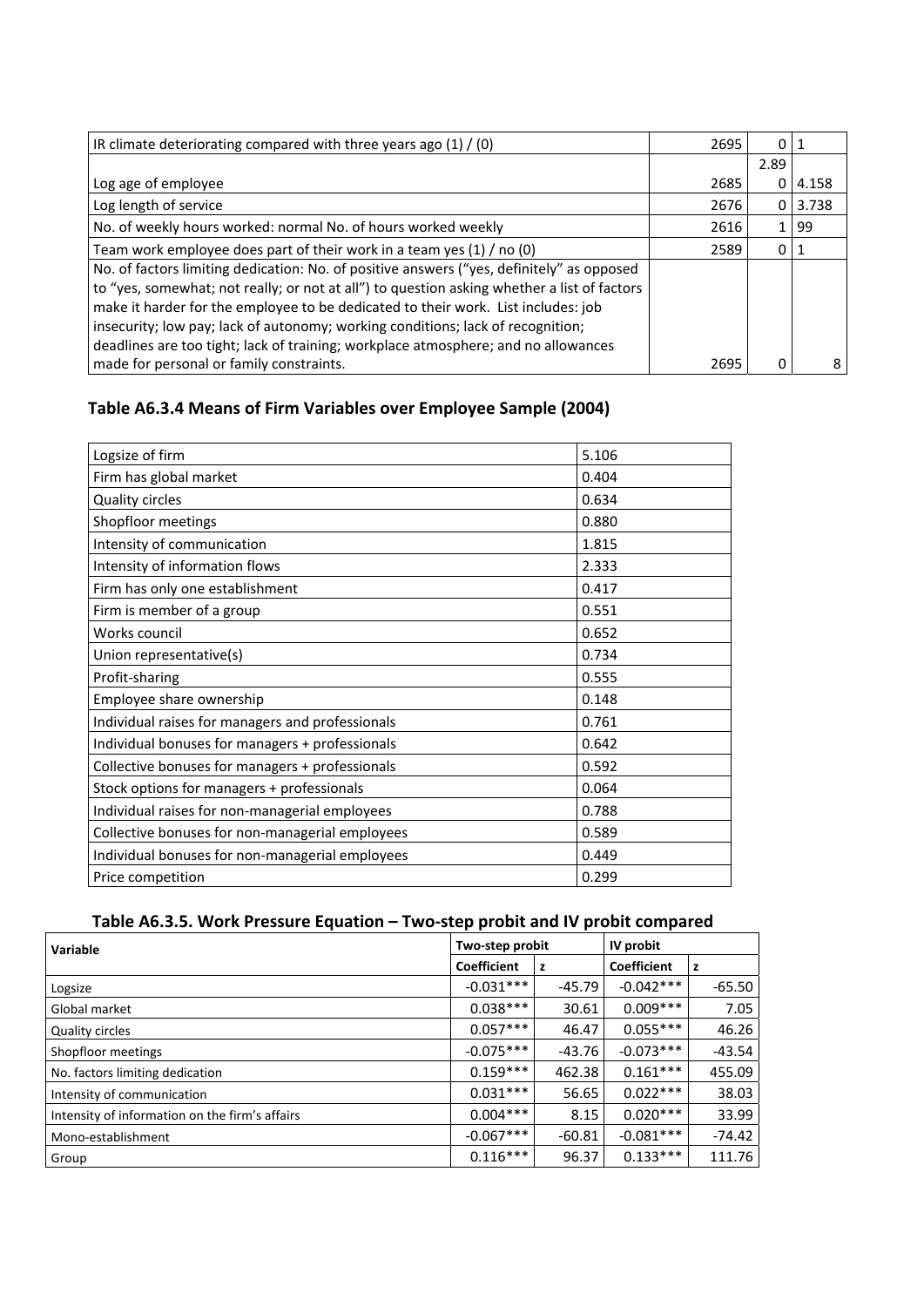| IR climate deteriorating compared with three years ago $(1)$ / $(0)$                        | 2695 | 0    |       |
|---------------------------------------------------------------------------------------------|------|------|-------|
|                                                                                             |      | 2.89 |       |
| Log age of employee                                                                         | 2685 | 0    | 4.158 |
| Log length of service                                                                       | 2676 | 0    | 3.738 |
| No. of weekly hours worked: normal No. of hours worked weekly                               | 2616 |      | 99    |
| Team work employee does part of their work in a team yes $(1)$ / no $(0)$                   | 2589 | 0    |       |
| No. of factors limiting dedication: No. of positive answers ("yes, definitely" as opposed   |      |      |       |
| to "yes, somewhat; not really; or not at all") to question asking whether a list of factors |      |      |       |
| make it harder for the employee to be dedicated to their work. List includes: job           |      |      |       |
| insecurity; low pay; lack of autonomy; working conditions; lack of recognition;             |      |      |       |
| deadlines are too tight; lack of training; workplace atmosphere; and no allowances          |      |      |       |
| made for personal or family constraints.                                                    | 2695 | 0    | 8     |

# **Table A6.3.4 Means of Firm Variables over Employee Sample (2004)**

| Logsize of firm                                  | 5.106 |
|--------------------------------------------------|-------|
| Firm has global market                           | 0.404 |
| <b>Quality circles</b>                           | 0.634 |
| Shopfloor meetings                               | 0.880 |
| Intensity of communication                       | 1.815 |
| Intensity of information flows                   | 2.333 |
| Firm has only one establishment                  | 0.417 |
| Firm is member of a group                        | 0.551 |
| Works council                                    | 0.652 |
| Union representative(s)                          | 0.734 |
| Profit-sharing                                   | 0.555 |
| Employee share ownership                         | 0.148 |
| Individual raises for managers and professionals | 0.761 |
| Individual bonuses for managers + professionals  | 0.642 |
| Collective bonuses for managers + professionals  | 0.592 |
| Stock options for managers + professionals       | 0.064 |
| Individual raises for non-managerial employees   | 0.788 |
| Collective bonuses for non-managerial employees  | 0.589 |
| Individual bonuses for non-managerial employees  | 0.449 |
| Price competition                                | 0.299 |
|                                                  |       |

# **Table A6.3.5. Work Pressure Equation – Two‐step probit and IV probit compared**

| Variable                                       | Two-step probit    |          | IV probit   |          |
|------------------------------------------------|--------------------|----------|-------------|----------|
|                                                | <b>Coefficient</b> | z        | Coefficient | z        |
| Logsize                                        | $-0.031***$        | -45.79   | $-0.042***$ | $-65.50$ |
| Global market                                  | $0.038***$         | 30.61    | $0.009***$  | 7.05     |
| Quality circles                                | $0.057***$         | 46.47    | $0.055***$  | 46.26    |
| Shopfloor meetings                             | $-0.075***$        | $-43.76$ | $-0.073***$ | $-43.54$ |
| No. factors limiting dedication                | $0.159***$         | 462.38   | $0.161***$  | 455.09   |
| Intensity of communication                     | $0.031***$         | 56.65    | $0.022***$  | 38.03    |
| Intensity of information on the firm's affairs | $0.004***$         | 8.15     | $0.020***$  | 33.99    |
| Mono-establishment                             | $-0.067***$        | $-60.81$ | $-0.081***$ | $-74.42$ |
| Group                                          | $0.116***$         | 96.37    | $0.133***$  | 111.76   |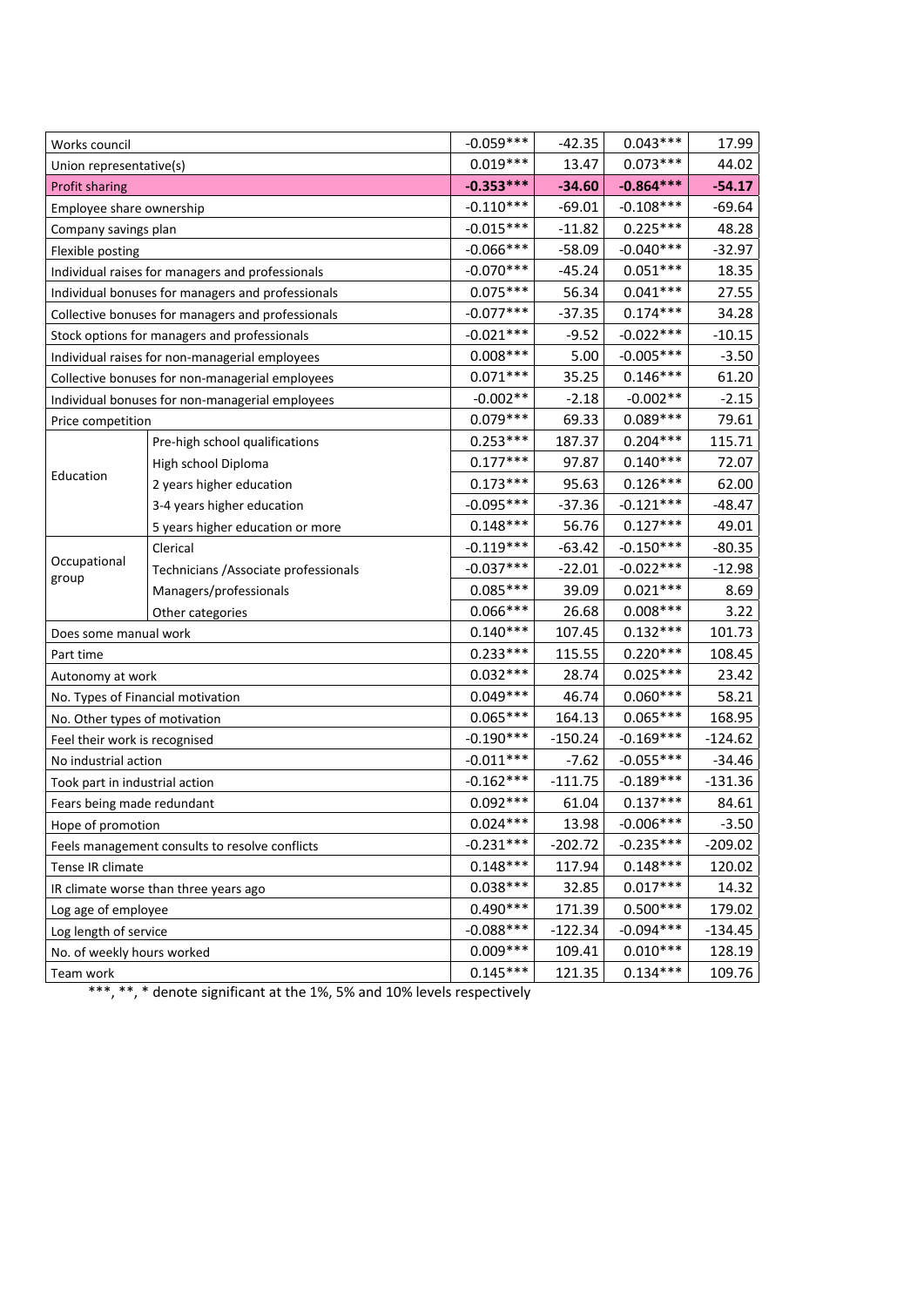| Works council                                     |                                                | $-0.059***$ | $-42.35$  | $0.043***$  | 17.99     |
|---------------------------------------------------|------------------------------------------------|-------------|-----------|-------------|-----------|
| Union representative(s)                           |                                                | $0.019***$  | 13.47     | $0.073***$  | 44.02     |
| Profit sharing                                    |                                                | $-0.353***$ | $-34.60$  | $-0.864***$ | $-54.17$  |
| Employee share ownership                          |                                                | $-0.110***$ | $-69.01$  | $-0.108***$ | $-69.64$  |
| Company savings plan                              |                                                | $-0.015***$ | $-11.82$  | $0.225***$  | 48.28     |
| Flexible posting                                  |                                                | $-0.066***$ | $-58.09$  | $-0.040***$ | $-32.97$  |
| Individual raises for managers and professionals  |                                                | $-0.070***$ | $-45.24$  | $0.051***$  | 18.35     |
| Individual bonuses for managers and professionals |                                                | $0.075***$  | 56.34     | $0.041***$  | 27.55     |
| Collective bonuses for managers and professionals |                                                | $-0.077***$ | $-37.35$  | $0.174***$  | 34.28     |
| Stock options for managers and professionals      |                                                | $-0.021***$ | $-9.52$   | $-0.022***$ | $-10.15$  |
| Individual raises for non-managerial employees    |                                                | $0.008***$  | 5.00      | $-0.005***$ | $-3.50$   |
| Collective bonuses for non-managerial employees   |                                                | $0.071***$  | 35.25     | $0.146***$  | 61.20     |
| Individual bonuses for non-managerial employees   |                                                | $-0.002**$  | $-2.18$   | $-0.002**$  | $-2.15$   |
| Price competition                                 |                                                | $0.079***$  | 69.33     | $0.089***$  | 79.61     |
|                                                   | Pre-high school qualifications                 | $0.253***$  | 187.37    | $0.204***$  | 115.71    |
|                                                   | High school Diploma                            | $0.177***$  | 97.87     | $0.140***$  | 72.07     |
| Education                                         | 2 years higher education                       | $0.173***$  | 95.63     | $0.126***$  | 62.00     |
|                                                   | 3-4 years higher education                     | $-0.095***$ | $-37.36$  | $-0.121***$ | $-48.47$  |
|                                                   | 5 years higher education or more               | $0.148***$  | 56.76     | $0.127***$  | 49.01     |
|                                                   | Clerical                                       | $-0.119***$ | $-63.42$  | $-0.150***$ | $-80.35$  |
| Occupational                                      | Technicians / Associate professionals          | $-0.037***$ | $-22.01$  | $-0.022***$ | $-12.98$  |
| group                                             | Managers/professionals                         | $0.085***$  | 39.09     | $0.021***$  | 8.69      |
|                                                   | Other categories                               | $0.066***$  | 26.68     | $0.008***$  | 3.22      |
| Does some manual work                             |                                                | $0.140***$  | 107.45    | $0.132***$  | 101.73    |
| Part time                                         |                                                | $0.233***$  | 115.55    | $0.220***$  | 108.45    |
| Autonomy at work                                  |                                                | $0.032***$  | 28.74     | $0.025***$  | 23.42     |
| No. Types of Financial motivation                 |                                                | $0.049***$  | 46.74     | $0.060***$  | 58.21     |
| No. Other types of motivation                     |                                                | $0.065***$  | 164.13    | $0.065***$  | 168.95    |
| Feel their work is recognised                     |                                                | $-0.190***$ | $-150.24$ | $-0.169***$ | $-124.62$ |
| No industrial action                              |                                                | $-0.011***$ | $-7.62$   | $-0.055***$ | $-34.46$  |
| Took part in industrial action                    |                                                | $-0.162***$ | $-111.75$ | $-0.189***$ | $-131.36$ |
| Fears being made redundant                        |                                                | $0.092***$  | 61.04     | $0.137***$  | 84.61     |
| Hope of promotion                                 |                                                | $0.024***$  | 13.98     | $-0.006***$ | $-3.50$   |
|                                                   | Feels management consults to resolve conflicts | $-0.231***$ | $-202.72$ | $-0.235***$ | $-209.02$ |
| Tense IR climate                                  |                                                | $0.148***$  | 117.94    | $0.148***$  | 120.02    |
| IR climate worse than three years ago             |                                                | $0.038***$  | 32.85     | $0.017***$  | 14.32     |
| Log age of employee                               |                                                | $0.490***$  | 171.39    | $0.500***$  | 179.02    |
| Log length of service                             |                                                | $-0.088***$ | $-122.34$ | $-0.094***$ | $-134.45$ |
| No. of weekly hours worked                        |                                                | $0.009***$  | 109.41    | $0.010***$  | 128.19    |
| Team work                                         |                                                | $0.145***$  | 121.35    | $0.134***$  | 109.76    |

\*\*\*, \*\*, \* denote significant at the 1%, 5% and 10% levels respectively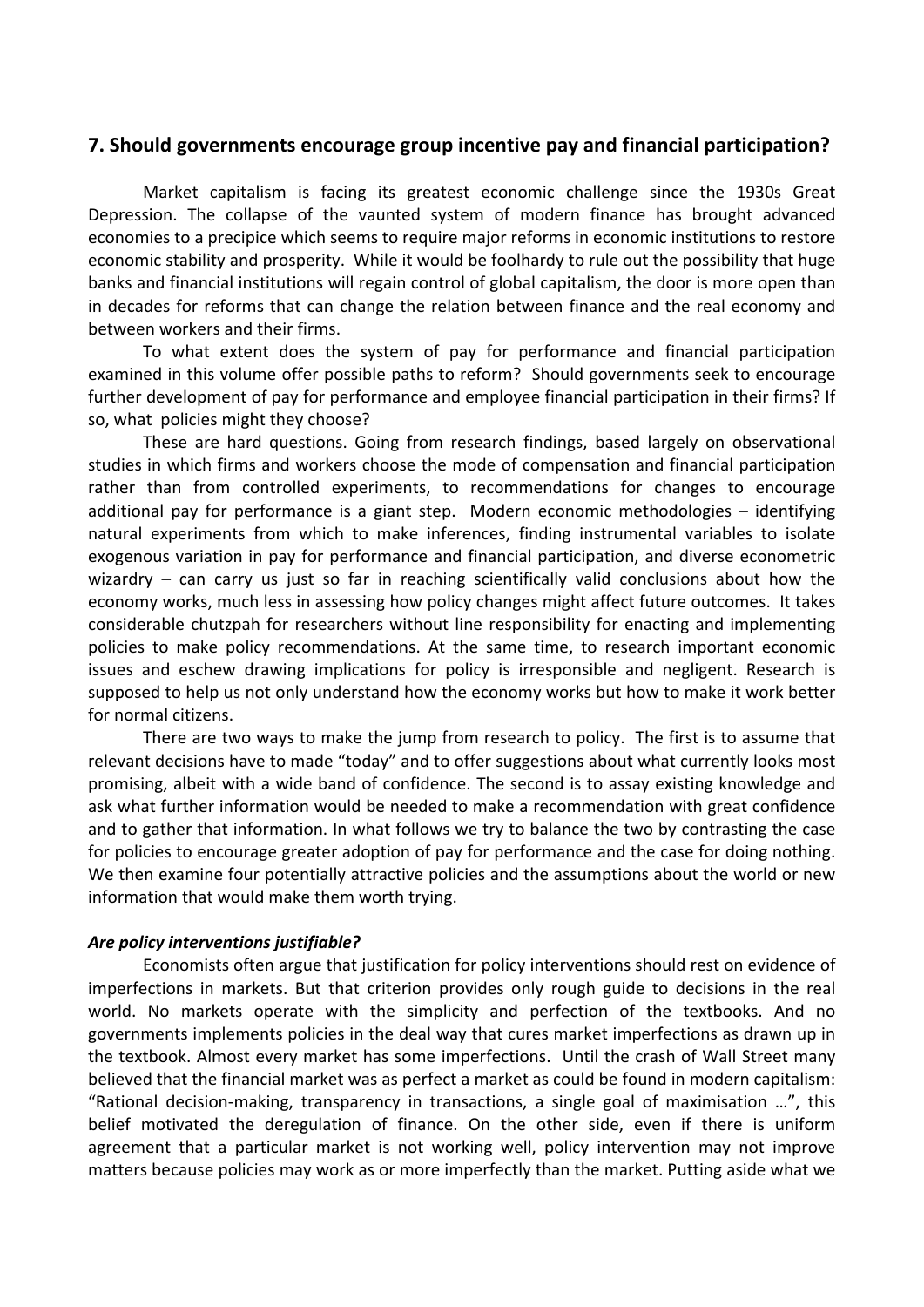## **7. Should governments encourage group incentive pay and financial participation?**

Market capitalism is facing its greatest economic challenge since the 1930s Great Depression. The collapse of the vaunted system of modern finance has brought advanced economies to a precipice which seems to require major reforms in economic institutions to restore economic stability and prosperity. While it would be foolhardy to rule out the possibility that huge banks and financial institutions will regain control of global capitalism, the door is more open than in decades for reforms that can change the relation between finance and the real economy and between workers and their firms.

To what extent does the system of pay for performance and financial participation examined in this volume offer possible paths to reform? Should governments seek to encourage further development of pay for performance and employee financial participation in their firms? If so, what policies might they choose?

These are hard questions. Going from research findings, based largely on observational studies in which firms and workers choose the mode of compensation and financial participation rather than from controlled experiments, to recommendations for changes to encourage additional pay for performance is a giant step. Modern economic methodologies - identifying natural experiments from which to make inferences, finding instrumental variables to isolate exogenous variation in pay for performance and financial participation, and diverse econometric wizardry – can carry us just so far in reaching scientifically valid conclusions about how the economy works, much less in assessing how policy changes might affect future outcomes. It takes considerable chutzpah for researchers without line responsibility for enacting and implementing policies to make policy recommendations. At the same time, to research important economic issues and eschew drawing implications for policy is irresponsible and negligent. Research is supposed to help us not only understand how the economy works but how to make it work better for normal citizens.

There are two ways to make the jump from research to policy. The first is to assume that relevant decisions have to made "today" and to offer suggestions about what currently looks most promising, albeit with a wide band of confidence. The second is to assay existing knowledge and ask what further information would be needed to make a recommendation with great confidence and to gather that information. In what follows we try to balance the two by contrasting the case for policies to encourage greater adoption of pay for performance and the case for doing nothing. We then examine four potentially attractive policies and the assumptions about the world or new information that would make them worth trying.

## *Are policy interventions justifiable?*

Economists often argue that justification for policy interventions should rest on evidence of imperfections in markets. But that criterion provides only rough guide to decisions in the real world. No markets operate with the simplicity and perfection of the textbooks. And no governments implements policies in the deal way that cures market imperfections as drawn up in the textbook. Almost every market has some imperfections. Until the crash of Wall Street many believed that the financial market was as perfect a market as could be found in modern capitalism: "Rational decision‐making, transparency in transactions, a single goal of maximisation …", this belief motivated the deregulation of finance. On the other side, even if there is uniform agreement that a particular market is not working well, policy intervention may not improve matters because policies may work as or more imperfectly than the market. Putting aside what we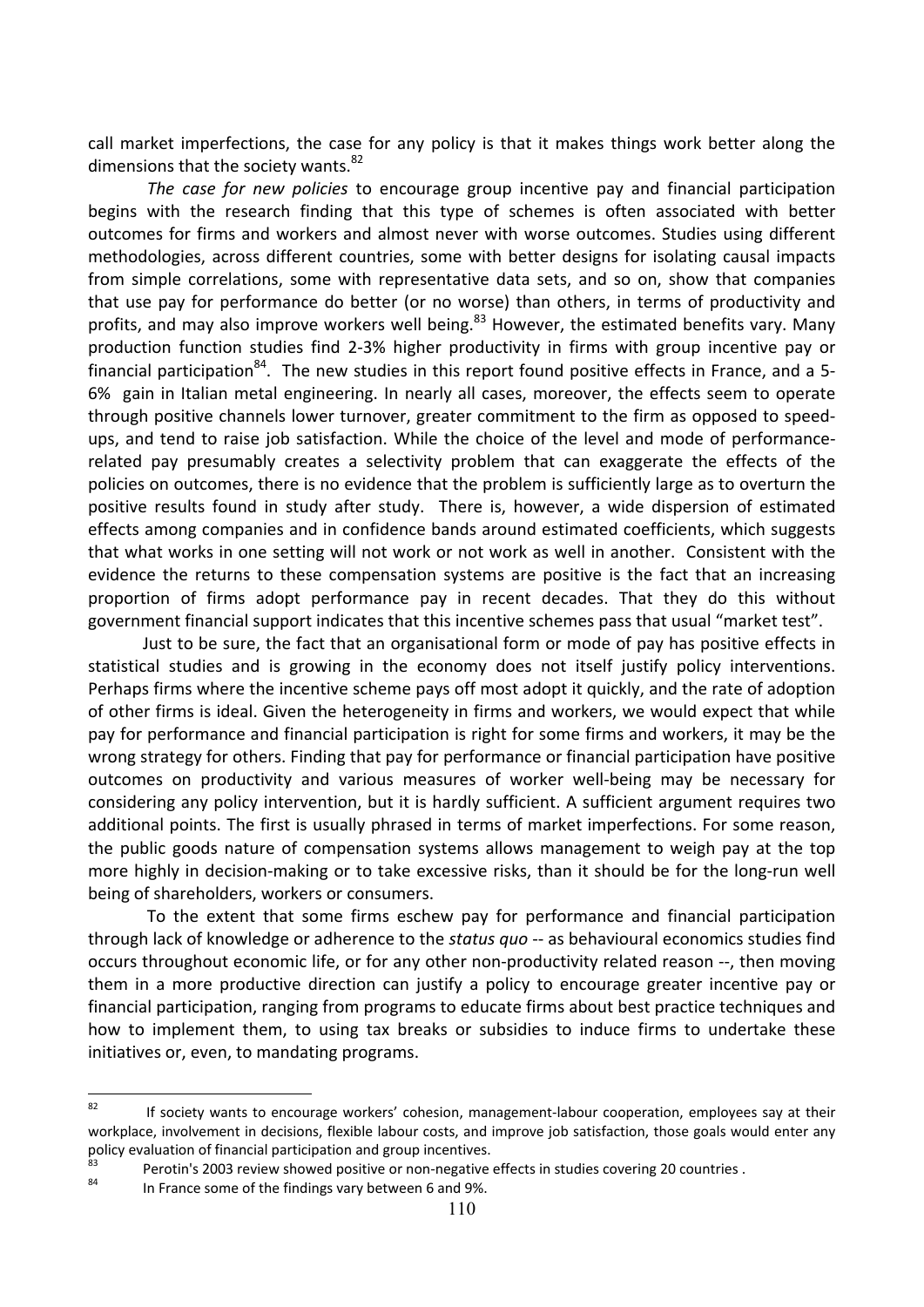call market imperfections, the case for any policy is that it makes things work better along the dimensions that the society wants.<sup>82</sup>

 *The case for new policies* to encourage group incentive pay and financial participation begins with the research finding that this type of schemes is often associated with better outcomes for firms and workers and almost never with worse outcomes. Studies using different methodologies, across different countries, some with better designs for isolating causal impacts from simple correlations, some with representative data sets, and so on, show that companies that use pay for performance do better (or no worse) than others, in terms of productivity and profits, and may also improve workers well being.<sup>83</sup> However, the estimated benefits vary. Many production function studies find 2‐3% higher productivity in firms with group incentive pay or financial participation<sup>84</sup>. The new studies in this report found positive effects in France, and a 5-6% gain in Italian metal engineering. In nearly all cases, moreover, the effects seem to operate through positive channels lower turnover, greater commitment to the firm as opposed to speed‐ ups, and tend to raise job satisfaction. While the choice of the level and mode of performance‐ related pay presumably creates a selectivity problem that can exaggerate the effects of the policies on outcomes, there is no evidence that the problem is sufficiently large as to overturn the positive results found in study after study. There is, however, a wide dispersion of estimated effects among companies and in confidence bands around estimated coefficients, which suggests that what works in one setting will not work or not work as well in another. Consistent with the evidence the returns to these compensation systems are positive is the fact that an increasing proportion of firms adopt performance pay in recent decades. That they do this without government financial support indicates that this incentive schemes pass that usual "market test".

Just to be sure, the fact that an organisational form or mode of pay has positive effects in statistical studies and is growing in the economy does not itself justify policy interventions. Perhaps firms where the incentive scheme pays off most adopt it quickly, and the rate of adoption of other firms is ideal. Given the heterogeneity in firms and workers, we would expect that while pay for performance and financial participation is right for some firms and workers, it may be the wrong strategy for others. Finding that pay for performance or financial participation have positive outcomes on productivity and various measures of worker well‐being may be necessary for considering any policy intervention, but it is hardly sufficient. A sufficient argument requires two additional points. The first is usually phrased in terms of market imperfections. For some reason, the public goods nature of compensation systems allows management to weigh pay at the top more highly in decision-making or to take excessive risks, than it should be for the long-run well being of shareholders, workers or consumers.

 To the extent that some firms eschew pay for performance and financial participation through lack of knowledge or adherence to the *status quo* ‐‐ as behavioural economics studies find occurs throughout economic life, or for any other non‐productivity related reason ‐‐, then moving them in a more productive direction can justify a policy to encourage greater incentive pay or financial participation, ranging from programs to educate firms about best practice techniques and how to implement them, to using tax breaks or subsidies to induce firms to undertake these initiatives or, even, to mandating programs.

<sup>82</sup> If society wants to encourage workers' cohesion, management-labour cooperation, employees say at their workplace, involvement in decisions, flexible labour costs, and improve job satisfaction, those goals would enter any policy evaluation of financial participation and group incentives.

<sup>&</sup>lt;sup>83</sup> Perotin's 2003 review showed positive or non-negative effects in studies covering 20 countries .<br><sup>84</sup> In France some of the findings vary between 6 and 9%.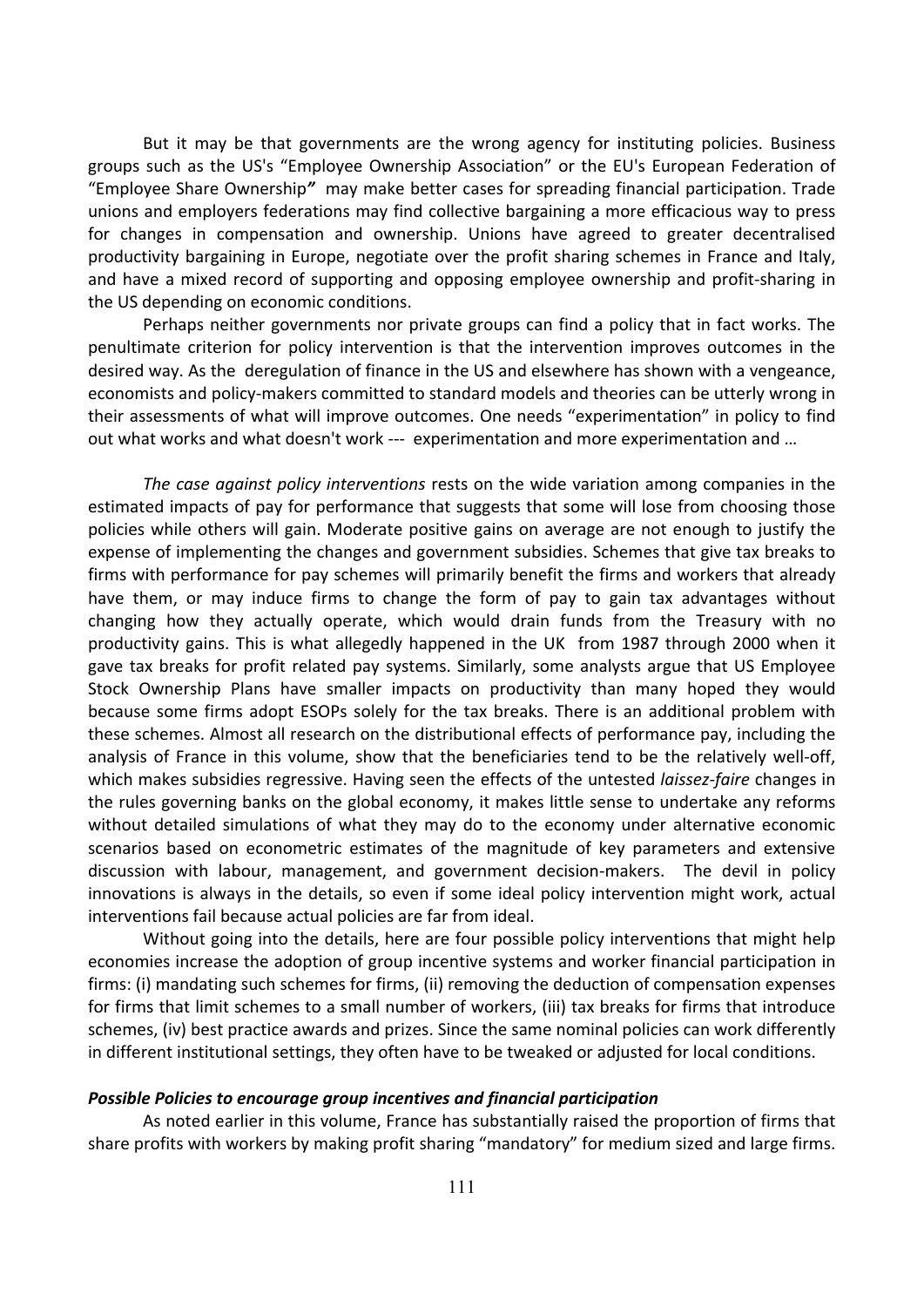But it may be that governments are the wrong agency for instituting policies. Business groups such as the US's "Employee Ownership Association" or the EU's European Federation of "Employee Share Ownership*"* may make better cases for spreading financial participation. Trade unions and employers federations may find collective bargaining a more efficacious way to press for changes in compensation and ownership. Unions have agreed to greater decentralised productivity bargaining in Europe, negotiate over the profit sharing schemes in France and Italy, and have a mixed record of supporting and opposing employee ownership and profit‐sharing in the US depending on economic conditions.

Perhaps neither governments nor private groups can find a policy that in fact works. The penultimate criterion for policy intervention is that the intervention improves outcomes in the desired way. As the deregulation of finance in the US and elsewhere has shown with a vengeance, economists and policy-makers committed to standard models and theories can be utterly wrong in their assessments of what will improve outcomes. One needs "experimentation" in policy to find out what works and what doesn't work --- experimentation and more experimentation and ...

*The case against policy interventions* rests on the wide variation among companies in the estimated impacts of pay for performance that suggests that some will lose from choosing those policies while others will gain. Moderate positive gains on average are not enough to justify the expense of implementing the changes and government subsidies. Schemes that give tax breaks to firms with performance for pay schemes will primarily benefit the firms and workers that already have them, or may induce firms to change the form of pay to gain tax advantages without changing how they actually operate, which would drain funds from the Treasury with no productivity gains. This is what allegedly happened in the UK from 1987 through 2000 when it gave tax breaks for profit related pay systems. Similarly, some analysts argue that US Employee Stock Ownership Plans have smaller impacts on productivity than many hoped they would because some firms adopt ESOPs solely for the tax breaks. There is an additional problem with these schemes. Almost all research on the distributional effects of performance pay, including the analysis of France in this volume, show that the beneficiaries tend to be the relatively well‐off, which makes subsidies regressive. Having seen the effects of the untested *laissez‐faire* changes in the rules governing banks on the global economy, it makes little sense to undertake any reforms without detailed simulations of what they may do to the economy under alternative economic scenarios based on econometric estimates of the magnitude of key parameters and extensive discussion with labour, management, and government decision-makers. The devil in policy innovations is always in the details, so even if some ideal policy intervention might work, actual interventions fail because actual policies are far from ideal.

Without going into the details, here are four possible policy interventions that might help economies increase the adoption of group incentive systems and worker financial participation in firms: (i) mandating such schemes for firms, (ii) removing the deduction of compensation expenses for firms that limit schemes to a small number of workers, (iii) tax breaks for firms that introduce schemes, (iv) best practice awards and prizes. Since the same nominal policies can work differently in different institutional settings, they often have to be tweaked or adjusted for local conditions.

## *Possible Policies to encourage group incentives and financial participation*

As noted earlier in this volume, France has substantially raised the proportion of firms that share profits with workers by making profit sharing "mandatory" for medium sized and large firms.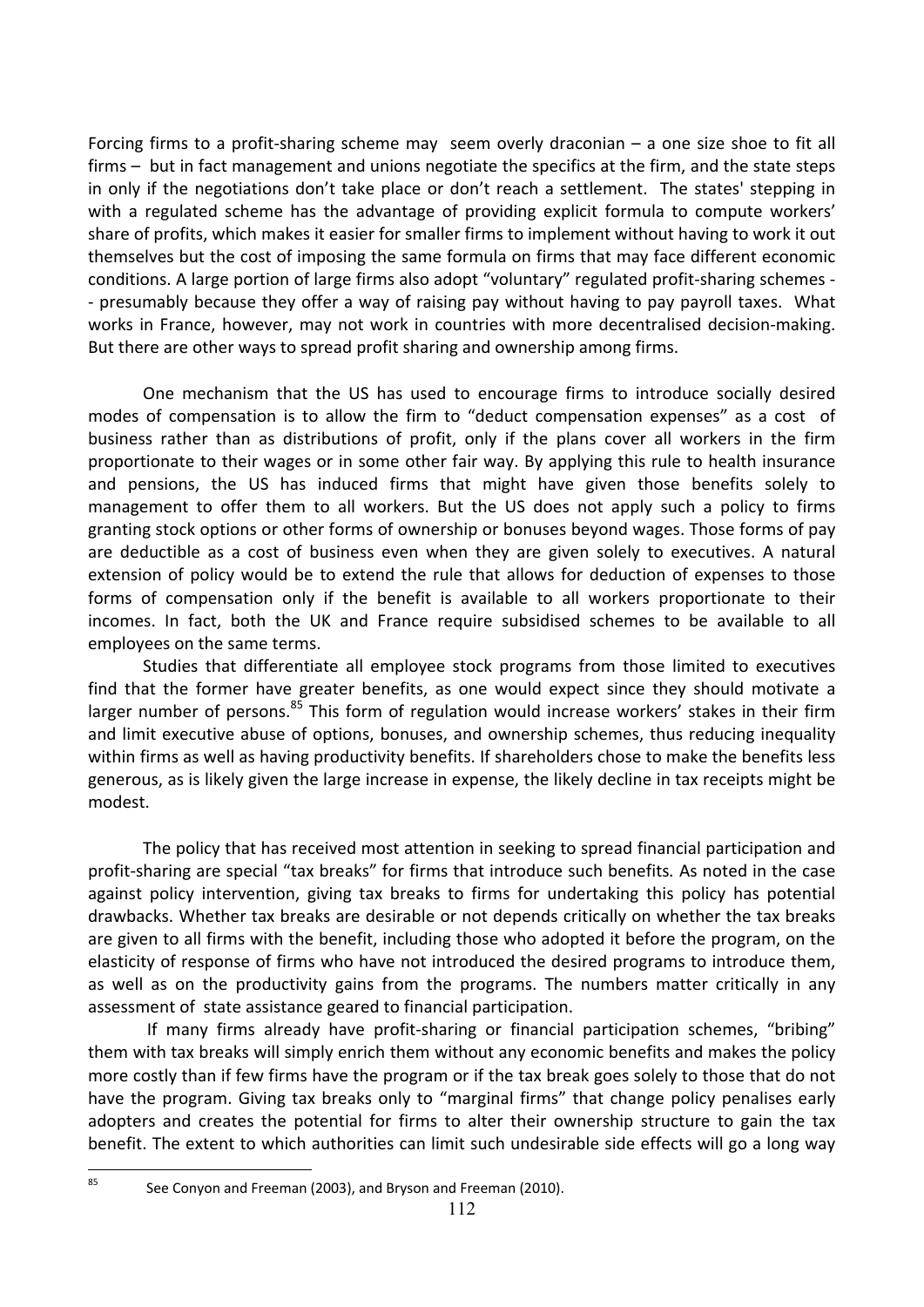Forcing firms to a profit-sharing scheme may seem overly draconian – a one size shoe to fit all firms – but in fact management and unions negotiate the specifics at the firm, and the state steps in only if the negotiations don't take place or don't reach a settlement. The states' stepping in with a regulated scheme has the advantage of providing explicit formula to compute workers' share of profits, which makes it easier for smaller firms to implement without having to work it out themselves but the cost of imposing the same formula on firms that may face different economic conditions. A large portion of large firms also adopt "voluntary" regulated profit‐sharing schemes ‐ ‐ presumably because they offer a way of raising pay without having to pay payroll taxes. What works in France, however, may not work in countries with more decentralised decision-making. But there are other ways to spread profit sharing and ownership among firms.

One mechanism that the US has used to encourage firms to introduce socially desired modes of compensation is to allow the firm to "deduct compensation expenses" as a cost of business rather than as distributions of profit, only if the plans cover all workers in the firm proportionate to their wages or in some other fair way. By applying this rule to health insurance and pensions, the US has induced firms that might have given those benefits solely to management to offer them to all workers. But the US does not apply such a policy to firms granting stock options or other forms of ownership or bonuses beyond wages. Those forms of pay are deductible as a cost of business even when they are given solely to executives. A natural extension of policy would be to extend the rule that allows for deduction of expenses to those forms of compensation only if the benefit is available to all workers proportionate to their incomes. In fact, both the UK and France require subsidised schemes to be available to all employees on the same terms.

Studies that differentiate all employee stock programs from those limited to executives find that the former have greater benefits, as one would expect since they should motivate a larger number of persons.<sup>85</sup> This form of regulation would increase workers' stakes in their firm and limit executive abuse of options, bonuses, and ownership schemes, thus reducing inequality within firms as well as having productivity benefits. If shareholders chose to make the benefits less generous, as is likely given the large increase in expense, the likely decline in tax receipts might be modest.

The policy that has received most attention in seeking to spread financial participation and profit‐sharing are special "tax breaks" for firms that introduce such benefits*.* As noted in the case against policy intervention, giving tax breaks to firms for undertaking this policy has potential drawbacks. Whether tax breaks are desirable or not depends critically on whether the tax breaks are given to all firms with the benefit, including those who adopted it before the program, on the elasticity of response of firms who have not introduced the desired programs to introduce them, as well as on the productivity gains from the programs. The numbers matter critically in any assessment of state assistance geared to financial participation.

 If many firms already have profit‐sharing or financial participation schemes, "bribing" them with tax breaks will simply enrich them without any economic benefits and makes the policy more costly than if few firms have the program or if the tax break goes solely to those that do not have the program. Giving tax breaks only to "marginal firms" that change policy penalises early adopters and creates the potential for firms to alter their ownership structure to gain the tax benefit. The extent to which authorities can limit such undesirable side effects will go a long way

<sup>85</sup> 

See Conyon and Freeman (2003), and Bryson and Freeman (2010).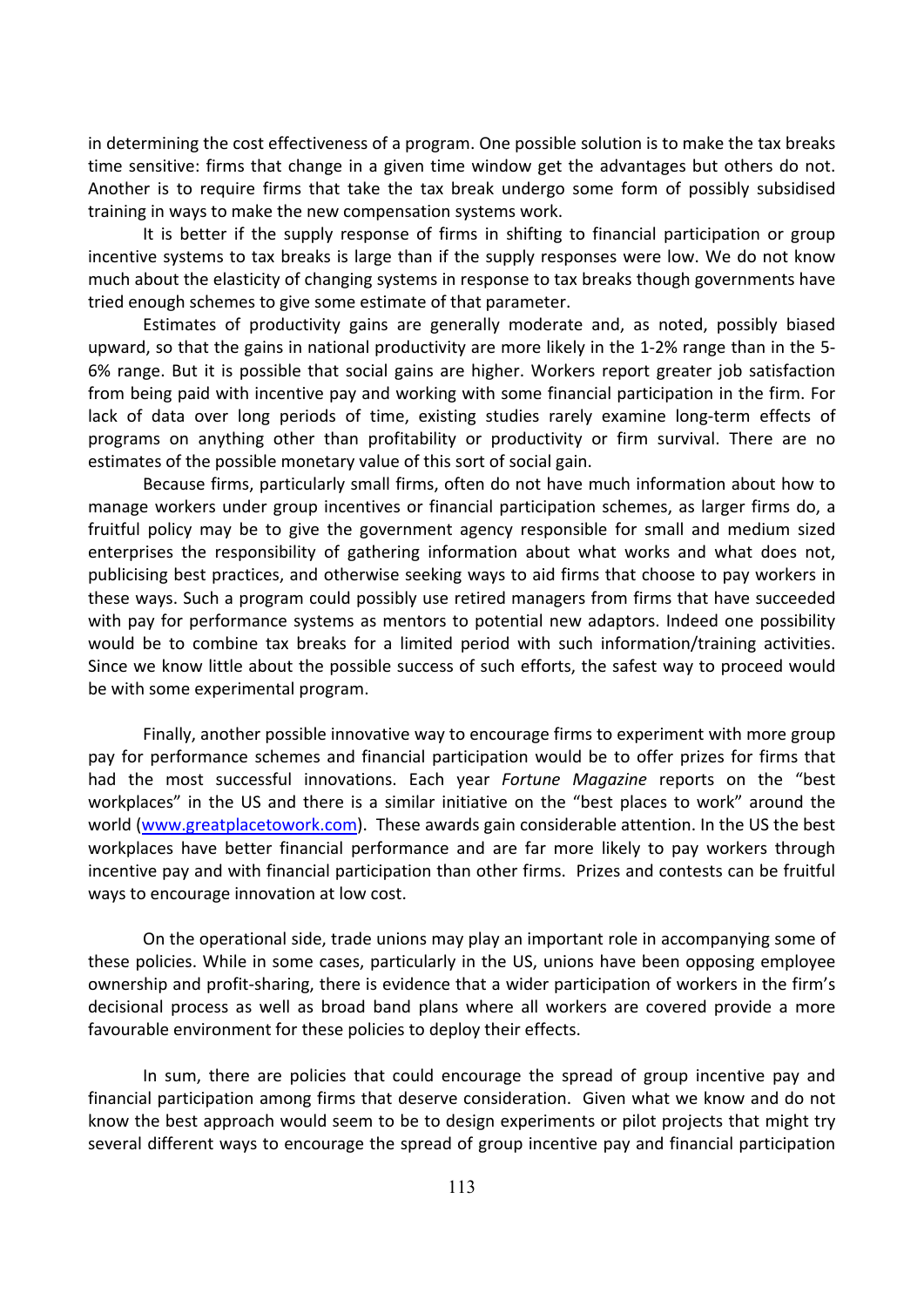in determining the cost effectiveness of a program. One possible solution is to make the tax breaks time sensitive: firms that change in a given time window get the advantages but others do not. Another is to require firms that take the tax break undergo some form of possibly subsidised training in ways to make the new compensation systems work.

It is better if the supply response of firms in shifting to financial participation or group incentive systems to tax breaks is large than if the supply responses were low. We do not know much about the elasticity of changing systems in response to tax breaks though governments have tried enough schemes to give some estimate of that parameter.

Estimates of productivity gains are generally moderate and, as noted, possibly biased upward, so that the gains in national productivity are more likely in the 1‐2% range than in the 5‐ 6% range. But it is possible that social gains are higher. Workers report greater job satisfaction from being paid with incentive pay and working with some financial participation in the firm. For lack of data over long periods of time, existing studies rarely examine long-term effects of programs on anything other than profitability or productivity or firm survival. There are no estimates of the possible monetary value of this sort of social gain.

Because firms, particularly small firms, often do not have much information about how to manage workers under group incentives or financial participation schemes, as larger firms do, a fruitful policy may be to give the government agency responsible for small and medium sized enterprises the responsibility of gathering information about what works and what does not, publicising best practices, and otherwise seeking ways to aid firms that choose to pay workers in these ways. Such a program could possibly use retired managers from firms that have succeeded with pay for performance systems as mentors to potential new adaptors. Indeed one possibility would be to combine tax breaks for a limited period with such information/training activities. Since we know little about the possible success of such efforts, the safest way to proceed would be with some experimental program.

Finally, another possible innovative way to encourage firms to experiment with more group pay for performance schemes and financial participation would be to offer prizes for firms that had the most successful innovations. Each year *Fortune Magazine* reports on the "best workplaces" in the US and there is a similar initiative on the "best places to work" around the world (www.greatplacetowork.com). These awards gain considerable attention. In the US the best workplaces have better financial performance and are far more likely to pay workers through incentive pay and with financial participation than other firms. Prizes and contests can be fruitful ways to encourage innovation at low cost.

On the operational side, trade unions may play an important role in accompanying some of these policies. While in some cases, particularly in the US, unions have been opposing employee ownership and profit‐sharing, there is evidence that a wider participation of workers in the firm's decisional process as well as broad band plans where all workers are covered provide a more favourable environment for these policies to deploy their effects.

In sum, there are policies that could encourage the spread of group incentive pay and financial participation among firms that deserve consideration. Given what we know and do not know the best approach would seem to be to design experiments or pilot projects that might try several different ways to encourage the spread of group incentive pay and financial participation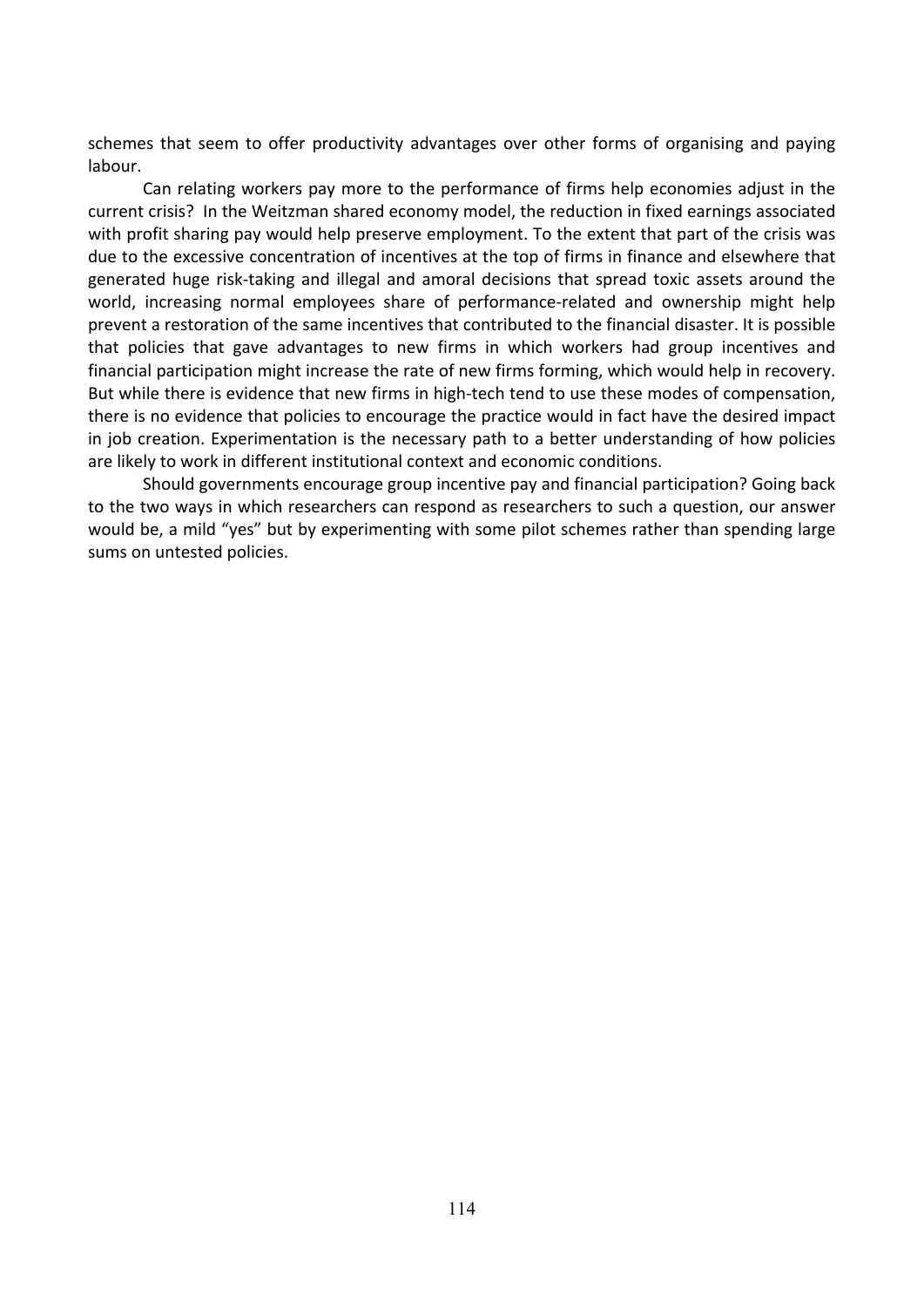schemes that seem to offer productivity advantages over other forms of organising and paying labour.

Can relating workers pay more to the performance of firms help economies adjust in the current crisis? In the Weitzman shared economy model, the reduction in fixed earnings associated with profit sharing pay would help preserve employment. To the extent that part of the crisis was due to the excessive concentration of incentives at the top of firms in finance and elsewhere that generated huge risk‐taking and illegal and amoral decisions that spread toxic assets around the world, increasing normal employees share of performance-related and ownership might help prevent a restoration of the same incentives that contributed to the financial disaster. It is possible that policies that gave advantages to new firms in which workers had group incentives and financial participation might increase the rate of new firms forming, which would help in recovery. But while there is evidence that new firms in high-tech tend to use these modes of compensation, there is no evidence that policies to encourage the practice would in fact have the desired impact in job creation. Experimentation is the necessary path to a better understanding of how policies are likely to work in different institutional context and economic conditions.

 Should governments encourage group incentive pay and financial participation? Going back to the two ways in which researchers can respond as researchers to such a question, our answer would be, a mild "yes" but by experimenting with some pilot schemes rather than spending large sums on untested policies.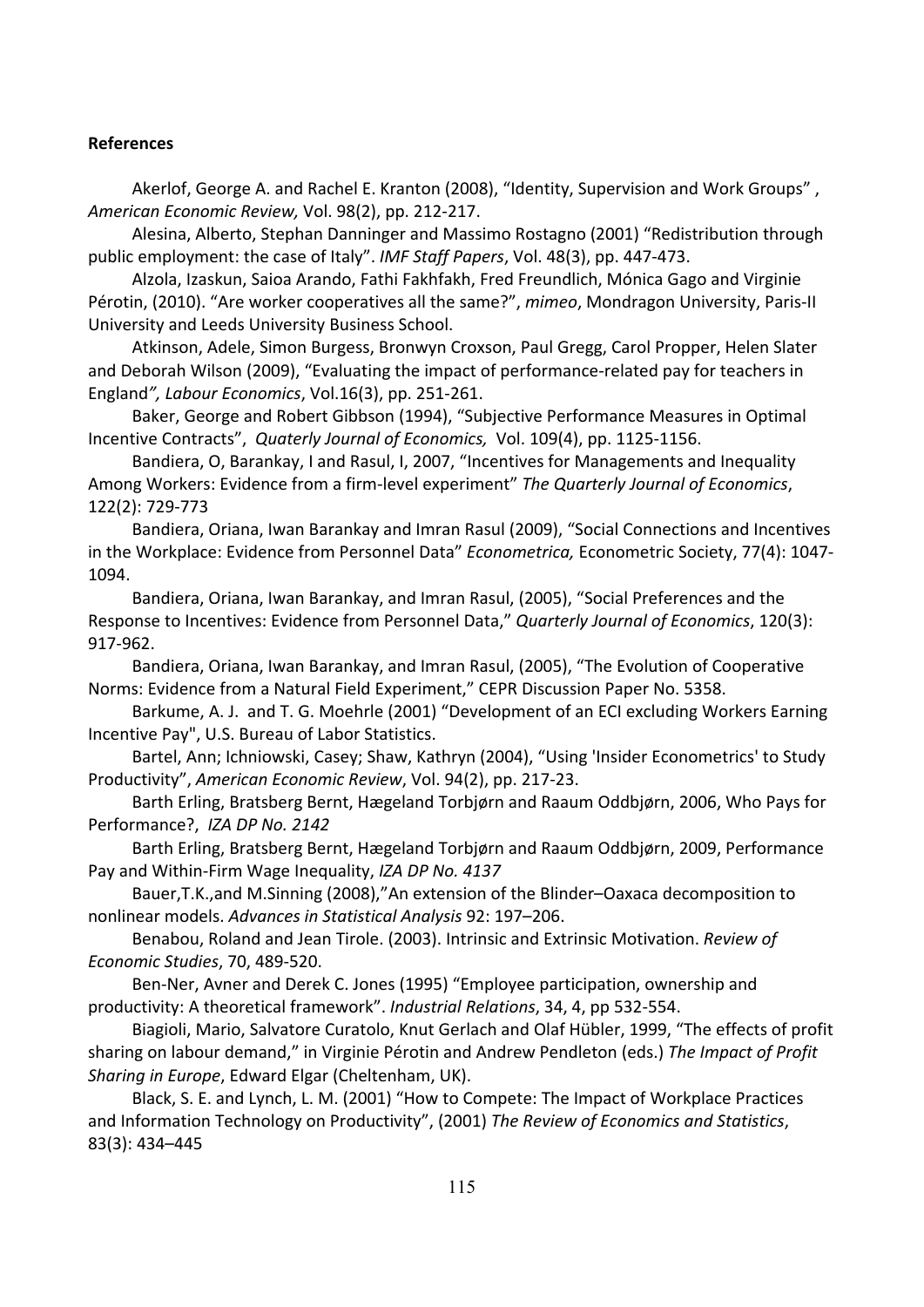## **References**

Akerlof, George A. and Rachel E. Kranton (2008), "Identity, Supervision and Work Groups" , *American Economic Review,* Vol. 98(2), pp. 212‐217.

Alesina, Alberto, Stephan Danninger and Massimo Rostagno (2001) "Redistribution through public employment: the case of Italy". *IMF Staff Papers*, Vol. 48(3), pp. 447‐473.

Alzola, Izaskun, Saioa Arando, Fathi Fakhfakh, Fred Freundlich, Mónica Gago and Virginie Pérotin, (2010). "Are worker cooperatives all the same?", *mimeo*, Mondragon University, Paris‐II University and Leeds University Business School.

Atkinson, Adele, Simon Burgess, Bronwyn Croxson, Paul Gregg, Carol Propper, Helen Slater and Deborah Wilson (2009), "Evaluating the impact of performance-related pay for teachers in England*", Labour Economics*, Vol.16(3), pp. 251‐261.

Baker, George and Robert Gibbson (1994), "Subjective Performance Measures in Optimal Incentive Contracts", *Quaterly Journal of Economics,* Vol. 109(4), pp. 1125‐1156.

Bandiera, O, Barankay, I and Rasul, I, 2007, "Incentives for Managements and Inequality Among Workers: Evidence from a firm‐level experiment" *The Quarterly Journal of Economics*, 122(2): 729‐773

Bandiera, Oriana, Iwan Barankay and Imran Rasul (2009), "Social Connections and Incentives in the Workplace: Evidence from Personnel Data" *Econometrica,* Econometric Society, 77(4): 1047‐ 1094.

Bandiera, Oriana, Iwan Barankay, and Imran Rasul, (2005), "Social Preferences and the Response to Incentives: Evidence from Personnel Data," *Quarterly Journal of Economics*, 120(3): 917‐962.

Bandiera, Oriana, Iwan Barankay, and Imran Rasul, (2005), "The Evolution of Cooperative Norms: Evidence from a Natural Field Experiment," CEPR Discussion Paper No. 5358.

Barkume, A. J. and T. G. Moehrle (2001) "Development of an ECI excluding Workers Earning Incentive Pay", U.S. Bureau of Labor Statistics.

Bartel, Ann; Ichniowski, Casey; Shaw, Kathryn (2004), "Using 'Insider Econometrics' to Study Productivity", *American Economic Review*, Vol. 94(2), pp. 217‐23.

Barth Erling, Bratsberg Bernt, Hægeland Torbjørn and Raaum Oddbjørn, 2006, Who Pays for Performance?, *IZA DP No. 2142*

Barth Erling, Bratsberg Bernt, Hægeland Torbjørn and Raaum Oddbjørn, 2009, Performance Pay and Within‐Firm Wage Inequality, *IZA DP No. 4137*

Bauer,T.K.,and M.Sinning (2008),"An extension of the Blinder–Oaxaca decomposition to nonlinear models. *Advances in Statistical Analysis* 92: 197–206.

Benabou, Roland and Jean Tirole. (2003). Intrinsic and Extrinsic Motivation. *Review of Economic Studies*, 70, 489‐520.

Ben‐Ner, Avner and Derek C. Jones (1995) "Employee participation, ownership and productivity: A theoretical framework". *Industrial Relations*, 34, 4, pp 532‐554.

Biagioli, Mario, Salvatore Curatolo, Knut Gerlach and Olaf Hübler, 1999, "The effects of profit sharing on labour demand," in Virginie Pérotin and Andrew Pendleton (eds.) *The Impact of Profit Sharing in Europe*, Edward Elgar (Cheltenham, UK).

Black, S. E. and Lynch, L. M. (2001) "How to Compete: The Impact of Workplace Practices and Information Technology on Productivity", (2001) *The Review of Economics and Statistics*, 83(3): 434–445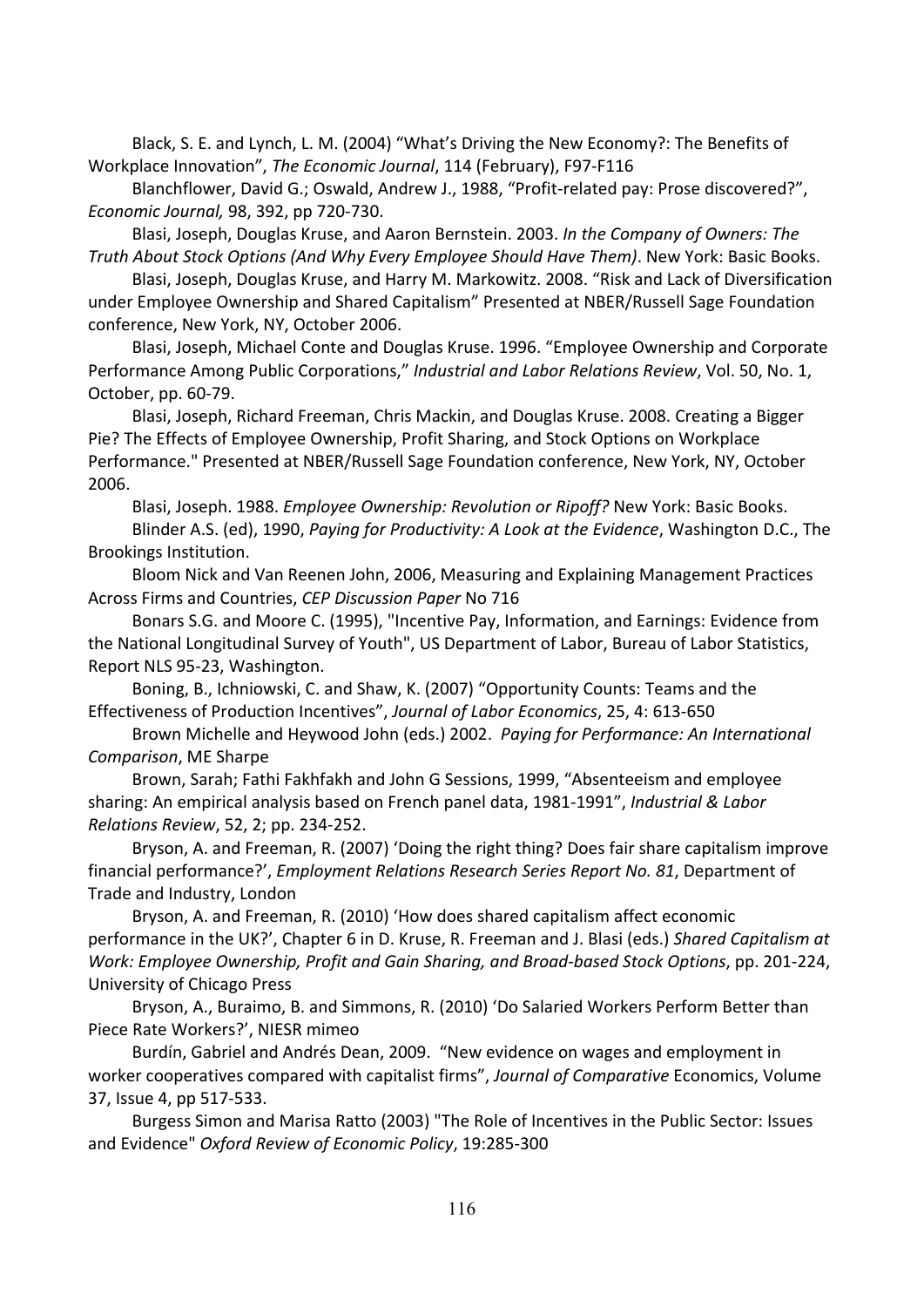Black, S. E. and Lynch, L. M. (2004) "What's Driving the New Economy?: The Benefits of Workplace Innovation", *The Economic Journal*, 114 (February), F97‐F116

Blanchflower, David G.; Oswald, Andrew J., 1988, "Profit‐related pay: Prose discovered?", *Economic Journal,* 98, 392, pp 720‐730.

Blasi, Joseph, Douglas Kruse, and Aaron Bernstein. 2003. *In the Company of Owners: The Truth About Stock Options (And Why Every Employee Should Have Them)*. New York: Basic Books.

Blasi, Joseph, Douglas Kruse, and Harry M. Markowitz. 2008. "Risk and Lack of Diversification under Employee Ownership and Shared Capitalism" Presented at NBER/Russell Sage Foundation conference, New York, NY, October 2006.

Blasi, Joseph, Michael Conte and Douglas Kruse. 1996. "Employee Ownership and Corporate Performance Among Public Corporations," *Industrial and Labor Relations Review*, Vol. 50, No. 1, October, pp. 60‐79.

Blasi, Joseph, Richard Freeman, Chris Mackin, and Douglas Kruse. 2008. Creating a Bigger Pie? The Effects of Employee Ownership, Profit Sharing, and Stock Options on Workplace Performance." Presented at NBER/Russell Sage Foundation conference, New York, NY, October 2006.

Blasi, Joseph. 1988. *Employee Ownership: Revolution or Ripoff?* New York: Basic Books. Blinder A.S. (ed), 1990, *Paying for Productivity: A Look at the Evidence*, Washington D.C., The Brookings Institution.

Bloom Nick and Van Reenen John, 2006, Measuring and Explaining Management Practices Across Firms and Countries, *CEP Discussion Paper* No 716

Bonars S.G. and Moore C. (1995), "Incentive Pay, Information, and Earnings: Evidence from the National Longitudinal Survey of Youth", US Department of Labor, Bureau of Labor Statistics, Report NLS 95‐23, Washington.

Boning, B., Ichniowski, C. and Shaw, K. (2007) "Opportunity Counts: Teams and the Effectiveness of Production Incentives", *Journal of Labor Economics*, 25, 4: 613‐650

Brown Michelle and Heywood John (eds.) 2002. *Paying for Performance: An International Comparison*, ME Sharpe

Brown, Sarah; Fathi Fakhfakh and John G Sessions, 1999, "Absenteeism and employee sharing: An empirical analysis based on French panel data, 1981‐1991", *Industrial & Labor Relations Review*, 52, 2; pp. 234‐252.

Bryson, A. and Freeman, R. (2007) 'Doing the right thing? Does fair share capitalism improve financial performance?', *Employment Relations Research Series Report No. 81*, Department of Trade and Industry, London

Bryson, A. and Freeman, R. (2010) 'How does shared capitalism affect economic performance in the UK?', Chapter 6 in D. Kruse, R. Freeman and J. Blasi (eds.) *Shared Capitalism at Work: Employee Ownership, Profit and Gain Sharing, and Broad‐based Stock Options*, pp. 201‐224, University of Chicago Press

Bryson, A., Buraimo, B. and Simmons, R. (2010) 'Do Salaried Workers Perform Better than Piece Rate Workers?', NIESR mimeo

Burdín, Gabriel and Andrés Dean, 2009. "New evidence on wages and employment in worker cooperatives compared with capitalist firms", *Journal of Comparative* Economics, Volume 37, Issue 4, pp 517‐533.

Burgess Simon and Marisa Ratto (2003) "The Role of Incentives in the Public Sector: Issues and Evidence" *Oxford Review of Economic Policy*, 19:285‐300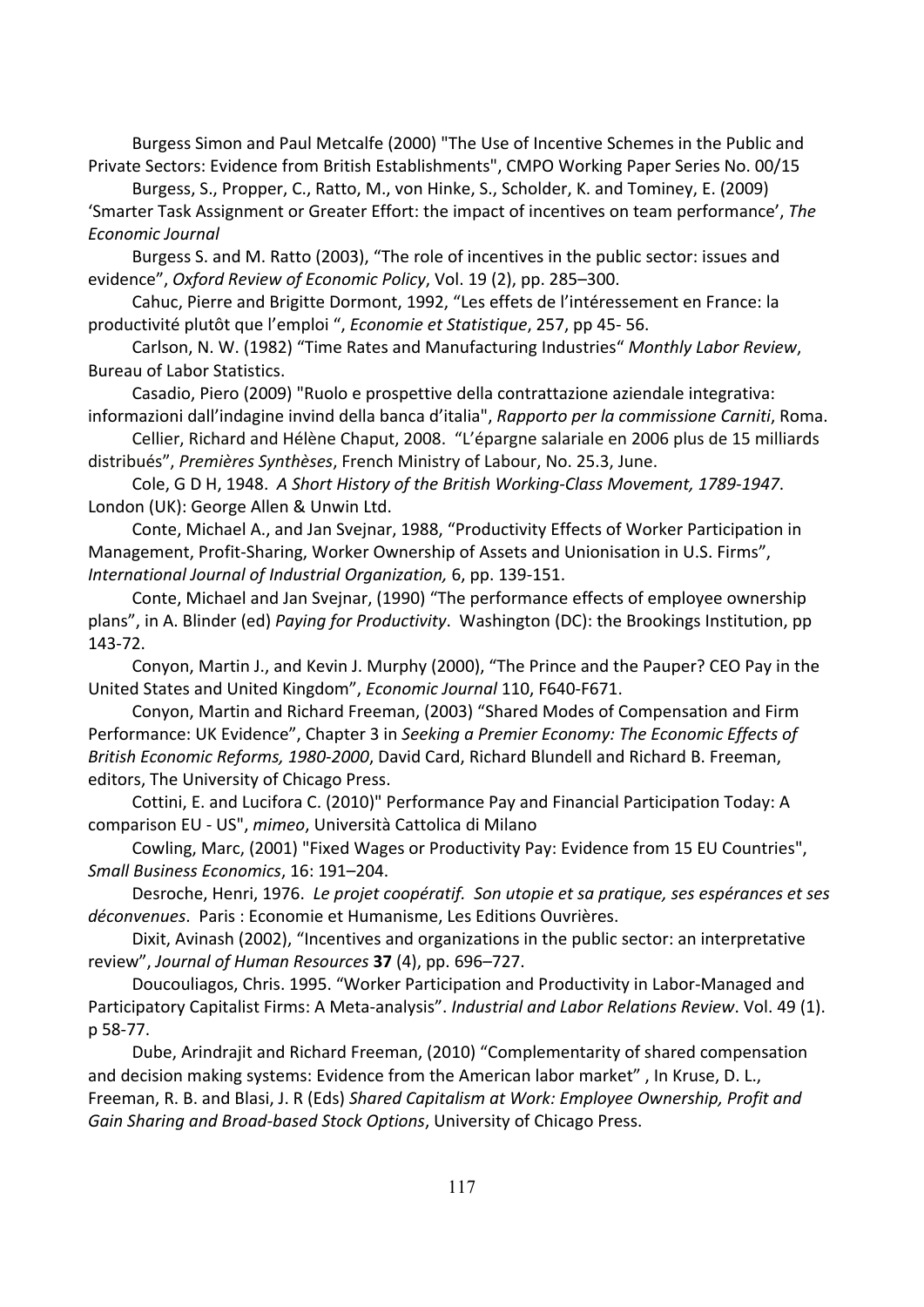Burgess Simon and Paul Metcalfe (2000) "The Use of Incentive Schemes in the Public and Private Sectors: Evidence from British Establishments", CMPO Working Paper Series No. 00/15

Burgess, S., Propper, C., Ratto, M., von Hinke, S., Scholder, K. and Tominey, E. (2009) 'Smarter Task Assignment or Greater Effort: the impact of incentives on team performance', *The Economic Journal*

Burgess S. and M. Ratto (2003), "The role of incentives in the public sector: issues and evidence", *Oxford Review of Economic Policy*, Vol. 19 (2), pp. 285–300.

Cahuc, Pierre and Brigitte Dormont, 1992, "Les effets de l'intéressement en France: la productivité plutôt que l'emploi ", *Economie et Statistique*, 257, pp 45‐ 56.

Carlson, N. W. (1982) "Time Rates and Manufacturing Industries" *Monthly Labor Review*, Bureau of Labor Statistics.

Casadio, Piero (2009) "Ruolo e prospettive della contrattazione aziendale integrativa: informazioni dall'indagine invind della banca d'italia", *Rapporto per la commissione Carniti*, Roma.

Cellier, Richard and Hélène Chaput, 2008. "L'épargne salariale en 2006 plus de 15 milliards distribués", *Premières Synthèses*, French Ministry of Labour, No. 25.3, June.

Cole, G D H, 1948. *A Short History of the British Working‐Class Movement, 1789‐1947*. London (UK): George Allen & Unwin Ltd.

Conte, Michael A., and Jan Svejnar, 1988, "Productivity Effects of Worker Participation in Management, Profit‐Sharing, Worker Ownership of Assets and Unionisation in U.S. Firms", *International Journal of Industrial Organization,* 6, pp. 139‐151.

Conte, Michael and Jan Svejnar, (1990) "The performance effects of employee ownership plans", in A. Blinder (ed) *Paying for Productivity*. Washington (DC): the Brookings Institution, pp 143‐72.

Conyon, Martin J., and Kevin J. Murphy (2000), "The Prince and the Pauper? CEO Pay in the United States and United Kingdom", *Economic Journal* 110, F640‐F671.

Conyon, Martin and Richard Freeman, (2003) "Shared Modes of Compensation and Firm Performance: UK Evidence", Chapter 3 in *Seeking a Premier Economy: The Economic Effects of British Economic Reforms, 1980‐2000*, David Card, Richard Blundell and Richard B. Freeman, editors, The University of Chicago Press.

Cottini, E. and Lucifora C. (2010)" Performance Pay and Financial Participation Today: A comparison EU ‐ US", *mimeo*, Università Cattolica di Milano

Cowling, Marc, (2001) "Fixed Wages or Productivity Pay: Evidence from 15 EU Countries", *Small Business Economics*, 16: 191–204.

Desroche, Henri, 1976. *Le projet coopératif. Son utopie et sa pratique, ses espérances et ses déconvenues*. Paris : Economie et Humanisme, Les Editions Ouvrières.

Dixit, Avinash (2002), "Incentives and organizations in the public sector: an interpretative review", *Journal of Human Resources* **37** (4), pp. 696–727.

Doucouliagos, Chris. 1995. "Worker Participation and Productivity in Labor‐Managed and Participatory Capitalist Firms: A Meta‐analysis". *Industrial and Labor Relations Review*. Vol. 49 (1). p 58‐77.

Dube, Arindrajit and Richard Freeman, (2010) "Complementarity of shared compensation and decision making systems: Evidence from the American labor market" , In Kruse, D. L., Freeman, R. B. and Blasi, J. R (Eds) *Shared Capitalism at Work: Employee Ownership, Profit and Gain Sharing and Broad‐based Stock Options*, University of Chicago Press.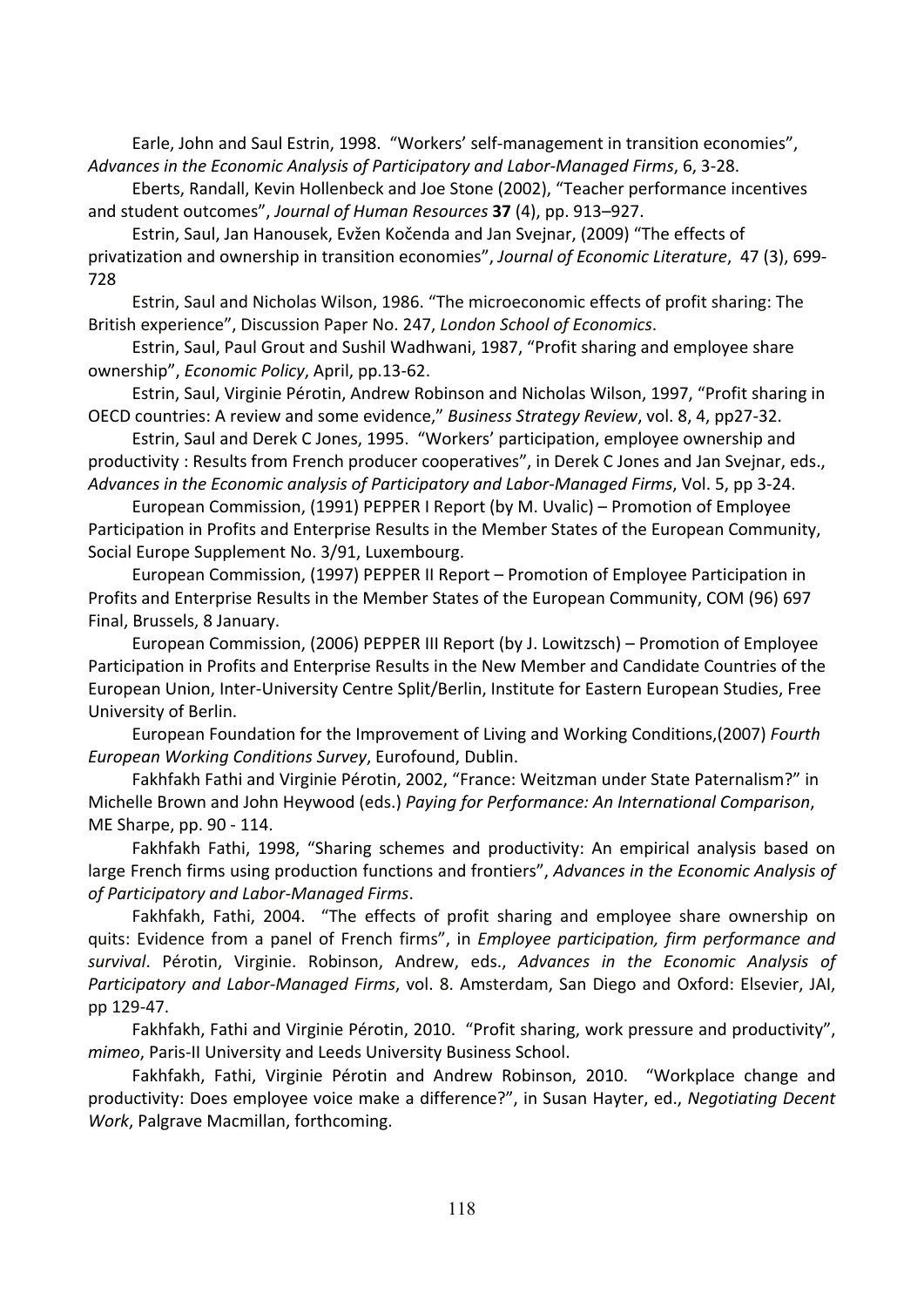Earle, John and Saul Estrin, 1998. "Workers' self‐management in transition economies", *Advances in the Economic Analysis of Participatory and Labor‐Managed Firms*, 6, 3‐28.

Eberts, Randall, Kevin Hollenbeck and Joe Stone (2002), "Teacher performance incentives and student outcomes", *Journal of Human Resources* **37** (4), pp. 913–927.

Estrin, Saul, Jan Hanousek, Evžen Kočenda and Jan Svejnar, (2009) "The effects of privatization and ownership in transition economies", *Journal of Economic Literature*, 47 (3), 699‐ 728

Estrin, Saul and Nicholas Wilson, 1986. "The microeconomic effects of profit sharing: The British experience", Discussion Paper No. 247, *London School of Economics*.

Estrin, Saul, Paul Grout and Sushil Wadhwani, 1987, "Profit sharing and employee share ownership", *Economic Policy*, April, pp.13‐62.

Estrin, Saul, Virginie Pérotin, Andrew Robinson and Nicholas Wilson, 1997, "Profit sharing in OECD countries: A review and some evidence," *Business Strategy Review*, vol. 8, 4, pp27‐32.

Estrin, Saul and Derek C Jones, 1995. "Workers' participation, employee ownership and productivity : Results from French producer cooperatives", in Derek C Jones and Jan Svejnar, eds., *Advances in the Economic analysis of Participatory and Labor‐Managed Firms*, Vol. 5, pp 3‐24.

European Commission, (1991) PEPPER I Report (by M. Uvalic) – Promotion of Employee Participation in Profits and Enterprise Results in the Member States of the European Community, Social Europe Supplement No. 3/91, Luxembourg.

European Commission, (1997) PEPPER II Report – Promotion of Employee Participation in Profits and Enterprise Results in the Member States of the European Community, COM (96) 697 Final, Brussels, 8 January.

European Commission, (2006) PEPPER III Report (by J. Lowitzsch) – Promotion of Employee Participation in Profits and Enterprise Results in the New Member and Candidate Countries of the European Union, Inter‐University Centre Split/Berlin, Institute for Eastern European Studies, Free University of Berlin.

European Foundation for the Improvement of Living and Working Conditions,(2007) *Fourth European Working Conditions Survey*, Eurofound, Dublin.

Fakhfakh Fathi and Virginie Pérotin, 2002, "France: Weitzman under State Paternalism?" in Michelle Brown and John Heywood (eds.) *Paying for Performance: An International Comparison*, ME Sharpe, pp. 90 ‐ 114.

Fakhfakh Fathi, 1998, "Sharing schemes and productivity: An empirical analysis based on large French firms using production functions and frontiers", *Advances in the Economic Analysis of of Participatory and Labor‐Managed Firms*.

Fakhfakh, Fathi, 2004. "The effects of profit sharing and employee share ownership on quits: Evidence from a panel of French firms", in *Employee participation, firm performance and survival*. Pérotin, Virginie. Robinson, Andrew, eds., *Advances in the Economic Analysis of Participatory and Labor‐Managed Firms*, vol. 8. Amsterdam, San Diego and Oxford: Elsevier, JAI, pp 129‐47.

Fakhfakh, Fathi and Virginie Pérotin, 2010. "Profit sharing, work pressure and productivity", *mimeo*, Paris‐II University and Leeds University Business School.

Fakhfakh, Fathi, Virginie Pérotin and Andrew Robinson, 2010. "Workplace change and productivity: Does employee voice make a difference?", in Susan Hayter, ed., *Negotiating Decent Work*, Palgrave Macmillan, forthcoming.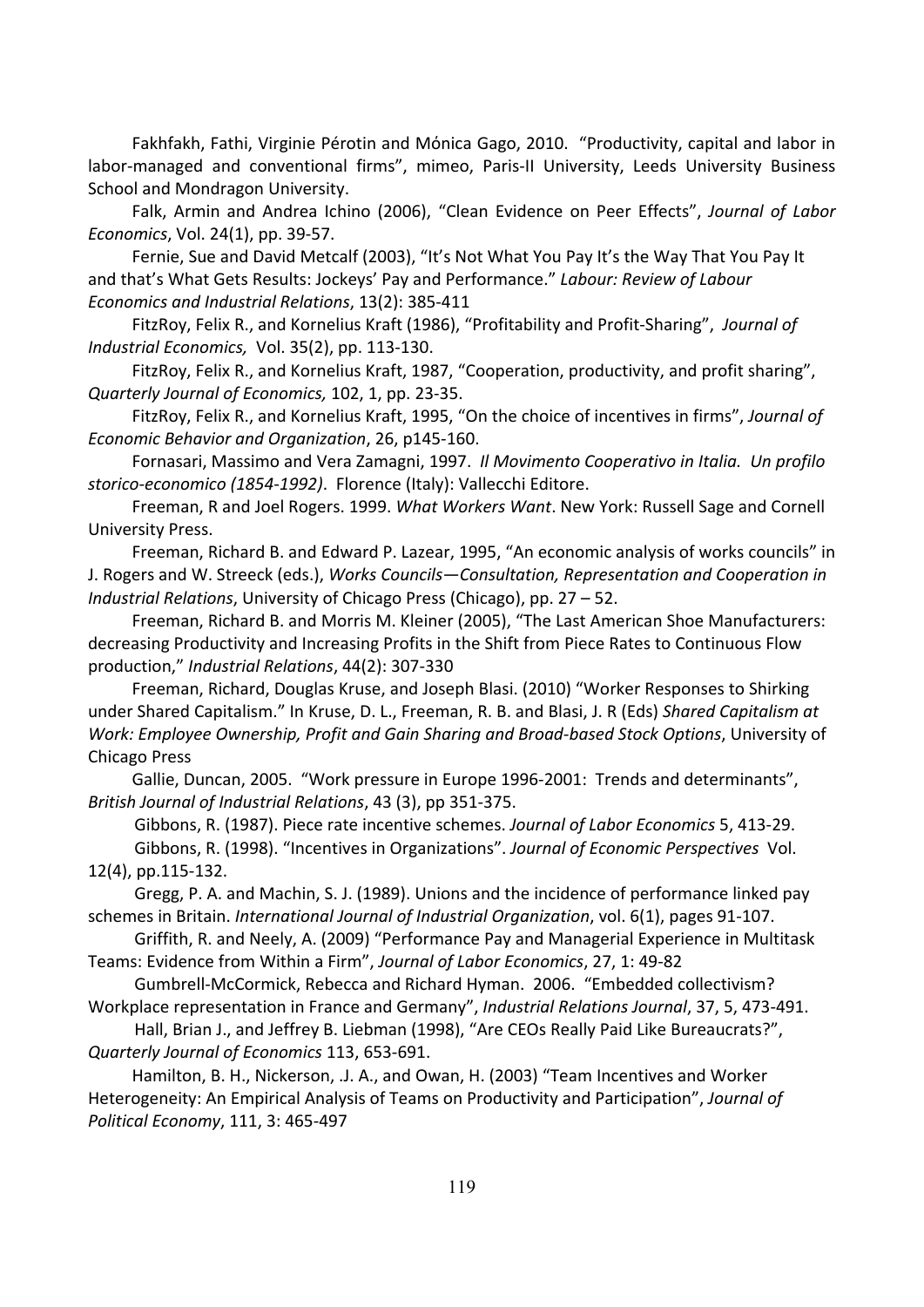Fakhfakh, Fathi, Virginie Pérotin and Mόnica Gago, 2010. "Productivity, capital and labor in labor-managed and conventional firms", mimeo, Paris-II University, Leeds University Business School and Mondragon University.

Falk, Armin and Andrea Ichino (2006), "Clean Evidence on Peer Effects", *Journal of Labor Economics*, Vol. 24(1), pp. 39‐57.

Fernie, Sue and David Metcalf (2003), "It's Not What You Pay It's the Way That You Pay It and that's What Gets Results: Jockeys' Pay and Performance." *Labour: Review of Labour Economics and Industrial Relations*, 13(2): 385‐411

FitzRoy, Felix R., and Kornelius Kraft (1986), "Profitability and Profit‐Sharing", *Journal of Industrial Economics,* Vol. 35(2), pp. 113‐130.

FitzRoy, Felix R., and Kornelius Kraft, 1987, "Cooperation, productivity, and profit sharing", *Quarterly Journal of Economics,* 102, 1, pp. 23‐35.

FitzRoy, Felix R., and Kornelius Kraft, 1995, "On the choice of incentives in firms", *Journal of Economic Behavior and Organization*, 26, p145‐160.

Fornasari, Massimo and Vera Zamagni, 1997. *Il Movimento Cooperativo in Italia. Un profilo storico‐economico (1854‐1992)*. Florence (Italy): Vallecchi Editore.

Freeman, R and Joel Rogers. 1999. *What Workers Want*. New York: Russell Sage and Cornell University Press.

Freeman, Richard B. and Edward P. Lazear, 1995, "An economic analysis of works councils" in J. Rogers and W. Streeck (eds.), *Works Councils—Consultation, Representation and Cooperation in Industrial Relations*, University of Chicago Press (Chicago), pp. 27 – 52.

Freeman, Richard B. and Morris M. Kleiner (2005), "The Last American Shoe Manufacturers: decreasing Productivity and Increasing Profits in the Shift from Piece Rates to Continuous Flow production," *Industrial Relations*, 44(2): 307‐330

Freeman, Richard, Douglas Kruse, and Joseph Blasi. (2010) "Worker Responses to Shirking under Shared Capitalism." In Kruse, D. L., Freeman, R. B. and Blasi, J. R (Eds) *Shared Capitalism at Work: Employee Ownership, Profit and Gain Sharing and Broad‐based Stock Options*, University of Chicago Press

Gallie, Duncan, 2005. "Work pressure in Europe 1996‐2001: Trends and determinants", *British Journal of Industrial Relations*, 43 (3), pp 351‐375.

Gibbons, R. (1987). Piece rate incentive schemes. *Journal of Labor Economics* 5, 413‐29. Gibbons, R. (1998). "Incentives in Organizations". *Journal of Economic Perspectives* Vol. 12(4), pp.115‐132.

Gregg, P. A. and Machin, S. J. (1989). Unions and the incidence of performance linked pay schemes in Britain. *International Journal of Industrial Organization*, vol. 6(1), pages 91‐107.

Griffith, R. and Neely, A. (2009) "Performance Pay and Managerial Experience in Multitask Teams: Evidence from Within a Firm", *Journal of Labor Economics*, 27, 1: 49‐82

Gumbrell‐McCormick, Rebecca and Richard Hyman. 2006. "Embedded collectivism? Workplace representation in France and Germany", *Industrial Relations Journal*, 37, 5, 473‐491.

Hall, Brian J., and Jeffrey B. Liebman (1998), "Are CEOs Really Paid Like Bureaucrats?", *Quarterly Journal of Economics* 113, 653‐691.

Hamilton, B. H., Nickerson, .J. A., and Owan, H. (2003) "Team Incentives and Worker Heterogeneity: An Empirical Analysis of Teams on Productivity and Participation", *Journal of Political Economy*, 111, 3: 465‐497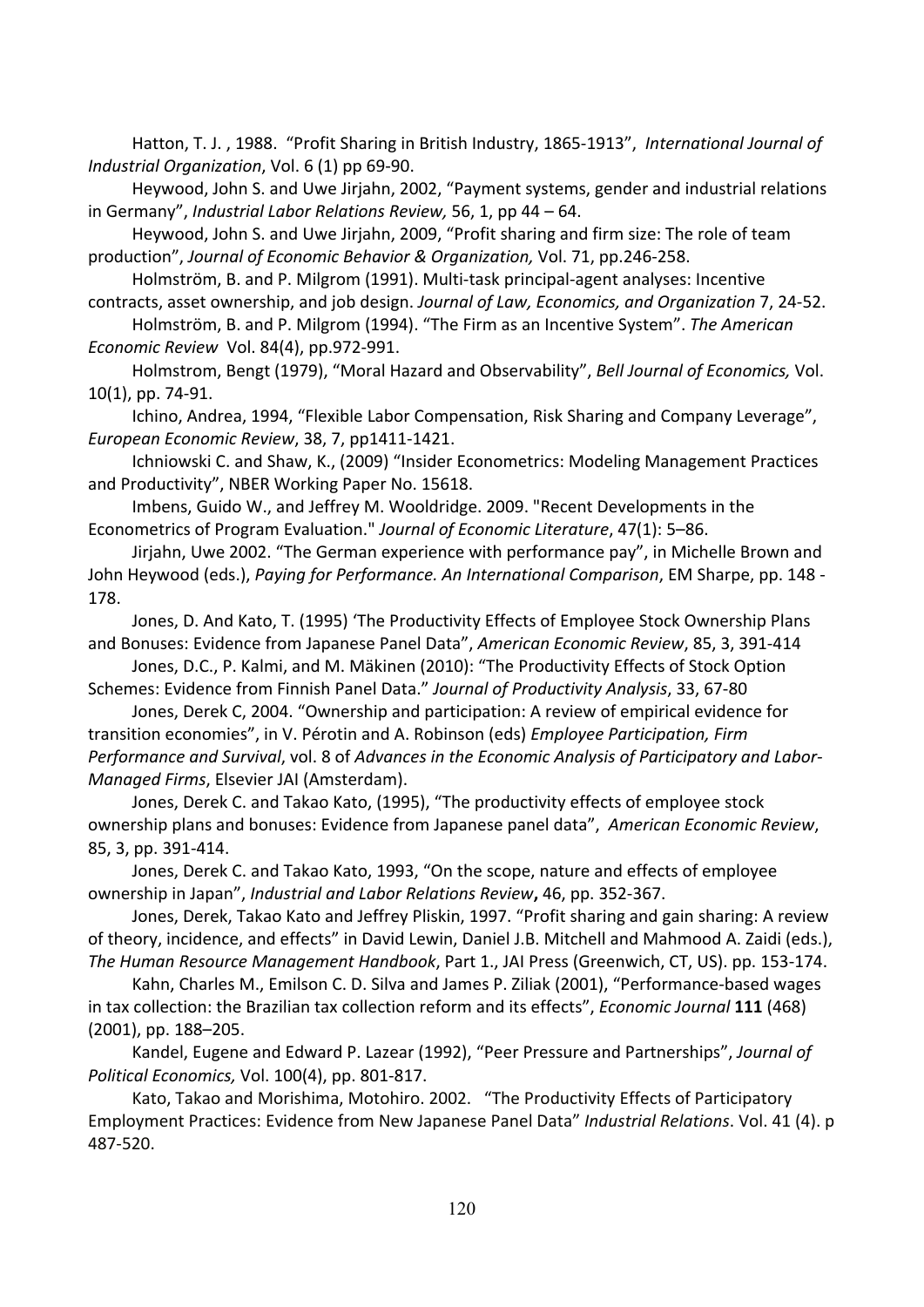Hatton, T. J. , 1988. "Profit Sharing in British Industry, 1865‐1913", *International Journal of Industrial Organization*, Vol. 6 (1) pp 69‐90.

Heywood, John S. and Uwe Jirjahn, 2002, "Payment systems, gender and industrial relations in Germany", *Industrial Labor Relations Review,* 56, 1, pp 44 – 64.

Heywood, John S. and Uwe Jirjahn, 2009, "Profit sharing and firm size: The role of team production", *Journal of Economic Behavior & Organization,* Vol. 71, pp.246‐258.

Holmström, B. and P. Milgrom (1991). Multi‐task principal‐agent analyses: Incentive

contracts, asset ownership, and job design. *Journal of Law, Economics, and Organization* 7, 24‐52. Holmström, B. and P. Milgrom (1994). "The Firm as an Incentive System". *The American*

*Economic Review* Vol. 84(4), pp.972‐991.

Holmstrom, Bengt (1979), "Moral Hazard and Observability", *Bell Journal of Economics,* Vol. 10(1), pp. 74‐91.

Ichino, Andrea, 1994, "Flexible Labor Compensation, Risk Sharing and Company Leverage", *European Economic Review*, 38, 7, pp1411‐1421.

Ichniowski C. and Shaw, K., (2009) "Insider Econometrics: Modeling Management Practices and Productivity", NBER Working Paper No. 15618.

Imbens, Guido W., and Jeffrey M. Wooldridge. 2009. "Recent Developments in the Econometrics of Program Evaluation." *Journal of Economic Literature*, 47(1): 5–86.

Jirjahn, Uwe 2002. "The German experience with performance pay", in Michelle Brown and John Heywood (eds.), *Paying for Performance. An International Comparison*, EM Sharpe, pp. 148 ‐ 178.

Jones, D. And Kato, T. (1995) 'The Productivity Effects of Employee Stock Ownership Plans and Bonuses: Evidence from Japanese Panel Data", *American Economic Review*, 85, 3, 391‐414

Jones, D.C., P. Kalmi, and M. Mäkinen (2010): "The Productivity Effects of Stock Option Schemes: Evidence from Finnish Panel Data." *Journal of Productivity Analysis*, 33, 67‐80

Jones, Derek C, 2004. "Ownership and participation: A review of empirical evidence for transition economies", in V. Pérotin and A. Robinson (eds) *Employee Participation, Firm Performance and Survival*, vol. 8 of *Advances in the Economic Analysis of Participatory and Labor‐ Managed Firms*, Elsevier JAI (Amsterdam).

Jones, Derek C. and Takao Kato, (1995), "The productivity effects of employee stock ownership plans and bonuses: Evidence from Japanese panel data", *American Economic Review*, 85, 3, pp. 391‐414.

Jones, Derek C. and Takao Kato, 1993, "On the scope, nature and effects of employee ownership in Japan", *Industrial and Labor Relations Review***,** 46, pp. 352‐367.

Jones, Derek, Takao Kato and Jeffrey Pliskin, 1997. "Profit sharing and gain sharing: A review of theory, incidence, and effects" in David Lewin, Daniel J.B. Mitchell and Mahmood A. Zaidi (eds.), *The Human Resource Management Handbook*, Part 1., JAI Press (Greenwich, CT, US). pp. 153‐174.

Kahn, Charles M., Emilson C. D. Silva and James P. Ziliak (2001), "Performance‐based wages in tax collection: the Brazilian tax collection reform and its effects", *Economic Journal* **111** (468) (2001), pp. 188–205.

Kandel, Eugene and Edward P. Lazear (1992), "Peer Pressure and Partnerships", *Journal of Political Economics,* Vol. 100(4), pp. 801‐817.

Kato, Takao and Morishima, Motohiro. 2002. "The Productivity Effects of Participatory Employment Practices: Evidence from New Japanese Panel Data" *Industrial Relations*. Vol. 41 (4). p 487‐520.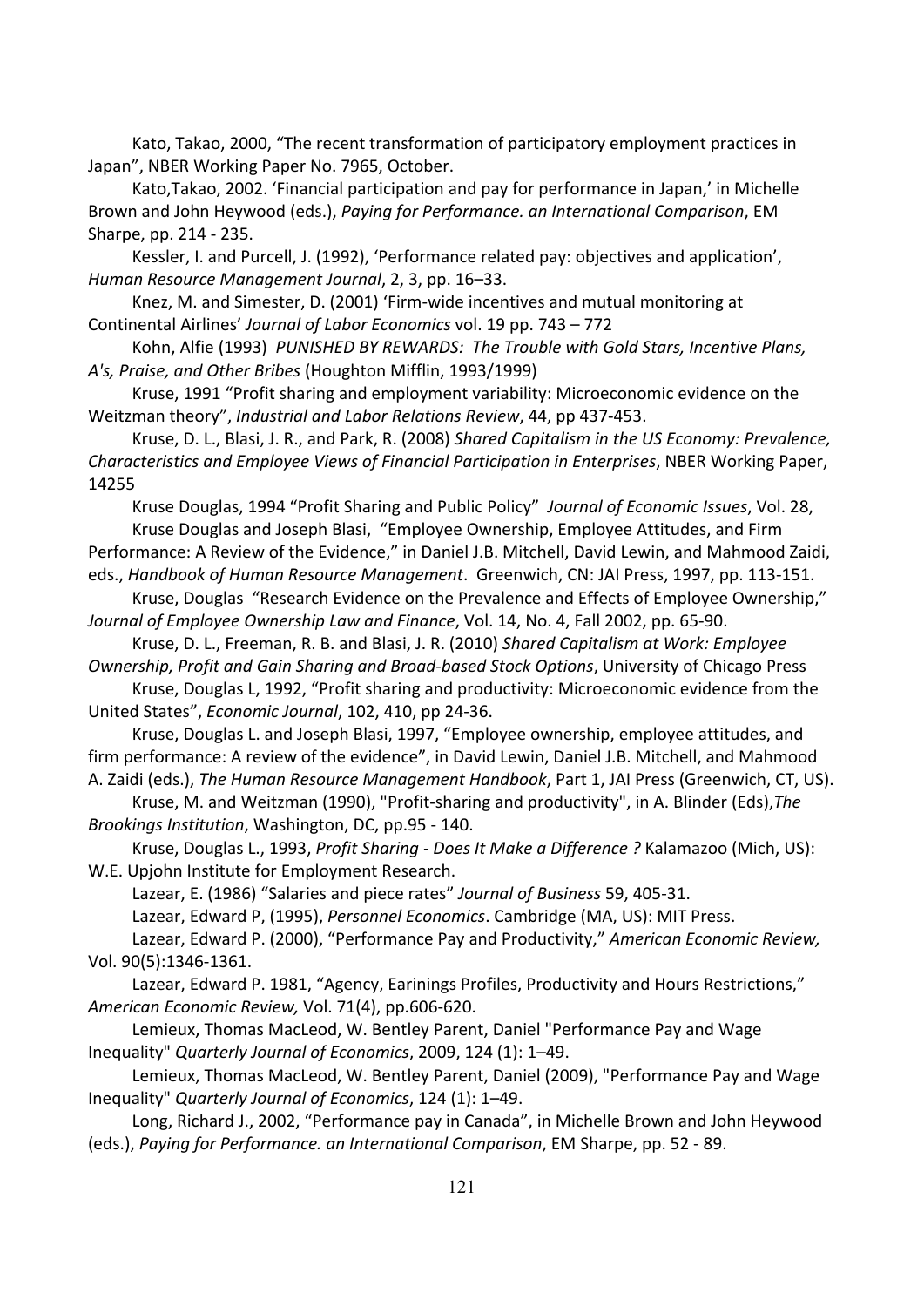Kato, Takao, 2000, "The recent transformation of participatory employment practices in Japan", NBER Working Paper No. 7965, October.

Kato,Takao, 2002. 'Financial participation and pay for performance in Japan,' in Michelle Brown and John Heywood (eds.), *Paying for Performance. an International Comparison*, EM Sharpe, pp. 214 ‐ 235.

Kessler, I. and Purcell, J. (1992), 'Performance related pay: objectives and application', *Human Resource Management Journal*, 2, 3, pp. 16–33.

Knez, M. and Simester, D. (2001) 'Firm‐wide incentives and mutual monitoring at Continental Airlines' *Journal of Labor Economics* vol. 19 pp. 743 – 772

Kohn, Alfie (1993) *PUNISHED BY REWARDS: The Trouble with Gold Stars, Incentive Plans, A's, Praise, and Other Bribes* (Houghton Mifflin, 1993/1999)

Kruse, 1991 "Profit sharing and employment variability: Microeconomic evidence on the Weitzman theory", *Industrial and Labor Relations Review*, 44, pp 437‐453.

Kruse, D. L., Blasi, J. R., and Park, R. (2008) *Shared Capitalism in the US Economy: Prevalence, Characteristics and Employee Views of Financial Participation in Enterprises*, NBER Working Paper, 14255

Kruse Douglas, 1994 "Profit Sharing and Public Policy" *Journal of Economic Issues*, Vol. 28, Kruse Douglas and Joseph Blasi, "Employee Ownership, Employee Attitudes, and Firm

Performance: A Review of the Evidence," in Daniel J.B. Mitchell, David Lewin, and Mahmood Zaidi, eds., *Handbook of Human Resource Management*. Greenwich, CN: JAI Press, 1997, pp. 113‐151.

Kruse, Douglas "Research Evidence on the Prevalence and Effects of Employee Ownership," *Journal of Employee Ownership Law and Finance*, Vol. 14, No. 4, Fall 2002, pp. 65‐90.

Kruse, D. L., Freeman, R. B. and Blasi, J. R. (2010) *Shared Capitalism at Work: Employee Ownership, Profit and Gain Sharing and Broad‐based Stock Options*, University of Chicago Press

Kruse, Douglas L, 1992, "Profit sharing and productivity: Microeconomic evidence from the United States", *Economic Journal*, 102, 410, pp 24‐36.

Kruse, Douglas L. and Joseph Blasi, 1997, "Employee ownership, employee attitudes, and firm performance: A review of the evidence", in David Lewin, Daniel J.B. Mitchell, and Mahmood A. Zaidi (eds.), *The Human Resource Management Handbook*, Part 1, JAI Press (Greenwich, CT, US).

Kruse, M. and Weitzman (1990), "Profit‐sharing and productivity", in A. Blinder (Eds),*The Brookings Institution*, Washington, DC, pp.95 ‐ 140.

Kruse, Douglas L., 1993, *Profit Sharing ‐ Does It Make a Difference ?* Kalamazoo (Mich, US): W.E. Upjohn Institute for Employment Research.

Lazear, E. (1986) "Salaries and piece rates" *Journal of Business* 59, 405‐31.

Lazear, Edward P, (1995), *Personnel Economics*. Cambridge (MA, US): MIT Press.

Lazear, Edward P. (2000), "Performance Pay and Productivity," *American Economic Review,* Vol. 90(5):1346‐1361.

Lazear, Edward P. 1981, "Agency, Earinings Profiles, Productivity and Hours Restrictions," *American Economic Review,* Vol. 71(4), pp.606‐620.

Lemieux, Thomas MacLeod, W. Bentley Parent, Daniel "Performance Pay and Wage Inequality" *Quarterly Journal of Economics*, 2009, 124 (1): 1–49.

Lemieux, Thomas MacLeod, W. Bentley Parent, Daniel (2009), "Performance Pay and Wage Inequality" *Quarterly Journal of Economics*, 124 (1): 1–49.

Long, Richard J., 2002, "Performance pay in Canada", in Michelle Brown and John Heywood (eds.), *Paying for Performance. an International Comparison*, EM Sharpe, pp. 52 ‐ 89.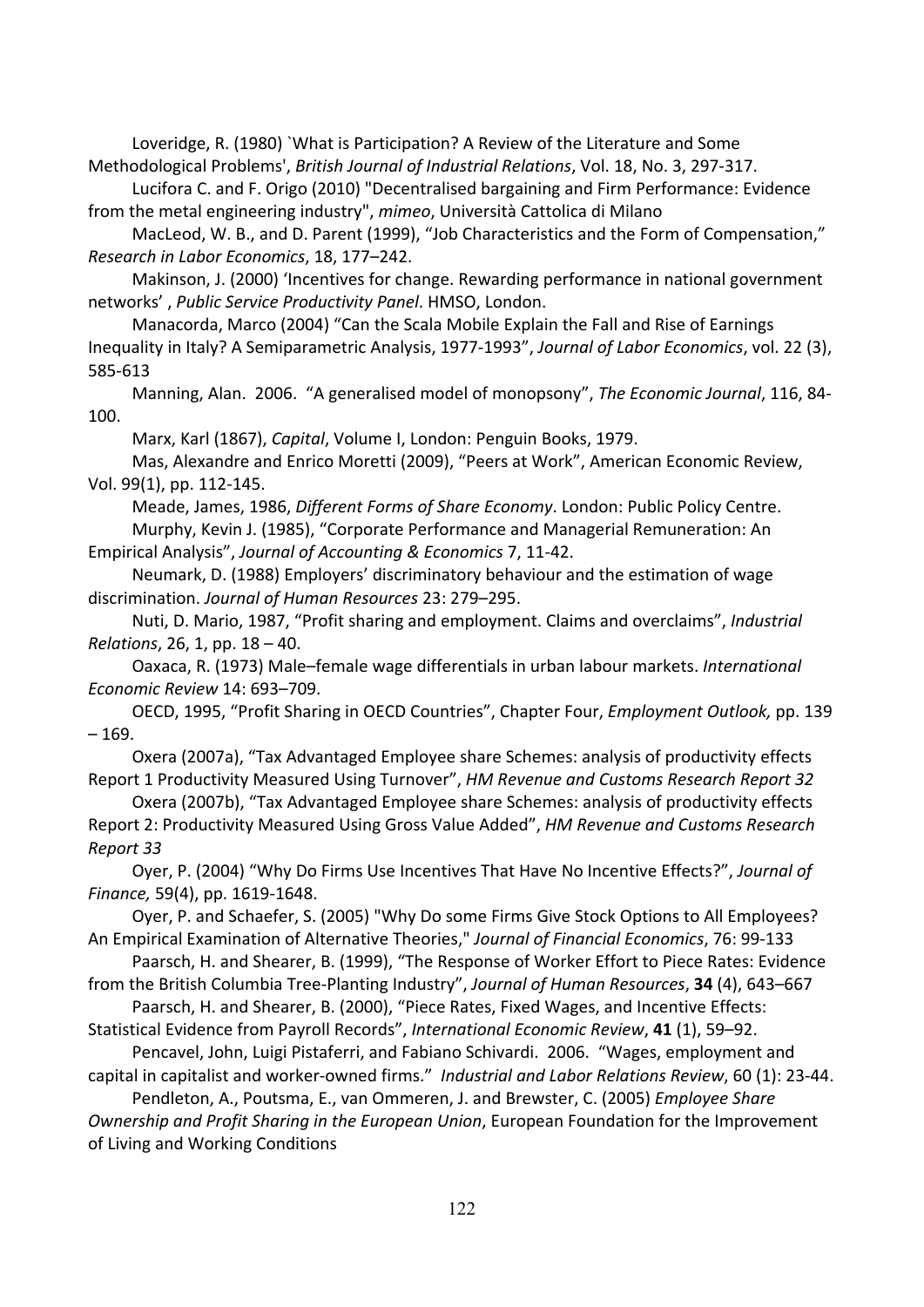Loveridge, R. (1980) `What is Participation? A Review of the Literature and Some Methodological Problems', *British Journal of Industrial Relations*, Vol. 18, No. 3, 297‐317.

Lucifora C. and F. Origo (2010) "Decentralised bargaining and Firm Performance: Evidence from the metal engineering industry", *mimeo*, Università Cattolica di Milano

MacLeod, W. B., and D. Parent (1999), "Job Characteristics and the Form of Compensation," *Research in Labor Economics*, 18, 177–242.

Makinson, J. (2000) 'Incentives for change. Rewarding performance in national government networks' , *Public Service Productivity Panel*. HMSO, London.

Manacorda, Marco (2004) "Can the Scala Mobile Explain the Fall and Rise of Earnings Inequality in Italy? A Semiparametric Analysis, 1977‐1993", *Journal of Labor Economics*, vol. 22 (3), 585‐613

Manning, Alan. 2006. "A generalised model of monopsony", *The Economic Journal*, 116, 84‐ 100.

Marx, Karl (1867), *Capital*, Volume I, London: Penguin Books, 1979.

Mas, Alexandre and Enrico Moretti (2009), "Peers at Work", American Economic Review, Vol. 99(1), pp. 112‐145.

Meade, James, 1986, *Different Forms of Share Economy*. London: Public Policy Centre. Murphy, Kevin J. (1985), "Corporate Performance and Managerial Remuneration: An Empirical Analysis", *Journal of Accounting & Economics* 7, 11‐42.

Neumark, D. (1988) Employers' discriminatory behaviour and the estimation of wage discrimination. *Journal of Human Resources* 23: 279–295.

Nuti, D. Mario, 1987, "Profit sharing and employment. Claims and overclaims", *Industrial Relations*, 26, 1, pp. 18 – 40.

Oaxaca, R. (1973) Male–female wage differentials in urban labour markets. *International Economic Review* 14: 693–709.

OECD, 1995, "Profit Sharing in OECD Countries", Chapter Four, *Employment Outlook,* pp. 139 – 169.

Oxera (2007a), "Tax Advantaged Employee share Schemes: analysis of productivity effects Report 1 Productivity Measured Using Turnover", *HM Revenue and Customs Research Report 32*

Oxera (2007b), "Tax Advantaged Employee share Schemes: analysis of productivity effects Report 2: Productivity Measured Using Gross Value Added", *HM Revenue and Customs Research Report 33*

Oyer, P. (2004) "Why Do Firms Use Incentives That Have No Incentive Effects?", *Journal of Finance,* 59(4), pp. 1619‐1648.

Oyer, P. and Schaefer, S. (2005) "Why Do some Firms Give Stock Options to All Employees? An Empirical Examination of Alternative Theories," *Journal of Financial Economics*, 76: 99‐133

Paarsch, H. and Shearer, B. (1999), "The Response of Worker Effort to Piece Rates: Evidence from the British Columbia Tree‐Planting Industry", *Journal of Human Resources*, **34** (4), 643–667

Paarsch, H. and Shearer, B. (2000), "Piece Rates, Fixed Wages, and Incentive Effects: Statistical Evidence from Payroll Records", *International Economic Review*, **41** (1), 59–92.

Pencavel, John, Luigi Pistaferri, and Fabiano Schivardi. 2006. "Wages, employment and capital in capitalist and worker‐owned firms." *Industrial and Labor Relations Review*, 60 (1): 23‐44.

Pendleton, A., Poutsma, E., van Ommeren, J. and Brewster, C. (2005) *Employee Share Ownership and Profit Sharing in the European Union*, European Foundation for the Improvement of Living and Working Conditions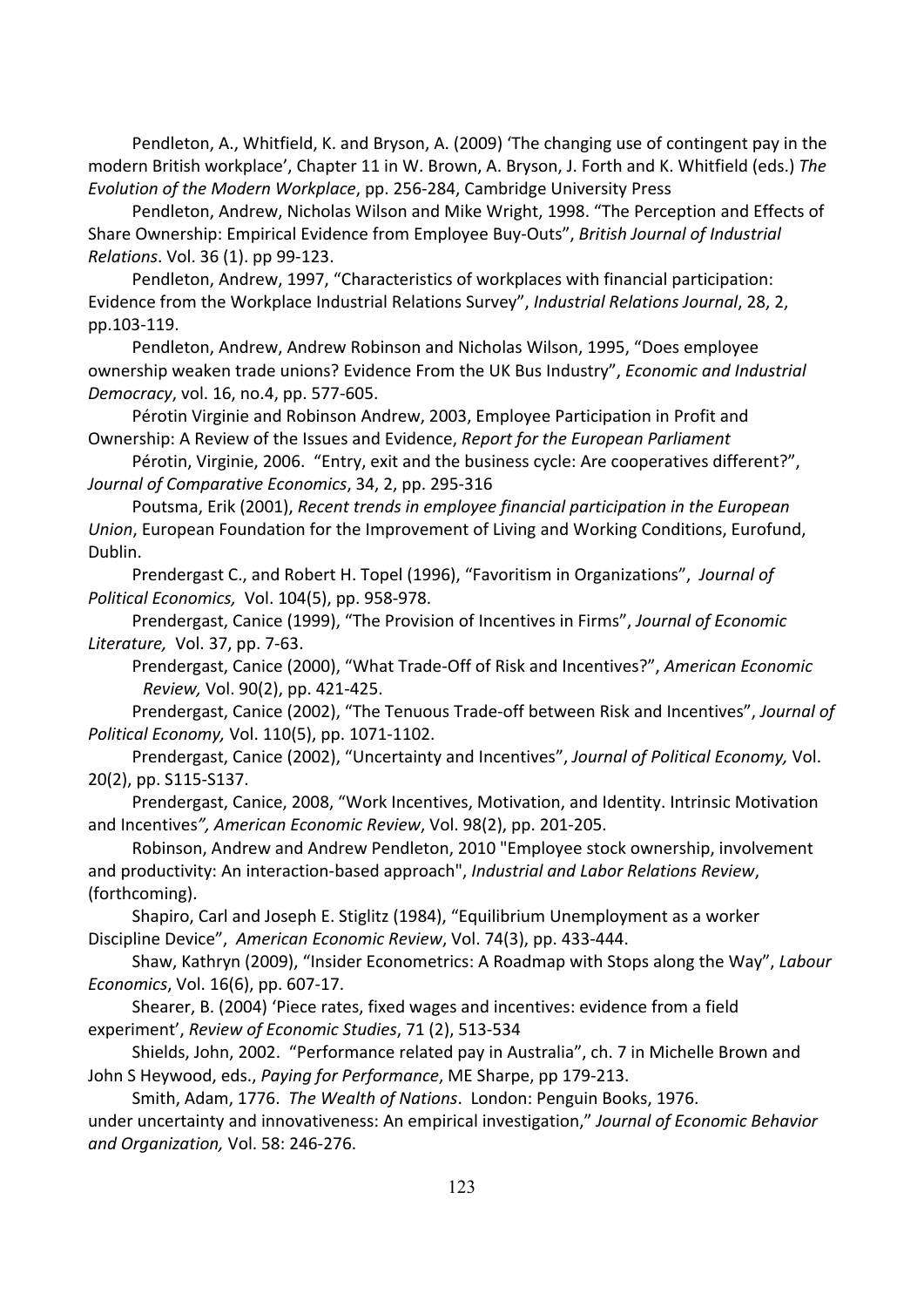Pendleton, A., Whitfield, K. and Bryson, A. (2009) 'The changing use of contingent pay in the modern British workplace', Chapter 11 in W. Brown, A. Bryson, J. Forth and K. Whitfield (eds.) *The Evolution of the Modern Workplace*, pp. 256‐284, Cambridge University Press

Pendleton, Andrew, Nicholas Wilson and Mike Wright, 1998. "The Perception and Effects of Share Ownership: Empirical Evidence from Employee Buy‐Outs", *British Journal of Industrial Relations*. Vol. 36 (1). pp 99‐123.

Pendleton, Andrew, 1997, "Characteristics of workplaces with financial participation: Evidence from the Workplace Industrial Relations Survey", *Industrial Relations Journal*, 28, 2, pp.103‐119.

Pendleton, Andrew, Andrew Robinson and Nicholas Wilson, 1995, "Does employee ownership weaken trade unions? Evidence From the UK Bus Industry", *Economic and Industrial Democracy*, vol. 16, no.4, pp. 577‐605.

Pérotin Virginie and Robinson Andrew, 2003, Employee Participation in Profit and Ownership: A Review of the Issues and Evidence, *Report for the European Parliament*

Pérotin, Virginie, 2006. "Entry, exit and the business cycle: Are cooperatives different?", *Journal of Comparative Economics*, 34, 2, pp. 295‐316

Poutsma, Erik (2001), *Recent trends in employee financial participation in the European Union*, European Foundation for the Improvement of Living and Working Conditions, Eurofund, Dublin.

Prendergast C., and Robert H. Topel (1996), "Favoritism in Organizations", *Journal of Political Economics,* Vol. 104(5), pp. 958‐978.

Prendergast, Canice (1999), "The Provision of Incentives in Firms", *Journal of Economic Literature,* Vol. 37, pp. 7‐63.

Prendergast, Canice (2000), "What Trade‐Off of Risk and Incentives?", *American Economic Review,* Vol. 90(2), pp. 421‐425.

Prendergast, Canice (2002), "The Tenuous Trade‐off between Risk and Incentives", *Journal of Political Economy,* Vol. 110(5), pp. 1071‐1102.

Prendergast, Canice (2002), "Uncertainty and Incentives", *Journal of Political Economy,* Vol. 20(2), pp. S115‐S137.

Prendergast, Canice, 2008, "Work Incentives, Motivation, and Identity. Intrinsic Motivation and Incentives*", American Economic Review*, Vol. 98(2), pp. 201‐205.

Robinson, Andrew and Andrew Pendleton, 2010 "Employee stock ownership, involvement and productivity: An interaction‐based approach", *Industrial and Labor Relations Review*, (forthcoming).

Shapiro, Carl and Joseph E. Stiglitz (1984), "Equilibrium Unemployment as a worker Discipline Device", *American Economic Review*, Vol. 74(3), pp. 433‐444.

Shaw, Kathryn (2009), "Insider Econometrics: A Roadmap with Stops along the Way", *Labour Economics*, Vol. 16(6), pp. 607‐17.

Shearer, B. (2004) 'Piece rates, fixed wages and incentives: evidence from a field experiment', *Review of Economic Studies*, 71 (2), 513‐534

Shields, John, 2002. "Performance related pay in Australia", ch. 7 in Michelle Brown and John S Heywood, eds., *Paying for Performance*, ME Sharpe, pp 179‐213.

Smith, Adam, 1776. *The Wealth of Nations*. London: Penguin Books, 1976. under uncertainty and innovativeness: An empirical investigation," *Journal of Economic Behavior and Organization,* Vol. 58: 246‐276.